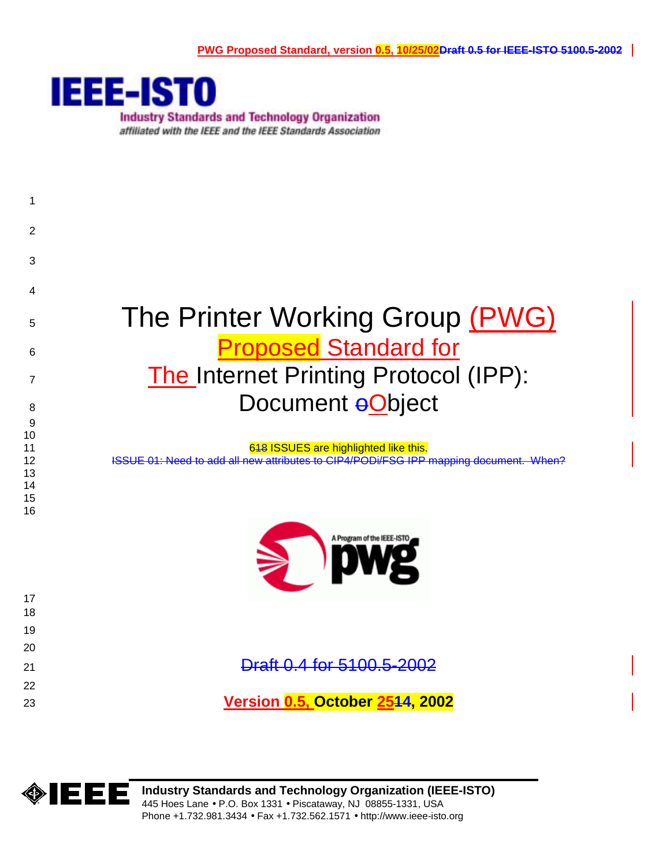

**Industry Standards and Technology Organization** affiliated with the IEEE and the IEEE Standards Association





**Industry Standards and Technology Organization (IEEE-ISTO)**  445 Hoes Lane • P.O. Box 1331 • Piscataway, NJ 08855-1331, USA Phone +1.732.981.3434 • Fax +1.732.562.1571 • http://www.ieee-isto.org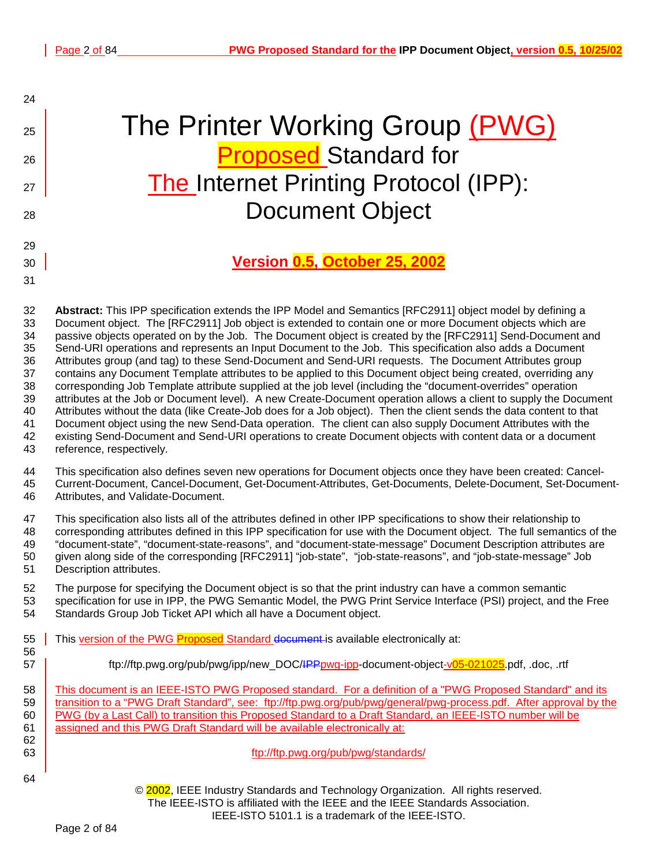24

29

31

# 25 The Printer Working Group (PWG) 26 **Proposed** Standard for  $\frac{27}{100}$  The Internet Printing Protocol (IPP): 28 Document Object

## 30 **Version 0.5, October 25, 2002**

32 **Abstract:** This IPP specification extends the IPP Model and Semantics [RFC2911] object model by defining a 33 Document object. The [RFC2911] Job object is extended to contain one or more Document objects which are 34 passive objects operated on by the Job. The Document object is created by the [RFC2911] Send-Document and 35 Send-URI operations and represents an Input Document to the Job. This specification also adds a Document 36 Attributes group (and tag) to these Send-Document and Send-URI requests. The Document Attributes group 37 contains any Document Template attributes to be applied to this Document object being created, overriding any 38 corresponding Job Template attribute supplied at the job level (including the "document-overrides" operation 39 attributes at the Job or Document level). A new Create-Document operation allows a client to supply the Document 40 Attributes without the data (like Create-Job does for a Job object). Then the client sends the data content to that 41 Document object using the new Send-Data operation. The client can also supply Document Attributes with the 42 existing Send-Document and Send-URI operations to create Document objects with content data or a document 43 reference, respectively.

44 This specification also defines seven new operations for Document objects once they have been created: Cancel-45 Current-Document, Cancel-Document, Get-Document-Attributes, Get-Documents, Delete-Document, Set-Document-46 Attributes, and Validate-Document.

47 This specification also lists all of the attributes defined in other IPP specifications to show their relationship to 48 corresponding attributes defined in this IPP specification for use with the Document object. The full semantics of the 49 "document-state", "document-state-reasons", and "document-state-message" Document Description attributes are 50 given along side of the corresponding [RFC2911] "job-state", "job-state-reasons", and "job-state-message" Job 51 Description attributes.

52 The purpose for specifying the Document object is so that the print industry can have a common semantic 53 specification for use in IPP, the PWG Semantic Model, the PWG Print Service Interface (PSI) project, and the Free 54 Standards Group Job Ticket API which all have a Document object.

- 55 This version of the PWG Proposed Standard document is available electronically at: 56
- 57 **ftp://ftp.pwg.org/pub/pwg/ipp/new\_DOC/<del>IPPpwg-ipp</del>-document-object-v05-021025.pdf, .doc, .rtf**

58 This document is an IEEE-ISTO PWG Proposed standard. For a definition of a "PWG Proposed Standard" and its 59 transition to a "PWG Draft Standard", see: f[tp://ftp.pwg.org/pub/pwg/general/pwg-process.pdf.](ftp://ftp.pwg.org/pub/pwg/general/pwg-process.pdf) After approval by the 60 PWG (by a Last Call) to transition this Proposed Standard to a Draft Standard, an IEEE-ISTO number will be 61 assigned and this PWG Draft Standard will be available electronically at: 62

64

63 ftp://ftp.pwg.org/pub/pwg/standards/

© 2002, IEEE Industry Standards and Technology Organization. All rights reserved. The IEEE-ISTO is affiliated with the IEEE and the IEEE Standards Association. IEEE-ISTO 5101.1 is a trademark of the IEEE-ISTO.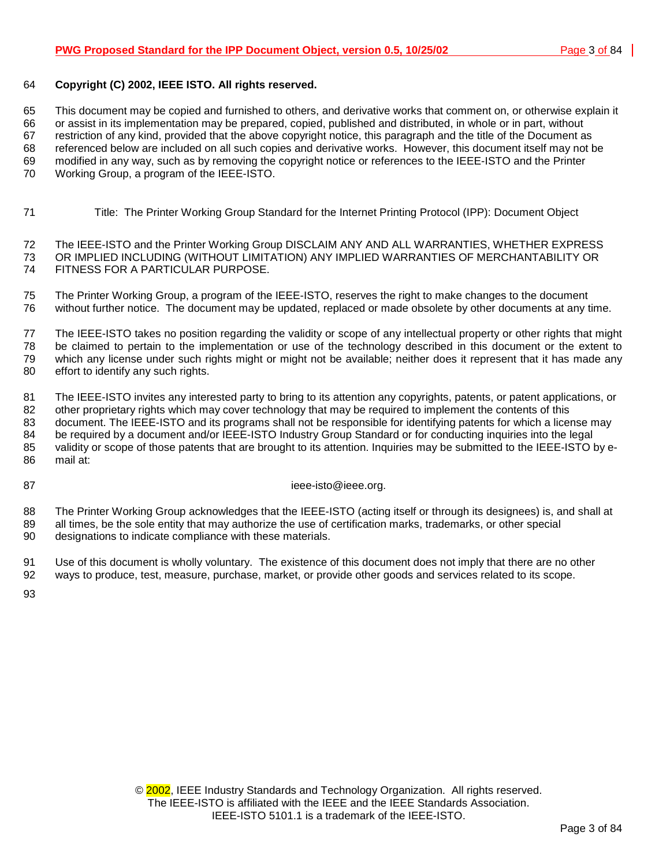## 64 **Copyright (C) 2002, IEEE ISTO. All rights reserved.**

65 This document may be copied and furnished to others, and derivative works that comment on, or otherwise explain it 66 or assist in its implementation may be prepared, copied, published and distributed, in whole or in part, without 67 restriction of any kind, provided that the above copyright notice, this paragraph and the title of the Document as 68 referenced below are included on all such copies and derivative works. However, this document itself may not be 69 modified in any way, such as by removing the copyright notice or references to the IEEE-ISTO and the Printer 70 Working Group, a program of the IEEE-ISTO.

71 Title: The Printer Working Group Standard for the Internet Printing Protocol (IPP): Document Object

72 The IEEE-ISTO and the Printer Working Group DISCLAIM ANY AND ALL WARRANTIES, WHETHER EXPRESS 73 OR IMPLIED INCLUDING (WITHOUT LIMITATION) ANY IMPLIED WARRANTIES OF MERCHANTABILITY OR 74 FITNESS FOR A PARTICULAR PURPOSE.

75 The Printer Working Group, a program of the IEEE-ISTO, reserves the right to make changes to the document 76 without further notice. The document may be updated, replaced or made obsolete by other documents at any time.

77 The IEEE-ISTO takes no position regarding the validity or scope of any intellectual property or other rights that might 78 be claimed to pertain to the implementation or use of the technology described in this document or the extent to 79 which any license under such rights might or might not be available; neither does it represent that it has made any 80 effort to identify any such rights.

81 The IEEE-ISTO invites any interested party to bring to its attention any copyrights, patents, or patent applications, or 82 other proprietary rights which may cover technology that may be required to implement the contents of this 83 document. The IEEE-ISTO and its programs shall not be responsible for identifying patents for which a license may 84 be required by a document and/or IEEE-ISTO Industry Group Standard or for conducting inquiries into the legal 85 validity or scope of those patents that are brought to its attention. Inquiries may be submitted to the IEEE-ISTO by e-86 mail at:

87 ieee-isto@ieee.org.

88 The Printer Working Group acknowledges that the IEEE-ISTO (acting itself or through its designees) is, and shall at 89 all times, be the sole entity that may authorize the use of certification marks, trademarks, or other special 90 designations to indicate compliance with these materials.

91 Use of this document is wholly voluntary. The existence of this document does not imply that there are no other 92 ways to produce, test, measure, purchase, market, or provide other goods and services related to its scope.

93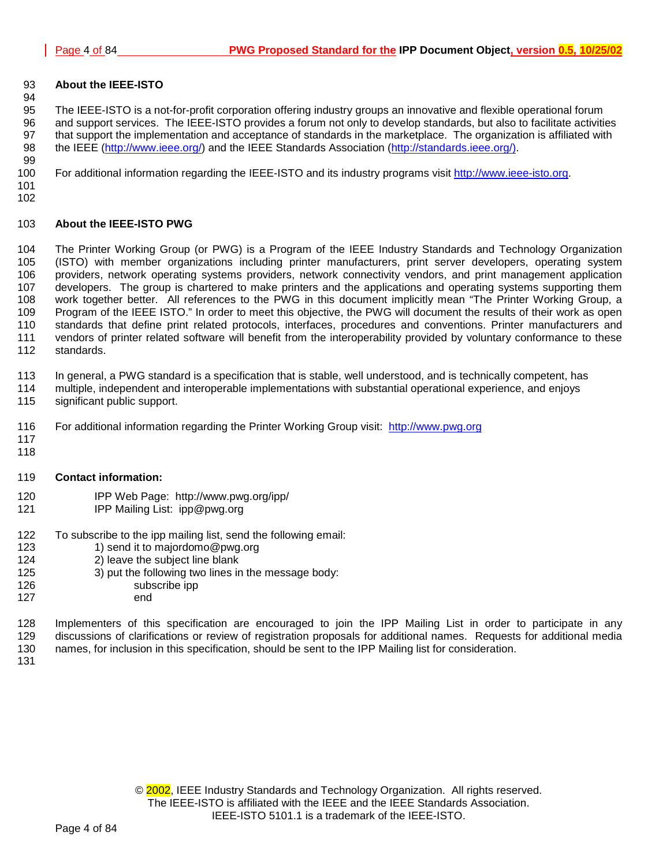## 93 **About the IEEE-ISTO**

95 The IEEE-ISTO is a not-for-profit corporation offering industry groups an innovative and flexible operational forum 96 and support services. The IEEE-ISTO provides a forum not only to develop standards, but also to facilitate activities 97 that support the implementation and acceptance of standards in the marketplace. The organization is affiliated with 98 the IEEE ([http://www.ieee.org/\)](http://www.ieee.org/) and the IEEE Standards Association (http://standards.ieee.org/). 99

100 For additional information regarding the IEEE-ISTO and its industry programs visit [http://www.ieee-isto.org.](http://www.ieee-isto.org/)

101 102

94

## 103 **About the IEEE-ISTO PWG**

104 The Printer Working Group (or PWG) is a Program of the IEEE Industry Standards and Technology Organization 105 (ISTO) with member organizations including printer manufacturers, print server developers, operating system 106 providers, network operating systems providers, network connectivity vendors, and print management application 107 developers. The group is chartered to make printers and the applications and operating systems supporting them 108 work together better. All references to the PWG in this document implicitly mean "The Printer Working Group, a 109 Program of the IEEE ISTO." In order to meet this objective, the PWG will document the results of their work as open 110 standards that define print related protocols, interfaces, procedures and conventions. Printer manufacturers and 111 vendors of printer related software will benefit from the interoperability provided by voluntary conformance to these 112 standards.

113 In general, a PWG standard is a specification that is stable, well understood, and is technically competent, has

- 114 multiple, independent and interoperable implementations with substantial operational experience, and enjoys
- 115 significant public support.
- 116 For additional information regarding the Printer Working Group visit: http://www.pwg.org
- 117 118

## 119 **Contact information:**

- 120 IPP Web Page: http://www.pwg.org/ipp/
- 121 IPP Mailing List: ipp@pwg.org
- 122 To subscribe to the ipp mailing list, send the following email:<br>123 1) send it to maiordomo@pwg.org
	- 1) send it to majordomo@pwg.org
- 124 2) leave the subject line blank
- 125 3) put the following two lines in the message body:
- 126 subscribe ipp
- 127 end

128 Implementers of this specification are encouraged to join the IPP Mailing List in order to participate in any 129 discussions of clarifications or review of registration proposals for additional names. Requests for additional media 130 names, for inclusion in this specification, should be sent to the IPP Mailing list for consideration.

131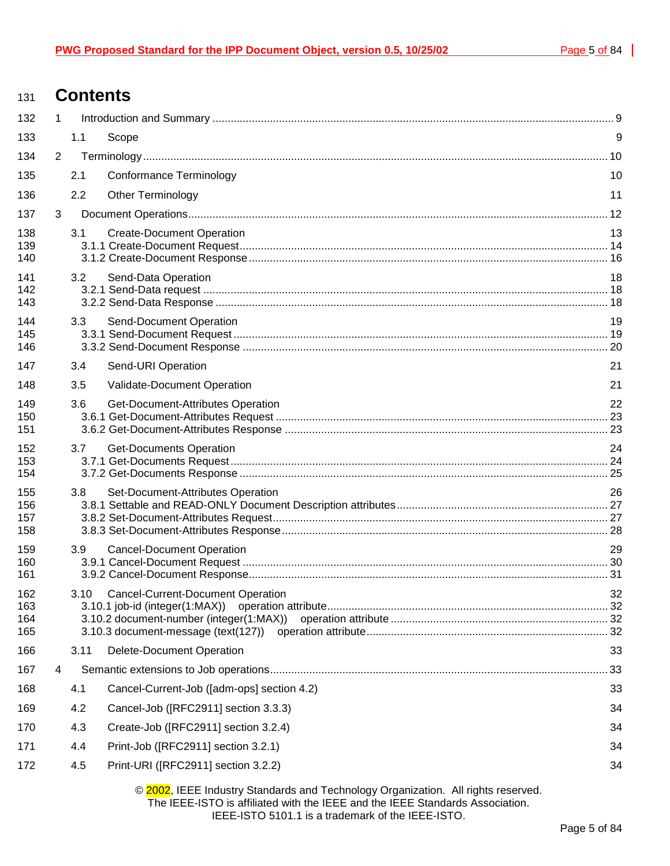## <sup>131</sup>**Contents**

| 132                      | $\mathbf{1}$   |      |                                                                                 |    |
|--------------------------|----------------|------|---------------------------------------------------------------------------------|----|
| 133                      |                | 1.1  | Scope                                                                           | 9  |
| 134                      | $\overline{2}$ |      |                                                                                 |    |
| 135                      |                | 2.1  | <b>Conformance Terminology</b>                                                  | 10 |
| 136                      |                | 2.2  | Other Terminology                                                               | 11 |
| 137                      | 3              |      |                                                                                 |    |
| 138<br>139<br>140        |                | 3.1  | <b>Create-Document Operation</b>                                                | 13 |
| 141<br>142<br>143        |                | 3.2  | Send-Data Operation                                                             | 18 |
| 144<br>145<br>146        |                | 3.3  | Send-Document Operation                                                         | 19 |
| 147                      |                | 3.4  | Send-URI Operation                                                              | 21 |
| 148                      |                | 3.5  | Validate-Document Operation                                                     | 21 |
| 149<br>150<br>151        |                | 3.6  | Get-Document-Attributes Operation                                               | 22 |
| 152<br>153<br>154        |                | 3.7  | <b>Get-Documents Operation</b>                                                  | 24 |
| 155<br>156<br>157<br>158 |                | 3.8  | Set-Document-Attributes Operation                                               | 26 |
| 159<br>160<br>161        |                | 3.9  | <b>Cancel-Document Operation</b>                                                | 29 |
| 162<br>163<br>164<br>165 |                | 3.10 | <b>Cancel-Current-Document Operation</b><br>3.10.3 document-message (text(127)) | 32 |
| 166                      |                | 3.11 | <b>Delete-Document Operation</b>                                                | 33 |
| 167                      | 4              |      |                                                                                 | 33 |
| 168                      |                | 4.1  | Cancel-Current-Job ([adm-ops] section 4.2)                                      | 33 |
| 169                      |                | 4.2  | Cancel-Job ([RFC2911] section 3.3.3)                                            | 34 |
| 170                      |                | 4.3  | Create-Job ([RFC2911] section 3.2.4)                                            | 34 |
| 171                      |                | 4.4  | Print-Job ([RFC2911] section 3.2.1)                                             | 34 |
| 172                      |                | 4.5  | Print-URI ([RFC2911] section 3.2.2)                                             | 34 |
|                          |                |      |                                                                                 |    |

© 2002, IEEE Industry Standards and Technology Organization. All rights reserved. The IEEE-ISTO is affiliated with the IEEE and the IEEE Standards Association. IEEE-ISTO 5101.1 is a trademark of the IEEE-ISTO.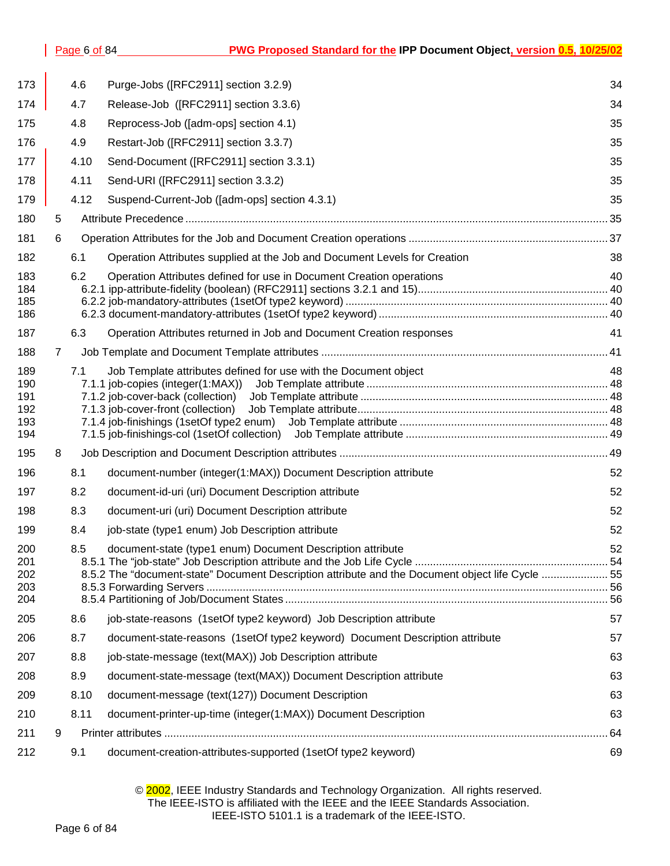| 173                                    |   | 4.6  | Purge-Jobs ([RFC2911] section 3.2.9)                                                                                                                           | 34 |
|----------------------------------------|---|------|----------------------------------------------------------------------------------------------------------------------------------------------------------------|----|
| 174                                    |   | 4.7  | Release-Job ([RFC2911] section 3.3.6)                                                                                                                          | 34 |
| 175                                    |   | 4.8  | Reprocess-Job ([adm-ops] section 4.1)                                                                                                                          | 35 |
| 176                                    |   | 4.9  | Restart-Job ([RFC2911] section 3.3.7)                                                                                                                          | 35 |
| 177                                    |   | 4.10 | Send-Document ([RFC2911] section 3.3.1)                                                                                                                        | 35 |
| 178                                    |   | 4.11 | Send-URI ([RFC2911] section 3.3.2)                                                                                                                             | 35 |
| 179                                    |   | 4.12 | Suspend-Current-Job ([adm-ops] section 4.3.1)                                                                                                                  | 35 |
| 180                                    | 5 |      |                                                                                                                                                                |    |
| 181                                    | 6 |      |                                                                                                                                                                |    |
| 182                                    |   | 6.1  | Operation Attributes supplied at the Job and Document Levels for Creation                                                                                      | 38 |
| 183<br>184<br>185<br>186               |   | 6.2  | Operation Attributes defined for use in Document Creation operations                                                                                           | 40 |
| 187                                    |   | 6.3  | Operation Attributes returned in Job and Document Creation responses                                                                                           | 41 |
| 188                                    | 7 |      |                                                                                                                                                                |    |
| 189<br>190<br>191<br>192<br>193<br>194 |   | 7.1  | Job Template attributes defined for use with the Document object<br>7.1.3 job-cover-front (collection)                                                         | 48 |
| 195                                    | 8 |      |                                                                                                                                                                |    |
| 196                                    |   | 8.1  | document-number (integer(1:MAX)) Document Description attribute                                                                                                | 52 |
| 197                                    |   | 8.2  | document-id-uri (uri) Document Description attribute                                                                                                           | 52 |
| 198                                    |   | 8.3  | document-uri (uri) Document Description attribute                                                                                                              | 52 |
| 199                                    |   | 8.4  | job-state (type1 enum) Job Description attribute                                                                                                               | 52 |
| 200<br>201<br>202<br>203<br>204        |   | 8.5  | document-state (type1 enum) Document Description attribute<br>8.5.2 The "document-state" Document Description attribute and the Document object life Cycle  55 | 52 |
| 205                                    |   | 8.6  | job-state-reasons (1setOf type2 keyword) Job Description attribute                                                                                             | 57 |
| 206                                    |   | 8.7  | document-state-reasons (1setOf type2 keyword) Document Description attribute                                                                                   | 57 |
| 207                                    |   | 8.8  | job-state-message (text(MAX)) Job Description attribute                                                                                                        | 63 |
| 208                                    |   | 8.9  | document-state-message (text(MAX)) Document Description attribute                                                                                              | 63 |
| 209                                    |   | 8.10 | document-message (text(127)) Document Description                                                                                                              | 63 |
| 210                                    |   | 8.11 | document-printer-up-time (integer(1:MAX)) Document Description                                                                                                 | 63 |
| 211                                    | 9 |      |                                                                                                                                                                | 64 |
| 212                                    |   | 9.1  | document-creation-attributes-supported (1setOf type2 keyword)                                                                                                  | 69 |

## © 2002, IEEE Industry Standards and Technology Organization. All rights reserved. The IEEE-ISTO is affiliated with the IEEE and the IEEE Standards Association. IEEE-ISTO 5101.1 is a trademark of the IEEE-ISTO.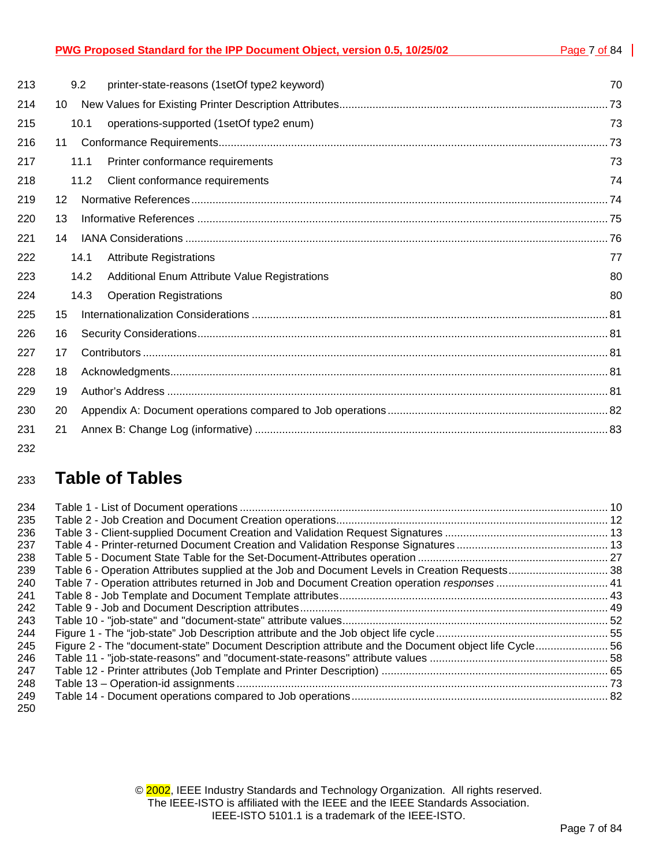| PWG Proposed Standard for the IPP Document Object, version 0.5, 10/25/02 |  |
|--------------------------------------------------------------------------|--|
|                                                                          |  |

| 213 |    | 9.2  | printer-state-reasons (1setOf type2 keyword)         | 70 |
|-----|----|------|------------------------------------------------------|----|
| 214 | 10 |      |                                                      |    |
| 215 |    | 10.1 | operations-supported (1setOf type2 enum)             | 73 |
| 216 | 11 |      |                                                      |    |
| 217 |    | 11.1 | Printer conformance requirements                     | 73 |
| 218 |    | 11.2 | Client conformance requirements                      | 74 |
| 219 | 12 |      |                                                      |    |
| 220 | 13 |      |                                                      |    |
| 221 | 14 |      |                                                      |    |
| 222 |    | 14.1 | <b>Attribute Registrations</b>                       | 77 |
| 223 |    | 14.2 | <b>Additional Enum Attribute Value Registrations</b> | 80 |
| 224 |    | 14.3 | <b>Operation Registrations</b>                       | 80 |
| 225 | 15 |      |                                                      |    |
| 226 | 16 |      |                                                      |    |
| 227 | 17 |      |                                                      |    |
| 228 | 18 |      |                                                      |    |
| 229 | 19 |      |                                                      |    |
| 230 | 20 |      |                                                      |    |
| 231 | 21 |      |                                                      |    |
|     |    |      |                                                      |    |

232

## <sup>233</sup>**Table of Tables**

| 234 |                                                                                                      |  |
|-----|------------------------------------------------------------------------------------------------------|--|
| 235 |                                                                                                      |  |
| 236 |                                                                                                      |  |
| 237 |                                                                                                      |  |
| 238 |                                                                                                      |  |
| 239 |                                                                                                      |  |
| 240 |                                                                                                      |  |
| 241 |                                                                                                      |  |
| 242 |                                                                                                      |  |
| 243 |                                                                                                      |  |
| 244 |                                                                                                      |  |
| 245 | Figure 2 - The "document-state" Document Description attribute and the Document object life Cycle 56 |  |
| 246 |                                                                                                      |  |
| 247 |                                                                                                      |  |
| 248 |                                                                                                      |  |
| 249 |                                                                                                      |  |
| 250 |                                                                                                      |  |

© 2002, IEEE Industry Standards and Technology Organization. All rights reserved. The IEEE-ISTO is affiliated with the IEEE and the IEEE Standards Association. IEEE-ISTO 5101.1 is a trademark of the IEEE-ISTO.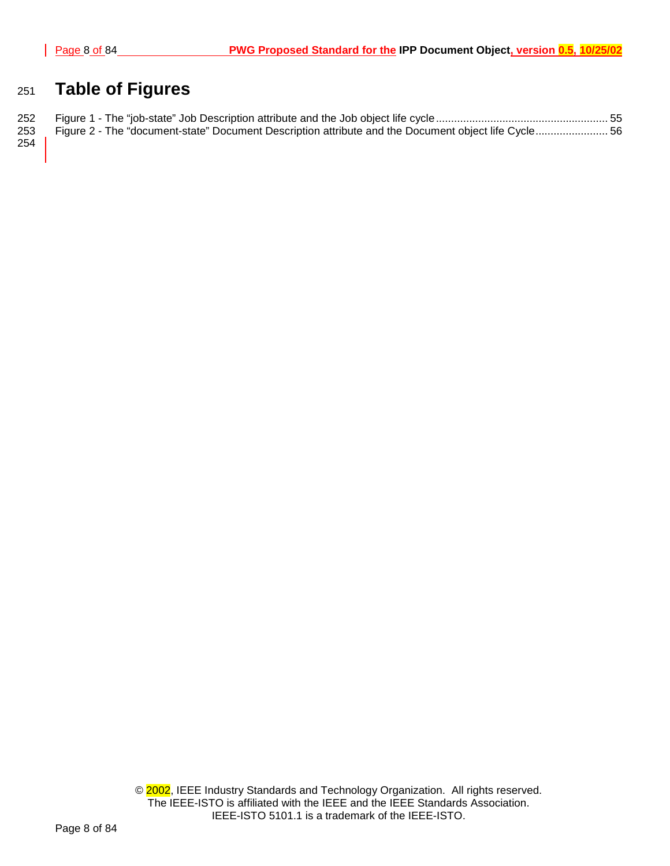## <sup>251</sup>**Table of Figures**

|                      | 253 Figure 2 - The "document-state" Document Description attribute and the Document object life Cycle 56 |  |
|----------------------|----------------------------------------------------------------------------------------------------------|--|
| $\sim$ $\sim$ $\sim$ |                                                                                                          |  |

254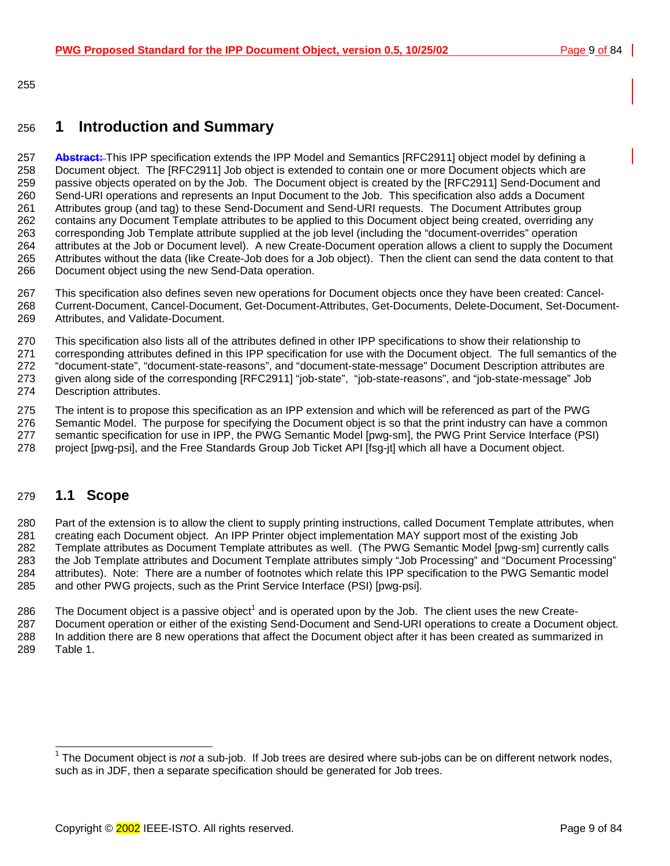<span id="page-8-0"></span>255

## 256 **1 Introduction and Summary**

257 **Abstract:** This IPP specification extends the IPP Model and Semantics [RFC2911] object model by defining a 258 Document object. The [RFC2911] Job object is extended to contain one or more Document objects which are 259 passive objects operated on by the Job. The Document object is created by the [RFC2911] Send-Document and 260 Send-URI operations and represents an Input Document to the Job. This specification also adds a Document 261 Attributes group (and tag) to these Send-Document and Send-URI requests. The Document Attributes group 262 contains any Document Template attributes to be applied to this Document object being created, overriding any 263 corresponding Job Template attribute supplied at the job level (including the "document-overrides" operation 264 attributes at the Job or Document level). A new Create-Document operation allows a client to supply the Document 265 Attributes without the data (like Create-Job does for a Job object). Then the client can send the data content to that 266 Document object using the new Send-Data operation.

267 This specification also defines seven new operations for Document objects once they have been created: Cancel-268 Current-Document, Cancel-Document, Get-Document-Attributes, Get-Documents, Delete-Document, Set-Document-269 Attributes, and Validate-Document.

270 This specification also lists all of the attributes defined in other IPP specifications to show their relationship to

271 corresponding attributes defined in this IPP specification for use with the Document object. The full semantics of the 272 "document-state", "document-state-reasons", and "document-state-message" Document Description attributes are

273 given along side of the corresponding [RFC2911] "job-state", "job-state-reasons", and "job-state-message" Job

274 Description attributes.

275 The intent is to propose this specification as an IPP extension and which will be referenced as part of the PWG

276 Semantic Model. The purpose for specifying the Document object is so that the print industry can have a common 277 semantic specification for use in IPP, the PWG Semantic Model [pwg-sm], the PWG Print Service Interface (PSI)

278 project [pwg-psi], and the Free Standards Group Job Ticket API [fsg-jt] which all have a Document object.

## 279 **1.1 Scope**

280 Part of the extension is to allow the client to supply printing instructions, called Document Template attributes, when 281 creating each Document object. An IPP Printer object implementation MAY support most of the existing Job 282 Template attributes as Document Template attributes as well. (The PWG Semantic Model [pwg-sm] currently calls 283 the Job Template attributes and Document Template attributes simply "Job Processing" and "Document Processing" 284 attributes). Note: There are a number of footnotes which relate this IPP specification to the PWG Semantic model 285 and other PWG projects, such as the Print Service Interface (PSI) [pwg-psi].

286 The Document object is a passive object<sup>1</sup> and is operated upon by the Job. The client uses the new Create-287 Document operation or either of the existing Send-Document and Send-URI operations to create a Document object. 288 In addition there are 8 new operations that affect the Document object after it has been created as summarized in 289 [Table 1.](#page-9-0) 

 1 The Document object is *not* a sub-job. If Job trees are desired where sub-jobs can be on different network nodes, such as in JDF, then a separate specification should be generated for Job trees.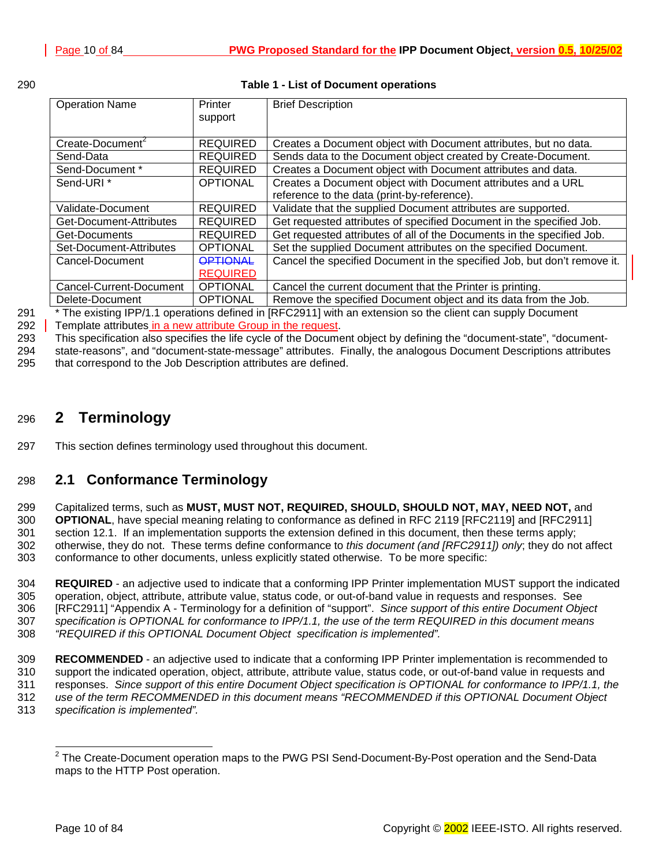<span id="page-9-0"></span>

| I<br>×<br>۰, | I<br>×<br>×<br>۰. |
|--------------|-------------------|
|              |                   |

## **Table 1 - List of Document operations**

| <b>Operation Name</b>        | Printer         | <b>Brief Description</b>                                                 |
|------------------------------|-----------------|--------------------------------------------------------------------------|
|                              | support         |                                                                          |
|                              |                 |                                                                          |
| Create-Document <sup>2</sup> | <b>REQUIRED</b> | Creates a Document object with Document attributes, but no data.         |
| Send-Data                    | <b>REQUIRED</b> | Sends data to the Document object created by Create-Document.            |
| Send-Document *              | <b>REQUIRED</b> | Creates a Document object with Document attributes and data.             |
| Send-URI <sup>*</sup>        | <b>OPTIONAL</b> | Creates a Document object with Document attributes and a URL             |
|                              |                 | reference to the data (print-by-reference).                              |
| Validate-Document            | <b>REQUIRED</b> | Validate that the supplied Document attributes are supported.            |
| Get-Document-Attributes      | <b>REQUIRED</b> | Get requested attributes of specified Document in the specified Job.     |
| Get-Documents                | <b>REQUIRED</b> | Get requested attributes of all of the Documents in the specified Job.   |
| Set-Document-Attributes      | <b>OPTIONAL</b> | Set the supplied Document attributes on the specified Document.          |
| Cancel-Document              | <b>OPTIONAL</b> | Cancel the specified Document in the specified Job, but don't remove it. |
|                              | <b>REQUIRED</b> |                                                                          |
| Cancel-Current-Document      | <b>OPTIONAL</b> | Cancel the current document that the Printer is printing.                |
| Delete-Document              | <b>OPTIONAL</b> | Remove the specified Document object and its data from the Job.          |

291 \* The existing IPP/1.1 operations defined in [RFC2911] with an extension so the client can supply Document

292 Template attributes in a new attribute Group in the request.

293 This specification also specifies the life cycle of the Document object by defining the "document-state", "document-

294 state-reasons", and "document-state-message" attributes. Finally, the analogous Document Descriptions attributes 295 that correspond to the Job Description attributes are defined.

## 296 **2 Terminology**

297 This section defines terminology used throughout this document.

## 298 **2.1 Conformance Terminology**

299 Capitalized terms, such as **MUST, MUST NOT, REQUIRED, SHOULD, SHOULD NOT, MAY, NEED NOT,** and 300 **OPTIONAL**, have special meaning relating to conformance as defined in RFC 2119 [RFC2119] and [RFC2911] 301 section 12.1. If an implementation supports the extension defined in this document, then these terms apply; 302 otherwise, they do not. These terms define conformance to *this document (and [RFC2911]) only*; they do not affect 303 conformance to other documents, unless explicitly stated otherwise. To be more specific:

304 **REQUIRED** - an adjective used to indicate that a conforming IPP Printer implementation MUST support the indicated 305 operation, object, attribute, attribute value, status code, or out-of-band value in requests and responses. See 306 [RFC2911] "Appendix A - Terminology for a definition of "support". *Since support of this entire Document Object*  307 *specification is OPTIONAL for conformance to IPP/1.1, the use of the term REQUIRED in this document means*  308 *"REQUIRED if this OPTIONAL Document Object specification is implemented".*

309 **RECOMMENDED** - an adjective used to indicate that a conforming IPP Printer implementation is recommended to 310 support the indicated operation, object, attribute, attribute value, status code, or out-of-band value in requests and 311 responses. *Since support of this entire Document Object specification is OPTIONAL for conformance to IPP/1.1, the*  312 *use of the term RECOMMENDED in this document means "RECOMMENDED if this OPTIONAL Document Object*  313 *specification is implemented".*

 2 The Create-Document operation maps to the PWG PSI Send-Document-By-Post operation and the Send-Data maps to the HTTP Post operation.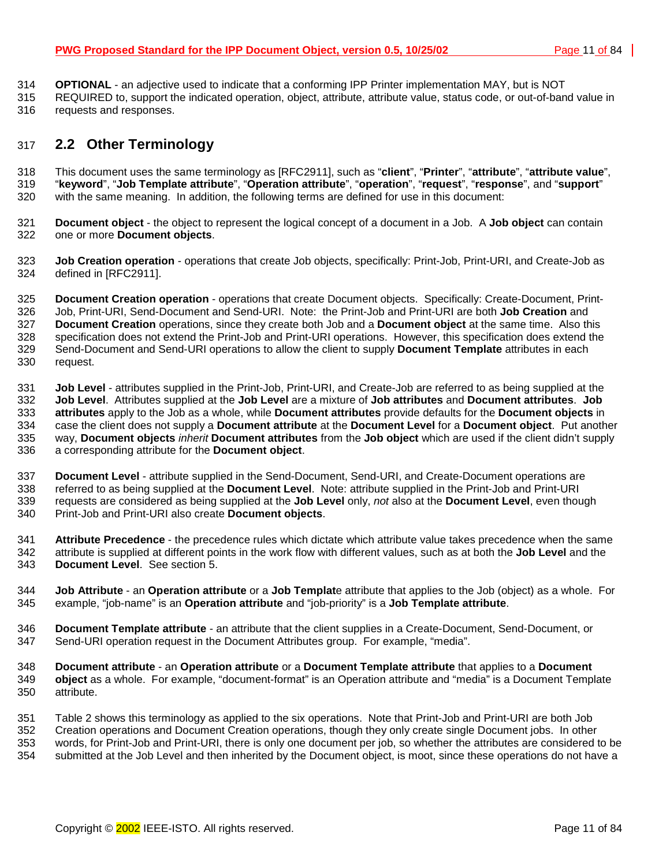- <span id="page-10-0"></span>314 **OPTIONAL** - an adjective used to indicate that a conforming IPP Printer implementation MAY, but is NOT
- 315 REQUIRED to, support the indicated operation, object, attribute, attribute value, status code, or out-of-band value in 316 requests and responses.

## 317 **2.2 Other Terminology**

318 This document uses the same terminology as [RFC2911], such as "**client**", "**Printer**", "**attribute**", "**attribute value**", 319 "**keyword**", "**Job Template attribute**", "**Operation attribute**", "**operation**", "**request**", "**response**", and "**support**" 320 with the same meaning. In addition, the following terms are defined for use in this document:

- 321 **Document object** the object to represent the logical concept of a document in a Job. A **Job object** can contain 322 one or more **Document objects**.
- 323 **Job Creation operation** operations that create Job objects, specifically: Print-Job, Print-URI, and Create-Job as 324 defined in [RFC2911].

325 **Document Creation operation** - operations that create Document objects. Specifically: Create-Document, Print-326 Job, Print-URI, Send-Document and Send-URI. Note: the Print-Job and Print-URI are both **Job Creation** and 327 **Document Creation** operations, since they create both Job and a **Document object** at the same time. Also this 328 specification does not extend the Print-Job and Print-URI operations. However, this specification does extend the 329 Send-Document and Send-URI operations to allow the client to supply **Document Template** attributes in each 330 request.

331 **Job Level** - attributes supplied in the Print-Job, Print-URI, and Create-Job are referred to as being supplied at the 332 **Job Level**. Attributes supplied at the **Job Level** are a mixture of **Job attributes** and **Document attributes**. **Job**  333 **attributes** apply to the Job as a whole, while **Document attributes** provide defaults for the **Document objects** in 334 case the client does not supply a **Document attribute** at the **Document Level** for a **Document object**. Put another 335 way, **Document objects** *inherit* **Document attributes** from the **Job object** which are used if the client didn't supply 336 a corresponding attribute for the **Document object**.

337 **Document Level** - attribute supplied in the Send-Document, Send-URI, and Create-Document operations are 338 referred to as being supplied at the **Document Level**. Note: attribute supplied in the Print-Job and Print-URI 339 requests are considered as being supplied at the **Job Level** only, *not* also at the **Document Level**, even though 340 Print-Job and Print-URI also create **Document objects**.

- 341 **Attribute Precedence** the precedence rules which dictate which attribute value takes precedence when the same 342 attribute is supplied at different points in the work flow with different values, such as at both the **Job Level** and the 343 **Document Level**. See section [5.](#page-34-0)
- 344 **Job Attribute** an **Operation attribute** or a **Job Templat**e attribute that applies to the Job (object) as a whole. For 345 example, "job-name" is an **Operation attribute** and "job-priority" is a **Job Template attribute**.
- 346 **Document Template attribute**  an attribute that the client supplies in a Create-Document, Send-Document, or 347 Send-URI operation request in the Document Attributes group. For example, "media".
- 348 **Document attribute** an **Operation attribute** or a **Document Template attribute** that applies to a **Document**  349 **object** as a whole. For example, "document-format" is an Operation attribute and "media" is a Document Template 350 attribute.
- 351 [Table 2 s](#page-11-0)hows this terminology as applied to the six operations. Note that Print-Job and Print-URI are both Job 352 Creation operations and Document Creation operations, though they only create single Document jobs. In other 353 words, for Print-Job and Print-URI, there is only one document per job, so whether the attributes are considered to be 354 submitted at the Job Level and then inherited by the Document object, is moot, since these operations do not have a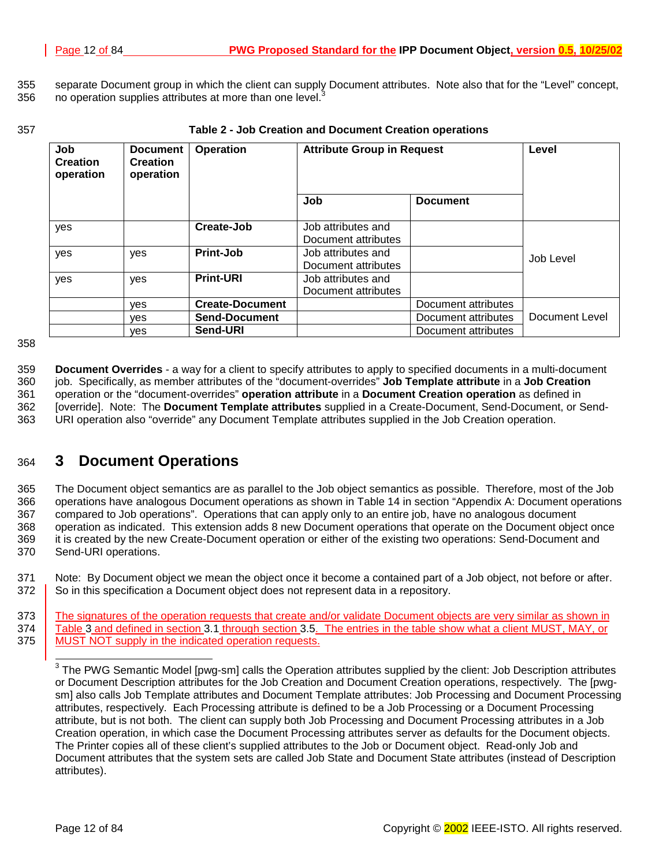<span id="page-11-0"></span>355 separate Document group in which the client can supply Document attributes. Note also that for the "Level" concept, 356 no operation supplies attributes at more than one level.<sup>3</sup>

## 357 **Table 2 - Job Creation and Document Creation operations**

| Job<br><b>Creation</b><br>operation | <b>Document</b><br><b>Creation</b><br>operation |                        | Operation                                 | <b>Attribute Group in Request</b> |                | Level |
|-------------------------------------|-------------------------------------------------|------------------------|-------------------------------------------|-----------------------------------|----------------|-------|
|                                     |                                                 |                        | Job                                       | <b>Document</b>                   |                |       |
| yes                                 |                                                 | Create-Job             | Job attributes and<br>Document attributes |                                   |                |       |
| yes                                 | yes                                             | <b>Print-Job</b>       | Job attributes and<br>Document attributes |                                   | Job Level      |       |
| yes                                 | yes                                             | <b>Print-URI</b>       | Job attributes and<br>Document attributes |                                   |                |       |
|                                     | ves                                             | <b>Create-Document</b> |                                           | Document attributes               |                |       |
|                                     | ves                                             | <b>Send-Document</b>   |                                           | Document attributes               | Document Level |       |
|                                     | ves                                             | Send-URI               |                                           | Document attributes               |                |       |

358

359 **Document Overrides** - a way for a client to specify attributes to apply to specified documents in a multi-document 360 job. Specifically, as member attributes of the "document-overrides" **Job Template attribute** in a **Job Creation** 361 operation or the "document-overrides" **operation attribute** in a **Document Creation operation** as defined in 362 [override]. Note: The **Document Template attributes** supplied in a Create-Document, Send-Document, or Send-363 URI operation also "override" any Document Template attributes supplied in the Job Creation operation.

## 364 **3 Document Operations**

365 The Document object semantics are as parallel to the Job object semantics as possible. Therefore, most of the Job 366 operations have analogous Document operations as shown in [Table 14 i](#page-81-0)n section "A[ppendix A: Document operations](#page-81-0)  367 [compared to Job operations".](#page-81-0) Operations that can apply only to an entire job, have no analogous document 368 operation as indicated. This extension adds 8 new Document operations that operate on the Document object once 369 it is created by the new Create-Document operation or either of the existing two operations: Send-Document and 370 Send-URI operations.

371 Note: By Document object we mean the object once it become a contained part of a Job object, not before or after. 372 So in this specification a Document object does not represent data in a repository.

373 The signatures of the operation requests that create and/or validate Document objects are very similar as shown in 374 [Table 3 a](#page-12-0)nd defined in section 3[.1 t](#page-12-0)hrough section 3[.5.](#page-20-0) The entries in the table show what a client MUST, MAY, or 375 MUST NOT supply in the indicated operation requests.

 $\overline{a}$ 

 $3$  The PWG Semantic Model [pwg-sm] calls the Operation attributes supplied by the client: Job Description attributes or Document Description attributes for the Job Creation and Document Creation operations, respectively. The [pwgsm] also calls Job Template attributes and Document Template attributes: Job Processing and Document Processing attributes, respectively. Each Processing attribute is defined to be a Job Processing or a Document Processing attribute, but is not both. The client can supply both Job Processing and Document Processing attributes in a Job Creation operation, in which case the Document Processing attributes server as defaults for the Document objects. The Printer copies all of these client's supplied attributes to the Job or Document object. Read-only Job and Document attributes that the system sets are called Job State and Document State attributes (instead of Description attributes).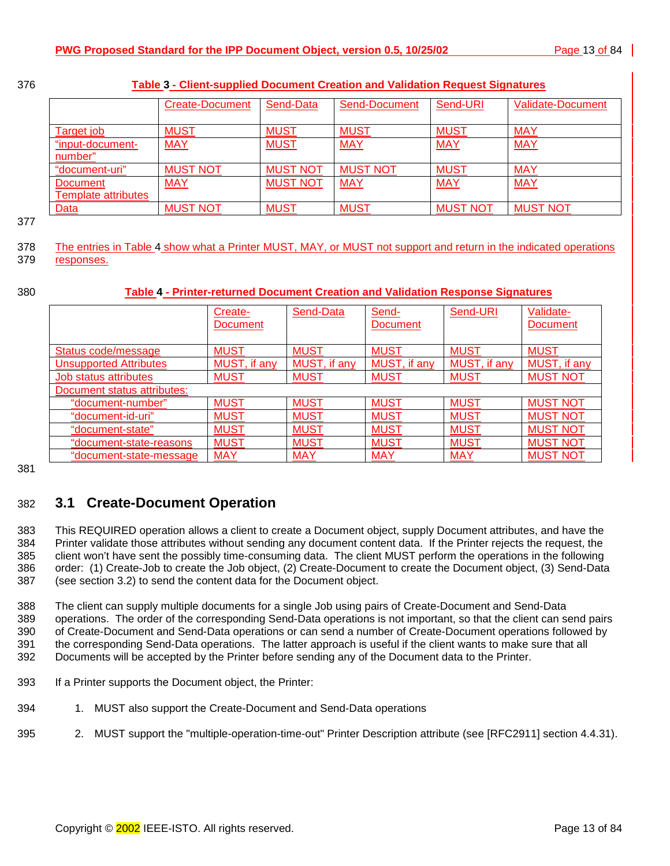<span id="page-12-0"></span>376 **Table 3 - Client-supplied Document Creation and Validation Request Signatures**

|                            | <b>Create-Document</b> | Send-Data       | Send-Document   | Send-URI        | <b>Validate-Document</b> |
|----------------------------|------------------------|-----------------|-----------------|-----------------|--------------------------|
| Target job                 | <b>MUST</b>            | <b>MUST</b>     | <b>MUST</b>     | <b>MUST</b>     | <b>MAY</b>               |
| "input-document-           | <b>MAY</b>             | <b>MUST</b>     | <b>MAY</b>      | <b>MAY</b>      | <b>MAY</b>               |
| number"                    |                        |                 |                 |                 |                          |
| "document-uri"             | <b>MUST NOT</b>        | <b>MUST NOT</b> | <b>MUST NOT</b> | <b>MUST</b>     | <b>MAY</b>               |
| <b>Document</b>            | <b>MAY</b>             | <b>MUST NOT</b> | <b>MAY</b>      | <b>MAY</b>      | <b>MAY</b>               |
| <b>Template attributes</b> |                        |                 |                 |                 |                          |
| Data                       | <b>MUST NOT</b>        | <b>MUST</b>     | <b>MUST</b>     | <b>MUST NOT</b> | <b>MUST NOT</b>          |

377

378 The entries in Table 4 show what a Printer MUST, MAY, or MUST not support and return in the indicated operations 379 responses.

## 380 **Table 4 - Printer-returned Document Creation and Validation Response Signatures**

|                                | Create-<br><b>Document</b> | Send-Data    | Send-<br><b>Document</b> | Send-URI     | Validate-<br>Document |
|--------------------------------|----------------------------|--------------|--------------------------|--------------|-----------------------|
| <b>Status code/message</b>     | <b>MUST</b>                | <b>MUST</b>  | <b>MUST</b>              | <b>MUST</b>  | <b>MUST</b>           |
| <b>Unsupported Attributes</b>  | MUST, if any               | MUST, if any | MUST, if any             | MUST, if any | MUST, if any          |
| <u>Job status attributes</u>   | <b>MUST</b>                | <b>MUST</b>  | <b>MUST</b>              | <b>MUST</b>  | <b>MUST NOT</b>       |
| Document status attributes:    |                            |              |                          |              |                       |
| "document-number"              | <b>MUST</b>                | <b>MUST</b>  | <b>MUST</b>              | <b>MUST</b>  | <b>MUST NOT</b>       |
| "document-id-uri"              | <b>MUST</b>                | <b>MUST</b>  | <b>MUST</b>              | <b>MUST</b>  | <b>MUST NOT</b>       |
| "document-state"               | <b>MUST</b>                | <b>MUST</b>  | <b>MUST</b>              | <b>MUST</b>  | <b>MUST NOT</b>       |
| <u>"document-state-reasons</u> | <b>MUST</b>                | <b>MUST</b>  | <b>MUST</b>              | <b>MUST</b>  | <b>MUST NOT</b>       |
| <u>"document-state-message</u> | <b>MAY</b>                 | <u>MAY</u>   | <b>MAY</b>               | <b>MAY</b>   | <b>MUST NOT</b>       |

381

## 382 **3.1 Create-Document Operation**

383 This REQUIRED operation allows a client to create a Document object, supply Document attributes, and have the 384 Printer validate those attributes without sending any document content data. If the Printer rejects the request, the 385 client won't have sent the possibly time-consuming data. The client MUST perform the operations in the following 386 order: (1) Create-Job to create the Job object, (2) Create-Document to create the Document object, (3) Send-Data 387 (see section 3[.2\)](#page-17-0) to send the content data for the Document object.

388 The client can supply multiple documents for a single Job using pairs of Create-Document and Send-Data 389 operations. The order of the corresponding Send-Data operations is not important, so that the client can send pairs 390 of Create-Document and Send-Data operations or can send a number of Create-Document operations followed by 391 the corresponding Send-Data operations. The latter approach is useful if the client wants to make sure that all 392 Documents will be accepted by the Printer before sending any of the Document data to the Printer.

- 393 If a Printer supports the Document object, the Printer:
- 394 1. MUST also support the Create-Document and Send-Data operations
- 395 2. MUST support the "multiple-operation-time-out" Printer Description attribute (see [RFC2911] section 4.4.31).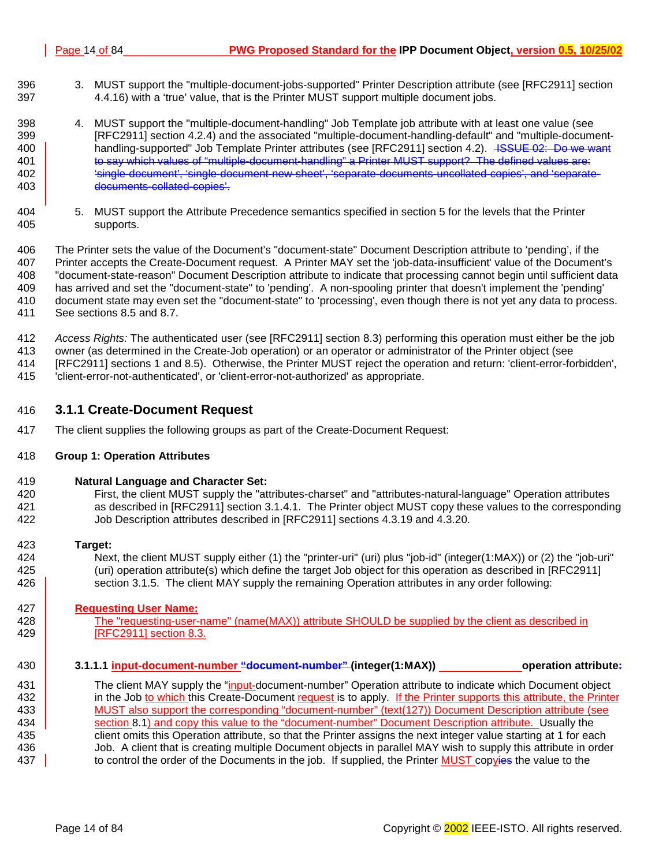- <span id="page-13-0"></span>396 3. MUST support the "multiple-document-jobs-supported" Printer Description attribute (see [RFC2911] section 397 4.4.16) with a 'true' value, that is the Printer MUST support multiple document jobs.
- 398 4. MUST support the "multiple-document-handling" Job Template job attribute with at least one value (see 399 [RFC2911] section 4.2.4) and the associated "multiple-document-handling-default" and "multiple-document-400 **handling-supported" Job Template Printer attributes (see [RFC2911] section 4.2).** ISSUE 02: Do we want 401 **to say which values of "multiple-document-handling" a Printer MUST support?** The defined values are: 402 'single-document', 'single-document-new-sheet', 'separate-documents-uncollated-copies', and 'separate-403 documents-collated-copies'.
- 404 5. MUST support the Attribute Precedence semantics specified in section [5 f](#page-34-0)or the levels that the Printer 405 supports.

406 The Printer sets the value of the Document's "document-state" Document Description attribute to 'pending', if the 407 Printer accepts the Create-Document request. A Printer MAY set the 'job-data-insufficient' value of the Document's 408 "document-state-reason" Document Description attribute to indicate that processing cannot begin until sufficient data 409 has arrived and set the "document-state" to 'pending'. A non-spooling printer that doesn't implement the 'pending' 410 document state may even set the "document-state" to 'processing', even though there is not yet any data to process. 411 See sections [8.5 a](#page-51-0)nd [8.7.](#page-56-0) 

- 412 *Access Rights:* The authenticated user (see [RFC2911] section 8.3) performing this operation must either be the job
- 413 owner (as determined in the Create-Job operation) or an operator or administrator of the Printer object (see
- 414 [RFC2911] sections 1 and 8.5). Otherwise, the Printer MUST reject the operation and return: 'client-error-forbidden',
- 415 'client-error-not-authenticated', or 'client-error-not-authorized' as appropriate.

## 416 **3.1.1 Create-Document Request**

417 The client supplies the following groups as part of the Create-Document Request:

## 418 **Group 1: Operation Attributes**

- 419 **Natural Language and Character Set:**
- 420 First, the client MUST supply the "attributes-charset" and "attributes-natural-language" Operation attributes<br>421 and as described in [RFC2911] section 3.1.4.1. The Printer obiect MUST copy these values to the correspo as described in [RFC2911] section 3.1.4.1. The Printer object MUST copy these values to the corresponding 422 Job Description attributes described in [RFC2911] sections 4.3.19 and 4.3.20.
- 423 **Target:**
- 424 Next, the client MUST supply either (1) the "printer-uri" (uri) plus "job-id" (integer(1:MAX)) or (2) the "job-uri" 425 (uri) operation attribute(s) which define the target Job object for this operation as described in [RFC2911] 426 section 3.1.5. The client MAY supply the remaining Operation attributes in any order following:

## 427 **Requesting User Name:**

- 428 **The "requesting-user-name" (name(MAX))** attribute SHOULD be supplied by the client as described in 429 [RFC2911] section 8.3.
- 430 **3.1.1.1 input-document-number "document-number" (integer(1:MAX)) operation attribute:**
- 431 The client MAY supply the "input-document-number" Operation attribute to indicate which Document object 432 in the Job to which this Create-Document request is to apply. If the Printer supports this attribute, the Printer 433 | MUST also support the corresponding "document-number" (text(127)) Document Description attribute (see 434 section 8.[1\)](#page-51-0) and copy this value to the "document-number" Document Description attribute. Usually the 435 client omits this Operation attribute, so that the Printer assigns the next integer value starting at 1 for each 436 Job. A client that is creating multiple Document objects in parallel MAY wish to supply this attribute in order 437 to control the order of the Documents in the job. If supplied, the Printer MUST copyies the value to the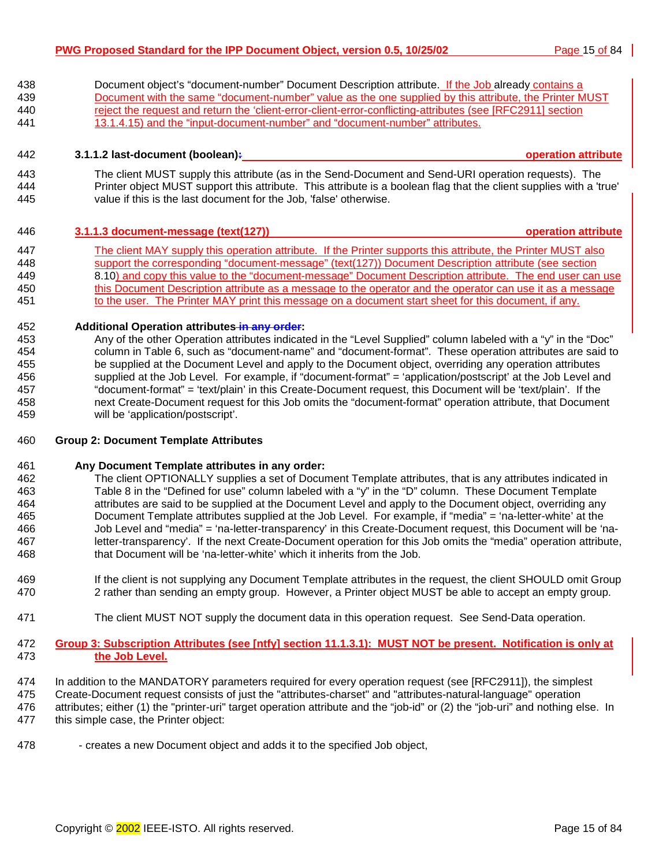438 Document object's "document-number" Document Description attribute. If the Job already contains a 439 Document with the same "document-number" value as the one supplied by this attribute, the Printer MUST 440 reject the request and return the 'client-error-client-error-conflicting-attributes (see [RFC2911] section 441 13.1.4.15) and the "input-document-number" and "document-number" attributes.

## 442 **3.1.1.2 last-document (boolean): operation attribute**

443 The client MUST supply this attribute (as in the Send-Document and Send-URI operation requests). The 444 Printer object MUST support this attribute. This attribute is a boolean flag that the client supplies with a 'true' 445 value if this is the last document for the Job, 'false' otherwise.

## 446 **3.1.1.3 document-message (text(127)) operation attribute**

447 The client MAY supply this operation attribute. If the Printer supports this attribute, the Printer MUST also 448 support the corresponding "document-message" (text(127)) Document Description attribute (see section 449 [8.10\)](#page-62-0) and copy this value to the "document-message" Document Description attribute. The end user can use 450 this Document Description attribute as a message to the operator and the operator can use it as a message 451 to the user. The Printer MAY print this message on a document start sheet for this document, if any.

## 452 **Additional Operation attributes in any order:**

453 Any of the other Operation attributes indicated in the "Level Supplied" column labeled with a "y" in the "Doc" 454 column in [Table 6,](#page-37-0) such as "document-name" and "document-format". These operation attributes are said to 455 be supplied at the Document Level and apply to the Document object, overriding any operation attributes 456 supplied at the Job Level. For example, if "document-format" = 'application/postscript' at the Job Level and 457 "document-format" = 'text/plain' in this Create-Document request, this Document will be 'text/plain'. If the 458 next Create-Document request for this Job omits the "document-format" operation attribute, that Document 459 will be 'application/postscript'.

## 460 **Group 2: Document Template Attributes**

## 461 **Any Document Template attributes in any order:**

- 462 The client OPTIONALLY supplies a set of Document Template attributes, that is any attributes indicated in 463 [Table 8 i](#page-42-0)n the "Defined for use" column labeled with a "y" in the "D" column. These Document Template 464 attributes are said to be supplied at the Document Level and apply to the Document object, overriding any 465 Document Template attributes supplied at the Job Level. For example, if "media" = 'na-letter-white' at the 466 Job Level and "media" = 'na-letter-transparency' in this Create-Document request, this Document will be 'na-467 letter-transparency'. If the next Create-Document operation for this Job omits the "media" operation attribute, 468 that Document will be 'na-letter-white' which it inherits from the Job.
- 469 If the client is not supplying any Document Template attributes in the request, the client SHOULD omit Group 470 2 rather than sending an empty group. However, a Printer object MUST be able to accept an empty group.
- 471 The client MUST NOT supply the document data in this operation request. See Send-Data operation.
- 472 **Group 3: Subscription Attributes (see [ntfy] section 11.1.3.1): MUST NOT be present. Notification is only at**  473 **the Job Level.**
- 474 In addition to the MANDATORY parameters required for every operation request (see [RFC2911]), the simplest
- 475 Create-Document request consists of just the "attributes-charset" and "attributes-natural-language" operation 476 attributes; either (1) the "printer-uri" target operation attribute and the "job-id" or (2) the "job-uri" and nothing else. In
- 477 this simple case, the Printer object:
- 478 creates a new Document object and adds it to the specified Job object,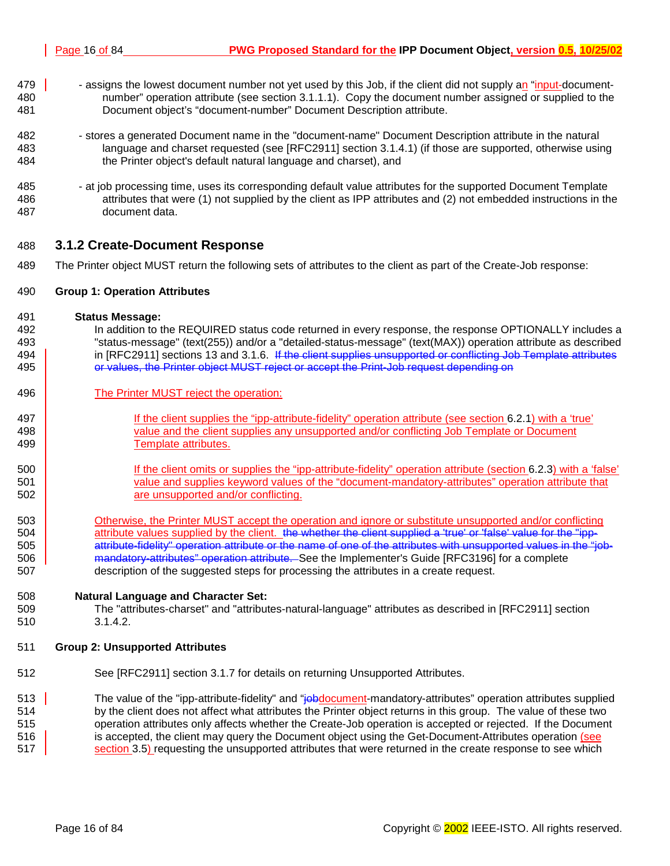- <span id="page-15-0"></span>479 **479** - assigns the lowest document number not yet used by this Job, if the client did not supply an "input-document-480 number" operation attribute (see section 3[.1.1.1\).](#page-13-0) Copy the document number assigned or supplied to the 481 Document object's "document-number" Document Description attribute.
- 482 stores a generated Document name in the "document-name" Document Description attribute in the natural 483 language and charset requested (see [RFC2911] section 3.1.4.1) (if those are supported, otherwise using 484 the Printer object's default natural language and charset), and
- 485 at job processing time, uses its corresponding default value attributes for the supported Document Template 486 attributes that were (1) not supplied by the client as IPP attributes and (2) not embedded instructions in the 487 document data.

## 488 **3.1.2 Create-Document Response**

489 The Printer object MUST return the following sets of attributes to the client as part of the Create-Job response:

#### 490 **Group 1: Operation Attributes**

- 491 **Status Message:**
- 492 In addition to the REQUIRED status code returned in every response, the response OPTIONALLY includes a 493 "status-message" (text(255)) and/or a "detailed-status-message" (text(MAX)) operation attribute as described 494 | in [RFC2911] sections 13 and 3.1.6. If the client supplies unsupported or conflicting Job Template attributes 495 **Fig. 2012** or values, the Printer object MUST reject or accept the Print-Job request depending on
- 496 **The Printer MUST reject the operation:**
- 497 If the client supplies the "ipp-attribute-fidelity" operation attribute (see section [6.2.1\) w](#page-39-0)ith a 'true' 498 value and the client supplies any unsupported and/or conflicting Job Template or Document 499 | Template attributes.
- 500 If the client omits or supplies the "ipp-attribute-fidelity" operation attribute (section 6[.2.3\) w](#page-39-0)ith a 'false' 501 value and supplies keyword values of the "document-mandatory-attributes" operation attribute that 502 **b** are unsupported and/or conflicting.
- 503 Otherwise, the Printer MUST accept the operation and ignore or substitute unsupported and/or conflicting 504 attribute values supplied by the client. the whether the client supplied a 'true' or 'false' value for the "ipp-505 **attribute-fidelity" operation attribute or the name of one of the attributes with unsupported values in the "job-**506 **mandatory-attributes**" operation attribute. See the Implementer's Guide [RFC3196] for a complete 507 description of the suggested steps for processing the attributes in a create request.
- 508 **Natural Language and Character Set:**
- 509 The "attributes-charset" and "attributes-natural-language" attributes as described in [RFC2911] section 510 3.1.4.2.

## 511 **Group 2: Unsupported Attributes**

512 See [RFC2911] section 3.1.7 for details on returning Unsupported Attributes.

513 The value of the "ipp-attribute-fidelity" and "jobdocument-mandatory-attributes" operation attributes supplied 514 by the client does not affect what attributes the Printer object returns in this group. The value of these two 515 operation attributes only affects whether the Create-Job operation is accepted or rejected. If the Document 516 is accepted, the client may query the Document object using the Get-Document-Attributes operation (see 517 section 3.[5\)](#page-21-0) requesting the unsupported attributes that were returned in the create response to see which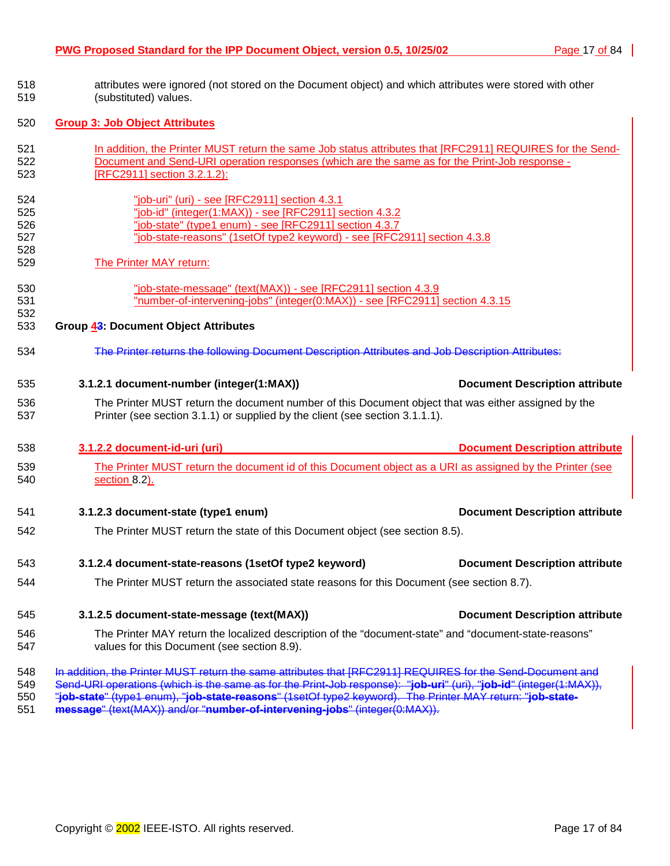| 518<br>519                             | attributes were ignored (not stored on the Document object) and which attributes were stored with other<br>(substituted) values.                                                                                                                                                 |                                       |  |  |  |
|----------------------------------------|----------------------------------------------------------------------------------------------------------------------------------------------------------------------------------------------------------------------------------------------------------------------------------|---------------------------------------|--|--|--|
| 520                                    | <b>Group 3: Job Object Attributes</b>                                                                                                                                                                                                                                            |                                       |  |  |  |
| 521<br>522<br>523                      | In addition, the Printer MUST return the same Job status attributes that [RFC2911] REQUIRES for the Send-<br>Document and Send-URI operation responses (which are the same as for the Print-Job response -<br>[RFC2911] section 3.2.1.2):                                        |                                       |  |  |  |
| 524<br>525<br>526<br>527<br>528<br>529 | "job-uri" (uri) - see [RFC2911] section 4.3.1<br>"job-id" (integer(1:MAX)) - see [RFC2911] section 4.3.2<br>"job-state" (type1 enum) - see [RFC2911] section 4.3.7<br>"job-state-reasons" (1setOf type2 keyword) - see [RFC2911] section 4.3.8<br><b>The Printer MAY return:</b> |                                       |  |  |  |
| 530<br>531<br>532                      | "job-state-message" (text(MAX)) - see [RFC2911] section 4.3.9<br>"number-of-intervening-jobs" (integer(0:MAX)) - see [RFC2911] section 4.3.15                                                                                                                                    |                                       |  |  |  |
| 533                                    | Group 43: Document Object Attributes                                                                                                                                                                                                                                             |                                       |  |  |  |
| 534                                    | The Printer returns the following Decument Description Attributes and Job Description Attributes:                                                                                                                                                                                |                                       |  |  |  |
| 535                                    | 3.1.2.1 document-number (integer(1:MAX))                                                                                                                                                                                                                                         | <b>Document Description attribute</b> |  |  |  |
| 536<br>537                             | The Printer MUST return the document number of this Document object that was either assigned by the<br>Printer (see section 3.1.1) or supplied by the client (see section 3.1.1.1).                                                                                              |                                       |  |  |  |
| 538                                    | 3.1.2.2 document-id-uri (uri)                                                                                                                                                                                                                                                    | <b>Document Description attribute</b> |  |  |  |
| 539<br>540                             | The Printer MUST return the document id of this Document object as a URI as assigned by the Printer (see<br>section 8.2).                                                                                                                                                        |                                       |  |  |  |
| 541                                    | 3.1.2.3 document-state (type1 enum)                                                                                                                                                                                                                                              | <b>Document Description attribute</b> |  |  |  |
| 542                                    | The Printer MUST return the state of this Document object (see section 8.5).                                                                                                                                                                                                     |                                       |  |  |  |
| 543                                    | 3.1.2.4 document-state-reasons (1setOf type2 keyword)                                                                                                                                                                                                                            | <b>Document Description attribute</b> |  |  |  |
| 544                                    | The Printer MUST return the associated state reasons for this Document (see section 8.7).                                                                                                                                                                                        |                                       |  |  |  |
| 545                                    | 3.1.2.5 document-state-message (text(MAX))                                                                                                                                                                                                                                       | <b>Document Description attribute</b> |  |  |  |
| 546<br>547                             | The Printer MAY return the localized description of the "document-state" and "document-state-reasons"<br>values for this Document (see section 8.9).                                                                                                                             |                                       |  |  |  |
| 548                                    |                                                                                                                                                                                                                                                                                  |                                       |  |  |  |

551 **message**" (text(MAX)) and/or "**number-of-intervening-jobs**" (integer(0:MAX)).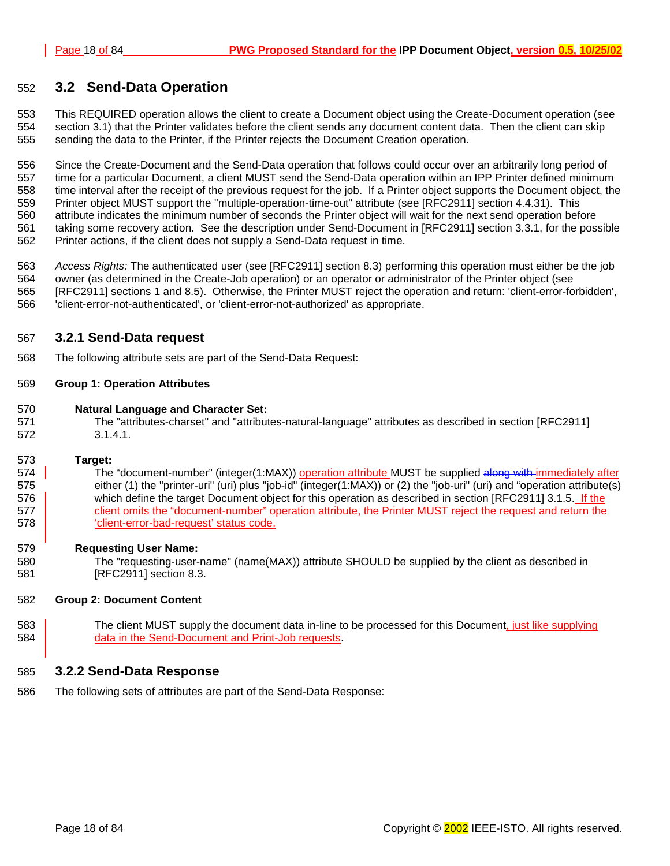## <span id="page-17-0"></span>552 **3.2 Send-Data Operation**

553 This REQUIRED operation allows the client to create a Document object using the Create-Document operation (see 554 section 3.[1\)](#page-12-0) that the Printer validates before the client sends any document content data. Then the client can skip 555 sending the data to the Printer, if the Printer rejects the Document Creation operation.

556 Since the Create-Document and the Send-Data operation that follows could occur over an arbitrarily long period of 557 time for a particular Document, a client MUST send the Send-Data operation within an IPP Printer defined minimum 558 time interval after the receipt of the previous request for the job. If a Printer object supports the Document object, the 559 Printer object MUST support the "multiple-operation-time-out" attribute (see [RFC2911] section 4.4.31). This 560 attribute indicates the minimum number of seconds the Printer object will wait for the next send operation before 561 taking some recovery action. See the description under Send-Document in [RFC2911] section 3.3.1, for the possible 562 Printer actions, if the client does not supply a Send-Data request in time.

563 *Access Rights:* The authenticated user (see [RFC2911] section 8.3) performing this operation must either be the job 564 owner (as determined in the Create-Job operation) or an operator or administrator of the Printer object (see 565 [RFC2911] sections 1 and 8.5). Otherwise, the Printer MUST reject the operation and return: 'client-error-forbidden', 566 'client-error-not-authenticated', or 'client-error-not-authorized' as appropriate.

## 567 **3.2.1 Send-Data request**

568 The following attribute sets are part of the Send-Data Request:

## 569 **Group 1: Operation Attributes**

- 570 **Natural Language and Character Set:**
- 571 The "attributes-charset" and "attributes-natural-language" attributes as described in section [RFC2911] 572 3.1.4.1.

## 573 **Target:**

574 The "document-number" (integer(1:MAX)) operation attribute MUST be supplied along with immediately after 575 either (1) the "printer-uri" (uri) plus "job-id" (integer(1:MAX)) or (2) the "job-uri" (uri) and "operation attribute(s) 576 which define the target Document object for this operation as described in section [RFC2911] 3.1.5. If the 577 client omits the "document-number" operation attribute, the Printer MUST reject the request and return the 578 'client-error-bad-request' status code.

## 579 **Requesting User Name:**

580 The "requesting-user-name" (name(MAX)) attribute SHOULD be supplied by the client as described in 581 [RFC2911] section 8.3.

## 582 **Group 2: Document Content**

583 The client MUST supply the document data in-line to be processed for this Document, just like supplying 584 **data in the Send-Document and Print-Job requests.** 

## 585 **3.2.2 Send-Data Response**

586 The following sets of attributes are part of the Send-Data Response: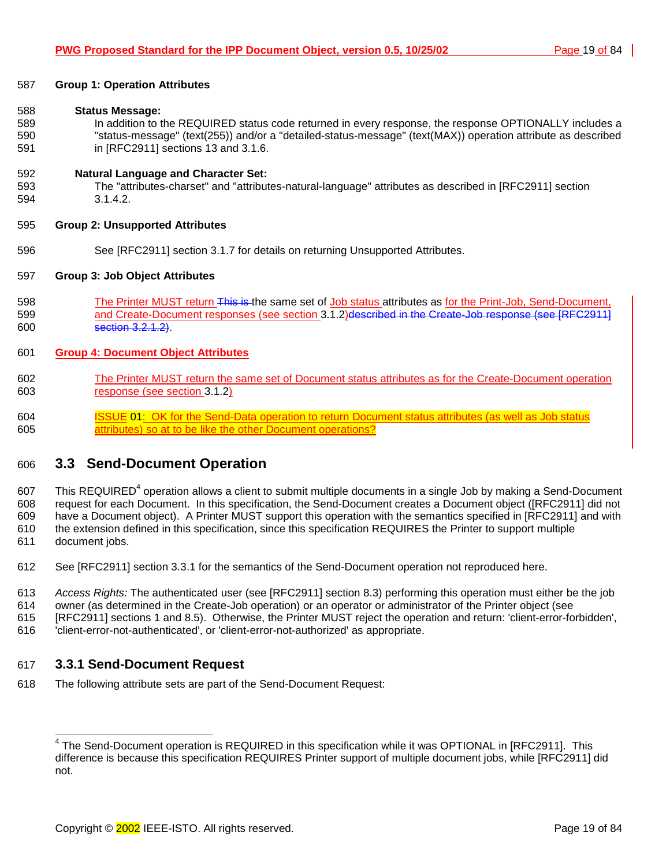<span id="page-18-0"></span>

| 587 | <b>Group 1: Operation Attributes</b>                                                                         |
|-----|--------------------------------------------------------------------------------------------------------------|
| 588 | <b>Status Message:</b>                                                                                       |
| 589 | In addition to the REQUIRED status code returned in every response, the response OPTIONALLY includes a       |
| 590 | "status-message" (text(255)) and/or a "detailed-status-message" (text(MAX)) operation attribute as described |
| 591 | in [RFC2911] sections 13 and 3.1.6.                                                                          |
| 592 | <b>Natural Language and Character Set:</b>                                                                   |
| 593 | The "attributes-charset" and "attributes-natural-language" attributes as described in [RFC2911] section      |
| 594 | 3.1.4.2.                                                                                                     |
| 595 | <b>Group 2: Unsupported Attributes</b>                                                                       |
| 596 | See [RFC2911] section 3.1.7 for details on returning Unsupported Attributes.                                 |
| 597 | <b>Group 3: Job Object Attributes</b>                                                                        |
| 598 | The Printer MUST return This is the same set of Job status attributes as for the Print-Job, Send-Document,   |
| 599 | and Create-Document responses (see section 3.1.2) described in the Create-Job response (see [RFC2911]        |
| 600 | section 3.2.1.2).                                                                                            |
| 601 | <b>Group 4: Document Object Attributes</b>                                                                   |
| 602 | The Printer MUST return the same set of Document status attributes as for the Create-Document operation      |
| 603 | response (see section 3.1.2)                                                                                 |
| 604 | <b>ISSUE 01: OK for the Send-Data operation to return Document status attributes (as well as Job status</b>  |
| 605 | attributes) so at to be like the other Document operations?                                                  |

## 606 **3.3 Send-Document Operation**

607 This REQUIRED<sup>4</sup> operation allows a client to submit multiple documents in a single Job by making a Send-Document 608 request for each Document. In this specification, the Send-Document creates a Document object ([RFC2911] did not 609 have a Document object). A Printer MUST support this operation with the semantics specified in [RFC2911] and with 610 the extension defined in this specification, since this specification REQUIRES the Printer to support multiple 611 document jobs.

- 612 See [RFC2911] section 3.3.1 for the semantics of the Send-Document operation not reproduced here.
- 613 *Access Rights:* The authenticated user (see [RFC2911] section 8.3) performing this operation must either be the job
- 614 owner (as determined in the Create-Job operation) or an operator or administrator of the Printer object (see
- 615 [RFC2911] sections 1 and 8.5). Otherwise, the Printer MUST reject the operation and return: 'client-error-forbidden',
- 616 'client-error-not-authenticated', or 'client-error-not-authorized' as appropriate.

## 617 **3.3.1 Send-Document Request**

618 The following attribute sets are part of the Send-Document Request:

 4 The Send-Document operation is REQUIRED in this specification while it was OPTIONAL in [RFC2911]. This difference is because this specification REQUIRES Printer support of multiple document jobs, while [RFC2911] did not.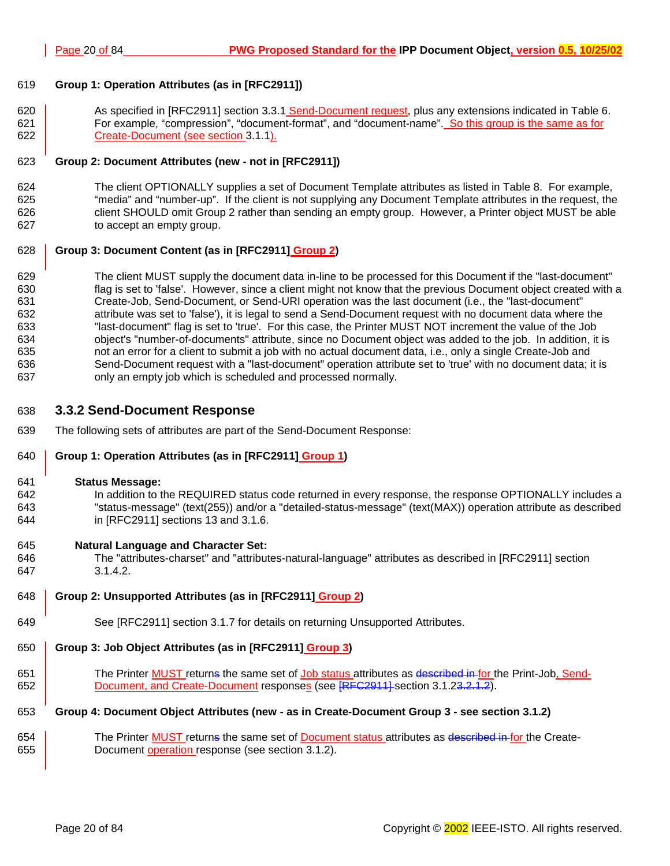## <span id="page-19-0"></span>619 **Group 1: Operation Attributes (as in [RFC2911])**

620 **As specified in [RFC2911] section 3.3.1 Send-Document request, plus any extensions indicated in [Table 6.](#page-37-0)** 621 **For example, "compression", "document-format", and "document-name". So this group is the same as for** 622 **Create-Document (see section [3.1.1\).](#page-13-0)** 

## 623 **Group 2: Document Attributes (new - not in [RFC2911])**

624 The client OPTIONALLY supplies a set of Document Template attributes as listed in T[able 8.](#page-42-0) For example, 625 "media" and "number-up". If the client is not supplying any Document Template attributes in the request, the 626 client SHOULD omit Group 2 rather than sending an empty group. However, a Printer object MUST be able 627 to accept an empty group.

## 628 **Group 3: Document Content (as in [RFC2911] Group 2)**

629 The client MUST supply the document data in-line to be processed for this Document if the "last-document" 630 flag is set to 'false'. However, since a client might not know that the previous Document object created with a 631 Create-Job, Send-Document, or Send-URI operation was the last document (i.e., the "last-document" 632 attribute was set to 'false'), it is legal to send a Send-Document request with no document data where the 633 "last-document" flag is set to 'true'. For this case, the Printer MUST NOT increment the value of the Job 634 object's "number-of-documents" attribute, since no Document object was added to the job. In addition, it is 635 not an error for a client to submit a job with no actual document data, i.e., only a single Create-Job and 636 Send-Document request with a "last-document" operation attribute set to 'true' with no document data; it is 637 only an empty job which is scheduled and processed normally.

## 638 **3.3.2 Send-Document Response**

639 The following sets of attributes are part of the Send-Document Response:

## 640 **Group 1: Operation Attributes (as in [RFC2911] Group 1)**

#### 641 **Status Message:**

642 In addition to the REQUIRED status code returned in every response, the response OPTIONALLY includes a 643 "status-message" (text(255)) and/or a "detailed-status-message" (text(MAX)) operation attribute as described 644 in [RFC2911] sections 13 and 3.1.6.

## 645 **Natural Language and Character Set:**

- 646 The "attributes-charset" and "attributes-natural-language" attributes as described in [RFC2911] section 647 3.1.4.2.
- 648 **Group 2: Unsupported Attributes (as in [RFC2911] Group 2)**
- 649 See [RFC2911] section 3.1.7 for details on returning Unsupported Attributes.

## 650 **Group 3: Job Object Attributes (as in [RFC2911] Group 3)**

651 The Printer **MUST** returns the same set of Job status attributes as described in for the Print-Job, Send-652 Document, and Create-Document responses (see [RFC2911] section 3[.1.23.2](#page-15-0).1.2).

## 653 **Group 4: Document Object Attributes (new - as in Create-Document Group 3 - see section [3.1.2\)](#page-15-0)**

654 The Printer MUST returns the same set of Document status attributes as described in for the Create-655 **Document operation response (see section 3[.1.2\)](#page-15-0).**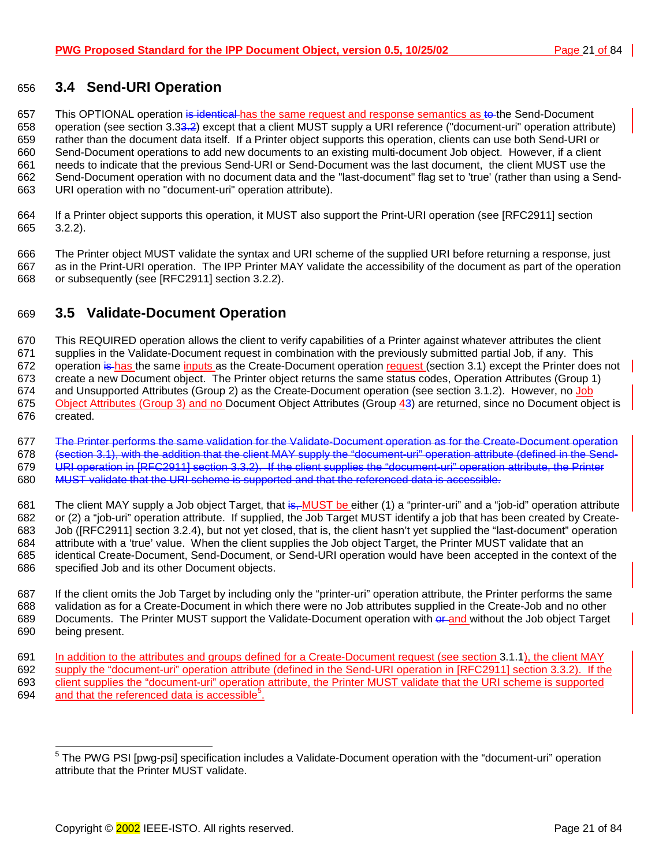## <span id="page-20-0"></span>656 **3.4 Send-URI Operation**

657 This OPTIONAL operation is identical has the same request and response semantics as to the Send-Document 658 operation (see section 3[.33.](#page-18-0)[2\)](#page-17-0) except that a client MUST supply a URI reference ("document-uri" operation attribute) 659 rather than the document data itself. If a Printer object supports this operation, clients can use both Send-URI or 660 Send-Document operations to add new documents to an existing multi-document Job object. However, if a client 661 needs to indicate that the previous Send-URI or Send-Document was the last document, the client MUST use the 662 Send-Document operation with no document data and the "last-document" flag set to 'true' (rather than using a Send-663 URI operation with no "document-uri" operation attribute).

664 If a Printer object supports this operation, it MUST also support the Print-URI operation (see [RFC2911] section 665 3.2.2).

666 The Printer object MUST validate the syntax and URI scheme of the supplied URI before returning a response, just 667 as in the Print-URI operation. The IPP Printer MAY validate the accessibility of the document as part of the operation 668 or subsequently (see [RFC2911] section 3.2.2).

## 669 **3.5 Validate-Document Operation**

670 This REQUIRED operation allows the client to verify capabilities of a Printer against whatever attributes the client 671 supplies in the Validate-Document request in combination with the previously submitted partial Job, if any. This 672 operation is has the same inputs as the Create-Document operation request (section [3.1\) e](#page-12-0)xcept the Printer does not 673 create a new Document object. The Printer object returns the same status codes, Operation Attributes (Group 1) 674 and Unsupported Attributes (Group 2) as the Create-Document operation (see section [3.1.2\).](#page-15-0) However, no Job 675 Object Attributes (Group 3) and no Document Object Attributes (Group 43) are returned, since no Document object is 676 created.

677 The Printer performs the same validation for the Validate-Document operation as for the Create-Document operation 678 (section 3[.1\),](#page-12-0) with the addition that the client MAY supply the "document-uri" operation attribute (defined in the Send-679 URI operation in [RFC2911] section 3.3.2). If the client supplies the "document-uri" operation attribute, the Printer 680 MUST validate that the URI scheme is supported and that the referenced data is accessible.

681 The client MAY supply a Job object Target, that is, MUST be either (1) a "printer-uri" and a "job-id" operation attribute 682 or (2) a "job-uri" operation attribute. If supplied, the Job Target MUST identify a job that has been created by Create-683 Job ([RFC2911] section 3.2.4), but not yet closed, that is, the client hasn't yet supplied the "last-document" operation 684 attribute with a 'true' value. When the client supplies the Job object Target, the Printer MUST validate that an 685 identical Create-Document, Send-Document, or Send-URI operation would have been accepted in the context of the 686 specified Job and its other Document objects.

687 If the client omits the Job Target by including only the "printer-uri" operation attribute, the Printer performs the same 688 validation as for a Create-Document in which there were no Job attributes supplied in the Create-Job and no other 689 Documents. The Printer MUST support the Validate-Document operation with erand without the Job object Target 690 being present.

691 In addition to the attributes and groups defined for a Create-Document request (see section [3.1.1\),](#page-13-0) the client MAY 692 supply the "document-uri" operation attribute (defined in the Send-URI operation in [RFC2911] section 3.3.2). If the 693 client supplies the "document-uri" operation attribute, the Printer MUST validate that the URI scheme is supported 694 and that the referenced data is accessible<sup>5</sup>.

<sup>————————————————————&</sup>lt;br><sup>5</sup> The PWG PSI [pwg-psi] specification includes a Validate-Document operation with the "document-uri" operation attribute that the Printer MUST validate.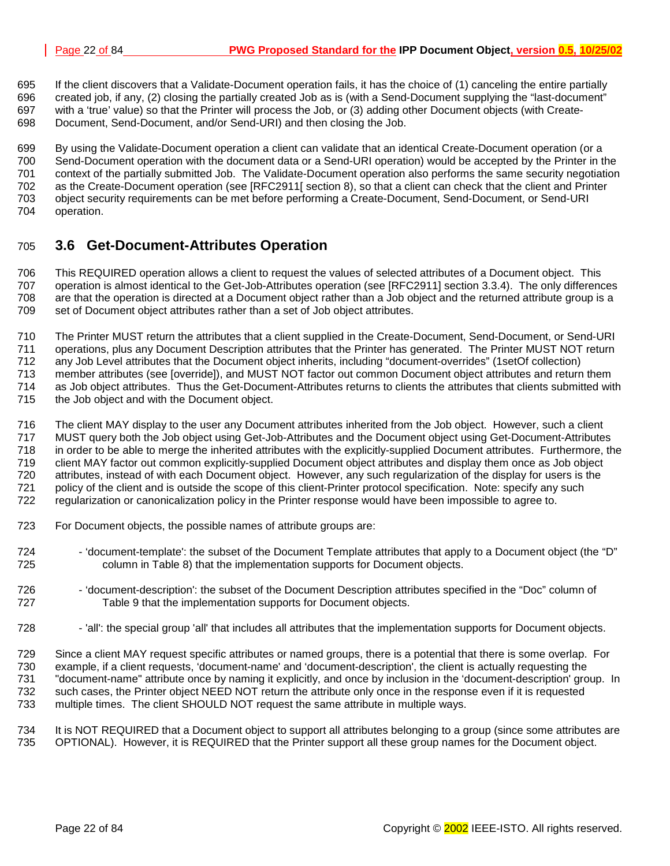<span id="page-21-0"></span>695 If the client discovers that a Validate-Document operation fails, it has the choice of (1) canceling the entire partially 696 created job, if any, (2) closing the partially created Job as is (with a Send-Document supplying the "last-document"

697 with a 'true' value) so that the Printer will process the Job, or (3) adding other Document objects (with Create-698 Document, Send-Document, and/or Send-URI) and then closing the Job.

699 By using the Validate-Document operation a client can validate that an identical Create-Document operation (or a 700 Send-Document operation with the document data or a Send-URI operation) would be accepted by the Printer in the 701 context of the partially submitted Job. The Validate-Document operation also performs the same security negotiation 702 as the Create-Document operation (see [RFC2911[ section 8), so that a client can check that the client and Printer

- 703 object security requirements can be met before performing a Create-Document, Send-Document, or Send-URI
- 704 operation.

## 705 **3.6 Get-Document-Attributes Operation**

706 This REQUIRED operation allows a client to request the values of selected attributes of a Document object. This 707 operation is almost identical to the Get-Job-Attributes operation (see [RFC2911] section 3.3.4). The only differences 708 are that the operation is directed at a Document object rather than a Job object and the returned attribute group is a 709 set of Document object attributes rather than a set of Job object attributes.

710 The Printer MUST return the attributes that a client supplied in the Create-Document, Send-Document, or Send-URI 711 operations, plus any Document Description attributes that the Printer has generated. The Printer MUST NOT return 712 any Job Level attributes that the Document object inherits, including "document-overrides" (1setOf collection)<br>713 member attributes (see [override]), and MUST NOT factor out common Document object attributes and retur member attributes (see [override]), and MUST NOT factor out common Document object attributes and return them 714 as Job object attributes. Thus the Get-Document-Attributes returns to clients the attributes that clients submitted with 715 the Job object and with the Document object.

716 The client MAY display to the user any Document attributes inherited from the Job object. However, such a client 717 MUST query both the Job object using Get-Job-Attributes and the Document object using Get-Document-Attributes 718 in order to be able to merge the inherited attributes with the explicitly-supplied Document attributes. Furthermore, the 719 client MAY factor out common explicitly-supplied Document object attributes and display them once as Job object 720 attributes, instead of with each Document object. However, any such regularization of the display for users is the 721 policy of the client and is outside the scope of this client-Printer protocol specification. Note: specify any such 722 regularization or canonicalization policy in the Printer response would have been impossible to agree to.

- 723 For Document objects, the possible names of attribute groups are:
- 724 'document-template': the subset of the Document Template attributes that apply to a Document object (the "D" 725 column in [Table 8\)](#page-42-0) that the implementation supports for Document objects.
- 726 'document-description': the subset of the Document Description attributes specified in the "Doc" column of 727 [Table 9 t](#page-48-0)hat the implementation supports for Document objects.
- 728 'all': the special group 'all' that includes all attributes that the implementation supports for Document objects.

729 Since a client MAY request specific attributes or named groups, there is a potential that there is some overlap. For 730 example, if a client requests, 'document-name' and 'document-description', the client is actually requesting the 731 "document-name" attribute once by naming it explicitly, and once by inclusion in the 'document-description' group. In 732 such cases, the Printer object NEED NOT return the attribute only once in the response even if it is requested 733 multiple times. The client SHOULD NOT request the same attribute in multiple ways.

734 It is NOT REQUIRED that a Document object to support all attributes belonging to a group (since some attributes are 735 OPTIONAL). However, it is REQUIRED that the Printer support all these group names for the Document object.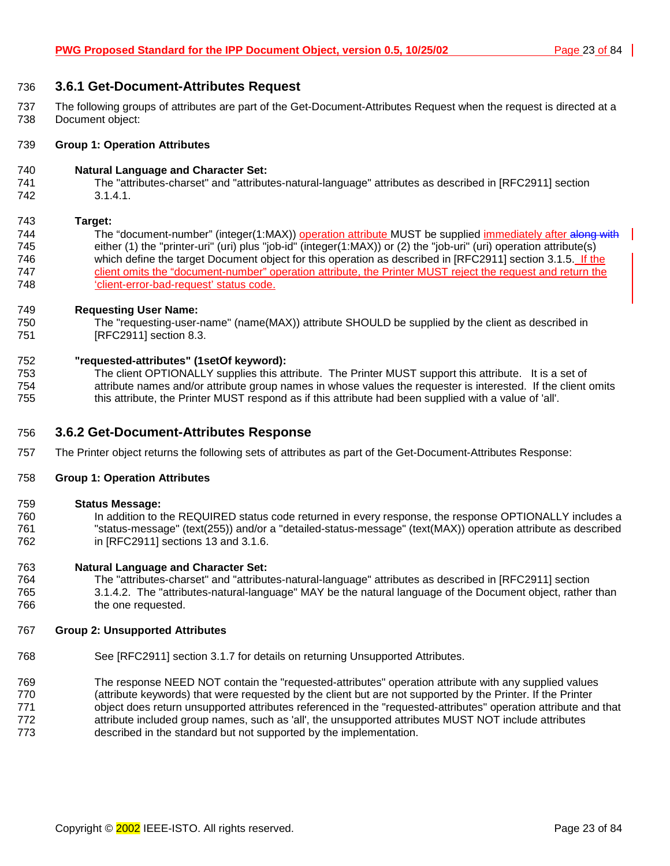## <span id="page-22-0"></span>736 **3.6.1 Get-Document-Attributes Request**

737 The following groups of attributes are part of the Get-Document-Attributes Request when the request is directed at a 738 Document object:

#### 739 **Group 1: Operation Attributes**

#### 740 **Natural Language and Character Set:**

741 The "attributes-charset" and "attributes-natural-language" attributes as described in [RFC2911] section 742 3.1.4.1.

#### 743 **Target:**

744 The "document-number" (integer(1:MAX)) operation attribute MUST be supplied immediately after along with 745 either (1) the "printer-uri" (uri) plus "job-id" (integer(1:MAX)) or (2) the "job-uri" (uri) operation attribute(s) 746 which define the target Document object for this operation as described in [RFC2911] section 3.1.5. If the 747 client omits the "document-number" operation attribute, the Printer MUST reject the request and return the 748 'client-error-bad-request' status code.

#### 749 **Requesting User Name:**

750 The "requesting-user-name" (name(MAX)) attribute SHOULD be supplied by the client as described in 751 [RFC2911] section 8.3.

#### 752 **"requested-attributes" (1setOf keyword):**

753 The client OPTIONALLY supplies this attribute. The Printer MUST support this attribute. It is a set of 754 attribute names and/or attribute group names in whose values the requester is interested. If the client omits 755 this attribute, the Printer MUST respond as if this attribute had been supplied with a value of 'all'.

## 756 **3.6.2 Get-Document-Attributes Response**

757 The Printer object returns the following sets of attributes as part of the Get-Document-Attributes Response:

#### 758 **Group 1: Operation Attributes**

#### 759 **Status Message:**

760 In addition to the REQUIRED status code returned in every response, the response OPTIONALLY includes a 761 "status-message" (text(255)) and/or a "detailed-status-message" (text(MAX)) operation attribute as described 762 in [RFC2911] sections 13 and 3.1.6.

#### 763 **Natural Language and Character Set:**

764 The "attributes-charset" and "attributes-natural-language" attributes as described in [RFC2911] section 765 3.1.4.2. The "attributes-natural-language" MAY be the natural language of the Document object, rather than 766 the one requested.

#### 767 **Group 2: Unsupported Attributes**

768 See [RFC2911] section 3.1.7 for details on returning Unsupported Attributes.

769 The response NEED NOT contain the "requested-attributes" operation attribute with any supplied values 770 (attribute keywords) that were requested by the client but are not supported by the Printer. If the Printer

- 771 object does return unsupported attributes referenced in the "requested-attributes" operation attribute and that 772 attribute included group names, such as 'all', the unsupported attributes MUST NOT include attributes
- 773 described in the standard but not supported by the implementation.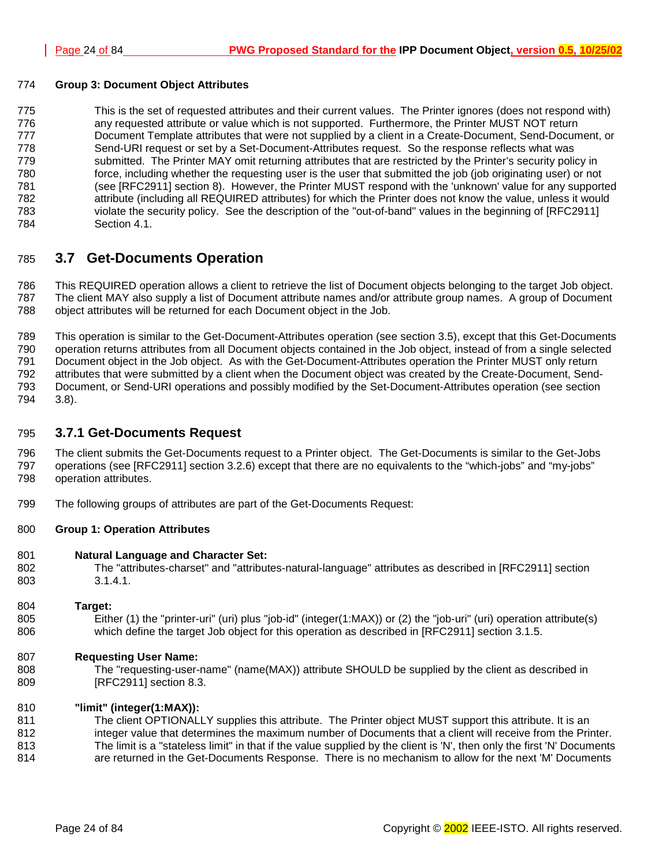## <span id="page-23-0"></span>774 **Group 3: Document Object Attributes**

775 This is the set of requested attributes and their current values. The Printer ignores (does not respond with) 776 any requested attribute or value which is not supported. Furthermore, the Printer MUST NOT return 777 Document Template attributes that were not supplied by a client in a Create-Document, Send-Document, or 778 Send-URI request or set by a Set-Document-Attributes request. So the response reflects what was 779 submitted. The Printer MAY omit returning attributes that are restricted by the Printer's security policy in 780 force, including whether the requesting user is the user that submitted the job (job originating user) or not 781 (see [RFC2911] section 8). However, the Printer MUST respond with the 'unknown' value for any supported 782 attribute (including all REQUIRED attributes) for which the Printer does not know the value, unless it would 783 violate the security policy. See the description of the "out-of-band" values in the beginning of [RFC2911] 784 Section 4.1.

## 785 **3.7 Get-Documents Operation**

786 This REQUIRED operation allows a client to retrieve the list of Document objects belonging to the target Job object. 787 The client MAY also supply a list of Document attribute names and/or attribute group names. A group of Document 788 object attributes will be returned for each Document object in the Job.

789 This operation is similar to the Get-Document-Attributes operation (see section [3.5\),](#page-21-0) except that this Get-Documents 790 operation returns attributes from all Document objects contained in the Job object, instead of from a single selected 791 Document object in the Job object. As with the Get-Document-Attributes operation the Printer MUST only return 792 attributes that were submitted by a client when the Document object was created by the Create-Document, Send-793 Document, or Send-URI operations and possibly modified by the Set-Document-Attributes operation (see section 794 [3.8\)](#page-25-0).

## 795 **3.7.1 Get-Documents Request**

796 The client submits the Get-Documents request to a Printer object. The Get-Documents is similar to the Get-Jobs 797 operations (see [RFC2911] section 3.2.6) except that there are no equivalents to the "which-jobs" and "my-jobs" 798 operation attributes.

799 The following groups of attributes are part of the Get-Documents Request:

## 800 **Group 1: Operation Attributes**

- 801 **Natural Language and Character Set:**
- 802 The "attributes-charset" and "attributes-natural-language" attributes as described in [RFC2911] section 803 3.1.4.1.

#### 804 **Target:**

805 Either (1) the "printer-uri" (uri) plus "job-id" (integer(1:MAX)) or (2) the "job-uri" (uri) operation attribute(s) 806 which define the target Job object for this operation as described in [RFC2911] section 3.1.5.

## 807 **Requesting User Name:**

808 The "requesting-user-name" (name(MAX)) attribute SHOULD be supplied by the client as described in 809 [RFC2911] section 8.3.

## 810 **"limit" (integer(1:MAX)):**

811 The client OPTIONALLY supplies this attribute. The Printer object MUST support this attribute. It is an 812 integer value that determines the maximum number of Documents that a client will receive from the Printer.

813 The limit is a "stateless limit" in that if the value supplied by the client is 'N', then only the first 'N' Documents 814 are returned in the Get-Documents Response. There is no mechanism to allow for the next 'M' Documents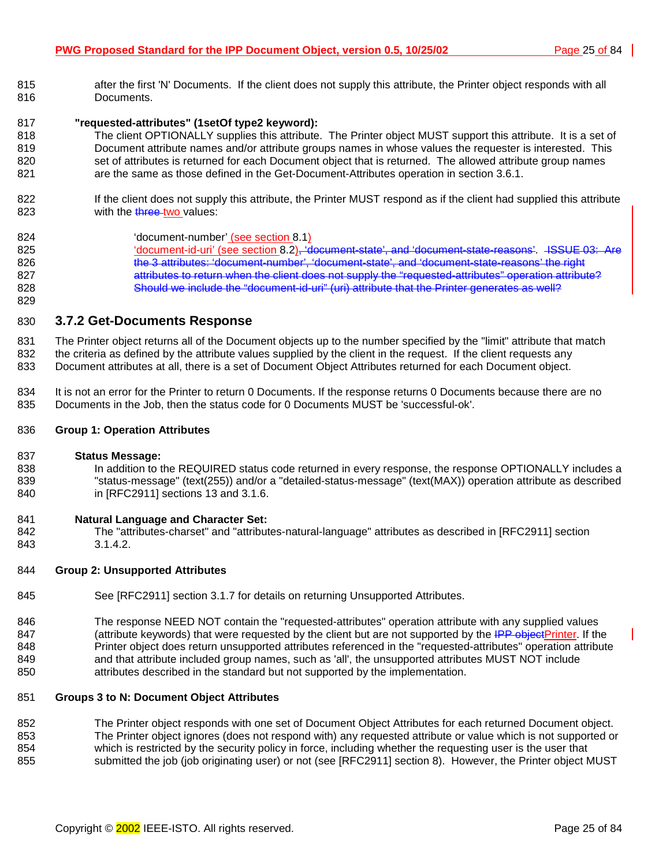<span id="page-24-0"></span>815 after the first 'N' Documents. If the client does not supply this attribute, the Printer object responds with all 816 Documents.

#### 817 **"requested-attributes" (1setOf type2 keyword):**

- 818 The client OPTIONALLY supplies this attribute. The Printer object MUST support this attribute. It is a set of 819 Document attribute names and/or attribute groups names in whose values the requester is interested. This 820 set of attributes is returned for each Document object that is returned. The allowed attribute group names 821 are the same as those defined in the Get-Document-Attributes operation in section 3[.6.1.](#page-22-0)
- 822 If the client does not supply this attribute, the Printer MUST respond as if the client had supplied this attribute 823 with the three-two values:
- 824 'document-number' (see section 8[.1\)](#page-51-0) 825 'document-id-uri' (see section [8.2\),](#page-51-0) 'document-state', and 'document-state-reasons'. JSSUE 03: Are 826 the 3 attributes: 'document-number', 'document-state', and 'document-state-reasons' the right 827 attributes to return when the client does not supply the "requested-attributes" operation attribute? 828 Should we include the "document-id-uri" (uri) attribute that the Printer generates as well?

## 830 **3.7.2 Get-Documents Response**

831 The Printer object returns all of the Document objects up to the number specified by the "limit" attribute that match 832 the criteria as defined by the attribute values supplied by the client in the request. If the client requests any 833 Document attributes at all, there is a set of Document Object Attributes returned for each Document object.

834 It is not an error for the Printer to return 0 Documents. If the response returns 0 Documents because there are no 835 Documents in the Job, then the status code for 0 Documents MUST be 'successful-ok'.

#### 836 **Group 1: Operation Attributes**

#### 837 **Status Message:**

829

838 In addition to the REQUIRED status code returned in every response, the response OPTIONALLY includes a 839 "status-message" (text(255)) and/or a "detailed-status-message" (text(MAX)) operation attribute as described 840 in [RFC2911] sections 13 and 3.1.6.

#### 841 **Natural Language and Character Set:**

842 The "attributes-charset" and "attributes-natural-language" attributes as described in [RFC2911] section 843 3.1.4.2.

#### 844 **Group 2: Unsupported Attributes**

- 845 See [RFC2911] section 3.1.7 for details on returning Unsupported Attributes.
- 846 The response NEED NOT contain the "requested-attributes" operation attribute with any supplied values 847 (attribute keywords) that were requested by the client but are not supported by the IPP objectPrinter. If the 848 Printer object does return unsupported attributes referenced in the "requested-attributes" operation attribute 849 and that attribute included group names, such as 'all', the unsupported attributes MUST NOT include 850 attributes described in the standard but not supported by the implementation.

#### 851 **Groups 3 to N: Document Object Attributes**

852 The Printer object responds with one set of Document Object Attributes for each returned Document object. 853 The Printer object ignores (does not respond with) any requested attribute or value which is not supported or 854 which is restricted by the security policy in force, including whether the requesting user is the user that 855 submitted the job (job originating user) or not (see [RFC2911] section 8). However, the Printer object MUST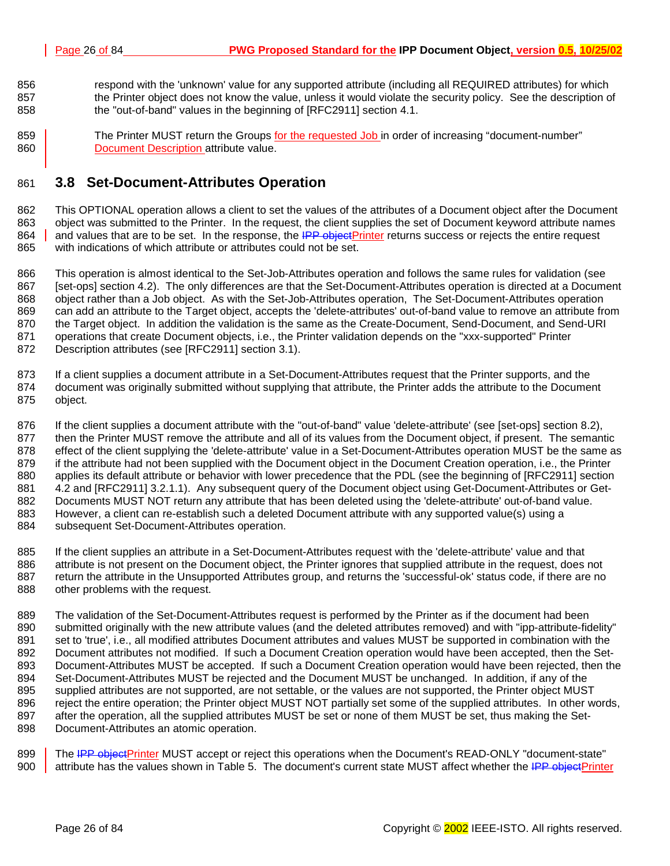- <span id="page-25-0"></span>856 respond with the 'unknown' value for any supported attribute (including all REQUIRED attributes) for which 857 the Printer object does not know the value, unless it would violate the security policy. See the description of 858 the "out-of-band" values in the beginning of [RFC2911] section 4.1.
- 859 **The Printer MUST return the Groups for the requested Job in order of increasing "document-number"** 860 **Document Description attribute value.**

## 861 **3.8 Set-Document-Attributes Operation**

862 This OPTIONAL operation allows a client to set the values of the attributes of a Document object after the Document 863 object was submitted to the Printer. In the request, the client supplies the set of Document keyword attribute names 864 and values that are to be set. In the response, the IPP objectPrinter returns success or rejects the entire request 865 with indications of which attribute or attributes could not be set.

866 This operation is almost identical to the Set-Job-Attributes operation and follows the same rules for validation (see 867 [set-ops] section 4.2). The only differences are that the Set-Document-Attributes operation is directed at a Document 868 object rather than a Job object. As with the Set-Job-Attributes operation, The Set-Document-Attributes operation 869 can add an attribute to the Target object, accepts the 'delete-attributes' out-of-band value to remove an attribute from 870 the Target object. In addition the validation is the same as the Create-Document, Send-Document, and Send-URI 871 operations that create Document objects, i.e., the Printer validation depends on the "xxx-supported" Printer 872 Description attributes (see [RFC2911] section 3.1).

873 If a client supplies a document attribute in a Set-Document-Attributes request that the Printer supports, and the 874 document was originally submitted without supplying that attribute, the Printer adds the attribute to the Document 875 object.

876 If the client supplies a document attribute with the "out-of-band" value 'delete-attribute' (see [set-ops] section 8.2), 877 then the Printer MUST remove the attribute and all of its values from the Document object, if present. The semantic 878 effect of the client supplying the 'delete-attribute' value in a Set-Document-Attributes operation MUST be the same as 879 if the attribute had not been supplied with the Document object in the Document Creation operation, i.e., the Printer 880 applies its default attribute or behavior with lower precedence that the PDL (see the beginning of [RFC2911] section 881 4.2 and [RFC2911] 3.2.1.1). Any subsequent query of the Document object using Get-Document-Attributes or Get-882 Documents MUST NOT return any attribute that has been deleted using the 'delete-attribute' out-of-band value. 883 However, a client can re-establish such a deleted Document attribute with any supported value(s) using a 884 subsequent Set-Document-Attributes operation.

885 If the client supplies an attribute in a Set-Document-Attributes request with the 'delete-attribute' value and that 886 attribute is not present on the Document object, the Printer ignores that supplied attribute in the request, does not 887 return the attribute in the Unsupported Attributes group, and returns the 'successful-ok' status code, if there are no 888 other problems with the request.

889 The validation of the Set-Document-Attributes request is performed by the Printer as if the document had been 890 submitted originally with the new attribute values (and the deleted attributes removed) and with "ipp-attribute-fidelity" 891 set to 'true', i.e., all modified attributes Document attributes and values MUST be supported in combination with the 892 Document attributes not modified. If such a Document Creation operation would have been accepted, then the Set-893 Document-Attributes MUST be accepted. If such a Document Creation operation would have been rejected, then the 894 Set-Document-Attributes MUST be rejected and the Document MUST be unchanged. In addition, if any of the 895 supplied attributes are not supported, are not settable, or the values are not supported, the Printer object MUST<br>896 reiect the entire operation: the Printer object MUST NOT partially set some of the supplied attribut reject the entire operation; the Printer object MUST NOT partially set some of the supplied attributes. In other words, 897 after the operation, all the supplied attributes MUST be set or none of them MUST be set, thus making the Set-898 Document-Attributes an atomic operation.

899 The IPP objectPrinter MUST accept or reject this operations when the Document's READ-ONLY "document-state" 900 attribute has the values shown in [Table 5.](#page-26-0) The document's current state MUST affect whether the IPP objectPrinter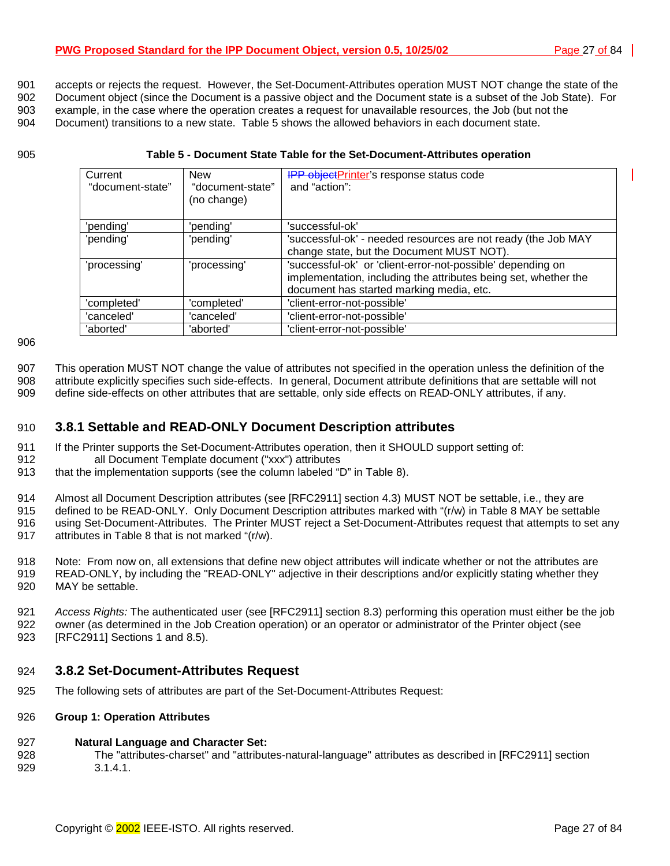<span id="page-26-0"></span>901 accepts or rejects the request. However, the Set-Document-Attributes operation MUST NOT change the state of the

902 Document object (since the Document is a passive object and the Document state is a subset of the Job State). For 903 example, in the case where the operation creates a request for unavailable resources, the Job (but not the 904 Document) transitions to a new state. Table 5 shows the allowed behaviors in each document state.

#### 905 **Table 5 - Document State Table for the Set-Document-Attributes operation**

| Current<br>"document-state" | <b>New</b><br>"document-state"<br>(no change) | <b>IPP objectPrinter's response status code</b><br>and "action":                                                                                                           |
|-----------------------------|-----------------------------------------------|----------------------------------------------------------------------------------------------------------------------------------------------------------------------------|
| 'pending'                   | 'pending'                                     | 'successful-ok'                                                                                                                                                            |
| 'pending'                   | 'pending'                                     | 'successful-ok' - needed resources are not ready (the Job MAY<br>change state, but the Document MUST NOT).                                                                 |
| 'processing'                | 'processing'                                  | 'successful-ok' or 'client-error-not-possible' depending on<br>implementation, including the attributes being set, whether the<br>document has started marking media, etc. |
| 'completed'                 | 'completed'                                   | 'client-error-not-possible'                                                                                                                                                |
| 'canceled'                  | 'canceled'                                    | 'client-error-not-possible'                                                                                                                                                |
| 'aborted'                   | 'aborted'                                     | 'client-error-not-possible'                                                                                                                                                |

906

907 This operation MUST NOT change the value of attributes not specified in the operation unless the definition of the 908 attribute explicitly specifies such side-effects. In general, Document attribute definitions that are settable will not 909 define side-effects on other attributes that are settable, only side effects on READ-ONLY attributes, if any.

## 910 **3.8.1 Settable and READ-ONLY Document Description attributes**

- 911 If the Printer supports the Set-Document-Attributes operation, then it SHOULD support setting of: 912 all Document Template document ("xxx") attributes
- 913 that the implementation supports (see the column labeled "D" in [Table 8\)](#page-42-0).

914 Almost all Document Description attributes (see [RFC2911] section 4.3) MUST NOT be settable, i.e., they are

915 defined to be READ-ONLY. Only Document Description attributes marked with "(r/w) in T[able 8 M](#page-42-0)AY be settable 916 using Set-Document-Attributes. The Printer MUST reject a Set-Document-Attributes request that attempts to set any

917 attributes in [Table 8 th](#page-42-0)at is not marked "(r/w).

918 Note: From now on, all extensions that define new object attributes will indicate whether or not the attributes are 919 READ-ONLY, by including the "READ-ONLY" adjective in their descriptions and/or explicitly stating whether they 920 MAY be settable.

921 *Access Rights:* The authenticated user (see [RFC2911] section 8.3) performing this operation must either be the job 922 owner (as determined in the Job Creation operation) or an operator or administrator of the Printer object (see 923 [RFC2911] Sections 1 and 8.5).

## 924 **3.8.2 Set-Document-Attributes Request**

925 The following sets of attributes are part of the Set-Document-Attributes Request:

## 926 **Group 1: Operation Attributes**

## 927 **Natural Language and Character Set:**

928 The "attributes-charset" and "attributes-natural-language" attributes as described in [RFC2911] section 929 3.1.4.1.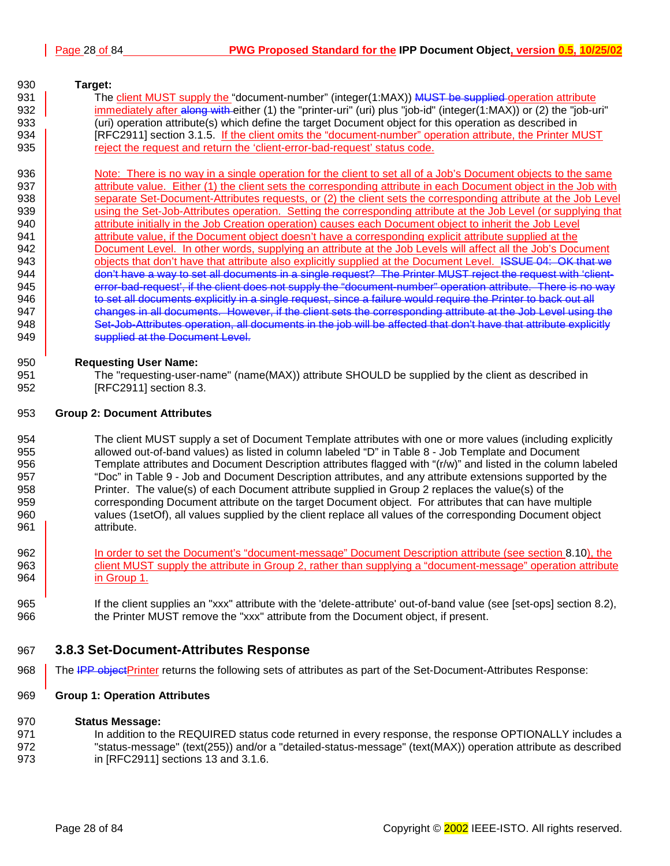## <span id="page-27-0"></span>930 **Target:**  931 The client MUST supply the "document-number" (integer(1:MAX)) MUST be supplied operation attribute 932 **immediately after along with either** (1) the "printer-uri" (uri) plus "job-id" (integer(1:MAX)) or (2) the "job-uri" 933 (uri) operation attribute(s) which define the target Document object for this operation as described in 934 **Fig. 2018** [RFC2911] section 3.1.5. If the client omits the "document-number" operation attribute, the Printer MUST 935 eigect the request and return the 'client-error-bad-request' status code. 936 Note: There is no way in a single operation for the client to set all of a Job's Document objects to the same 937 **Attribute value.** Either (1) the client sets the corresponding attribute in each Document object in the Job with 938 separate Set-Document-Attributes requests, or (2) the client sets the corresponding attribute at the Job Level 939 **using the Set-Job-Attributes operation.** Setting the corresponding attribute at the Job Level (or supplying that 940 **attribute initially in the Job Creation operation**) causes each Document object to inherit the Job Level 941 attribute value, if the Document object doesn't have a corresponding explicit attribute supplied at the 942 Document Level. In other words, supplying an attribute at the Job Levels will affect all the Job's Document 943 **objects that don't have that attribute also explicitly supplied at the Document Level. ISSUE 04: OK that we** 944 **don't have a way to set all documents in a single request?** The Printer MUST reject the request with 'client-945 error-bad-request', if the client does not supply the "document-number" operation attribute. There is no way 946 **to set all documents explicitly in a single request, since a failure would require the Printer to back out all** 947 **changes in all documents. However, if the client sets the corresponding attribute at the Job Level using the** 948 Set-Job-Attributes operation, all documents in the job will be affected that don't have that attribute explicitly

949 **Supplied at the Document Level.** 

## 950 **Requesting User Name:**

951 The "requesting-user-name" (name(MAX)) attribute SHOULD be supplied by the client as described in 952 [RFC2911] section 8.3.

#### 953 **Group 2: Document Attributes**

954 The client MUST supply a set of Document Template attributes with one or more values (including explicitly 955 allowed out-of-band values) as listed in column labeled "D" in T[able 8 - Job Template and Document](#page-42-0)  956 [Template attributes a](#page-42-0)nd Document Description attributes flagged with "(r/w)" and listed in the column labeled 957 "Doc" in [Table 9 - Job and Document Description attributes, a](#page-48-0)nd any attribute extensions supported by the 958 Printer. The value(s) of each Document attribute supplied in Group 2 replaces the value(s) of the 959 corresponding Document attribute on the target Document object. For attributes that can have multiple 960 values (1setOf), all values supplied by the client replace all values of the corresponding Document object 961 attribute.

- 962 In order to set the Document's "document-message" Document Description attribute (see section 8.[10\),](#page-62-0) the 963 client MUST supply the attribute in Group 2, rather than supplying a "document-message" operation attribute 964 in Group 1.
- 965 If the client supplies an "xxx" attribute with the 'delete-attribute' out-of-band value (see [set-ops] section 8.2), 966 the Printer MUST remove the "xxx" attribute from the Document object, if present.

## 967 **3.8.3 Set-Document-Attributes Response**

968 The IPP objectPrinter returns the following sets of attributes as part of the Set-Document-Attributes Response:

## 969 **Group 1: Operation Attributes**

## 970 **Status Message:**

971 In addition to the REQUIRED status code returned in every response, the response OPTIONALLY includes a 972 "status-message" (text(255)) and/or a "detailed-status-message" (text(MAX)) operation attribute as described 973 in [RFC2911] sections 13 and 3.1.6.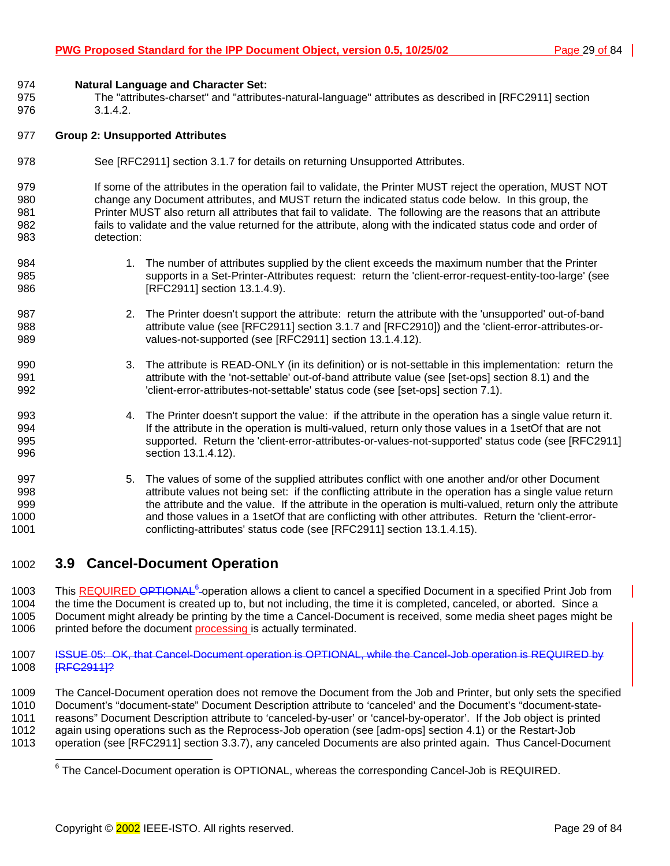<span id="page-28-0"></span>974 **Natural Language and Character Set:** 

975 The "attributes-charset" and "attributes-natural-language" attributes as described in [RFC2911] section 976 3.1.4.2.

#### 977 **Group 2: Unsupported Attributes**

978 See [RFC2911] section 3.1.7 for details on returning Unsupported Attributes.

979 If some of the attributes in the operation fail to validate, the Printer MUST reject the operation, MUST NOT 980 change any Document attributes, and MUST return the indicated status code below. In this group, the 981 Printer MUST also return all attributes that fail to validate. The following are the reasons that an attribute 982 fails to validate and the value returned for the attribute, along with the indicated status code and order of 983 detection:

- 984 1. The number of attributes supplied by the client exceeds the maximum number that the Printer 985 supports in a Set-Printer-Attributes request: return the 'client-error-request-entity-too-large' (see 986 **[RFC2911]** section 13.1.4.9).
- 987 2. The Printer doesn't support the attribute: return the attribute with the 'unsupported' out-of-band 988 attribute value (see [RFC2911] section 3.1.7 and [RFC2910]) and the 'client-error-attributes-or-989 values-not-supported (see [RFC2911] section 13.1.4.12).
- 990 3. The attribute is READ-ONLY (in its definition) or is not-settable in this implementation: return the 991 attribute with the 'not-settable' out-of-band attribute value (see [set-ops] section 8.1) and the 992 'client-error-attributes-not-settable' status code (see [set-ops] section 7.1).
- 993 4. The Printer doesn't support the value: if the attribute in the operation has a single value return it. 994 If the attribute in the operation is multi-valued, return only those values in a 1setOf that are not 995 supported. Return the 'client-error-attributes-or-values-not-supported' status code (see [RFC2911] 996 **section 13.1.4.12**).
- 997 5. The values of some of the supplied attributes conflict with one another and/or other Document 998 attribute values not being set: if the conflicting attribute in the operation has a single value return 999 the attribute and the value. If the attribute in the operation is multi-valued, return only the attribute 1000 and those values in a 1setOf that are conflicting with other attributes. Return the 'client-error-1001 conflicting-attributes' status code (see [RFC2911] section 13.1.4.15).

## 1002 **3.9 Cancel-Document Operation**

1003 This REQUIRED OPTIONAL<sup>6</sup>-operation allows a client to cancel a specified Document in a specified Print Job from 1004 the time the Document is created up to, but not including, the time it is completed, canceled, or aborted. Since a 1005 Document might already be printing by the time a Cancel-Document is received, some media sheet pages might be 1006 printed before the document processing is actually terminated.

1007 ISSUE 05: OK, that Cancel-Document operation is OPTIONAL, while the Cancel-Job operation is REQUIRED by 1008 [RFC2911]?

1009 The Cancel-Document operation does not remove the Document from the Job and Printer, but only sets the specified 1010 Document's "document-state" Document Description attribute to 'canceled' and the Document's "document-state-1011 reasons" Document Description attribute to 'canceled-by-user' or 'cancel-by-operator'. If the Job object is printed 1012 again using operations such as the Reprocess-Job operation (see [adm-ops] section 4.1) or the Restart-Job 1013 operation (see [RFC2911] section 3.3.7), any canceled Documents are also printed again. Thus Cancel-Document

<sup>————————————————————&</sup>lt;br><sup>6</sup> The Cancel-Document operation is OPTIONAL, whereas the corresponding Cancel-Job is REQUIRED.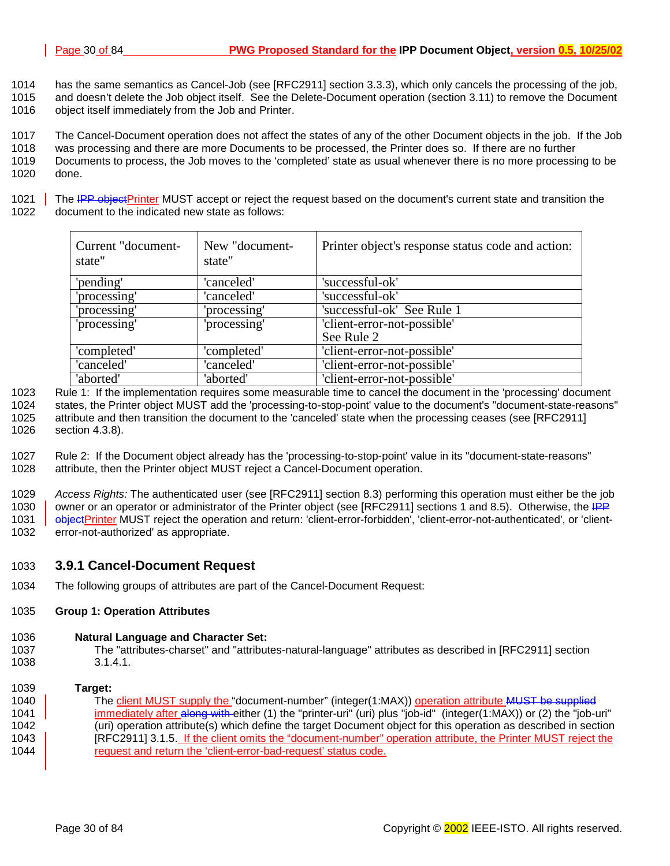<span id="page-29-0"></span>1014 has the same semantics as Cancel-Job (see [RFC2911] section 3.3.3), which only cancels the processing of the job, 1015 and doesn't delete the Job object itself. See the Delete-Document operation (section [3.11\) t](#page-32-0)o remove the Document 1016 object itself immediately from the Job and Printer.

1017 The Cancel-Document operation does not affect the states of any of the other Document objects in the job. If the Job

1018 was processing and there are more Documents to be processed, the Printer does so. If there are no further 1019 Documents to process, the Job moves to the 'completed' state as usual whenever there is no more processing to be

1020 done.

1021 The IPP objectPrinter MUST accept or reject the request based on the document's current state and transition the 1022 document to the indicated new state as follows:

| Current "document-<br>state" | New "document-<br>state" | Printer object's response status code and action: |
|------------------------------|--------------------------|---------------------------------------------------|
| 'pending'                    | 'canceled'               | 'successful-ok'                                   |
| 'processing'                 | 'canceled'               | 'successful-ok'                                   |
| 'processing'                 | 'processing'             | 'successful-ok' See Rule 1                        |
| 'processing'                 | 'processing'             | 'client-error-not-possible'<br>See Rule 2         |
| 'completed'                  | 'completed'              | 'client-error-not-possible'                       |
| 'canceled'                   | 'canceled'               | 'client-error-not-possible'                       |
| 'aborted'                    | 'aborted'                | 'client-error-not-possible'                       |

1023 Rule 1: If the implementation requires some measurable time to cancel the document in the 'processing' document 1024 states, the Printer object MUST add the 'processing-to-stop-point' value to the document's "document-state-reasons" 1025 attribute and then transition the document to the 'canceled' state when the processing ceases (see [RFC2911] 1026 section 4.3.8).

1027 Rule 2: If the Document object already has the 'processing-to-stop-point' value in its "document-state-reasons" 1028 attribute, then the Printer object MUST reject a Cancel-Document operation.

1029 *Access Rights:* The authenticated user (see [RFC2911] section 8.3) performing this operation must either be the job 1030 owner or an operator or administrator of the Printer object (see [RFC2911] sections 1 and 8.5). Otherwise, the IPP 1031 **objectPrinter MUST reject the operation and return:** 'client-error-forbidden', 'client-error-not-authenticated', or 'client-1032 error-not-authorized' as appropriate.

## 1033 **3.9.1 Cancel-Document Request**

1034 The following groups of attributes are part of the Cancel-Document Request:

## 1035 **Group 1: Operation Attributes**

## 1036 **Natural Language and Character Set:**

1037 The "attributes-charset" and "attributes-natural-language" attributes as described in [RFC2911] section 1038 3.1.4.1.

#### 1039 **Target:**

1040 The client MUST supply the "document-number" (integer(1:MAX)) operation attribute MUST be supplied 1041 **immediately after <del>along with c</del>ither (1)** the "printer-uri" (uri) plus "job-id" (integer(1:MAX)) or (2) the "job-uri" 1042 (uri) operation attribute(s) which define the target Document object for this operation as described in section 1043 | [RFC2911] 3.1.5. If the client omits the "document-number" operation attribute, the Printer MUST reject the 1044 **The State of the request and return the 'client-error-bad-request' status code.**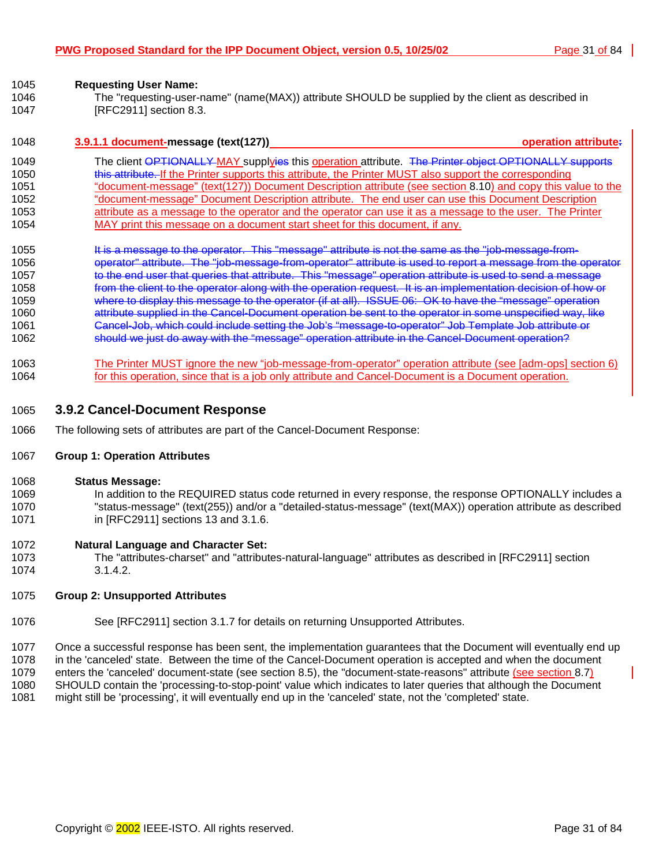| 1046<br>1047 | The "requesting-user-name" (name(MAX)) attribute SHOULD be supplied by the client as described in<br>[RFC2911] section 8.3. |
|--------------|-----------------------------------------------------------------------------------------------------------------------------|
| 1048         | 3.9.1.1 document-message (text(127))<br>operation attribute.                                                                |
| 1049         | The client OPTIONALLY MAY supplyies this operation attribute. The Printer object OPTIONALLY supports                        |
| 1050         | this attribute. If the Printer supports this attribute, the Printer MUST also support the corresponding                     |
| 1051         | "document-message" (text(127)) Document Description attribute (see section 8.10) and copy this value to the                 |
| 1052         | "document-message" Document Description attribute. The end user can use this Document Description                           |
| 1053         | attribute as a message to the operator and the operator can use it as a message to the user. The Printer                    |
| 1054         | MAY print this message on a document start sheet for this document, if any.                                                 |
| 1055         | It is a message to the operator. This "message" attribute is not the same as the "job-message-from-                         |
| 1056         | operator" attribute. The "job-message-from-operator" attribute is used to report a message from the operator                |
| 1057         | to the end user that queries that attribute. This "message" operation attribute is used to send a message                   |
| 1058         | from the client to the operator along with the operation request. It is an implementation decision of how or                |
| 1059         | where to display this message to the operator (if at all). ISSUE 06: OK to have the "message" operation                     |
| 1060         | attribute supplied in the Cancel-Document operation be sent to the operator in some unspecified way, like                   |
| 1061         | Cancel-Job, which could include setting the Job's "message-to-operator" Job Template Job attribute or                       |
| 1062         | should we just do away with the "message" operation attribute in the Cancel-Document operation?                             |
| 1063         | The Printer MUST ignore the new "job-message-from-operator" operation attribute (see [adm-ops] section 6)                   |
| 1064         | for this operation, since that is a job only attribute and Cancel-Document is a Document operation.                         |

## 1065 **3.9.2 Cancel-Document Response**

1066 The following sets of attributes are part of the Cancel-Document Response:

## 1067 **Group 1: Operation Attributes**

<span id="page-30-0"></span>1045 **Requesting User Name:** 

#### 1068 **Status Message:**

1069 In addition to the REQUIRED status code returned in every response, the response OPTIONALLY includes a 1070 "status-message" (text(255)) and/or a "detailed-status-message" (text(MAX)) operation attribute as described 1071 in [RFC2911] sections 13 and 3.1.6.

## 1072 **Natural Language and Character Set:**

1073 The "attributes-charset" and "attributes-natural-language" attributes as described in [RFC2911] section 1074 3.1.4.2.

## 1075 **Group 2: Unsupported Attributes**

1076 See [RFC2911] section 3.1.7 for details on returning Unsupported Attributes.

1077 Once a successful response has been sent, the implementation guarantees that the Document will eventually end up 1078 in the 'canceled' state. Between the time of the Cancel-Document operation is accepted and when the document 1079 enters the 'canceled' document-state (see section 8.[5\),](#page-51-0) the "document-state-reasons" attribute (see section 8[.7\)](#page-56-0) 1080 SHOULD contain the 'processing-to-stop-point' value which indicates to later queries that although the Document 1081 might still be 'processing', it will eventually end up in the 'canceled' state, not the 'completed' state.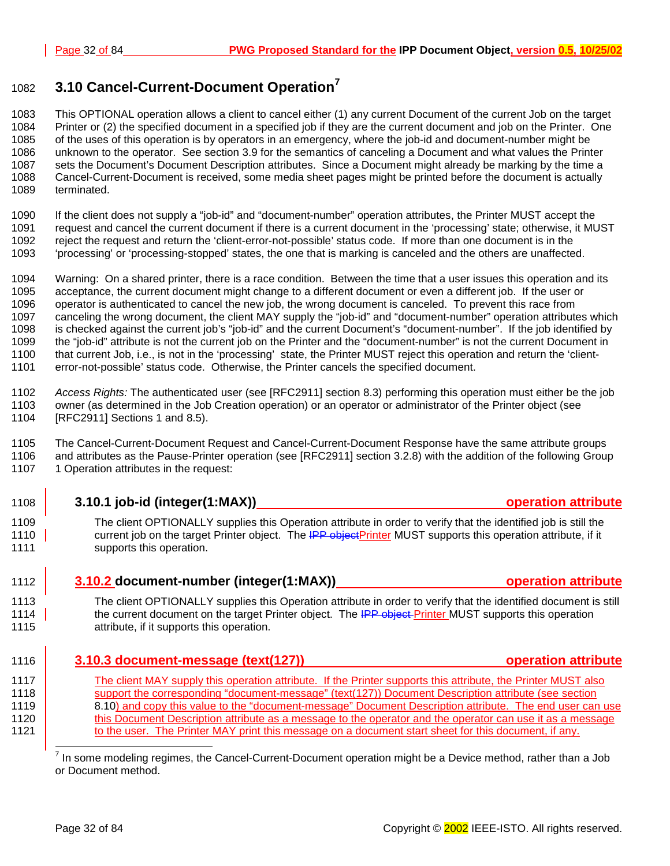## <span id="page-31-0"></span>**3.10 Cancel-Current-Document Operation<sup>7</sup>** <sup>1082</sup>

1083 This OPTIONAL operation allows a client to cancel either (1) any current Document of the current Job on the target 1084 Printer or (2) the specified document in a specified job if they are the current document and job on the Printer. One 1085 of the uses of this operation is by operators in an emergency, where the job-id and document-number might be 1086 unknown to the operator. See section 3.[9 f](#page-28-0)or the semantics of canceling a Document and what values the Printer 1087 sets the Document's Document Description attributes. Since a Document might already be marking by the time a 1088 Cancel-Current-Document is received, some media sheet pages might be printed before the document is actually 1089 terminated.

1090 If the client does not supply a "job-id" and "document-number" operation attributes, the Printer MUST accept the

- 1091 request and cancel the current document if there is a current document in the 'processing' state; otherwise, it MUST 1092 reject the request and return the 'client-error-not-possible' status code. If more than one document is in the
- 1093 'processing' or 'processing-stopped' states, the one that is marking is canceled and the others are unaffected.

1094 Warning: On a shared printer, there is a race condition. Between the time that a user issues this operation and its 1095 acceptance, the current document might change to a different document or even a different job. If the user or 1096 operator is authenticated to cancel the new job, the wrong document is canceled. To prevent this race from 1097 canceling the wrong document, the client MAY supply the "job-id" and "document-number" operation attributes which 1098 is checked against the current job's "job-id" and the current Document's "document-number". If the job identified by 1099 the "job-id" attribute is not the current job on the Printer and the "document-number" is not the current Document in 1100 that current Job, i.e., is not in the 'processing' state, the Printer MUST reject this operation and return the 'client-1101 error-not-possible' status code. Otherwise, the Printer cancels the specified document.

1102 *Access Rights:* The authenticated user (see [RFC2911] section 8.3) performing this operation must either be the job 1103 owner (as determined in the Job Creation operation) or an operator or administrator of the Printer object (see 1104 [RFC2911] Sections 1 and 8.5).

1105 The Cancel-Current-Document Request and Cancel-Current-Document Response have the same attribute groups 1106 and attributes as the Pause-Printer operation (see [RFC2911] section 3.2.8) with the addition of the following Group 107 107 1 Operation attributes in the request:

- 1108 **3.10.1 job-id (integer(1:MAX)) 1108 operation attribute**
- 1109 The client OPTIONALLY supplies this Operation attribute in order to verify that the identified job is still the 1110 current job on the target Printer object. The **IPP objectPrinter** MUST supports this operation attribute, if it 1111 **Supports this operation.**
- 1112 **3.10.2 document-number (integer(1:MAX)) operation attribute**

1113 The client OPTIONALLY supplies this Operation attribute in order to verify that the identified document is still 1114 the current document on the target Printer object. The <del>IPP object P</del>rinter MUST supports this operation 1115 attribute, if it supports this operation.

1116 **3.10.3 document-message (text(127)) operation attribute**

1117 The client MAY supply this operation attribute. If the Printer supports this attribute, the Printer MUST also 1118 support the corresponding "document-message" (text(127)) Document Description attribute (see section 1119 [8.10\)](#page-62-0) and copy this value to the "document-message" Document Description attribute. The end user can use 1120 this Document Description attribute as a message to the operator and the operator can use it as a message 1121 to the user. The Printer MAY print this message on a document start sheet for this document, if any.

l 7 In some modeling regimes, the Cancel-Current-Document operation might be a Device method, rather than a Job or Document method.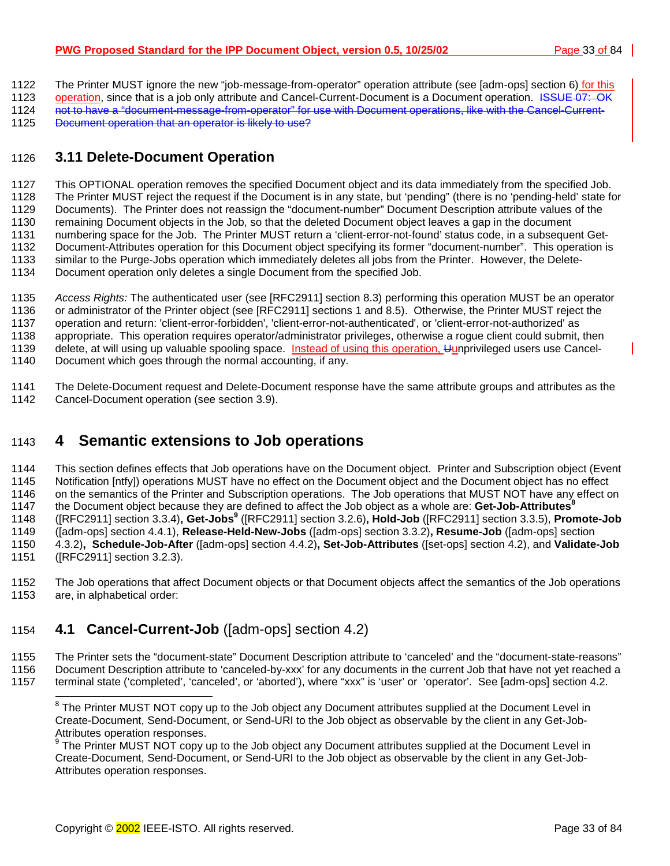<span id="page-32-0"></span>1122 The Printer MUST ignore the new "job-message-from-operator" operation attribute (see [adm-ops] section 6) for this

1123 operation, since that is a job only attribute and Cancel-Current-Document is a Document operation. ISSUE 07: OK 1124 not to have a "document-message-from-operator" for use with Document operations, like with the Cancel-Current-

1125 Document operation that an operator is likely to use?

## 1126 **3.11 Delete-Document Operation**

1127 This OPTIONAL operation removes the specified Document object and its data immediately from the specified Job. 1128 The Printer MUST reject the request if the Document is in any state, but 'pending" (there is no 'pending-held' state for 1129 Documents). The Printer does not reassign the "document-number" Document Description attribute values of the 1130 remaining Document objects in the Job, so that the deleted Document object leaves a gap in the document 1131 numbering space for the Job. The Printer MUST return a 'client-error-not-found' status code, in a subsequent Get-1132 Document-Attributes operation for this Document object specifying its former "document-number". This operation is 1133 similar to the Purge-Jobs operation which immediately deletes all jobs from the Printer. However, the Delete-1134 Document operation only deletes a single Document from the specified Job.

1135 *Access Rights:* The authenticated user (see [RFC2911] section 8.3) performing this operation MUST be an operator 1136 or administrator of the Printer object (see [RFC2911] sections 1 and 8.5). Otherwise, the Printer MUST reject the 1137 operation and return: 'client-error-forbidden', 'client-error-not-authenticated', or 'client-error-not-authorized' as 1138 appropriate. This operation requires operator/administrator privileges, otherwise a rogue client could submit, then 1139 delete, at will using up valuable spooling space. Instead of using this operation, Uunprivileged users use Cancel-1140 Document which goes through the normal accounting, if any.

1141 The Delete-Document request and Delete-Document response have the same attribute groups and attributes as the 1142 Cancel-Document operation (see section [3.9\).](#page-28-0)

## 1143 **4 Semantic extensions to Job operations**

1144 This section defines effects that Job operations have on the Document object. Printer and Subscription object (Event 1145 Notification [ntfy]) operations MUST have no effect on the Document object and the Document object has no effect 1146 on the semantics of the Printer and Subscription operations. The Job operations that MUST NOT have any effect on the Document object because they are defined to affect the Job object as a whole are: **Get-Job-Attributes<sup>8</sup>** 1147 ([RFC2911] section 3.3.4)**, Get-Jobs9** 1148 ([RFC2911] section 3.2.6)**, Hold-Job** ([RFC2911] section 3.3.5), **Promote-Job** 1149 ([adm-ops] section 4.4.1), **Release-Held-New-Jobs** ([adm-ops] section 3.3.2)**, Resume-Job** ([adm-ops] section 1150 4.3.2)**, Schedule-Job-After** ([adm-ops] section 4.4.2)**, Set-Job-Attributes** ([set-ops] section 4.2), and **Validate-Job** 

1151 ([RFC2911] section 3.2.3).

1152 The Job operations that affect Document objects or that Document objects affect the semantics of the Job operations 1153 are, in alphabetical order:

## 1154 **4.1 Cancel-Current-Job** ([adm-ops] section 4.2)

1155 The Printer sets the "document-state" Document Description attribute to 'canceled' and the "document-state-reasons" 1156 Document Description attribute to 'canceled-by-xxx' for any documents in the current Job that have not yet reached a

1157 terminal state ('completed', 'canceled', or 'aborted'), where "xxx" is 'user' or 'operator'. See [adm-ops] section 4.2.

<sup>9</sup> The Printer MUST NOT copy up to the Job object any Document attributes supplied at the Document Level in Create-Document, Send-Document, or Send-URI to the Job object as observable by the client in any Get-Job-Attributes operation responses.

ENDED THE PRINCE THE PROTENT THE PROTH THE POCLET THE PRINCE THE POST THE POST THE POST THE POST THE <sup>8</sup> The Printer MUST NOT copy up to the Job object any Document attributes supplied at the Document Level in Create-Document, Send-Document, or Send-URI to the Job object as observable by the client in any Get-Job-Attributes operation responses.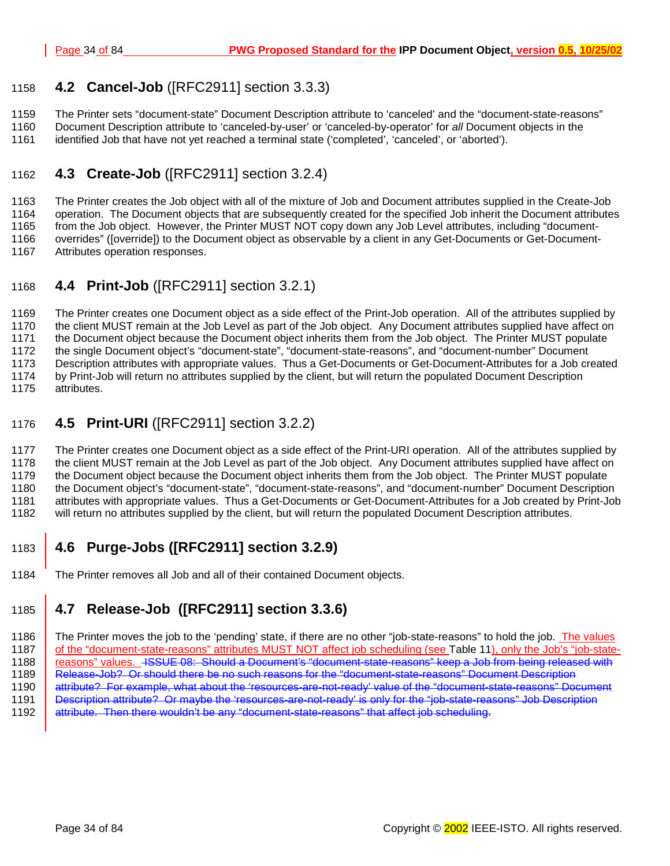## <span id="page-33-0"></span>1158 **4.2 Cancel-Job** ([RFC2911] section 3.3.3)

1159 The Printer sets "document-state" Document Description attribute to 'canceled' and the "document-state-reasons"

1160 Document Description attribute to 'canceled-by-user' or 'canceled-by-operator' for *all* Document objects in the

## 1161 identified Job that have not yet reached a terminal state ('completed', 'canceled', or 'aborted').

## 1162 **4.3 Create-Job** ([RFC2911] section 3.2.4)

1163 The Printer creates the Job object with all of the mixture of Job and Document attributes supplied in the Create-Job 1164 operation. The Document objects that are subsequently created for the specified Job inherit the Document attributes 1165 from the Job object. However, the Printer MUST NOT copy down any Job Level attributes, including "document-1166 overrides" ([override]) to the Document object as observable by a client in any Get-Documents or Get-Document-1167 Attributes operation responses.

## 1168 **4.4 Print-Job** ([RFC2911] section 3.2.1)

1169 The Printer creates one Document object as a side effect of the Print-Job operation. All of the attributes supplied by 1170 the client MUST remain at the Job Level as part of the Job object. Any Document attributes supplied have affect on 1171 the Document object because the Document object inherits them from the Job object. The Printer MUST populate 1172 the single Document object's "document-state", "document-state-reasons", and "document-number" Document 1173 Description attributes with appropriate values. Thus a Get-Documents or Get-Document-Attributes for a Job created 1174 by Print-Job will return no attributes supplied by the client, but will return the populated Document Description 1175 attributes.

## 1176 **4.5 Print-URI** ([RFC2911] section 3.2.2)

1177 The Printer creates one Document object as a side effect of the Print-URI operation. All of the attributes supplied by 1178 the client MUST remain at the Job Level as part of the Job object. Any Document attributes supplied have affect on 1179 the Document object because the Document object inherits them from the Job object. The Printer MUST populate 1180 the Document object's "document-state", "document-state-reasons", and "document-number" Document Description 1181 attributes with appropriate values. Thus a Get-Documents or Get-Document-Attributes for a Job created by Print-Job 1182 will return no attributes supplied by the client, but will return the populated Document Description attributes.

## 1183 **4.6 Purge-Jobs ([RFC2911] section 3.2.9)**

1184 The Printer removes all Job and all of their contained Document objects.

## 1185 **4.7 Release-Job ([RFC2911] section 3.3.6)**

1186 The Printer moves the job to the 'pending' state, if there are no other "job-state-reasons" to hold the job. The values 1187 of the "document-state-reasons" attributes MUST NOT affect job scheduling (see T[able 11\),](#page-57-0) only the Job's "job-state-1188 | reasons" values. ISSUE 08: Should a Document's "document-state-reasons" keep a Job from being released with 1189 Release-Job? Or should there be no such reasons for the "document-state-reasons" Document Description 1190 attribute? For example, what about the 'resources-are-not-ready' value of the "document-state-reasons" Document 1191 Description attribute? Or maybe the 'resources-are-not-ready' is only for the "job-state-reasons" Job Description 1192 attribute. Then there wouldn't be any "document-state-reasons" that affect job scheduling.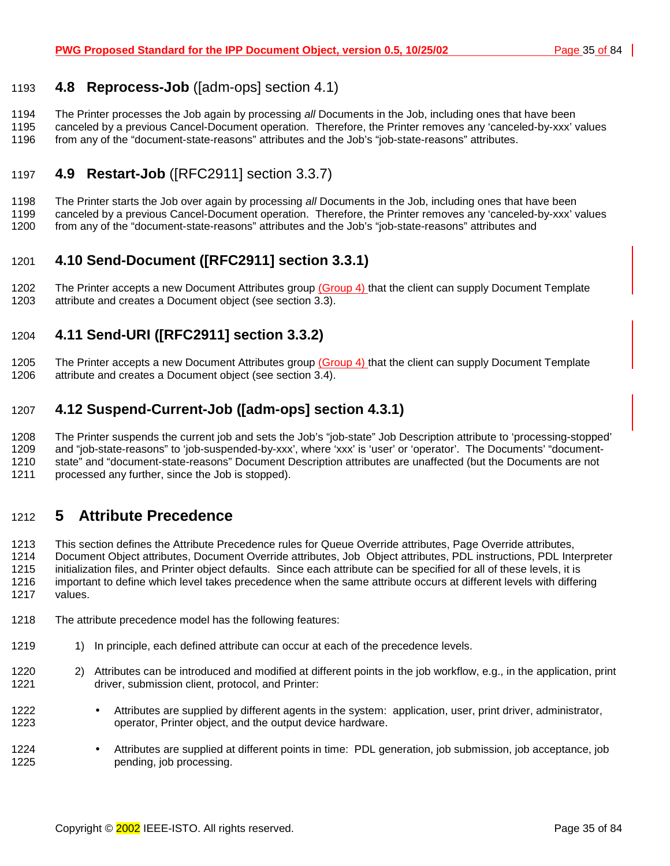## <span id="page-34-0"></span>1193 **4.8 Reprocess-Job** ([adm-ops] section 4.1)

1194 The Printer processes the Job again by processing *all* Documents in the Job, including ones that have been

1195 canceled by a previous Cancel-Document operation. Therefore, the Printer removes any 'canceled-by-xxx' values 1196 from any of the "document-state-reasons" attributes and the Job's "job-state-reasons" attributes.

## 1197 **4.9 Restart-Job** ([RFC2911] section 3.3.7)

1198 The Printer starts the Job over again by processing *all* Documents in the Job, including ones that have been 1199 canceled by a previous Cancel-Document operation. Therefore, the Printer removes any 'canceled-by-xxx' values 1200 from any of the "document-state-reasons" attributes and the Job's "job-state-reasons" attributes and

## 1201 **4.10 Send-Document ([RFC2911] section 3.3.1)**

1202 The Printer accepts a new Document Attributes group (Group 4) that the client can supply Document Template 1203 attribute and creates a Document object (see section 3[.3\)](#page-18-0).

## 1204 **4.11 Send-URI ([RFC2911] section 3.3.2)**

1205 The Printer accepts a new Document Attributes group (Group 4) that the client can supply Document Template 1206 attribute and creates a Document object (see section 3[.4\)](#page-20-0).

## 1207 **4.12 Suspend-Current-Job ([adm-ops] section 4.3.1)**

1208 The Printer suspends the current job and sets the Job's "job-state" Job Description attribute to 'processing-stopped' 1209 and "job-state-reasons" to 'job-suspended-by-xxx', where 'xxx' is 'user' or 'operator'. The Documents' "document-1210 state" and "document-state-reasons" Document Description attributes are unaffected (but the Documents are not 1211 processed any further, since the Job is stopped).

## 1212 **5 Attribute Precedence**

1213 This section defines the Attribute Precedence rules for Queue Override attributes, Page Override attributes, 1214 Document Object attributes, Document Override attributes, Job Object attributes, PDL instructions, PDL Interpreter 1215 initialization files, and Printer object defaults. Since each attribute can be specified for all of these levels, it is 1216 important to define which level takes precedence when the same attribute occurs at different levels with differing 1217 values.

- 1218 The attribute precedence model has the following features:
- 1219 1) In principle, each defined attribute can occur at each of the precedence levels.
- 1220 2) Attributes can be introduced and modified at different points in the job workflow, e.g., in the application, print 1221 driver, submission client, protocol, and Printer:
- 1222 Attributes are supplied by different agents in the system: application, user, print driver, administrator, 1223 operator, Printer object, and the output device hardware.
- 1224 Attributes are supplied at different points in time: PDL generation, job submission, job acceptance, job 1225 pending, job processing.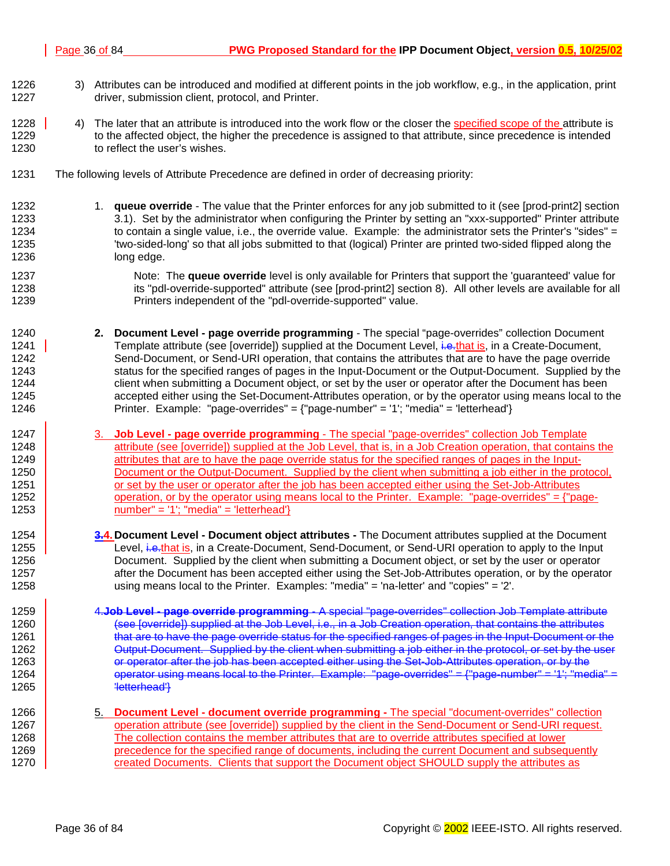- 1226 3) Attributes can be introduced and modified at different points in the job workflow, e.g., in the application, print 1227 driver, submission client, protocol, and Printer.
- 1228 4) The later that an attribute is introduced into the work flow or the closer the specified scope of the attribute is 1229 to the affected object, the higher the precedence is assigned to that attribute, since precedence is intended 1230 to reflect the user's wishes.
- 1231 The following levels of Attribute Precedence are defined in order of decreasing priority:
- 1232 1232 1. **queue override** The value that the Printer enforces for any job submitted to it (see [prod-print2] section 1233 3.1). Set by the administrator when configuring the Printer by setting an "xxx-supported" Printer attribute 1234 to contain a single value, i.e., the override value. Example: the administrator sets the Printer's "sides" = 1235 'two-sided-long' so that all jobs submitted to that (logical) Printer are printed two-sided flipped along the 1236 long edge.
- 1237 Note: The **queue override** level is only available for Printers that support the 'quaranteed' value for 1238 its "pdl-override-supported" attribute (see [prod-print2] section 8). All other levels are available for all 1239 Printers independent of the "pdl-override-supported" value.
- 1240 **2. Document Level page override programming** The special "page-overrides" collection Document 1241 Template attribute (see [override]) supplied at the Document Level, i.e.that is, in a Create-Document, 1242 Send-Document, or Send-URI operation, that contains the attributes that are to have the page override 1243 status for the specified ranges of pages in the Input-Document or the Output-Document. Supplied by the 1244 client when submitting a Document object, or set by the user or operator after the Document has been 1245 accepted either using the Set-Document-Attributes operation, or by the operator using means local to the 1246 Printer. Example: "page-overrides" = {"page-number" = '1'; "media" = 'letterhead'}
- 1247 3. **Job Level page override programming** The special "page-overrides" collection Job Template 1248 attribute (see [override]) supplied at the Job Level, that is, in a Job Creation operation, that contains the 1249 detributes that are to have the page override status for the specified ranges of pages in the Input-1250 Document or the Output-Document. Supplied by the client when submitting a job either in the protocol, 1251 **or set by the user or operator after the job has been accepted either using the Set-Job-Attributes** 1252 operation, or by the operator using means local to the Printer. Example: "page-overrides" =  $\{$ "page-1253  $\vert$  number" = '1'; "media" = 'letterhead'}
- 1254 **3.4. Document Level Document object attributes** The Document attributes supplied at the Document 1255 Level, i.e.that is, in a Create-Document, Send-Document, or Send-URI operation to apply to the Input 1256 Document. Supplied by the client when submitting a Document object, or set by the user or operator 1257 **after the Document has been accepted either using the Set-Job-Attributes operation, or by the operator** 1258 using means local to the Printer. Examples: "media" = 'na-letter' and "copies" = '2'.
- 1259 4.**Job Level page override programming** A special "page-overrides" collection Job Template attribute 1260 (see [override]) supplied at the Job Level, i.e., in a Job Creation operation, that contains the attributes 1261 **that are to have the page override status for the specified ranges of pages in the Input-Document or the** 1262 **Output-Document.** Supplied by the client when submitting a job either in the protocol, or set by the user 1263 **Fig. 2012** or operator after the job has been accepted either using the Set-Job-Attributes operation, or by the 1264  $\vert$  operator using means local to the Printer. Example: "page-overrides" = {"page-number" = '1'; "media" 1265 **Westerhead**<sup>1</sup>
- 1266 5. **Document Level document override programming** The special "document-overrides" collection 1267 **operation attribute (see [override])** supplied by the client in the Send-Document or Send-URI request. 1268 The collection contains the member attributes that are to override attributes specified at lower 1269 **precedence for the specified range of documents, including the current Document and subsequently** 1270 created Documents. Clients that support the Document object SHOULD supply the attributes as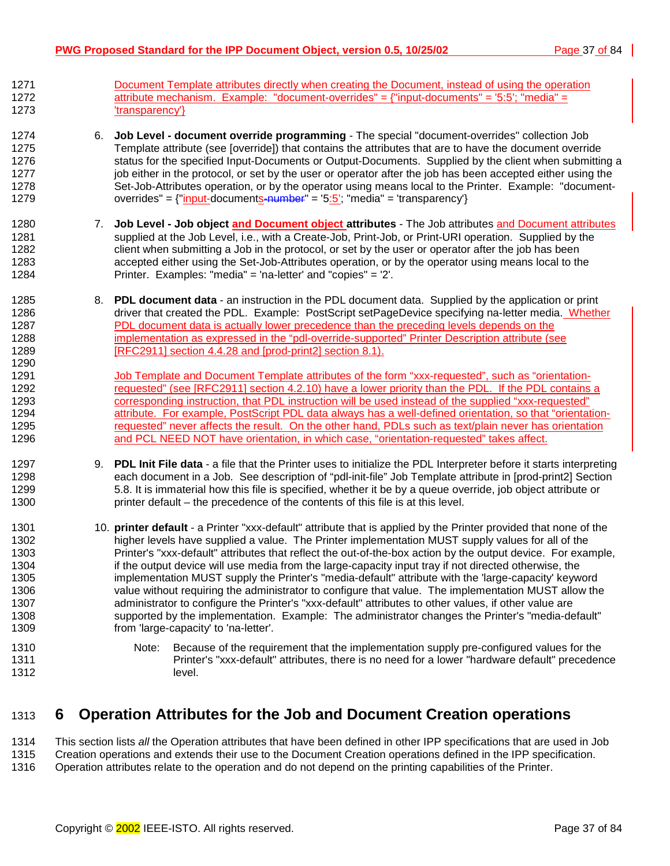- 1271 Document Template attributes directly when creating the Document, instead of using the operation 1272 attribute mechanism. Example: "document-overrides" = {"input-documents" = '5:5'; "media" = 1273 'transparency'}
- 1274 6. **Job Level document override programming** The special "document-overrides" collection Job 1275 Template attribute (see [override]) that contains the attributes that are to have the document override 1276 status for the specified Input-Documents or Output-Documents. Supplied by the client when submitting a 1277 job either in the protocol, or set by the user or operator after the job has been accepted either using the 1278 Set-Job-Attributes operation, or by the operator using means local to the Printer. Example: "document-1279 overrides" =  ${\text{``input-documents-number''}} = 5:5$ ; "media" = 'transparency'}
- 1280 7. **Job Level Job object and Document object attributes** The Job attributes and Document attributes 1281 supplied at the Job Level, i.e., with a Create-Job, Print-Job, or Print-URI operation. Supplied by the 1282 client when submitting a Job in the protocol, or set by the user or operator after the job has been 1283 accepted either using the Set-Job-Attributes operation, or by the operator using means local to the 1284 Printer. Examples: "media" = 'na-letter' and "copies" = '2'.
- 1285 8. **PDL document data**  an instruction in the PDL document data. Supplied by the application or print 1286 driver that created the PDL. Example: PostScript setPageDevice specifying na-letter media. Whether 1287 PDL document data is actually lower precedence than the preceding levels depends on the 1288 implementation as expressed in the "pdl-override-supported" Printer Description attribute (see 1289 [RFC2911] section 4.4.28 and [prod-print2] section 8.1).
- 1291 Job Template and Document Template attributes of the form "xxx-requested", such as "orientation-1292 requested" (see [RFC2911] section 4.2.10) have a lower priority than the PDL. If the PDL contains a 1293 corresponding instruction, that PDL instruction will be used instead of the supplied "xxx-requested" 1294 **attribute.** For example, PostScript PDL data always has a well-defined orientation, so that "orientation-1295 requested" never affects the result. On the other hand, PDLs such as text/plain never has orientation 1296 **and PCL NEED NOT have orientation, in which case, "orientation-requested" takes affect.**
- 1297 9. **PDL Init File data**  a file that the Printer uses to initialize the PDL Interpreter before it starts interpreting 1298 each document in a Job. See description of "pdl-init-file" Job Template attribute in [prod-print2] Section 1299 5.8. It is immaterial how this file is specified, whether it be by a queue override, job object attribute or 1300 printer default – the precedence of the contents of this file is at this level.
- 1301 10. **printer default**  a Printer "xxx-default" attribute that is applied by the Printer provided that none of the 1302 higher levels have supplied a value. The Printer implementation MUST supply values for all of the 1303 Printer's "xxx-default" attributes that reflect the out-of-the-box action by the output device. For example, 1304 if the output device will use media from the large-capacity input tray if not directed otherwise, the 1305 implementation MUST supply the Printer's "media-default" attribute with the 'large-capacity' keyword 1306 value without requiring the administrator to configure that value. The implementation MUST allow the 1307 administrator to configure the Printer's "xxx-default" attributes to other values, if other value are 1308 supported by the implementation. Example: The administrator changes the Printer's "media-default" 1309 from 'large-capacity' to 'na-letter'.
- 1310 Note: Because of the requirement that the implementation supply pre-configured values for the 1311 Printer's "xxx-default" attributes, there is no need for a lower "hardware default" precedence 1312 level.

# 1313 **6 Operation Attributes for the Job and Document Creation operations**

1314 This section lists *all* the Operation attributes that have been defined in other IPP specifications that are used in Job 1315 Creation operations and extends their use to the Document Creation operations defined in the IPP specification. 1316 Operation attributes relate to the operation and do not depend on the printing capabilities of the Printer.

1290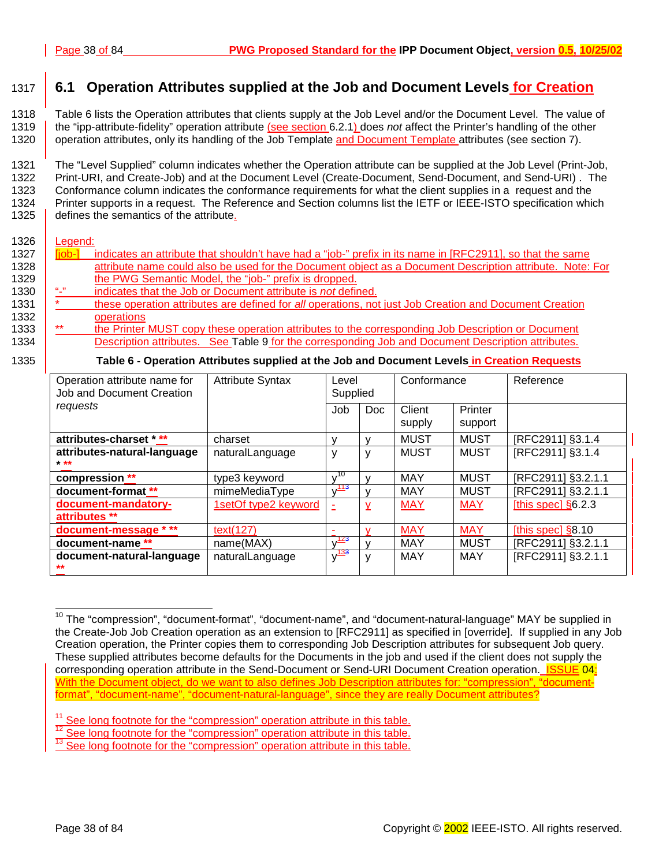# <span id="page-37-0"></span>1317 **6.1 Operation Attributes supplied at the Job and Document Levels for Creation**

1318 Table 6 lists the Operation attributes that clients supply at the Job Level and/or the Document Level. The value of 1319 the "ipp-attribute-fidelity" operation attribute (see section 6.[2.1\)](#page-39-0) does *not* affect the Printer's handling of the other 1320 operation attributes, only its handling of the Job Template and Document Template attributes (see section 7[\)](#page-40-0).

1321 The "Level Supplied" column indicates whether the Operation attribute can be supplied at the Job Level (Print-Job, 1322 Print-URI, and Create-Job) and at the Document Level (Create-Document, Send-Document, and Send-URI) . The 1323 Conformance column indicates the conformance requirements for what the client supplies in a request and the 1324 Printer supports in a request. The Reference and Section columns list the IETF or IEEE-ISTO specification which 1325 defines the semantics of the attribute.

#### 1326 Legend:

| 1327 | liob-l         | indicates an attribute that shouldn't have had a "job-" prefix in its name in [RFC2911], so that the same |
|------|----------------|-----------------------------------------------------------------------------------------------------------|
| 1328 |                | attribute name could also be used for the Document object as a Document Description attribute. Note: For  |
| 1329 |                | the PWG Semantic Model, the "job-" prefix is dropped.                                                     |
| 1330 | $\mathbf{u}_1$ | indicates that the Job or Document attribute is not defined.                                              |
| 1331 |                | these operation attributes are defined for all operations, not just Job Creation and Document Creation    |
| 1332 |                | operations                                                                                                |
| 1333 | $***$          | the Printer MUST copy these operation attributes to the corresponding Job Description or Document         |
| 1334 |                | Description attributes. See Table 9 for the corresponding Job and Document Description attributes.        |
| 1335 |                | Table 6 - Operation Attributes supplied at the Job and Document Levels in Creation Requests               |

| Operation attribute name for<br>Job and Document Creation | <b>Attribute Syntax</b><br>Level<br>Supplied |                       |            | Conformance      |                    | Reference            |
|-----------------------------------------------------------|----------------------------------------------|-----------------------|------------|------------------|--------------------|----------------------|
| requests                                                  |                                              | Job                   | <b>Doc</b> | Client<br>supply | Printer<br>support |                      |
| attributes-charset * **                                   | charset                                      |                       |            | <b>MUST</b>      | <b>MUST</b>        | [RFC2911] §3.1.4     |
| attributes-natural-language<br>$* * *$                    | naturalLanguage                              | v                     | ٧          | <b>MUST</b>      | <b>MUST</b>        | [RFC2911] §3.1.4     |
| compression **                                            | type3 keyword                                | 10                    |            | <b>MAY</b>       | <b>MUST</b>        | [RFC2911] §3.2.1.1   |
| document-format **                                        | mimeMediaType                                | $v^{113}$             |            | <b>MAY</b>       | MUST               | [RFC2911] §3.2.1.1   |
| document-mandatory-<br>attributes **                      | 1setOf type2 keyword                         |                       | y          | <b>MAY</b>       | <b>MAY</b>         | [this spec] $§6.2.3$ |
| document-message * **                                     | text(127)                                    |                       |            | <b>MAY</b>       | <b>MAY</b>         | [this spec] $§8.10$  |
| document-name **                                          | name(MAX)                                    | $v^{\frac{123}{2}}$   |            | <b>MAY</b>       | <b>MUST</b>        | [RFC2911] §3.2.1.1   |
| document-natural-language<br>$\star\star$                 | naturalLanguage                              | $v^{\frac{133}{133}}$ | v          | <b>MAY</b>       | MAY                | [RFC2911] §3.2.1.1   |

l <sup>10</sup> The "compression", "document-format", "document-name", and "document-natural-language" MAY be supplied in the Create-Job Job Creation operation as an extension to [RFC2911] as specified in [override]. If supplied in any Job Creation operation, the Printer copies them to corresponding Job Description attributes for subsequent Job query. These supplied attributes become defaults for the Documents in the job and used if the client does not supply the corresponding operation attribute in the Send-Document or Send-URI Document Creation operation. **ISSUE 04:** With the Document object, do we want to also defines Job Description attributes for: "compression", "documentformat", "document-name", "document-natural-language", since they are really Document attributes?

<sup>&</sup>lt;sup>11</sup> See long footnote for the "compression" operation attribute in this table.<br><sup>12</sup> See long footnote for the "compression" operation attribute in this table.<br><sup>13</sup> See long footnote for the "compression" operation attrib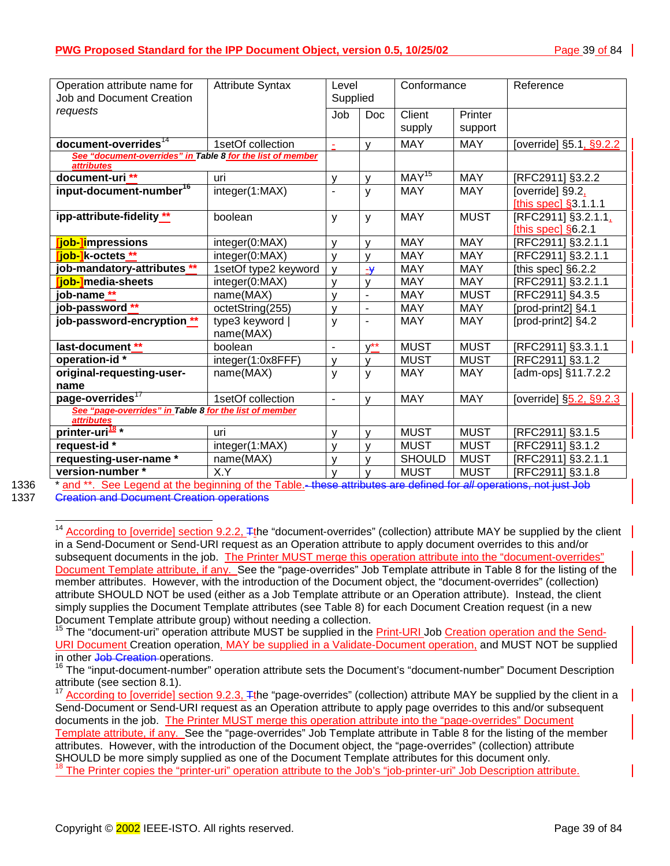| Operation attribute name for                               | <b>Attribute Syntax</b>      |                          | Level                    | Conformance                  |             | Reference                 |
|------------------------------------------------------------|------------------------------|--------------------------|--------------------------|------------------------------|-------------|---------------------------|
| <b>Job and Document Creation</b>                           |                              | Supplied                 |                          |                              |             |                           |
| requests                                                   |                              | Job                      | Doc                      | Client                       | Printer     |                           |
|                                                            |                              |                          |                          | supply                       | support     |                           |
| document-overrides <sup>14</sup>                           | 1setOf collection            | $\blacksquare$           | v                        | <b>MAY</b>                   | <b>MAY</b>  | [override] §5.1, §9.2.2   |
| See "document-overrides" in Table 8 for the list of member |                              |                          |                          |                              |             |                           |
| <i>attributes</i>                                          |                              |                          |                          |                              |             |                           |
| document-uri **                                            | uri                          | $\mathsf{V}$             | v                        | $\overline{\text{MAY}}^{15}$ | <b>MAY</b>  | [RFC2911] §3.2.2          |
| input-document-number <sup>16</sup>                        | integer(1:MAX)               | $\blacksquare$           | y                        | <b>MAY</b>                   | <b>MAY</b>  | [override] §9.2,          |
|                                                            |                              |                          |                          |                              |             | [this spec] $§3.1.1.1$    |
| ipp-attribute-fidelity **                                  | boolean                      | y                        | y                        | <b>MAY</b>                   | <b>MUST</b> | [RFC2911] §3.2.1.1,       |
|                                                            |                              |                          |                          |                              |             | [this spec] $§6.2.1$      |
| [job-]impressions                                          | integer(0:MAX)               | $\mathsf{V}$             | v                        | <b>MAY</b>                   | <b>MAY</b>  | [RFC2911] §3.2.1.1        |
| <mark>「job-1</mark> k-octets **                            | integer(0:MAX)               | $\mathsf{V}$             | v                        | <b>MAY</b>                   | <b>MAY</b>  | [RFC2911] §3.2.1.1        |
| job-mandatory-attributes **                                | 1setOf type2 keyword         | $\mathsf{V}$             | $-\frac{1}{2}$           | <b>MAY</b>                   | <b>MAY</b>  | [this spec] §6.2.2        |
| iob-Imedia-sheets                                          | integer(0:MAX)               | $\mathsf{v}$             | v                        | <b>MAY</b>                   | <b>MAY</b>  | [RFC2911] §3.2.1.1        |
| job-name <sup>**</sup>                                     | name(MAX)                    | $\mathsf{v}$             | $\overline{\phantom{a}}$ | <b>MAY</b>                   | <b>MUST</b> | [RFC2911] §4.3.5          |
| job-password **                                            | octetString(255)             | $\mathsf{V}$             | $\blacksquare$           | <b>MAY</b>                   | <b>MAY</b>  | [prod-print2] §4.1        |
| job-password-encryption **                                 | type3 keyword  <br>name(MAX) | y                        | $\overline{\phantom{a}}$ | <b>MAY</b>                   | <b>MAY</b>  | [prod-print2] §4.2        |
| last-document **                                           | boolean                      | $\overline{\phantom{a}}$ | $v^{\star\star}$         | <b>MUST</b>                  | <b>MUST</b> | [RFC2911] §3.3.1.1        |
| operation-id*                                              | integer(1:0x8FFF)            | $\mathsf{V}$             | v                        | <b>MUST</b>                  | <b>MUST</b> | [RFC2911] §3.1.2          |
| original-requesting-user-                                  | name(MAX)                    | y                        | y                        | <b>MAY</b>                   | <b>MAY</b>  | [ $adm$ -ops] $§11.7.2.2$ |
| name                                                       |                              |                          |                          |                              |             |                           |
| page-overrides <sup>17</sup>                               | 1setOf collection            | $\overline{\phantom{a}}$ | v                        | <b>MAY</b>                   | <b>MAY</b>  | [override] §5.2, §9.2.3   |
| See "page-overrides" in Table 8 for the list of member     |                              |                          |                          |                              |             |                           |
| attributes                                                 |                              |                          |                          |                              |             |                           |
| printer-uri <sup>18</sup> *                                | uri                          | y                        | v                        | <b>MUST</b>                  | <b>MUST</b> | [RFC2911] §3.1.5          |
| request-id *                                               | integer(1:MAX)               | y                        | v                        | <b>MUST</b>                  | <b>MUST</b> | [RFC2911] §3.1.2          |
| requesting-user-name *                                     | name(MAX)                    | $\mathsf{V}$             | v                        | <b>SHOULD</b>                | <b>MUST</b> | [RFC2911] §3.2.1.1        |
| version-number *                                           | X.Y                          | $\mathsf{V}$             | v                        | <b>MUST</b>                  | <b>MUST</b> | [RFC2911] §3.1.8          |

l

1336 \* and \*\*. See Legend at the beginning of the Table.- these attributes are defined for *all* operations, not just Job

1337 Creation and Document Creation operations

<sup>15</sup> The "document-uri" operation attribute MUST be supplied in the **Print-URI** Job Creation operation and the Send-URI Document Creation operation, MAY be supplied in a Validate-Document operation, and MUST NOT be supplied in other <del>Job Creation</del>-operations.<br><sup>16</sup> The "input-document-number" operation attribute sets the Document's "document-number" Document Description

<sup>17</sup> According to [override] section 9.2.3,  $\pm$ the "page-overrides" (collection) attribute MAY be supplied by the client in a Send-Document or Send-URI request as an Operation attribute to apply page overrides to this and/or subsequent documents in the job. The Printer MUST merge this operation attribute into the "page-overrides" Document Template attribute, if any. See the "page-overrides" Job Template attribute in Table 8 for the listing of the member attributes. However, with the introduction of the Document object, the "page-overrides" (collection) attribute SHOULD be more simply supplied as one of the Document Template attributes for this document only. 18 The Printer copies the "printer-uri" operation attribute to the Job's "job-printer-uri" Job Description attribute.

<sup>&</sup>lt;sup>14</sup> According to [override] section 9.2.2, Tthe "document-overrides" (collection) attribute MAY be supplied by the client in a Send-Document or Send-URI request as an Operation attribute to apply document overrides to this and/or subsequent documents in the job. The Printer MUST merge this operation attribute into the "document-overrides" Document Template attribute, if any. See the "page-overrides" Job Template attribute in Table 8 for the listing of the member attributes. However, with the introduction of the Document object, the "document-overrides" (collection) attribute SHOULD NOT be used (either as a Job Template attribute or an Operation attribute). Instead, the client simply supplies the Document Template attributes (see Table 8) for each Document Creation request (in a new Document Template attribute group) without needing a collection.

attribute (see section 8.1).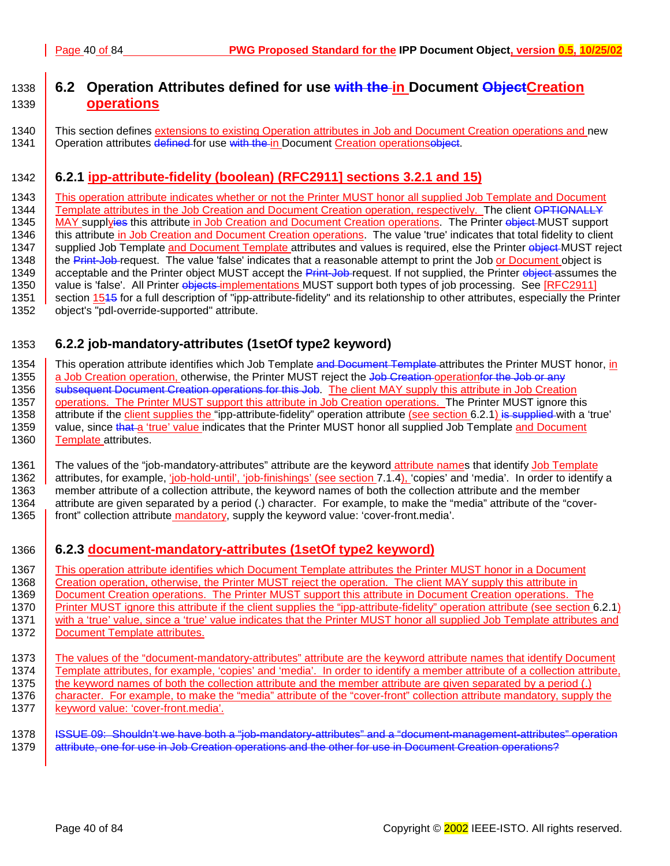# <span id="page-39-0"></span>1338 **6.2 Operation Attributes defined for use with the in Document ObjectCreation**  1339 **operations**

1340 This section defines extensions to existing Operation attributes in Job and Document Creation operations and new 1341 | Operation attributes defined for use with the in Document Creation operationsobject.

## 1342 **6.2.1 ipp-attribute-fidelity (boolean) (RFC2911] sections 3.2.1 and 15)**

1343 This operation attribute indicates whether or not the Printer MUST honor all supplied Job Template and Document 1344 Template attributes in the Job Creation and Document Creation operation, respectively. The client OPTIONALLY 1345 MAY supplyies this attribute in Job Creation and Document Creation operations. The Printer object MUST support 1346 this attribute in Job Creation and Document Creation operations. The value 'true' indicates that total fidelity to client 1347 supplied Job Template and Document Template attributes and values is required, else the Printer object MUST reject 1348 the Print-Job request. The value 'false' indicates that a reasonable attempt to print the Job or Document object is 1349 acceptable and the Printer object MUST accept the Print-Job-request. If not supplied, the Printer object assumes the 1350 value is 'false'. All Printer objects implementations MUST support both types of job processing. See [RFC2911] 1351 section 1545 for a full description of "ipp-attribute-fidelity" and its relationship to other attributes, especially the Printer 1352 object's "pdl-override-supported" attribute.

## 1353 **6.2.2 job-mandatory-attributes (1setOf type2 keyword)**

1354 This operation attribute identifies which Job Template and Document Template attributes the Printer MUST honor, in 1355 a Job Creation operation, otherwise, the Printer MUST reject the Job Creation operation for the Job or any 1356 subsequent Document Creation operations for this Job. The client MAY supply this attribute in Job Creation<br>1357 operations. The Printer MUST support this attribute in Job Creation operations. The Printer MUST ignore t 1357 operations. The Printer MUST support this attribute in Job Creation operations. The Printer MUST ignore this<br>1358 attribute if the client supplies the "ipp-attribute-fidelity" operation attribute (see section 6.2.1) i attribute if the client supplies the "ipp-attribute-fidelity" operation attribute (see section 6.2.1) is supplied with a 'true' 1359 value, since that a 'true' value indicates that the Printer MUST honor all supplied Job Template and Document 1360 | Template attributes.

1361 The values of the "job-mandatory-attributes" attribute are the keyword attribute names that identify Job Template 1362 attributes, for example, 'job-hold-until', 'job-finishings' (see section 7.[1.4\)](#page-47-0), 'copies' and 'media'. In order to identify a 1363 member attribute of a collection attribute, the keyword names of both the collection attribute and the member 1364 attribute are given separated by a period (.) character. For example, to make the "media" attribute of the "cover-1365 front" collection attribute mandatory, supply the keyword value: 'cover-front.media'.

## 1366 **6.2.3 document-mandatory-attributes (1setOf type2 keyword)**

1367 This operation attribute identifies which Document Template attributes the Printer MUST honor in a Document 1368 Creation operation, otherwise, the Printer MUST reject the operation. The client MAY supply this attribute in 1369 Document Creation operations. The Printer MUST support this attribute in Document Creation operations. The 1370 **Printer MUST ignore this attribute if the client supplies the "ipp-attribute-fidelity" operation attribute (see section 6.2.1)** 1371 with a 'true' value, since a 'true' value indicates that the Printer MUST honor all supplied Job Template attributes and 1372 | Document Template attributes.

1373 The values of the "document-mandatory-attributes" attribute are the keyword attribute names that identify Document 1374 Template attributes, for example, 'copies' and 'media'. In order to identify a member attribute of a collection attribute, 1375 the keyword names of both the collection attribute and the member attribute are given separated by a period (.) 1376 character. For example, to make the "media" attribute of the "cover-front" collection attribute mandatory, supply the 1377 | keyword value: 'cover-front.media'.

1378 | ISSUE 09: Shouldn't we have both a "job-mandatory-attributes" and a "document-management-attributes" operation<br>1379 | attribute, one for use in Job Creation operations and the other for use in Document Creation oper attribute, one for use in Job Creation operations and the other for use in Document Creation operations?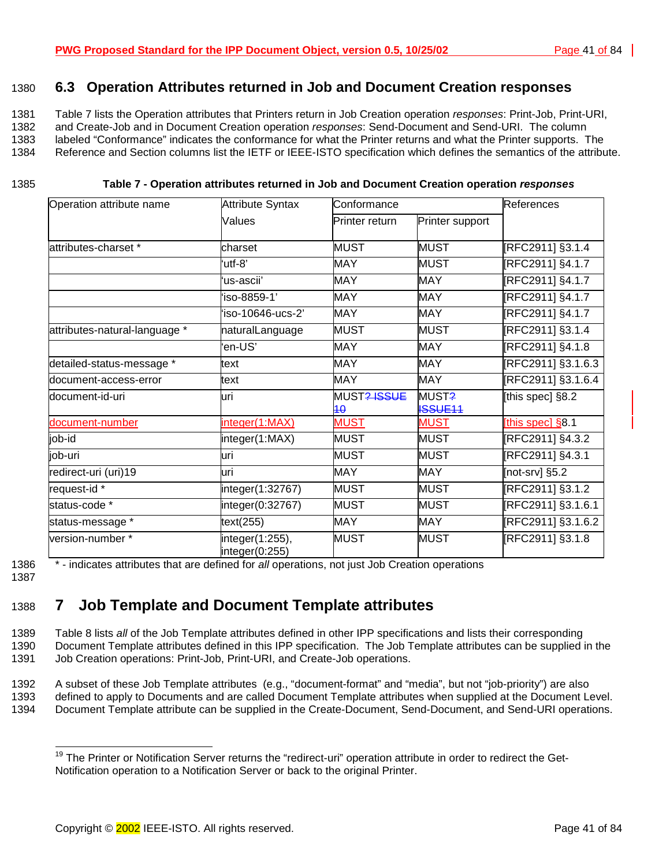## <span id="page-40-0"></span>1380 **6.3 Operation Attributes returned in Job and Document Creation responses**

1381 Table 7 lists the Operation attributes that Printers return in Job Creation operation *responses*: Print-Job, Print-URI, 1382 and Create-Job and in Document Creation operation *responses*: Send-Document and Send-URI. The column 1383 labeled "Conformance" indicates the conformance for what the Printer returns and what the Printer supports. The

1384 Reference and Section columns list the IETF or IEEE-ISTO specification which defines the semantics of the attribute.

#### 1385 **Table 7 - Operation attributes returned in Job and Document Creation operation** *responses*

| Operation attribute name      | <b>Attribute Syntax</b>                 | Conformance                   |                         |                    |  |  |  |
|-------------------------------|-----------------------------------------|-------------------------------|-------------------------|--------------------|--|--|--|
|                               | Values                                  | Printer return                | Printer support         |                    |  |  |  |
| attributes-charset *          | charset                                 | <b>MUST</b>                   | <b>MUST</b>             | [RFC2911] §3.1.4   |  |  |  |
|                               | 'utf-8"                                 | <b>MAY</b>                    | <b>MUST</b>             | [RFC2911] §4.1.7   |  |  |  |
|                               | 'us-ascii'                              | <b>MAY</b>                    | <b>MAY</b>              | [RFC2911] §4.1.7   |  |  |  |
|                               | 'iso-8859-1'                            | <b>MAY</b>                    | <b>MAY</b>              | [RFC2911] §4.1.7   |  |  |  |
|                               | 'iso-10646-ucs-2'                       | <b>MAY</b>                    | <b>MAY</b>              | [RFC2911] §4.1.7   |  |  |  |
| attributes-natural-language * | naturalLanguage                         | <b>MUST</b>                   | <b>MUST</b>             | [RFC2911] §3.1.4   |  |  |  |
|                               | 'en-US'                                 | <b>MAY</b>                    | <b>MAY</b>              | [RFC2911] §4.1.8   |  |  |  |
| detailed-status-message *     | text                                    | <b>MAY</b>                    | <b>MAY</b>              | [RFC2911] §3.1.6.3 |  |  |  |
| ldocument-access-error        | text                                    | <b>MAY</b>                    | <b>MAY</b>              | [RFC2911] §3.1.6.4 |  |  |  |
| document-id-uri               | luri                                    | MUST <del>? ISSUE</del><br>40 | MUST?<br><b>ISSUE11</b> | [this spec] §8.2   |  |  |  |
| document-number               | integer(1:MAX)                          | <b>MUST</b>                   | <b>MUST</b>             | [this spec] §8.1   |  |  |  |
| job-id                        | integer(1:MAX)                          | <b>MUST</b>                   | <b>MUST</b>             | [RFC2911] §4.3.2   |  |  |  |
| job-uri                       | luri                                    | <b>MUST</b>                   | <b>MUST</b>             | [RFC2911] §4.3.1   |  |  |  |
| redirect-uri (uri)19          | luri                                    | <b>MAY</b>                    | <b>MAY</b>              | [not-srv] §5.2     |  |  |  |
| request-id *                  | integer(1:32767)                        | <b>MUST</b>                   | <b>MUST</b>             | [RFC2911] §3.1.2   |  |  |  |
| status-code *                 | integer(0:32767)                        | <b>MUST</b>                   | <b>MUST</b>             | RFC2911] §3.1.6.1  |  |  |  |
| status-message *              | text(255)                               | <b>MAY</b>                    | <b>MAY</b>              | [RFC2911] §3.1.6.2 |  |  |  |
| version-number *              | $linedegree(1:255)$ ,<br>integer(0:255) | <b>MUST</b>                   | <b>MUST</b>             | [RFC2911] §3.1.8   |  |  |  |

1387

l

1386 \* - indicates attributes that are defined for *all* operations, not just Job Creation operations

# 1388 **7 Job Template and Document Template attributes**

1389 [Table 8 l](#page-42-0)ists *all* of the Job Template attributes defined in other IPP specifications and lists their corresponding 1390 Document Template attributes defined in this IPP specification. The Job Template attributes can be supplied in the 1391 Job Creation operations: Print-Job, Print-URI, and Create-Job operations.

1392 A subset of these Job Template attributes (e.g., "document-format" and "media", but not "job-priority") are also

1393 defined to apply to Documents and are called Document Template attributes when supplied at the Document Level.

1394 Document Template attribute can be supplied in the Create-Document, Send-Document, and Send-URI operations.

<sup>&</sup>lt;sup>19</sup> The Printer or Notification Server returns the "redirect-uri" operation attribute in order to redirect the Get-Notification operation to a Notification Server or back to the original Printer.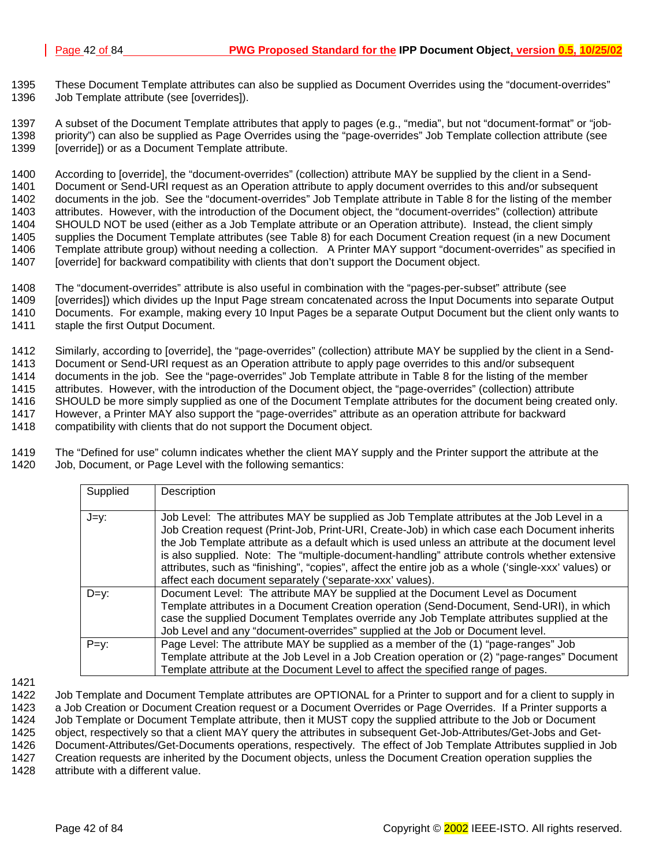1395 These Document Template attributes can also be supplied as Document Overrides using the "document-overrides" 1396 Job Template attribute (see [overrides]).

1397 A subset of the Document Template attributes that apply to pages (e.g., "media", but not "document-format" or "job-1398 priority") can also be supplied as Page Overrides using the "page-overrides" Job Template collection attribute (see 1399 [override]) or as a Document Template attribute.

1400 According to [override], the "document-overrides" (collection) attribute MAY be supplied by the client in a Send-<br>1401 Document or Send-URI request as an Operation attribute to apply document overrides to this and/or Document or Send-URI request as an Operation attribute to apply document overrides to this and/or subsequent 1402 documents in the job. See the "document-overrides" Job Template attribute in [Table 8](#page-42-0) for the listing of the member 1403 attributes. However, with the introduction of the Document object, the "document-overrides" (collection) attribute 1404 SHOULD NOT be used (either as a Job Template attribute or an Operation attribute). Instead, the client simply 1405 supplies the Document Template attributes (see T[able 8\)](#page-42-0) for each Document Creation request (in a new Document 1406 Template attribute group) without needing a collection. A Printer MAY support "document-overrides" as specified in 1407 [override] for backward compatibility with clients that don't support the Document object.

1408 The "document-overrides" attribute is also useful in combination with the "pages-per-subset" attribute (see 1409 [overrides]) which divides up the Input Page stream concatenated across the Input Documents into separate Output 1410 Documents. For example, making every 10 Input Pages be a separate Output Document but the client only wants to 1411 staple the first Output Document.

1412 Similarly, according to [override], the "page-overrides" (collection) attribute MAY be supplied by the client in a Send-1413 Document or Send-URI request as an Operation attribute to apply page overrides to this and/or subsequent 1414 documents in the job. See the "page-overrides" Job Template attribute in [Table 8](#page-42-0) for the listing of the member 1415 attributes. However, with the introduction of the Document object, the "page-overrides" (collection) attribute 1416 SHOULD be more simply supplied as one of the Document Template attributes for the document being created only. 1417 However, a Printer MAY also support the "page-overrides" attribute as an operation attribute for backward 1418 compatibility with clients that do not support the Document object.

1419 The "Defined for use" column indicates whether the client MAY supply and the Printer support the attribute at the 1420 Job, Document, or Page Level with the following semantics:

| Supplied | Description                                                                                                                                                                                                                                                                                                                                                                                                                                                                                                                                                        |
|----------|--------------------------------------------------------------------------------------------------------------------------------------------------------------------------------------------------------------------------------------------------------------------------------------------------------------------------------------------------------------------------------------------------------------------------------------------------------------------------------------------------------------------------------------------------------------------|
| J=y:     | Job Level: The attributes MAY be supplied as Job Template attributes at the Job Level in a<br>Job Creation request (Print-Job, Print-URI, Create-Job) in which case each Document inherits<br>the Job Template attribute as a default which is used unless an attribute at the document level<br>is also supplied. Note: The "multiple-document-handling" attribute controls whether extensive<br>attributes, such as "finishing", "copies", affect the entire job as a whole ('single-xxx' values) or<br>affect each document separately ('separate-xxx' values). |
| $D=y$ :  | Document Level: The attribute MAY be supplied at the Document Level as Document<br>Template attributes in a Document Creation operation (Send-Document, Send-URI), in which<br>case the supplied Document Templates override any Job Template attributes supplied at the<br>Job Level and any "document-overrides" supplied at the Job or Document level.                                                                                                                                                                                                          |
| $P=y$ :  | Page Level: The attribute MAY be supplied as a member of the (1) "page-ranges" Job<br>Template attribute at the Job Level in a Job Creation operation or (2) "page-ranges" Document<br>Template attribute at the Document Level to affect the specified range of pages.                                                                                                                                                                                                                                                                                            |

1421

1422 Job Template and Document Template attributes are OPTIONAL for a Printer to support and for a client to supply in 1423 a Job Creation or Document Creation request or a Document Overrides or Page Overrides. If a Printer supports a

1424 Job Template or Document Template attribute, then it MUST copy the supplied attribute to the Job or Document

1425 object, respectively so that a client MAY query the attributes in subsequent Get-Job-Attributes/Get-Jobs and Get-

1426 Document-Attributes/Get-Documents operations, respectively. The effect of Job Template Attributes supplied in Job<br>1427 Creation requests are inherited by the Document objects, unless the Document Creation operation su

Creation requests are inherited by the Document objects, unless the Document Creation operation supplies the

1428 attribute with a different value.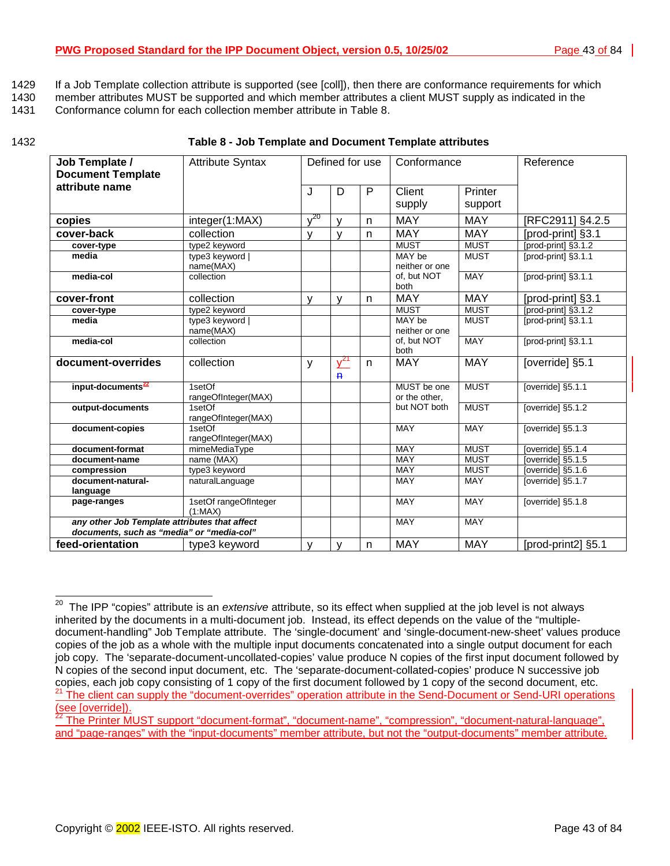- <span id="page-42-0"></span>1429 If a Job Template collection attribute is supported (see [coll]), then there are conformance requirements for which
- 1430 member attributes MUST be supported and which member attributes a client MUST supply as indicated in the
- 1431 Conformance column for each collection member attribute in Table 8.

| Job Template /<br><b>Document Template</b>                                                 | <b>Attribute Syntax</b>          |              | Defined for use          |    | Conformance                  |             | Reference           |
|--------------------------------------------------------------------------------------------|----------------------------------|--------------|--------------------------|----|------------------------------|-------------|---------------------|
| attribute name                                                                             |                                  | J            | D                        | P  | Client                       | Printer     |                     |
|                                                                                            |                                  |              |                          |    | supply                       | support     |                     |
| copies                                                                                     | integer(1:MAX)                   | $v^{20}$     | $\mathsf{V}$             | n. | <b>MAY</b>                   | <b>MAY</b>  | [RFC2911] §4.2.5    |
| cover-back                                                                                 | collection                       | v            | v                        | n. | <b>MAY</b>                   | <b>MAY</b>  | [prod-print] §3.1   |
| cover-type                                                                                 | type2 keyword                    |              |                          |    | <b>MUST</b>                  | <b>MUST</b> | [prod-print] §3.1.2 |
| media                                                                                      | type3 keyword  <br>name(MAX)     |              |                          |    | MAY be<br>neither or one     | <b>MUST</b> | [prod-print] §3.1.1 |
| media-col                                                                                  | collection                       |              |                          |    | of. but NOT<br>both          | MAY         | [prod-print] §3.1.1 |
| cover-front                                                                                | collection                       | $\mathsf{V}$ | v                        | n  | <b>MAY</b>                   | <b>MAY</b>  | [prod-print] §3.1   |
| cover-type                                                                                 | type2 keyword                    |              |                          |    | <b>MUST</b>                  | <b>MUST</b> | [prod-print] §3.1.2 |
| media                                                                                      | type3 keyword  <br>name(MAX)     |              |                          |    | MAY be<br>neither or one     | <b>MUST</b> | [prod-print] §3.1.1 |
| media-col                                                                                  | collection                       |              |                          |    | of, but NOT<br>both          | <b>MAY</b>  | [prod-print] §3.1.1 |
| document-overrides                                                                         | collection                       | y            | $y^{21}$<br>$\mathbf{P}$ | n. | <b>MAY</b>                   | <b>MAY</b>  | [override] §5.1     |
| input-documents <sup>22</sup>                                                              | 1setOf<br>rangeOfInteger(MAX)    |              |                          |    | MUST be one<br>or the other, | <b>MUST</b> | [override] §5.1.1   |
| output-documents                                                                           | 1setOf<br>rangeOfInteger(MAX)    |              |                          |    | but NOT both                 | <b>MUST</b> | [override] §5.1.2   |
| document-copies                                                                            | 1setOf<br>rangeOfInteger(MAX)    |              |                          |    | <b>MAY</b>                   | <b>MAY</b>  | [override] §5.1.3   |
| document-format                                                                            | mimeMediaType                    |              |                          |    | <b>MAY</b>                   | <b>MUST</b> | [override] §5.1.4   |
| document-name                                                                              | name (MAX)                       |              |                          |    | MAY                          | <b>MUST</b> | [override] §5.1.5   |
| compression                                                                                | type3 keyword                    |              |                          |    | MAY                          | <b>MUST</b> | [override] §5.1.6   |
| document-natural-<br>language                                                              | naturalLanguage                  |              |                          |    | MAY                          | <b>MAY</b>  | [override] §5.1.7   |
| page-ranges                                                                                | 1setOf rangeOfInteger<br>(1:MAX) |              |                          |    | <b>MAY</b>                   | MAY         | [override] §5.1.8   |
| any other Job Template attributes that affect<br>documents, such as "media" or "media-col" |                                  |              |                          |    | <b>MAY</b>                   | <b>MAY</b>  |                     |
| feed-orientation                                                                           | type3 keyword                    | v            | v                        | n  | <b>MAY</b>                   | <b>MAY</b>  | [prod-print2] §5.1  |

#### 1432 **Table 8 - Job Template and Document Template attributes**

l

<sup>20</sup> The IPP "copies" attribute is an *extensive* attribute, so its effect when supplied at the job level is not always inherited by the documents in a multi-document job. Instead, its effect depends on the value of the "multipledocument-handling" Job Template attribute. The 'single-document' and 'single-document-new-sheet' values produce copies of the job as a whole with the multiple input documents concatenated into a single output document for each job copy. The 'separate-document-uncollated-copies' value produce N copies of the first input document followed by N copies of the second input document, etc. The 'separate-document-collated-copies' produce N successive job copies, each job copy consisting of 1 copy of the first document followed by 1 copy of the second document, etc. <sup>21</sup> The client can supply the "document-overrides" operation attribute in the Send-Document or Send-URI operations (see [override]).

<sup>22</sup> The Printer MUST support "document-format", "document-name", "compression", "document-natural-language", and "page-ranges" with the "input-documents" member attribute, but not the "output-documents" member attribute.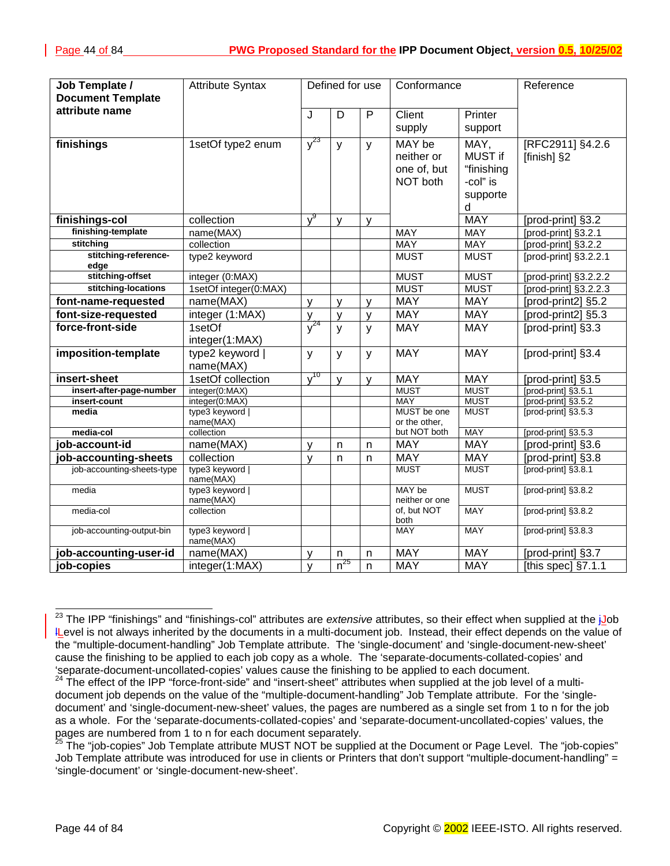| Job Template /<br><b>Document Template</b> | <b>Attribute Syntax</b>      |              | Defined for use |              | Conformance                  |                          | Reference                                          |
|--------------------------------------------|------------------------------|--------------|-----------------|--------------|------------------------------|--------------------------|----------------------------------------------------|
| attribute name                             |                              |              |                 |              |                              |                          |                                                    |
|                                            |                              | J            | D               | $\mathsf{P}$ | Client                       | Printer                  |                                                    |
|                                            |                              |              |                 |              | supply                       | support                  |                                                    |
| finishings                                 | 1setOf type2 enum            | $y^{23}$     | y               | y            | MAY be<br>neither or         | MAY,<br>MUST if          | [RFC2911] §4.2.6                                   |
|                                            |                              |              |                 |              | one of, but                  | "finishing               | [finish] §2                                        |
|                                            |                              |              |                 |              | NOT both                     | -col" is                 |                                                    |
|                                            |                              |              |                 |              |                              |                          |                                                    |
|                                            |                              |              |                 |              |                              | supporte                 |                                                    |
|                                            |                              | $v^9$        |                 |              |                              | d<br><b>MAY</b>          |                                                    |
| finishings-col<br>finishing-template       | collection                   |              | $\mathsf{V}$    | y            |                              |                          | [prod-print] §3.2                                  |
| stitching                                  | name(MAX)<br>collection      |              |                 |              | <b>MAY</b><br><b>MAY</b>     | <b>MAY</b><br><b>MAY</b> | [prod-print] §3.2.1                                |
| stitching-reference-                       | type2 keyword                |              |                 |              | <b>MUST</b>                  | <b>MUST</b>              | [prod-print] §3.2.2<br>[ $prod-$ print] $§3.2.2.1$ |
| edge                                       |                              |              |                 |              |                              |                          |                                                    |
| stitching-offset                           | integer (0:MAX)              |              |                 |              | <b>MUST</b>                  | <b>MUST</b>              | [prod-print] §3.2.2.2                              |
| stitching-locations                        | 1setOf integer(0:MAX)        |              |                 |              | <b>MUST</b>                  | <b>MUST</b>              | [prod-print] §3.2.2.3                              |
| font-name-requested                        | name(MAX)                    | V            | $\mathsf{V}$    | V            | <b>MAY</b>                   | <b>MAY</b>               | [prod-print2] §5.2                                 |
| font-size-requested                        | integer (1:MAX)              | y            | $\mathsf{V}$    | $\mathsf{V}$ | <b>MAY</b>                   | <b>MAY</b>               | [prod-print2] §5.3                                 |
| force-front-side                           | 1setOf                       | $\sqrt{24}$  | $\mathbf{y}$    | $\mathsf{y}$ | <b>MAY</b>                   | <b>MAY</b>               | [prod-print] §3.3                                  |
|                                            | integer(1:MAX)               |              |                 |              |                              |                          |                                                    |
| imposition-template                        | type2 keyword                | y            | y               | y            | <b>MAY</b>                   | <b>MAY</b>               | [prod-print] §3.4                                  |
|                                            | name(MAX)                    |              |                 |              |                              |                          |                                                    |
| insert-sheet                               | 1setOf collection            | $v^{10}$     | $\mathsf{V}$    | y            | <b>MAY</b>                   | <b>MAY</b>               | [prod-print] §3.5                                  |
| insert-after-page-number                   | integer(0:MAX)               |              |                 |              | <b>MUST</b>                  | <b>MUST</b>              | [prod-print] §3.5.1                                |
| insert-count                               | integer(0:MAX)               |              |                 |              | <b>MAY</b>                   | <b>MUST</b>              | [prod-print] §3.5.2                                |
| media                                      | type3 keyword  <br>name(MAX) |              |                 |              | MUST be one<br>or the other, | <b>MUST</b>              | [prod-print] §3.5.3                                |
| media-col                                  | collection                   |              |                 |              | but NOT both                 | <b>MAY</b>               | [prod-print] §3.5.3                                |
| job-account-id                             | name(MAX)                    | v            | n               | n            | <b>MAY</b>                   | <b>MAY</b>               | [prod-print] §3.6                                  |
| job-accounting-sheets                      | collection                   | $\mathsf{V}$ | n               | n            | <b>MAY</b>                   | <b>MAY</b>               | [prod-print] §3.8                                  |
| job-accounting-sheets-type                 | type3 keyword                |              |                 |              | <b>MUST</b>                  | <b>MUST</b>              | [prod-print] §3.8.1                                |
|                                            | name(MAX)                    |              |                 |              |                              |                          |                                                    |
| media                                      | type3 keyword  <br>name(MAX) |              |                 |              | MAY be<br>neither or one     | <b>MUST</b>              | [prod-print] §3.8.2                                |
| media-col                                  | collection                   |              |                 |              | of, but NOT<br>both          | <b>MAY</b>               | [prod-print] §3.8.2                                |
| job-accounting-output-bin                  | type3 keyword  <br>name(MAX) |              |                 |              | <b>MAY</b>                   | <b>MAY</b>               | [prod-print] §3.8.3                                |
| job-accounting-user-id                     | name(MAX)                    | $\mathsf{v}$ | n               | $\mathsf{n}$ | <b>MAY</b>                   | <b>MAY</b>               | [prod-print] §3.7                                  |
| job-copies                                 | integer(1:MAX)               | $\mathsf{v}$ | $n^{25}$        | $\mathsf{n}$ | <b>MAY</b>                   | <b>MAY</b>               | [this spec] $§7.1.1$                               |

 $\overline{\phantom{a}}$ <sup>23</sup> The IPP "finishings" and "finishings-col" attributes are *extensive* attributes, so their effect when supplied at the i<u>J</u>ob lLevel is not always inherited by the documents in a multi-document job. Instead, their effect depends on the value of the "multiple-document-handling" Job Template attribute. The 'single-document' and 'single-document-new-sheet' cause the finishing to be applied to each job copy as a whole. The 'separate-documents-collated-copies' and 'separate-document-uncollated-copies' values cause the finishing to be applied to each document.

<sup>24</sup> The effect of the IPP "force-front-side" and "insert-sheet" attributes when supplied at the job level of a multidocument job depends on the value of the "multiple-document-handling" Job Template attribute. For the 'singledocument' and 'single-document-new-sheet' values, the pages are numbered as a single set from 1 to n for the job as a whole. For the 'separate-documents-collated-copies' and 'separate-document-uncollated-copies' values, the pages are numbered from 1 to n for each document separately.

<sup>&</sup>lt;sup>25</sup> The "job-copies" Job Template attribute MUST NOT be supplied at the Document or Page Level. The "job-copies" Job Template attribute was introduced for use in clients or Printers that don't support "multiple-document-handling" = 'single-document' or 'single-document-new-sheet'.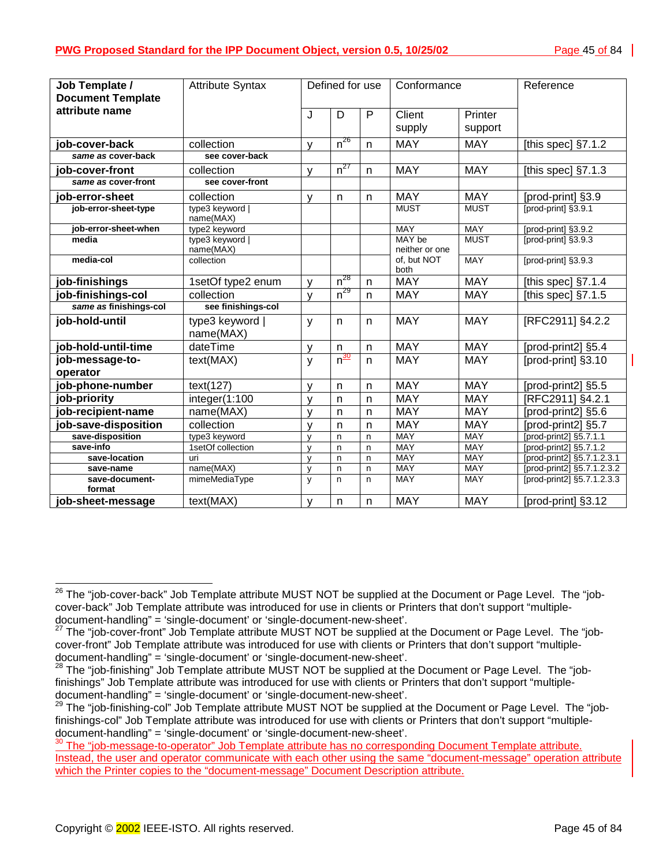| Job Template /           | <b>Attribute Syntax</b>      | Defined for use |                              | Conformance  |                               | Reference   |                            |
|--------------------------|------------------------------|-----------------|------------------------------|--------------|-------------------------------|-------------|----------------------------|
| <b>Document Template</b> |                              |                 |                              |              |                               |             |                            |
| attribute name           |                              | J               | D                            | $\mathsf{P}$ | Client                        | Printer     |                            |
|                          |                              |                 |                              |              | supply                        | support     |                            |
|                          |                              |                 |                              |              |                               |             |                            |
| job-cover-back           | collection                   | V               | $n^{26}$                     | $\mathsf{n}$ | <b>MAY</b>                    | <b>MAY</b>  | [this spec] $\S7.1.2$      |
| same as cover-back       | see cover-back               |                 |                              |              |                               |             |                            |
| job-cover-front          | collection                   | V               | $n^{27}$                     | n            | <b>MAY</b>                    | <b>MAY</b>  | [this spec] $\S7.1.3$      |
| same as cover-front      | see cover-front              |                 |                              |              |                               |             |                            |
| job-error-sheet          | collection                   | $\mathsf{V}$    | n                            | $\mathsf{n}$ | <b>MAY</b>                    | <b>MAY</b>  | [prod-print] §3.9          |
| job-error-sheet-type     | type3 keyword  <br>name(MAX) |                 |                              |              | <b>MUST</b>                   | <b>MUST</b> | fprod-print1 §3.9.1        |
| job-error-sheet-when     | type2 keyword                |                 |                              |              | <b>MAY</b>                    | <b>MAY</b>  | [prod-print] §3.9.2        |
| media                    | type3 keyword                |                 |                              |              | MAY be                        | <b>MUST</b> | [prod-print] §3.9.3        |
| media-col                | name(MAX)<br>collection      |                 |                              |              | neither or one<br>of, but NOT | <b>MAY</b>  | [prod-print] §3.9.3        |
|                          |                              |                 |                              |              | both                          |             |                            |
| job-finishings           | 1setOf type2 enum            | v               | $\overline{\mathsf{n}}^{28}$ | n            | <b>MAY</b>                    | <b>MAY</b>  | [this spec] $\S7.1.4$      |
| job-finishings-col       | collection                   | $\mathsf{V}$    | $n^{29}$                     | $\mathsf{n}$ | <b>MAY</b>                    | <b>MAY</b>  | [this spec] $\S7.1.5$      |
| same as finishings-col   | see finishings-col           |                 |                              |              |                               |             |                            |
| job-hold-until           | type3 keyword                | y               | $\mathsf{n}$                 | $\mathsf{n}$ | <b>MAY</b>                    | <b>MAY</b>  | [RFC2911] §4.2.2           |
|                          | name(MAX)                    |                 |                              |              |                               |             |                            |
| job-hold-until-time      | dateTime                     | v               | $\mathsf{n}$                 | n            | <b>MAY</b>                    | <b>MAY</b>  | [prod-print2] §5.4         |
| job-message-to-          | text(MAX)                    | y               | $n^{\frac{30}{20}}$          | n            | <b>MAY</b>                    | <b>MAY</b>  | [prod-print] §3.10         |
| operator                 |                              |                 |                              |              |                               |             |                            |
| job-phone-number         | text(127)                    | v               | n                            | n            | <b>MAY</b>                    | <b>MAY</b>  | [prod-print2] §5.5         |
| job-priority             | integer(1:100                | $\mathsf{V}$    | $\mathsf{n}$                 | n            | <b>MAY</b>                    | <b>MAY</b>  | [RFC2911] §4.2.1           |
| job-recipient-name       | name(MAX)                    | $\mathsf{v}$    | $\mathsf{n}$                 | n            | <b>MAY</b>                    | <b>MAY</b>  | [prod-print2] §5.6         |
| job-save-disposition     | collection                   | v               | $\mathsf{n}$                 | n            | <b>MAY</b>                    | <b>MAY</b>  | [prod-print2] §5.7         |
| save-disposition         | type3 keyword                | $\vee$          | n                            | n            | MAY                           | MAY         | [prod-print2] §5.7.1.1     |
| save-info                | 1setOf collection            | $\mathsf{V}$    | $\mathsf{n}$                 | n            | <b>MAY</b>                    | <b>MAY</b>  | [prod-print2] §5.7.1.2     |
| save-location            | uri                          | $\mathsf{V}$    | $\mathsf{n}$                 | $\mathsf{n}$ | <b>MAY</b>                    | <b>MAY</b>  | [prod-print2] §5.7.1.2.3.1 |
| save-name                | name(MAX)                    | $\mathsf{v}$    | n                            | n            | <b>MAY</b>                    | <b>MAY</b>  | [prod-print2] §5.7.1.2.3.2 |
| save-document-<br>format | mimeMediaType                | y               | n                            | n            | MAY                           | <b>MAY</b>  | [prod-print2] §5.7.1.2.3.3 |
| job-sheet-message        | text(MAX)                    | $\mathsf{v}$    | $\sf n$                      | n            | <b>MAY</b>                    | <b>MAY</b>  | [prod-print] §3.12         |

 $\overline{\phantom{a}}$ 

 $^{26}$  The "job-cover-back" Job Template attribute MUST NOT be supplied at the Document or Page Level. The "jobcover-back" Job Template attribute was introduced for use in clients or Printers that don't support "multipledocument-handling" = 'single-document' or 'single-document-new-sheet'.

<sup>&</sup>lt;sup>27</sup> The "iob-cover-front" Job Template attribute MUST NOT be supplied at the Document or Page Level. The "jobcover-front" Job Template attribute was introduced for use with clients or Printers that don't support "multipledocument-handling" = 'single-document' or 'single-document-new-sheet'.

<sup>&</sup>lt;sup>28</sup> The "job-finishing" Job Template attribute MUST NOT be supplied at the Document or Page Level. The "jobfinishings" Job Template attribute was introduced for use with clients or Printers that don't support "multipledocument-handling" = 'single-document' or 'single-document-new-sheet'.

<sup>&</sup>lt;sup>29</sup> The "job-finishing-col" Job Template attribute MUST NOT be supplied at the Document or Page Level. The "jobfinishings-col" Job Template attribute was introduced for use with clients or Printers that don't support "multipledocument-handling" = 'single-document' or 'single-document-new-sheet'.

<sup>&</sup>lt;sup>30</sup> The "job-message-to-operator" Job Template attribute has no corresponding Document Template attribute. Instead, the user and operator communicate with each other using the same "document-message" operation attribute which the Printer copies to the "document-message" Document Description attribute.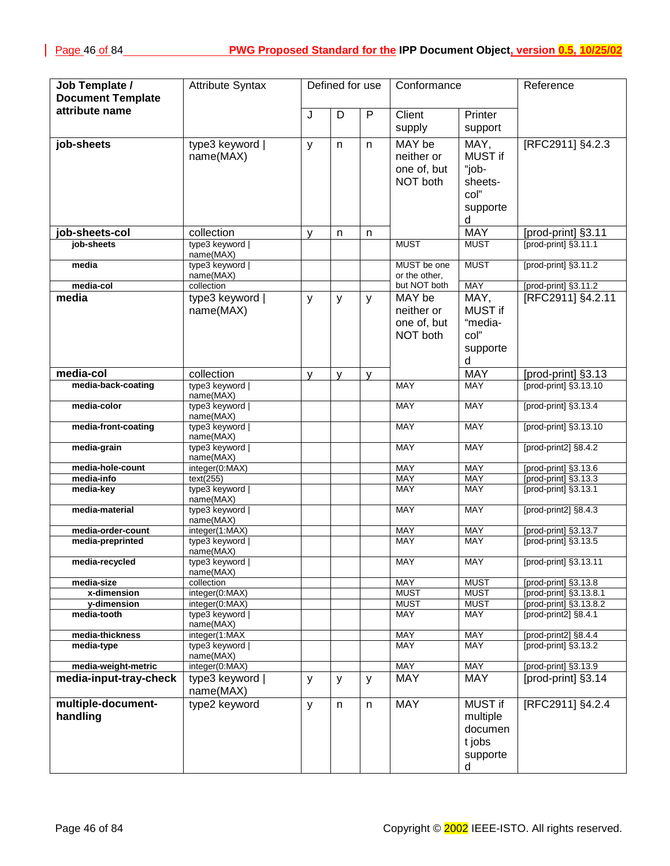| Job Template /                             | <b>Attribute Syntax</b>         |   | Defined for use |              | Conformance               |                    | Reference                                      |
|--------------------------------------------|---------------------------------|---|-----------------|--------------|---------------------------|--------------------|------------------------------------------------|
| <b>Document Template</b><br>attribute name |                                 |   |                 |              |                           |                    |                                                |
|                                            |                                 | J | D               | $\mathsf{P}$ | Client                    | Printer            |                                                |
|                                            |                                 |   |                 |              | supply                    | support            |                                                |
| job-sheets                                 | type3 keyword                   | y | n               | n            | MAY be                    | MAY,               | [RFC2911] §4.2.3                               |
|                                            | name(MAX)                       |   |                 |              | neither or                | MUST if            |                                                |
|                                            |                                 |   |                 |              | one of, but               | "job-              |                                                |
|                                            |                                 |   |                 |              | NOT both                  | sheets-            |                                                |
|                                            |                                 |   |                 |              |                           | col"               |                                                |
|                                            |                                 |   |                 |              |                           | supporte           |                                                |
|                                            |                                 |   |                 |              |                           | d                  |                                                |
| job-sheets-col                             | collection                      | y | n               | n            |                           | <b>MAY</b>         | [prod-print] §3.11                             |
| job-sheets                                 | type3 keyword                   |   |                 |              | <b>MUST</b>               | <b>MUST</b>        | [prod-print] §3.11.1                           |
| media                                      | name(MAX)<br>type3 keyword      |   |                 |              | MUST be one               | <b>MUST</b>        | [prod-print] §3.11.2                           |
|                                            | name(MAX)                       |   |                 |              | or the other,             |                    |                                                |
| media-col                                  | collection                      |   |                 |              | but NOT both              | <b>MAY</b>         | [prod-print] §3.11.2                           |
| media                                      | type3 keyword                   | y | У               | y            | MAY be                    | MAY,               | [RFC2911] §4.2.11                              |
|                                            | name(MAX)                       |   |                 |              | neither or                | MUST if            |                                                |
|                                            |                                 |   |                 |              | one of, but               | "media-            |                                                |
|                                            |                                 |   |                 |              | NOT both                  | col"               |                                                |
|                                            |                                 |   |                 |              |                           | supporte           |                                                |
| media-col                                  | collection                      |   |                 |              |                           | d<br><b>MAY</b>    |                                                |
| media-back-coating                         | type3 keyword                   | y | v               | y            | <b>MAY</b>                | <b>MAY</b>         | [prod-print] §3.13<br>$[prod-print]$ §3.13.10  |
|                                            | name(MAX)                       |   |                 |              |                           |                    |                                                |
| media-color                                | type3 keyword                   |   |                 |              | <b>MAY</b>                | <b>MAY</b>         | [prod-print] §3.13.4                           |
| media-front-coating                        | name(MAX)<br>type3 keyword      |   |                 |              | <b>MAY</b>                | <b>MAY</b>         | [prod-print] §3.13.10                          |
|                                            | name(MAX)                       |   |                 |              |                           |                    |                                                |
| media-grain                                | type3 keyword                   |   |                 |              | <b>MAY</b>                | <b>MAY</b>         | [prod-print2] §8.4.2                           |
| media-hole-count                           | name(MAX)<br>integer(0:MAX)     |   |                 |              | <b>MAY</b>                | <b>MAY</b>         | [prod-print] §3.13.6                           |
| media-info                                 | text(255)                       |   |                 |              | <b>MAY</b>                | MAY                | [prod-print] §3.13.3                           |
| media-key                                  | type3 keyword                   |   |                 |              | <b>MAY</b>                | <b>MAY</b>         | [prod-print] §3.13.1                           |
| media-material                             | name(MAX)<br>type3 keyword      |   |                 |              | <b>MAY</b>                | <b>MAY</b>         |                                                |
|                                            | name(MAX)                       |   |                 |              |                           |                    | [prod-print2] §8.4.3                           |
| media-order-count                          | integer(1:MAX)                  |   |                 |              | MAY                       | <b>MAY</b>         | [prod-print] §3.13.7                           |
| media-preprinted                           | type3 keyword                   |   |                 |              | MAY                       | MAY                | [prod-print] §3.13.5                           |
| media-recycled                             | name(MAX)<br>type3 keyword      |   |                 |              | <b>MAY</b>                | <b>MAY</b>         | [prod-print] §3.13.11                          |
|                                            | name(MAX)                       |   |                 |              |                           |                    |                                                |
| media-size                                 | collection                      |   |                 |              | <b>MAY</b>                | <b>MUST</b>        | [prod-print] §3.13.8                           |
| x-dimension                                | integer(0:MAX)                  |   |                 |              | <b>MUST</b>               | <b>MUST</b>        | [prod-print] §3.13.8.1                         |
| y-dimension<br>media-tooth                 | integer(0:MAX)<br>type3 keyword |   |                 |              | <b>MUST</b><br><b>MAY</b> | <b>MUST</b><br>MAY | [prod-print] §3.13.8.2<br>[prod-print2] §8.4.1 |
|                                            | name(MAX)                       |   |                 |              |                           |                    |                                                |
| media-thickness                            | integer(1:MAX                   |   |                 |              | <b>MAY</b>                | MAY                | [prod-print2] §8.4.4                           |
| media-type                                 | type3 keyword  <br>name(MAX)    |   |                 |              | <b>MAY</b>                | <b>MAY</b>         | [prod-print] §3.13.2                           |
| media-weight-metric                        | integer(0:MAX)                  |   |                 |              | <b>MAY</b>                | <b>MAY</b>         | [prod-print] §3.13.9                           |
| media-input-tray-check                     | type3 keyword                   | y | y               | y            | <b>MAY</b>                | <b>MAY</b>         | [prod-print] §3.14                             |
|                                            | name(MAX)                       |   |                 |              |                           |                    |                                                |
| multiple-document-                         | type2 keyword                   | y | n               | n            | <b>MAY</b>                | <b>MUST if</b>     | [RFC2911] §4.2.4                               |
| handling                                   |                                 |   |                 |              |                           | multiple           |                                                |
|                                            |                                 |   |                 |              |                           | documen            |                                                |
|                                            |                                 |   |                 |              |                           | t jobs             |                                                |
|                                            |                                 |   |                 |              |                           | supporte           |                                                |
|                                            |                                 |   |                 |              |                           | d                  |                                                |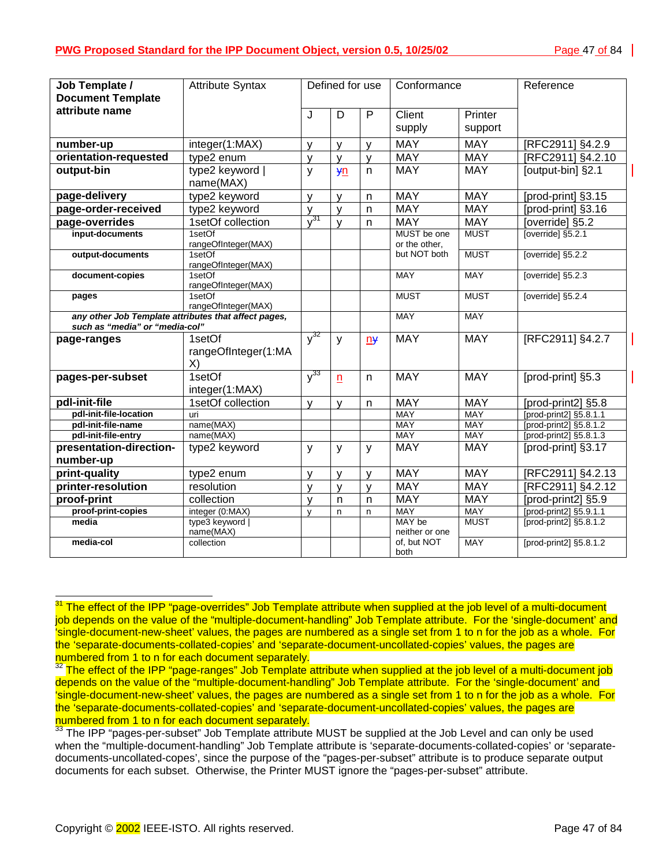| Job Template /<br><b>Document Template</b>                                             | <b>Attribute Syntax</b>             | Defined for use |                         | Conformance    |                              | Reference          |                        |
|----------------------------------------------------------------------------------------|-------------------------------------|-----------------|-------------------------|----------------|------------------------------|--------------------|------------------------|
| attribute name                                                                         |                                     | J               | D                       | $\overline{P}$ | Client<br>supply             | Printer<br>support |                        |
| number-up                                                                              | integer(1:MAX)                      | y               | ٧                       | y              | <b>MAY</b>                   | <b>MAY</b>         | [RFC2911] §4.2.9       |
| orientation-requested                                                                  | type2 enum                          | ٧               | v                       | v              | <b>MAY</b>                   | <b>MAY</b>         | [RFC2911] §4.2.10      |
| output-bin                                                                             | type2 keyword  <br>name(MAX)        | y               | yn                      | n              | <b>MAY</b>                   | <b>MAY</b>         | [output-bin] §2.1      |
| page-delivery                                                                          | type2 keyword                       | y               | v                       | n              | <b>MAY</b>                   | <b>MAY</b>         | [prod-print] §3.15     |
| page-order-received                                                                    | type2 keyword                       | y               | ٧                       | $\mathsf{n}$   | <b>MAY</b>                   | <b>MAY</b>         | [prod-print] §3.16     |
| page-overrides                                                                         | 1setOf collection                   | $y^{31}$        | y                       | n              | <b>MAY</b>                   | <b>MAY</b>         | [override] §5.2        |
| input-documents                                                                        | 1setOf<br>rangeOfInteger(MAX)       |                 |                         |                | MUST be one<br>or the other, | <b>MUST</b>        | [override] §5.2.1      |
| output-documents                                                                       | 1setOf<br>rangeOfInteger(MAX)       |                 |                         |                | but NOT both                 | <b>MUST</b>        | [override] §5.2.2      |
| document-copies                                                                        | 1setOf<br>rangeOfInteger(MAX)       |                 |                         |                | <b>MAY</b>                   | <b>MAY</b>         | [override] §5.2.3      |
| pages                                                                                  | 1setOf<br>rangeOfInteger(MAX)       |                 |                         |                | <b>MUST</b>                  | <b>MUST</b>        | [override] §5.2.4      |
| any other Job Template attributes that affect pages,<br>such as "media" or "media-col" |                                     |                 |                         |                | <b>MAY</b>                   | <b>MAY</b>         |                        |
| page-ranges                                                                            | 1setOf<br>rangeOfInteger(1:MA<br>X) | $v^{32}$        | y                       | $n +$          | <b>MAY</b>                   | <b>MAY</b>         | [RFC2911] §4.2.7       |
| pages-per-subset                                                                       | 1setOf<br>integer(1:MAX)            | $y^{33}$        | n                       | n              | <b>MAY</b>                   | <b>MAY</b>         | [prod-print] §5.3      |
| pdl-init-file                                                                          | 1setOf collection                   | v               | v                       | n              | <b>MAY</b>                   | <b>MAY</b>         | [prod-print2] §5.8     |
| pdl-init-file-location                                                                 | uri                                 |                 |                         |                | <b>MAY</b>                   | <b>MAY</b>         | [prod-print2] §5.8.1.1 |
| pdl-init-file-name                                                                     | name(MAX)                           |                 |                         |                | <b>MAY</b>                   | <b>MAY</b>         | [prod-print2] §5.8.1.2 |
| pdl-init-file-entry                                                                    | name(MAX)                           |                 |                         |                | <b>MAY</b>                   | MAY                | [prod-print2] §5.8.1.3 |
| presentation-direction-<br>number-up                                                   | type2 keyword                       | y               | y                       | y              | <b>MAY</b>                   | <b>MAY</b>         | [prod-print] §3.17     |
| print-quality                                                                          | type2 enum                          | y               | ٧                       | v              | <b>MAY</b>                   | <b>MAY</b>         | [RFC2911] §4.2.13      |
| printer-resolution                                                                     | resolution                          | $\mathsf{V}$    | y                       | $\mathsf{V}$   | <b>MAY</b>                   | <b>MAY</b>         | [RFC2911] §4.2.12      |
| proof-print                                                                            | collection                          | v               | $\overline{\mathsf{n}}$ | $\mathsf{n}$   | <b>MAY</b>                   | <b>MAY</b>         | [prod-print2] §5.9     |
| proof-print-copies                                                                     | integer (0:MAX)                     | $\mathsf{v}$    | n                       | n              | <b>MAY</b>                   | <b>MAY</b>         | [prod-print2] §5.9.1.1 |
| media                                                                                  | type3 keyword  <br>name(MAX)        |                 |                         |                | MAY be<br>neither or one     | <b>MUST</b>        | [prod-print2] §5.8.1.2 |
| media-col                                                                              | collection                          |                 |                         |                | of, but NOT<br>both          | <b>MAY</b>         | [prod-print2] §5.8.1.2 |

 $31$  The effect of the IPP "page-overrides" Job Template attribute when supplied at the job level of a multi-document job depends on the value of the "multiple-document-handling" Job Template attribute. For the 'single-document' and 'single-document-new-sheet' values, the pages are numbered as a single set from 1 to n for the job as a whole. For the 'separate-documents-collated-copies' and 'separate-document-uncollated-copies' values, the pages are numbered from 1 to n for each document separately.

l

<sup>&</sup>lt;sup>32</sup> The effect of the IPP "page-ranges" Job Template attribute when supplied at the job level of a multi-document job depends on the value of the "multiple-document-handling" Job Template attribute. For the 'single-document' and 'single-document-new-sheet' values, the pages are numbered as a single set from 1 to n for the job as a whole. For the 'separate-documents-collated-copies' and 'separate-document-uncollated-copies' values, the pages are numbered from 1 to n for each document separately.

<sup>&</sup>lt;sup>33</sup> The IPP "pages-per-subset" Job Template attribute MUST be supplied at the Job Level and can only be used when the "multiple-document-handling" Job Template attribute is 'separate-documents-collated-copies' or 'separatedocuments-uncollated-copes', since the purpose of the "pages-per-subset" attribute is to produce separate output documents for each subset. Otherwise, the Printer MUST ignore the "pages-per-subset" attribute.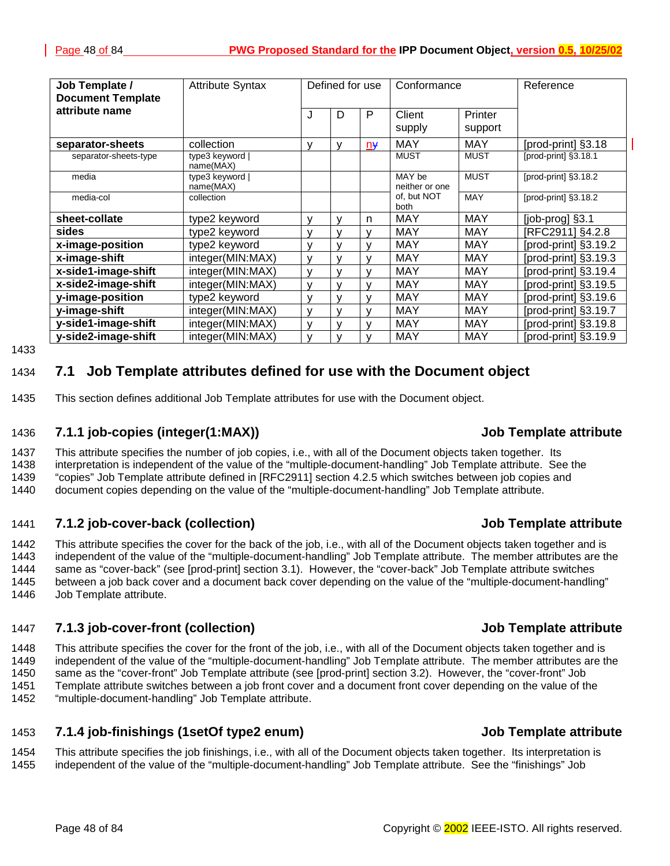<span id="page-47-0"></span>

| Job Template /<br><b>Document Template</b> | <b>Attribute Syntax</b>      |              | Defined for use |              | Conformance              |                    | Reference            |
|--------------------------------------------|------------------------------|--------------|-----------------|--------------|--------------------------|--------------------|----------------------|
| attribute name                             |                              | J            | D               | P            | Client<br>supply         | Printer<br>support |                      |
| separator-sheets                           | collection                   | v            | v               | $n\ddot{}$   | <b>MAY</b>               | <b>MAY</b>         | [prod-print] §3.18   |
| separator-sheets-type                      | type3 keyword  <br>name(MAX) |              |                 |              | <b>MUST</b>              | <b>MUST</b>        | [prod-print] §3.18.1 |
| media                                      | type3 keyword  <br>name(MAX) |              |                 |              | MAY be<br>neither or one | <b>MUST</b>        | [prod-print] §3.18.2 |
| media-col                                  | collection                   |              |                 |              | of, but NOT<br>both      | <b>MAY</b>         | [prod-print] §3.18.2 |
| sheet-collate                              | type2 keyword                | v            | v               | n            | <b>MAY</b>               | <b>MAY</b>         | [job-prog] §3.1      |
| sides                                      | type2 keyword                | v            | v               | v            | <b>MAY</b>               | <b>MAY</b>         | [RFC2911] §4.2.8     |
| x-image-position                           | type2 keyword                | v            | $\mathbf{v}$    | v            | <b>MAY</b>               | <b>MAY</b>         | [prod-print] §3.19.2 |
| x-image-shift                              | integer(MIN:MAX)             | $\mathbf{v}$ | $\mathbf{v}$    | $\mathsf{V}$ | <b>MAY</b>               | <b>MAY</b>         | [prod-print] §3.19.3 |
| x-side1-image-shift                        | integer(MIN:MAX)             | $\mathbf{v}$ | $\mathbf{v}$    |              | <b>MAY</b>               | <b>MAY</b>         | [prod-print] §3.19.4 |
| x-side2-image-shift                        | integer(MIN:MAX)             | $\mathbf{v}$ | $\mathbf{v}$    |              | MAY                      | MAY                | [prod-print] §3.19.5 |
| y-image-position                           | type2 keyword                | $\mathsf{v}$ | v               | v            | <b>MAY</b>               | <b>MAY</b>         | [prod-print] §3.19.6 |
| y-image-shift                              | integer(MIN:MAX)             | v            | v               | v            | <b>MAY</b>               | <b>MAY</b>         | [prod-print] §3.19.7 |
| y-side1-image-shift                        | integer(MIN:MAX)             | $\mathbf{v}$ | v               | v            | <b>MAY</b>               | <b>MAY</b>         | [prod-print] §3.19.8 |
| y-side2-image-shift                        | integer(MIN:MAX)             | v            | y               | ۷            | <b>MAY</b>               | <b>MAY</b>         | [prod-print] §3.19.9 |

1433

# 1434 **7.1 Job Template attributes defined for use with the Document object**

1435 This section defines additional Job Template attributes for use with the Document object.

### 1436 **7.1.1 job-copies (integer(1:MAX)) Job Template attribute**

1437 This attribute specifies the number of job copies, i.e., with all of the Document objects taken together. Its 1438 interpretation is independent of the value of the "multiple-document-handling" Job Template attribute. See the 1439 "copies" Job Template attribute defined in [RFC2911] section 4.2.5 which switches between job copies and

1440 document copies depending on the value of the "multiple-document-handling" Job Template attribute.

### 1441 **7.1.2 job-cover-back (collection) Job Template attribute**

1442 This attribute specifies the cover for the back of the job, i.e., with all of the Document objects taken together and is 1443 independent of the value of the "multiple-document-handling" Job Template attribute. The member attributes are the 1444 same as "cover-back" (see [prod-print] section 3.1). However, the "cover-back" Job Template attribute switches 1445 between a job back cover and a document back cover depending on the value of the "multiple-document-handling" 1446 Job Template attribute.

### 1447 **7.1.3 job-cover-front (collection) Job Template attribute**

1448 This attribute specifies the cover for the front of the job, i.e., with all of the Document objects taken together and is 1449 independent of the value of the "multiple-document-handling" Job Template attribute. The member attributes are the 1450 same as the "cover-front" Job Template attribute (see [prod-print] section 3.2). However, the "cover-front" Job 1451 Template attribute switches between a job front cover and a document front cover depending on the value of the 1452 "multiple-document-handling" Job Template attribute.

1454 This attribute specifies the job finishings, i.e., with all of the Document objects taken together. Its interpretation is 1455 independent of the value of the "multiple-document-handling" Job Template attribute. See the "finishings" Job

# 1453 **7.1.4 job-finishings (1setOf type2 enum) Job Template attribute**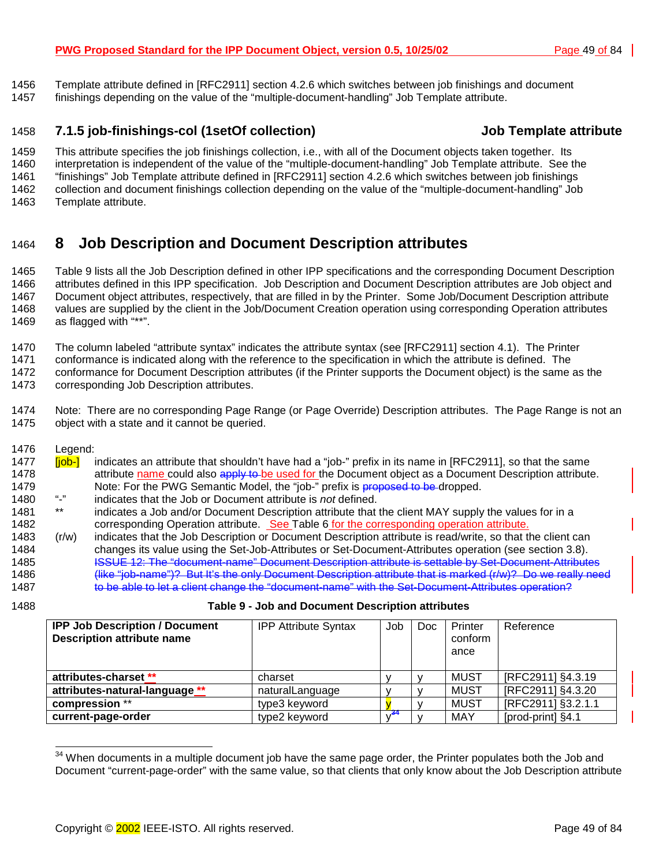#### <span id="page-48-0"></span>1456 Template attribute defined in [RFC2911] section 4.2.6 which switches between job finishings and document 1457 finishings depending on the value of the "multiple-document-handling" Job Template attribute.

### 1458 **7.1.5 job-finishings-col (1setOf collection) Job Template attribute**

1459 This attribute specifies the job finishings collection, i.e., with all of the Document objects taken together. Its 1460 interpretation is independent of the value of the "multiple-document-handling" Job Template attribute. See the 1461 "finishings" Job Template attribute defined in [RFC2911] section 4.2.6 which switches between job finishings 1462 collection and document finishings collection depending on the value of the "multiple-document-handling" Job 1463 Template attribute.

# 1464 **8 Job Description and Document Description attributes**

1465 Table 9 lists all the Job Description defined in other IPP specifications and the corresponding Document Description 1466 attributes defined in this IPP specification. Job Description and Document Description attributes are Job object and 1467 Document object attributes, respectively, that are filled in by the Printer. Some Job/Document Description attribute 1468 values are supplied by the client in the Job/Document Creation operation using corresponding Operation attributes 1469 as flagged with "\*\*".

1470 The column labeled "attribute syntax" indicates the attribute syntax (see [RFC2911] section 4.1). The Printer

1471 conformance is indicated along with the reference to the specification in which the attribute is defined. The

1472 conformance for Document Description attributes (if the Printer supports the Document object) is the same as the 1473 corresponding Job Description attributes.

1474 Note: There are no corresponding Page Range (or Page Override) Description attributes. The Page Range is not an 1475 object with a state and it cannot be queried.

1476 Legend:

- 1477 **[job-]** indicates an attribute that shouldn't have had a "job-" prefix in its name in [RFC2911], so that the same 1478 attribute name could also apply to be used for the Document object as a Document Description attribute. 1479 Note: For the PWG Semantic Model, the "job-" prefix is proposed to be dropped.<br>1480 "-" indicates that the Job or Document attribute is not defined
- 1480 "-" indicates that the Job or Document attribute is *not* defined.
- 1481 \*\* indicates a Job and/or Document Description attribute that the client MAY supply the values for in a 1482 corresponding Operation attribute. See T[able 6 f](#page-37-0)or the corresponding operation attribute.
- 1483 (r/w) indicates that the Job Description or Document Description attribute is read/write, so that the client can 1484 changes its value using the Set-Job-Attributes or Set-Document-Attributes operation (see section 3.[8\).](#page-25-0) 1485 **ISSUE 12: The "document-name" Document Description attribute is settable by Set-Document-Attributes** 1486 (like "job-name")? But It's the only Document Description attribute that is marked (r/w)? Do we really need 1487 to be able to let a client change the "document-name" with the Set-Document-Attributes operation?
- 

l

#### 1488 **Table 9 - Job and Document Description attributes**

| <b>IPP Job Description / Document</b><br><b>Description attribute name</b> | <b>IPP Attribute Syntax</b> | Job | Doc.         | Printer<br>conform<br>ance | Reference          |
|----------------------------------------------------------------------------|-----------------------------|-----|--------------|----------------------------|--------------------|
| attributes-charset **                                                      | charset                     |     | v            | <b>MUST</b>                | [RFC2911] §4.3.19  |
| attributes-natural-language **                                             | naturalLanguage             |     | $\mathbf{v}$ | <b>MUST</b>                | [RFC2911] §4.3.20  |
| compression **                                                             | type3 keyword               |     | v            | <b>MUST</b>                | [RFC2911] §3.2.1.1 |
| current-page-order                                                         | type2 keyword               |     |              | <b>MAY</b>                 | [prod-print] §4.1  |

 $34$  When documents in a multiple document job have the same page order, the Printer populates both the Job and Document "current-page-order" with the same value, so that clients that only know about the Job Description attribute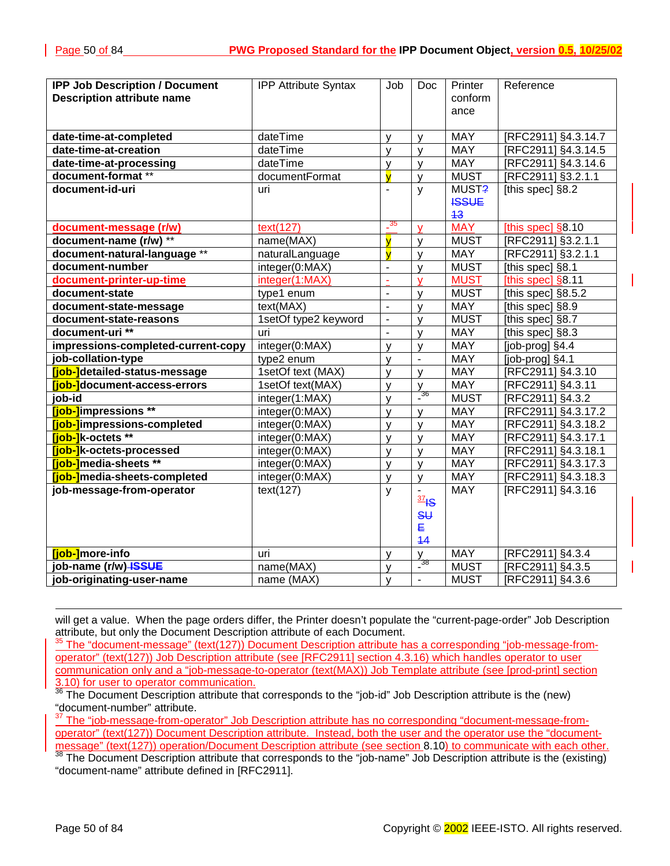| <b>IPP Job Description / Document</b> | <b>IPP Attribute Syntax</b> | Job                     | Doc.                              | Printer      | Reference           |
|---------------------------------------|-----------------------------|-------------------------|-----------------------------------|--------------|---------------------|
| <b>Description attribute name</b>     |                             |                         |                                   | conform      |                     |
|                                       |                             |                         |                                   | ance         |                     |
|                                       |                             |                         |                                   |              |                     |
| date-time-at-completed                | dateTime                    | y                       | $\mathsf{V}$                      | <b>MAY</b>   | [RFC2911] §4.3.14.7 |
| date-time-at-creation                 | dateTime                    | y                       | y                                 | <b>MAY</b>   | [RFC2911] §4.3.14.5 |
| date-time-at-processing               | dateTime                    | y                       | y                                 | <b>MAY</b>   | [RFC2911] §4.3.14.6 |
| document-format **                    | documentFormat              | y                       | y                                 | <b>MUST</b>  | [RFC2911] §3.2.1.1  |
| document-id-uri                       | uri                         | $\blacksquare$          | y                                 | MUST?        | [this spec] §8.2    |
|                                       |                             |                         |                                   | <b>ISSUE</b> |                     |
|                                       |                             |                         |                                   | 43           |                     |
| document-message (r/w)                | text(127)                   | $\frac{35}{2}$          | $\mathbf{V}$                      | <b>MAY</b>   | [this spec] $§8.10$ |
| document-name (r/w) **                | name(MAX)                   | $\overline{\mathsf{v}}$ | $\mathsf{y}$                      | <b>MUST</b>  | [RFC2911] §3.2.1.1  |
| document-natural-language **          | naturalLanguage             | $\overline{y}$          | $\mathsf{y}$                      | <b>MAY</b>   | [RFC2911] §3.2.1.1  |
| document-number                       | integer(0:MAX)              | $\overline{a}$          | $\mathsf{y}$                      | <b>MUST</b>  | [this spec] §8.1    |
| document-printer-up-time              | integer(1:MAX)              | ä,                      | $\overline{V}$                    | <b>MUST</b>  | [this spec] $§8.11$ |
| document-state                        | type1 enum                  | $\overline{a}$          | $\mathsf{V}$                      | <b>MUST</b>  | [this spec] §8.5.2  |
| document-state-message                | text(MAX)                   | $\blacksquare$          | $\mathsf{y}$                      | <b>MAY</b>   | [this spec] §8.9    |
| document-state-reasons                | 1setOf type2 keyword        | $\blacksquare$          | $\mathsf{y}$                      | <b>MUST</b>  | [this spec] §8.7    |
| document-uri **                       | uri                         | $\blacksquare$          | $\mathsf{y}$                      | <b>MAY</b>   | [this spec] §8.3    |
| impressions-completed-current-copy    | integer(0:MAX)              | $\mathsf{V}$            | y                                 | <b>MAY</b>   | [job-prog] §4.4     |
| job-collation-type                    | type2 enum                  | y                       | $\overline{\phantom{a}}$          | <b>MAY</b>   | [job-prog] §4.1     |
| [job-]detailed-status-message         | 1setOf text (MAX)           | y                       | $\mathsf{y}$                      | <b>MAY</b>   | [RFC2911] §4.3.10   |
| [job-]document-access-errors          | 1setOf text(MAX)            | y                       | $\frac{y}{2}$                     | <b>MAY</b>   | [RFC2911] §4.3.11   |
| job-id                                | integer(1:MAX)              | y                       |                                   | <b>MUST</b>  | RFC2911] §4.3.2     |
| [job-]impressions **                  | integer(0:MAX)              | y                       | y                                 | <b>MAY</b>   | [RFC2911] §4.3.17.2 |
| [job-]impressions-completed           | integer(0:MAX)              | y                       | $\mathsf{y}$                      | <b>MAY</b>   | [RFC2911] §4.3.18.2 |
| <b>Tiob-1</b> k-octets **             | integer(0:MAX)              | y                       | $\mathsf{y}$                      | <b>MAY</b>   | [RFC2911] §4.3.17.1 |
| [job-]k-octets-processed              | integer(0:MAX)              | $\mathsf{V}$            | $\mathsf{y}$                      | <b>MAY</b>   | [RFC2911] §4.3.18.1 |
| <b>[job-]</b> media-sheets **         | integer(0:MAX)              | y                       | $\mathbf{y}$                      | <b>MAY</b>   | [RFC2911] §4.3.17.3 |
| [job-]media-sheets-completed          | integer(0:MAX)              | y                       | $\mathsf{y}$                      | <b>MAY</b>   | [RFC2911] §4.3.18.3 |
| job-message-from-operator             | text(127)                   | У                       | $\blacksquare$                    | <b>MAY</b>   | [RFC2911] §4.3.16   |
|                                       |                             |                         | $\frac{37}{5}$                    |              |                     |
|                                       |                             |                         | $\overline{\mathsf{S}}\mathsf{U}$ |              |                     |
|                                       |                             |                         | E                                 |              |                     |
|                                       |                             |                         | 14                                |              |                     |
| [job-]more-info                       | uri                         | у                       | v                                 | <b>MAY</b>   | [RFC2911] §4.3.4    |
| job-name (r/w) ISSUE                  | name(MAX)                   | y                       | $\frac{1}{2}$ 38                  | <b>MUST</b>  | [RFC2911] §4.3.5    |
| job-originating-user-name             | name (MAX)                  | $\mathsf{V}$            |                                   | <b>MUST</b>  | [RFC2911] §4.3.6    |

will get a value. When the page orders differ, the Printer doesn't populate the "current-page-order" Job Description attribute, but only the Document Description attribute of each Document.

35 The "document-message" (text(127)) Document Description attribute has a corresponding "job-message-fromoperator" (text(127)) Job Description attribute (see [RFC2911] section 4.3.16) which handles operator to user communication only and a "job-message-to-operator (text(MAX)) Job Template attribute (see [prod-print] section 3.10) for user to operator communication.

<sup>36</sup> The Document Description attribute that corresponds to the "job-id" Job Description attribute is the (new) "document-number" attribute.

<sup>37</sup> The "job-message-from-operator" Job Description attribute has no corresponding "document-message-fromoperator" (text(127)) Document Description attribute. Instead, both the user and the operator use the "documentmessage" (text(127)) operation/Document Description attribute (see section 8.10) to communicate with each other.<br><sup>38</sup> The Document Description attribute that corresponds to the "job-name" Job Description attribute is the (

"document-name" attribute defined in [RFC2911].

l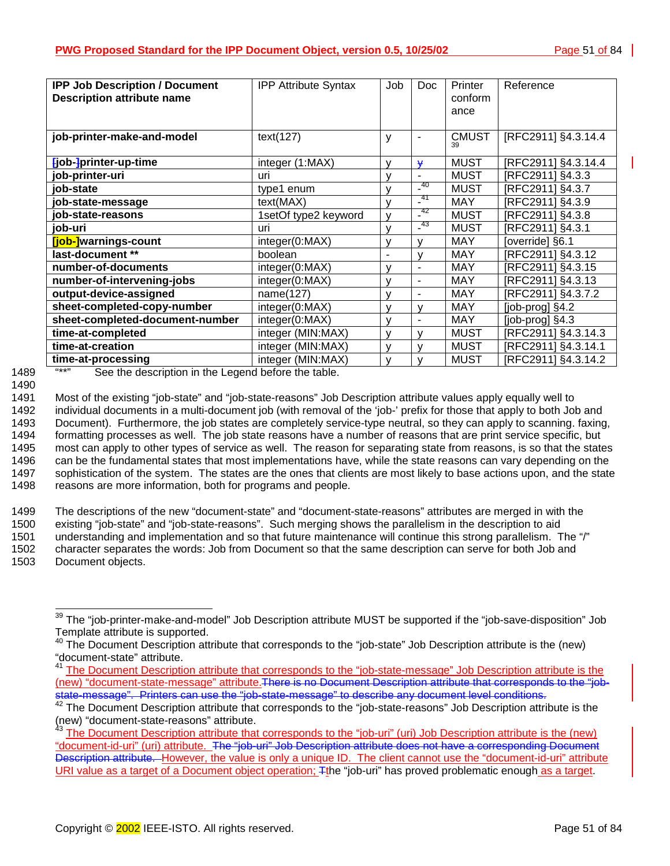| <b>IPP Job Description / Document</b><br><b>Description attribute name</b> | <b>IPP Attribute Syntax</b> | Job          | <b>Doc</b> | Printer<br>conform<br>ance | Reference             |
|----------------------------------------------------------------------------|-----------------------------|--------------|------------|----------------------------|-----------------------|
| job-printer-make-and-model                                                 | text(127)                   | y            | ۰          | <b>CMUST</b><br>39         | [RFC2911] §4.3.14.4   |
| [job-]printer-up-time                                                      | integer (1:MAX)             | v            | ¥          | <b>MUST</b>                | [RFC2911] §4.3.14.4   |
| job-printer-uri                                                            | uri                         | v            | ۰          | <b>MUST</b>                | [RFC2911] §4.3.3      |
| iob-state                                                                  | type1 enum                  | $\mathsf{V}$ | 40         | <b>MUST</b>                | [RFC2911] §4.3.7      |
| job-state-message                                                          | text(MAX)                   | $\mathsf{V}$ | -41        | <b>MAY</b>                 | [RFC2911] §4.3.9      |
| job-state-reasons                                                          | 1setOf type2 keyword        | v            | -42        | <b>MUST</b>                | [RFC2911] §4.3.8      |
| job-uri                                                                    | uri                         | $\mathsf{V}$ | $-^{43}$   | <b>MUST</b>                | [RFC2911] §4.3.1      |
| [job-]warnings-count                                                       | integer(0:MAX)              | v            |            | <b>MAY</b>                 | [override] §6.1       |
| last-document **                                                           | boolean                     | ٠            | ν          | <b>MAY</b>                 | [RFC2911] §4.3.12     |
| number-of-documents                                                        | integer(0:MAX)              | v            | ÷          | <b>MAY</b>                 | [RFC2911] §4.3.15     |
| number-of-intervening-jobs                                                 | integer(0:MAX)              | v            | -          | <b>MAY</b>                 | [RFC2911] §4.3.13     |
| output-device-assigned                                                     | name(127)                   | v            | ۰          | <b>MAY</b>                 | [RFC2911] §4.3.7.2    |
| sheet-completed-copy-number                                                | integer(0:MAX)              | v            | v          | <b>MAY</b>                 | [job-prog] §4.2       |
| sheet-completed-document-number                                            | integer(0:MAX)              | v            | ۰          | <b>MAY</b>                 | $[job$ -prog $]$ §4.3 |
| time-at-completed                                                          | integer (MIN:MAX)           | v            | ν          | <b>MUST</b>                | [RFC2911] §4.3.14.3   |
| time-at-creation                                                           | integer (MIN:MAX)           | $\mathsf{V}$ |            | <b>MUST</b>                | [RFC2911] §4.3.14.1   |
| time-at-processing                                                         | integer (MIN:MAX)           | v            |            | <b>MUST</b>                | [RFC2911] §4.3.14.2   |

<sup>1490</sup> 

1489 **"\*\*"** See the description in the Legend before the table.

1491 Most of the existing "job-state" and "job-state-reasons" Job Description attribute values apply equally well to 1492 individual documents in a multi-document job (with removal of the 'job-' prefix for those that apply to both Job and 1493 Document). Furthermore, the job states are completely service-type neutral, so they can apply to scanning. faxing, 1494 formatting processes as well. The job state reasons have a number of reasons that are print service specific, but 1495 most can apply to other types of service as well. The reason for separating state from reasons, is so that the states 1496 can be the fundamental states that most implementations have, while the state reasons can vary depending on the 1497 sophistication of the system. The states are the ones that clients are most likely to base actions upon, and the state 1498 reasons are more information, both for programs and people.

1499 The descriptions of the new "document-state" and "document-state-reasons" attributes are merged in with the 1500 existing "job-state" and "job-state-reasons". Such merging shows the parallelism in the description to aid 1501 understanding and implementation and so that future maintenance will continue this strong parallelism. The "/" 1502 character separates the words: Job from Document so that the same description can serve for both Job and 1503 Document objects.

 $\overline{a}$  $39$  The "job-printer-make-and-model" Job Description attribute MUST be supported if the "job-save-disposition" Job Template attribute is supported.

The Document Description attribute that corresponds to the "job-state" Job Description attribute is the (new) "document-state" attribute.

<sup>41</sup> The Document Description attribute that corresponds to the "job-state-message" Job Description attribute is the (new) "document-state-message" attribute. There is no Document Description attribute that corresponds to the "job-<br>state-message". Printers can use the "job-state-message" to describe any document level conditions.

 $42$  The Document Description attribute that corresponds to the "job-state-reasons" Job Description attribute is the (new) "document-state-reasons" attribute.

<sup>&</sup>lt;sup>43</sup> The Document Description attribute that corresponds to the "job-uri" (uri) Job Description attribute is the (new) "document-id-uri" (uri) attribute. The "job-uri" Job Description attribute does not have a corresponding Document Description attribute. However, the value is only a unique ID. The client cannot use the "document-id-uri" attribute URI value as a target of a Document object operation; Tthe "job-uri" has proved problematic enough as a target.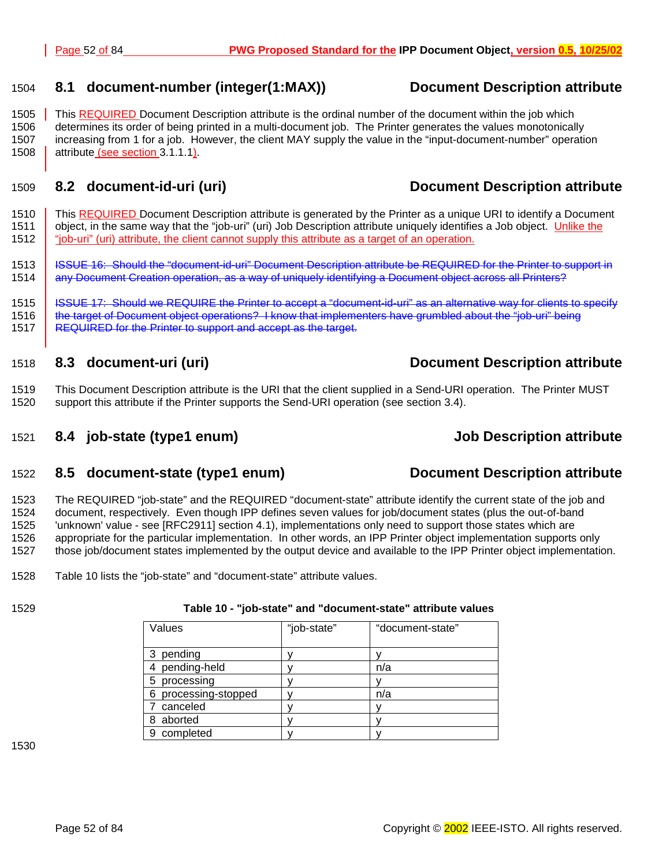#### <span id="page-51-0"></span>1504 **8.1 document-number (integer(1:MAX)) Document Description attribute**

1505 This REQUIRED Document Description attribute is the ordinal number of the document within the job which 1506 determines its order of being printed in a multi-document job. The Printer generates the values monotonically 1507 increasing from 1 for a job. However, the client MAY supply the value in the "input-document-number" operation 1508 attribute (see section [3.1.1.1\).](#page-13-0)

## 1509 **8.2 document-id-uri (uri) Document Description attribute**

1510 This REQUIRED Document Description attribute is generated by the Printer as a unique URI to identify a Document 1511 object, in the same way that the "job-uri" (uri) Job Description attribute uniquely identifies a Job object. Unlike the 1512 "job-uri" (uri) attribute, the client cannot supply this attribute as a target of an operation.

1513 | ISSUE 16: Should the "document-id-uri" Document Description attribute be REQUIRED for the Printer to support in 1514 any Document Creation operation, as a way of uniquely identifying a Document object across all Printers?

1515 ISSUE 17: Should we REQUIRE the Printer to accept a "document-id-uri" as an alternative way for clients to specify 1516 the target of Document object operations? I know that implementers have grumbled about the "job-uri" being 1517 **REQUIRED for the Printer to support and accept as the target.** 

#### 1518 **8.3 document-uri (uri) Document Description attribute**

1519 This Document Description attribute is the URI that the client supplied in a Send-URI operation. The Printer MUST 1520 support this attribute if the Printer supports the Send-URI operation (see section [3.4\).](#page-20-0) 

## 1521 **8.4 job-state (type1 enum) Job Description attribute**

### 1522 **8.5 document-state (type1 enum) Document Description attribute**

1523 The REQUIRED "job-state" and the REQUIRED "document-state" attribute identify the current state of the job and 1524 document, respectively. Even though IPP defines seven values for job/document states (plus the out-of-band 1525 'unknown' value - see [RFC2911] section 4.1), implementations only need to support those states which are 1526 appropriate for the particular implementation. In other words, an IPP Printer object implementation supports only 1527 those job/document states implemented by the output device and available to the IPP Printer object implementation.

1528 Table 10 lists the "job-state" and "document-state" attribute values.

### 1529 **Table 10 - "job-state" and "document-state" attribute values**

| Values               | "job-state" | "document-state" |
|----------------------|-------------|------------------|
|                      |             |                  |
| 3 pending            |             |                  |
| 4 pending-held       |             | n/a              |
| 5 processing         |             |                  |
| 6 processing-stopped |             | n/a              |
| 7 canceled           |             |                  |
| 8 aborted            |             |                  |
| 9 completed          |             |                  |

1530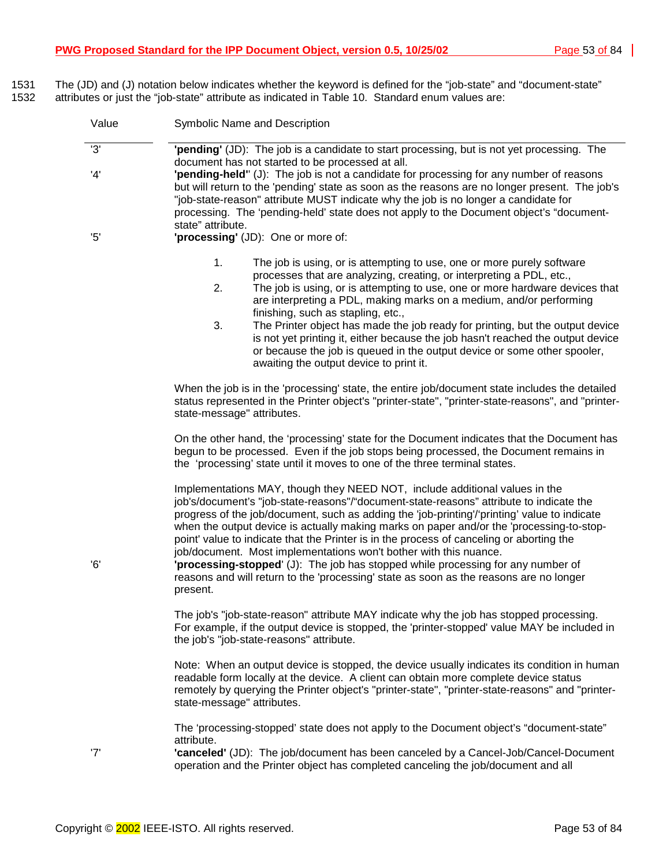1531 The (JD) and (J) notation below indicates whether the keyword is defined for the "job-state" and "document-state" 1532 attributes or just the "job-state" attribute as indicated in T[able 10.](#page-51-0) Standard enum values are:

| Value | Symbolic Name and Description                                                                                                                                                                                                                                                                                                                                                                                                                                                                                                                                                                                                                                                                                                 |  |  |
|-------|-------------------------------------------------------------------------------------------------------------------------------------------------------------------------------------------------------------------------------------------------------------------------------------------------------------------------------------------------------------------------------------------------------------------------------------------------------------------------------------------------------------------------------------------------------------------------------------------------------------------------------------------------------------------------------------------------------------------------------|--|--|
| '3'   | "pending" (JD): The job is a candidate to start processing, but is not yet processing. The<br>document has not started to be processed at all.                                                                                                                                                                                                                                                                                                                                                                                                                                                                                                                                                                                |  |  |
| 4'    | "pending-held" (J): The job is not a candidate for processing for any number of reasons<br>but will return to the 'pending' state as soon as the reasons are no longer present. The job's<br>"job-state-reason" attribute MUST indicate why the job is no longer a candidate for<br>processing. The 'pending-held' state does not apply to the Document object's "document-<br>state" attribute.                                                                                                                                                                                                                                                                                                                              |  |  |
| 5'    | 'processing' (JD): One or more of:                                                                                                                                                                                                                                                                                                                                                                                                                                                                                                                                                                                                                                                                                            |  |  |
|       | 1.<br>The job is using, or is attempting to use, one or more purely software<br>processes that are analyzing, creating, or interpreting a PDL, etc.,<br>2.<br>The job is using, or is attempting to use, one or more hardware devices that<br>are interpreting a PDL, making marks on a medium, and/or performing<br>finishing, such as stapling, etc.,<br>3.<br>The Printer object has made the job ready for printing, but the output device                                                                                                                                                                                                                                                                                |  |  |
|       | is not yet printing it, either because the job hasn't reached the output device<br>or because the job is queued in the output device or some other spooler,<br>awaiting the output device to print it.                                                                                                                                                                                                                                                                                                                                                                                                                                                                                                                        |  |  |
|       | When the job is in the 'processing' state, the entire job/document state includes the detailed<br>status represented in the Printer object's "printer-state", "printer-state-reasons", and "printer-<br>state-message" attributes.                                                                                                                                                                                                                                                                                                                                                                                                                                                                                            |  |  |
|       | On the other hand, the 'processing' state for the Document indicates that the Document has<br>begun to be processed. Even if the job stops being processed, the Document remains in<br>the 'processing' state until it moves to one of the three terminal states.                                                                                                                                                                                                                                                                                                                                                                                                                                                             |  |  |
| '6'   | Implementations MAY, though they NEED NOT, include additional values in the<br>job's/document's "job-state-reasons"/"document-state-reasons" attribute to indicate the<br>progress of the job/document, such as adding the 'job-printing'/'printing' value to indicate<br>when the output device is actually making marks on paper and/or the 'processing-to-stop-<br>point' value to indicate that the Printer is in the process of canceling or aborting the<br>job/document. Most implementations won't bother with this nuance.<br>"processing-stopped' (J): The job has stopped while processing for any number of<br>reasons and will return to the 'processing' state as soon as the reasons are no longer<br>present. |  |  |
|       | The job's "job-state-reason" attribute MAY indicate why the job has stopped processing.<br>For example, if the output device is stopped, the 'printer-stopped' value MAY be included in<br>the job's "job-state-reasons" attribute.                                                                                                                                                                                                                                                                                                                                                                                                                                                                                           |  |  |
|       | Note: When an output device is stopped, the device usually indicates its condition in human<br>readable form locally at the device. A client can obtain more complete device status<br>remotely by querying the Printer object's "printer-state", "printer-state-reasons" and "printer-<br>state-message" attributes.                                                                                                                                                                                                                                                                                                                                                                                                         |  |  |
| '7'   | The 'processing-stopped' state does not apply to the Document object's "document-state"<br>attribute.<br>'canceled' (JD): The job/document has been canceled by a Cancel-Job/Cancel-Document<br>operation and the Printer object has completed canceling the job/document and all                                                                                                                                                                                                                                                                                                                                                                                                                                             |  |  |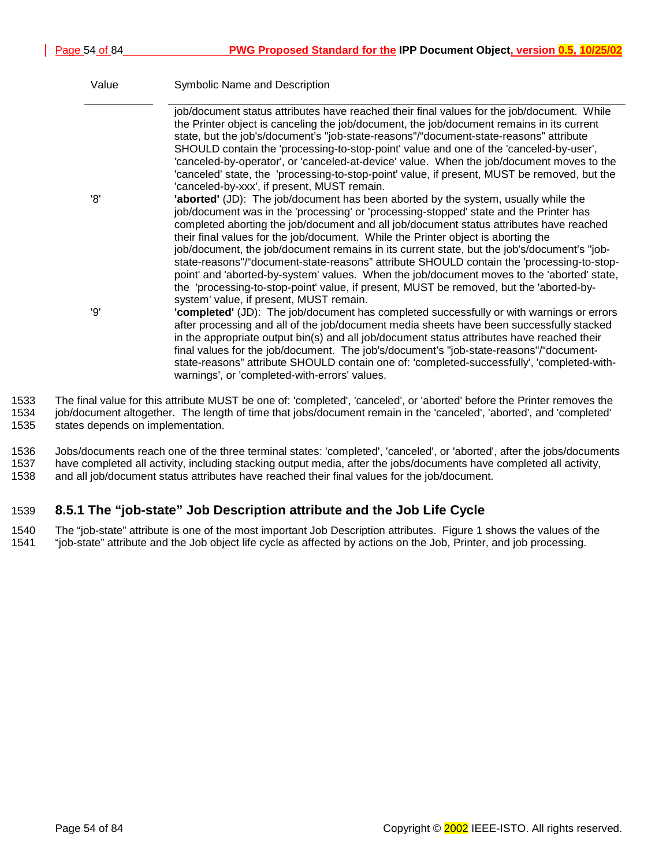| Value | Symbolic Name and Description                                                                                                                                                                                                                                                                                                                                                                                                                                                                                                                                                                                                                                                                                                                                                                       |
|-------|-----------------------------------------------------------------------------------------------------------------------------------------------------------------------------------------------------------------------------------------------------------------------------------------------------------------------------------------------------------------------------------------------------------------------------------------------------------------------------------------------------------------------------------------------------------------------------------------------------------------------------------------------------------------------------------------------------------------------------------------------------------------------------------------------------|
|       | job/document status attributes have reached their final values for the job/document. While<br>the Printer object is canceling the job/document, the job/document remains in its current<br>state, but the job's/document's "job-state-reasons"/"document-state-reasons" attribute<br>SHOULD contain the 'processing-to-stop-point' value and one of the 'canceled-by-user',<br>'canceled-by-operator', or 'canceled-at-device' value. When the job/document moves to the<br>'canceled' state, the 'processing-to-stop-point' value, if present, MUST be removed, but the<br>'canceled-by-xxx', if present, MUST remain.                                                                                                                                                                             |
| '8'   | <b>'aborted'</b> (JD): The job/document has been aborted by the system, usually while the<br>job/document was in the 'processing' or 'processing-stopped' state and the Printer has<br>completed aborting the job/document and all job/document status attributes have reached<br>their final values for the job/document. While the Printer object is aborting the<br>job/document, the job/document remains in its current state, but the job's/document's "job-<br>state-reasons"/"document-state-reasons" attribute SHOULD contain the 'processing-to-stop-<br>point' and 'aborted-by-system' values. When the job/document moves to the 'aborted' state,<br>the 'processing-to-stop-point' value, if present, MUST be removed, but the 'aborted-by-<br>system' value, if present, MUST remain. |
| פי'   | "completed" (JD): The job/document has completed successfully or with warnings or errors<br>after processing and all of the job/document media sheets have been successfully stacked<br>in the appropriate output bin(s) and all job/document status attributes have reached their<br>final values for the job/document. The job's/document's "job-state-reasons"/"document-<br>state-reasons" attribute SHOULD contain one of: 'completed-successfully', 'completed-with-<br>warnings', or 'completed-with-errors' values.                                                                                                                                                                                                                                                                         |

1533 The final value for this attribute MUST be one of: 'completed', 'canceled', or 'aborted' before the Printer removes the 1534 job/document altogether. The length of time that jobs/document remain in the 'canceled', 'aborted', and 'completed' 1535 states depends on implementation.

1536 Jobs/documents reach one of the three terminal states: 'completed', 'canceled', or 'aborted', after the jobs/documents 1537 have completed all activity, including stacking output media, after the jobs/documents have completed all activity, 1538 and all job/document status attributes have reached their final values for the job/document.

## 1539 **8.5.1 The "job-state" Job Description attribute and the Job Life Cycle**

1540 The "job-state" attribute is one of the most important Job Description attributes. [Figure 1 s](#page-54-0)hows the values of the 1541 "job-state" attribute and the Job object life cycle as affected by actions on the Job, Printer, and job processing.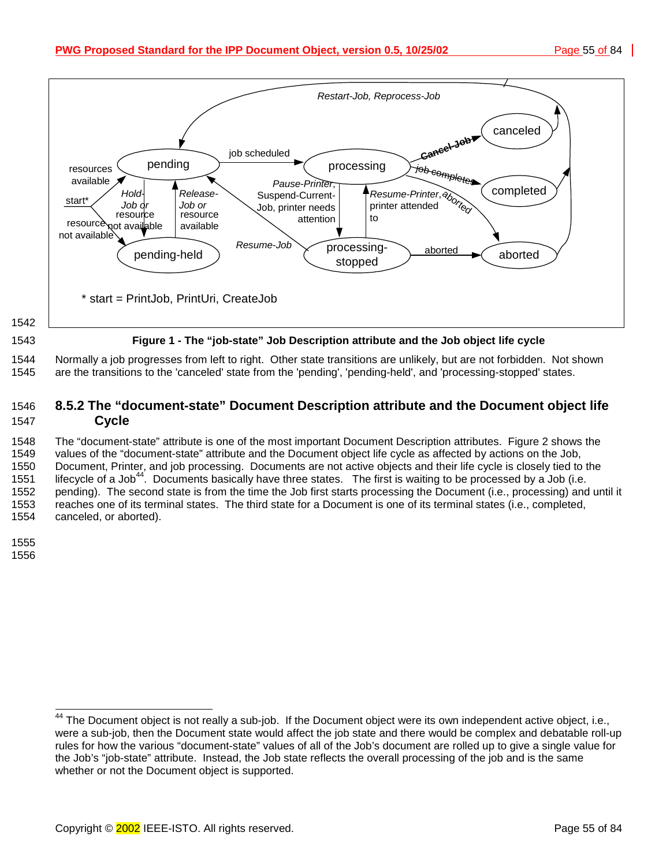<span id="page-54-0"></span>

1544 Normally a job progresses from left to right. Other state transitions are unlikely, but are not forbidden. Not shown 1545 are the transitions to the 'canceled' state from the 'pending', 'pending-held', and 'processing-stopped' states.

## 1546 **8.5.2 The "document-state" Document Description attribute and the Document object life**  1547 **Cycle**

1548 The "document-state" attribute is one of the most important Document Description attributes. [Figure 2 s](#page-55-0)hows the 1549 values of the "document-state" attribute and the Document object life cycle as affected by actions on the Job, 1550 Document, Printer, and job processing. Documents are not active objects and their life cycle is closely tied to the 1551 lifecycle of a Job<sup>44</sup>. Documents basically have three states. The first is waiting to be processed by a Job (i.e. 1552 pending). The second state is from the time the Job first starts processing the Document (i.e., processing) and until it 1553 reaches one of its terminal states. The third state for a Document is one of its terminal states (i.e., completed, 1554 canceled, or aborted).

1555

1556

l <sup>44</sup> The Document object is not really a sub-job. If the Document object were its own independent active object, i.e., were a sub-job, then the Document state would affect the job state and there would be complex and debatable roll-up rules for how the various "document-state" values of all of the Job's document are rolled up to give a single value for the Job's "job-state" attribute. Instead, the Job state reflects the overall processing of the job and is the same whether or not the Document object is supported.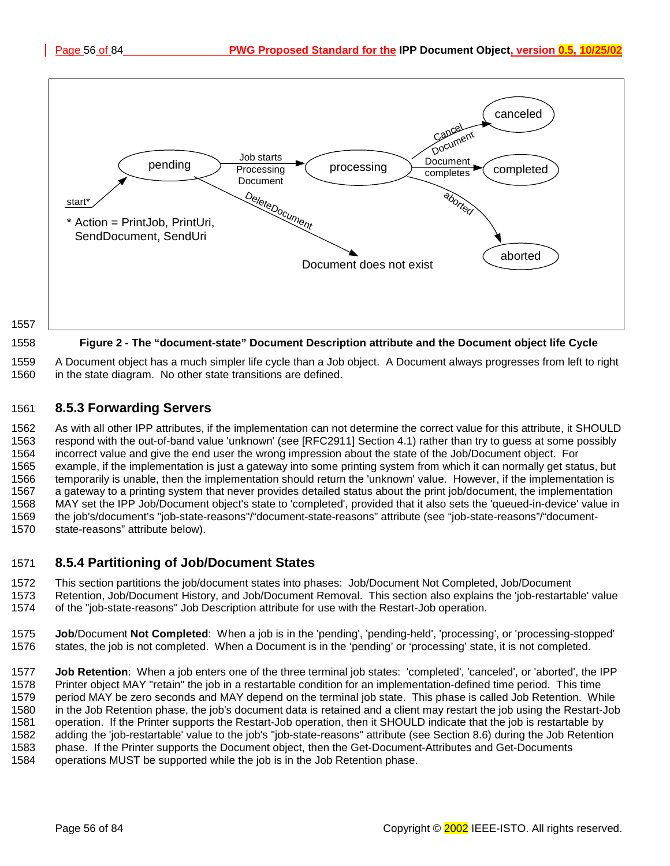<span id="page-55-0"></span>

1559 A Document object has a much simpler life cycle than a Job object. A Document always progresses from left to right 1560 in the state diagram. No other state transitions are defined.

## 1561 **8.5.3 Forwarding Servers**

1562 As with all other IPP attributes, if the implementation can not determine the correct value for this attribute, it SHOULD 1563 respond with the out-of-band value 'unknown' (see [RFC2911] Section 4.1) rather than try to guess at some possibly 1564 incorrect value and give the end user the wrong impression about the state of the Job/Document object. For 1565 example, if the implementation is just a gateway into some printing system from which it can normally get status, but 1566 temporarily is unable, then the implementation should return the 'unknown' value. However, if the implementation is 1567 a gateway to a printing system that never provides detailed status about the print job/document, the implementation 1568 MAY set the IPP Job/Document object's state to 'completed', provided that it also sets the 'queued-in-device' value in 1569 the job's/document's "job-state-reasons"/"document-state-reasons" attribute (see "job-state-reasons"/"document-1570 state-reasons" attribute below).

### 1571 **8.5.4 Partitioning of Job/Document States**

1572 This section partitions the job/document states into phases: Job/Document Not Completed, Job/Document

- 1573 Retention, Job/Document History, and Job/Document Removal. This section also explains the 'job-restartable' value 1574 of the "job-state-reasons" Job Description attribute for use with the Restart-Job operation.
- 1575 **Job**/Document **Not Completed**: When a job is in the 'pending', 'pending-held', 'processing', or 'processing-stopped' 1576 states, the job is not completed. When a Document is in the 'pending' or 'processing' state, it is not completed.

1577 **Job Retention**: When a job enters one of the three terminal job states: 'completed', 'canceled', or 'aborted', the IPP 1578 Printer object MAY "retain" the job in a restartable condition for an implementation-defined time period. This time 1579 period MAY be zero seconds and MAY depend on the terminal job state. This phase is called Job Retention. While 1580 in the Job Retention phase, the job's document data is retained and a client may restart the job using the Restart-Job 1581 operation. If the Printer supports the Restart-Job operation, then it SHOULD indicate that the job is restartable by 1582 adding the 'job-restartable' value to the job's "job-state-reasons" attribute (see Section 8[.6\)](#page-56-0) during the Job Retention 1583 phase. If the Printer supports the Document object, then the Get-Document-Attributes and Get-Documents 1584 operations MUST be supported while the job is in the Job Retention phase.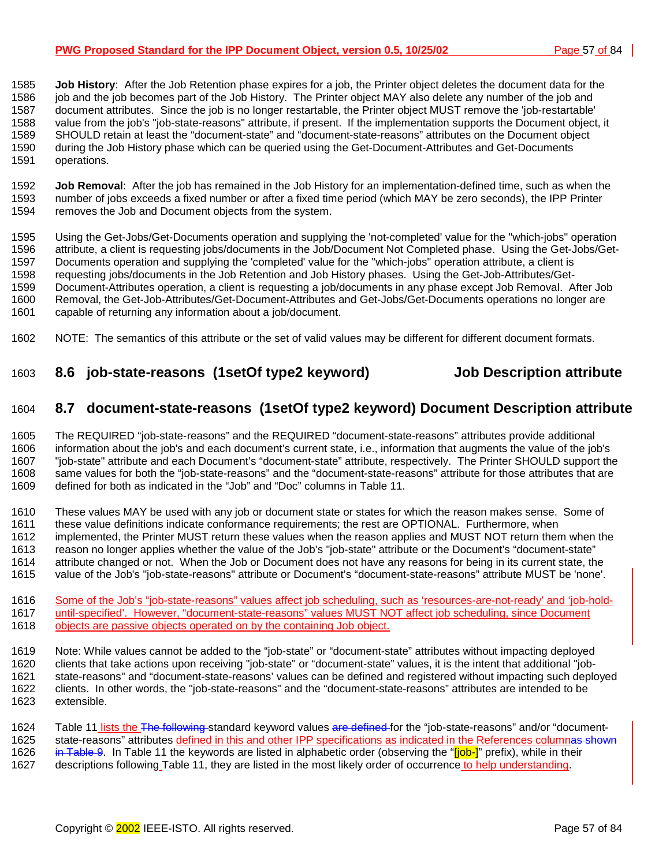#### <span id="page-56-0"></span>**PWG Proposed Standard for the IPP Document Object, version 0.5, 10/25/02** Page 57 of 84 |

1585 **Job History**: After the Job Retention phase expires for a job, the Printer object deletes the document data for the 1586 job and the job becomes part of the Job History. The Printer object MAY also delete any number of the job and 1587 document attributes. Since the job is no longer restartable, the Printer object MUST remove the 'job-restartable' 1588 value from the job's "job-state-reasons" attribute, if present. If the implementation supports the Document object, it 1589 SHOULD retain at least the "document-state" and "document-state-reasons" attributes on the Document object 1590 during the Job History phase which can be queried using the Get-Document-Attributes and Get-Documents 1591 operations.

1592 **Job Removal**: After the job has remained in the Job History for an implementation-defined time, such as when the number of jobs exceeds a fixed number or after a fixed time period (which MAY be zero seconds), the IPP Printer 1594 removes the Job and Document objects from the system.

1595 Using the Get-Jobs/Get-Documents operation and supplying the 'not-completed' value for the "which-jobs" operation 1596 attribute, a client is requesting jobs/documents in the Job/Document Not Completed phase. Using the Get-Jobs/Get-1597 Documents operation and supplying the 'completed' value for the "which-jobs" operation attribute, a client is 1598 requesting jobs/documents in the Job Retention and Job History phases. Using the Get-Job-Attributes/Get-1599 Document-Attributes operation, a client is requesting a job/documents in any phase except Job Removal. After Job 1600 Removal, the Get-Job-Attributes/Get-Document-Attributes and Get-Jobs/Get-Documents operations no longer are 1601 capable of returning any information about a job/document.

1602 NOTE: The semantics of this attribute or the set of valid values may be different for different document formats.

## 1603 **8.6 job-state-reasons (1setOf type2 keyword) Job Description attribute**

## 1604 **8.7 document-state-reasons (1setOf type2 keyword) Document Description attribute**

1605 The REQUIRED "job-state-reasons" and the REQUIRED "document-state-reasons" attributes provide additional 1606 information about the job's and each document's current state, i.e., information that augments the value of the job's 1607 "job-state" attribute and each Document's "document-state" attribute, respectively. The Printer SHOULD support the 1608 same values for both the "job-state-reasons" and the "document-state-reasons" attribute for those attributes that are 1609 defined for both as indicated in the "Job" and "Doc" columns in [Table 11.](#page-57-0)

1610 These values MAY be used with any job or document state or states for which the reason makes sense. Some of 1611 these value definitions indicate conformance requirements: the rest are OPTIONAL. Furthermore, when these value definitions indicate conformance requirements; the rest are OPTIONAL. Furthermore, when 1612 implemented, the Printer MUST return these values when the reason applies and MUST NOT return them when the 1613 reason no longer applies whether the value of the Job's "job-state" attribute or the Document's "document-state" 1614 attribute changed or not. When the Job or Document does not have any reasons for being in its current state, the 1615 value of the Job's "job-state-reasons" attribute or Document's "document-state-reasons" attribute MUST be 'none'.

1616 Some of the Job's "job-state-reasons" values affect job scheduling, such as 'resources-are-not-ready' and 'job-hold-1617 until-specified'. However, "document-state-reasons" values MUST NOT affect job scheduling, since Document<br>1618 objects are passive objects operated on by the containing Job object. objects are passive objects operated on by the containing Job object.

1619 Note: While values cannot be added to the "job-state" or "document-state" attributes without impacting deployed 1620 clients that take actions upon receiving "job-state" or "document-state" values, it is the intent that additional "job-1621 state-reasons" and "document-state-reasons' values can be defined and registered without impacting such deployed 1622 clients. In other words, the "job-state-reasons" and the "document-state-reasons" attributes are intended to be 1623 extensible.

1624 [Table 11 li](#page-57-0)sts the The following standard keyword values are defined for the "job-state-reasons" and/or "document-1625 state-reasons" attributes defined in this and other IPP specifications as indicated in the References columnas shown<br>1626 in Table 9. In Table 11 the keywords are listed in alphabetic order (observing the "[job-]" pre in [Table 9.](#page-57-0) In T[able 11 th](#page-57-0)e keywords are listed in alphabetic order (observing the "[job-]" prefix), while in their

1627 descriptions following [Table 11,](#page-57-0) they are listed in the most likely order of occurrence to help understanding.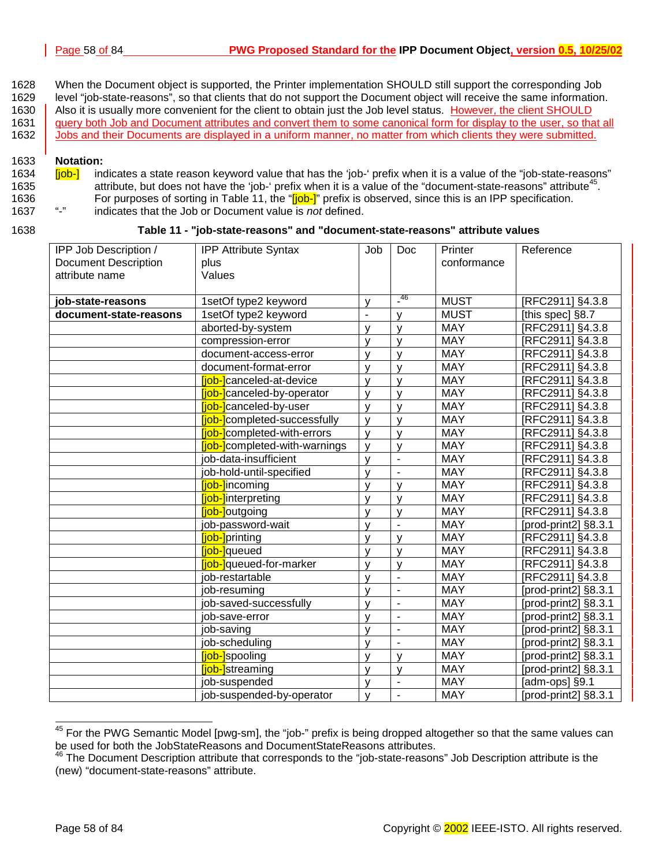- <span id="page-57-0"></span>1628 When the Document object is supported, the Printer implementation SHOULD still support the corresponding Job 1629 level "job-state-reasons", so that clients that do not support the Document object will receive the same information. 1630 Also it is usually more convenient for the client to obtain just the Job level status. However, the client SHOULD
- 1631 query both Job and Document attributes and convert them to some canonical form for display to the user, so that all 1632 Jobs and their Documents are displayed in a uniform manner, no matter from which clients they were submitted.
	-

## 1633 **Notation:**

1634 **[job-]** indicates a state reason keyword value that has the 'job-' prefix when it is a value of the "job-state-reasons" attribute, but does not have the 'job-' prefix when it is a value of the "document-state-reasons" attribute<sup>45</sup>. 1636 For purposes of sorting in Table 11, the "[job-]" prefix is observed, since this is an IPP specification.<br>1637 "indicates that the Job or Document value is not defined 1637 "-" indicates that the Job or Document value is *not* defined.

| 1638 |  | Table 11 - "job-state-reasons" and "document-state-reasons" attribute values |  |
|------|--|------------------------------------------------------------------------------|--|
|------|--|------------------------------------------------------------------------------|--|

| IPP Job Description /       | <b>IPP Attribute Syntax</b>        | Job          | <b>Doc</b>               | Printer     | Reference            |
|-----------------------------|------------------------------------|--------------|--------------------------|-------------|----------------------|
| <b>Document Description</b> | plus                               |              |                          | conformance |                      |
| attribute name              | Values                             |              |                          |             |                      |
|                             |                                    |              |                          |             |                      |
| job-state-reasons           | 1setOf type2 keyword               | v            | $-46$                    | <b>MUST</b> | [RFC2911] §4.3.8     |
| document-state-reasons      | 1setOf type2 keyword               | ÷,           | $\mathsf{v}$             | <b>MUST</b> | [this spec] §8.7     |
|                             | aborted-by-system                  | v            | $\mathsf{v}$             | <b>MAY</b>  | [RFC2911] §4.3.8     |
|                             | compression-error                  | V            | $\mathsf{V}$             | <b>MAY</b>  | [RFC2911] §4.3.8     |
|                             | document-access-error              | v            | $\mathsf{V}$             | <b>MAY</b>  | [RFC2911] §4.3.8     |
|                             | document-format-error              | v            | $\mathsf{V}$             | <b>MAY</b>  | [RFC2911] §4.3.8     |
|                             | <b>fiob-l</b> canceled-at-device   | v            | $\vee$                   | <b>MAY</b>  | [RFC2911] §4.3.8     |
|                             | <b>iob-l</b> canceled-by-operator  | $\mathsf{V}$ | $\vee$                   | <b>MAY</b>  | [RFC2911] §4.3.8     |
|                             | <b>fjob-</b> canceled-by-user      | v            | $\vee$                   | <b>MAY</b>  | [RFC2911] §4.3.8     |
|                             | <b>iob-</b> completed-successfully | v            | $\vee$                   | <b>MAY</b>  | [RFC2911] §4.3.8     |
|                             | liob-lcompleted-with-errors        | ٧            | v                        | <b>MAY</b>  | [RFC2911] §4.3.8     |
|                             | [job-]completed-with-warnings      | v            | $\mathsf{V}$             | <b>MAY</b>  | [RFC2911] §4.3.8     |
|                             | job-data-insufficient              | v            | $\overline{\phantom{a}}$ | <b>MAY</b>  | [RFC2911] §4.3.8     |
|                             | job-hold-until-specified           | v            | $\sim$                   | <b>MAY</b>  | [RFC2911] §4.3.8     |
|                             | <b>[job-]incoming</b>              | v            | $\mathsf{V}$             | <b>MAY</b>  | [RFC2911] §4.3.8     |
|                             | <b>fjob-linterpreting</b>          | v            | $\mathsf{V}$             | <b>MAY</b>  | [RFC2911] §4.3.8     |
|                             | [job-]outgoing                     | $\mathsf{v}$ | $\vee$                   | <b>MAY</b>  | [RFC2911] §4.3.8     |
|                             | job-password-wait                  | v            |                          | <b>MAY</b>  | [prod-print2] §8.3.1 |
|                             | <b>fiob-</b> printing              | v            | $\mathsf{v}$             | <b>MAY</b>  | [RFC2911] §4.3.8     |
|                             | <b>fiob-l</b> queued               | v            | $\mathsf{v}$             | <b>MAY</b>  | [RFC2911] §4.3.8     |
|                             | <b>fjob-</b> queued-for-marker     | v            | $\vee$                   | <b>MAY</b>  | [RFC2911] §4.3.8     |
|                             | job-restartable                    | v            | $\blacksquare$           | <b>MAY</b>  | [RFC2911] §4.3.8     |
|                             | job-resuming                       | v            | $\blacksquare$           | <b>MAY</b>  | [prod-print2] §8.3.1 |
|                             | job-saved-successfully             | ٧            | $\blacksquare$           | <b>MAY</b>  | [prod-print2] §8.3.1 |
|                             | job-save-error                     | v            | $\Box$                   | <b>MAY</b>  | [prod-print2] §8.3.1 |
|                             | job-saving                         | v            | $\blacksquare$           | <b>MAY</b>  | [prod-print2] §8.3.1 |
|                             | job-scheduling                     | v            | $\sim$                   | <b>MAY</b>  | [prod-print2] §8.3.1 |
|                             | [job-]spooling                     | v            | $\mathsf{v}$             | <b>MAY</b>  | [prod-print2] §8.3.1 |
|                             | <b>fjob-</b> streaming             | V            | $\mathsf{V}$             | <b>MAY</b>  | [prod-print2] §8.3.1 |
|                             | job-suspended                      | v            | $\overline{\phantom{a}}$ | <b>MAY</b>  | [adm-ops] §9.1       |
|                             | job-suspended-by-operator          | v            | $\blacksquare$           | <b>MAY</b>  | [prod-print2] §8.3.1 |

 $45$  For the PWG Semantic Model [pwg-sm], the "job-" prefix is being dropped altogether so that the same values can be used for both the JobStateReasons and DocumentStateReasons attributes.

l

<sup>&</sup>lt;sup>46</sup> The Document Description attribute that corresponds to the "job-state-reasons" Job Description attribute is the (new) "document-state-reasons" attribute.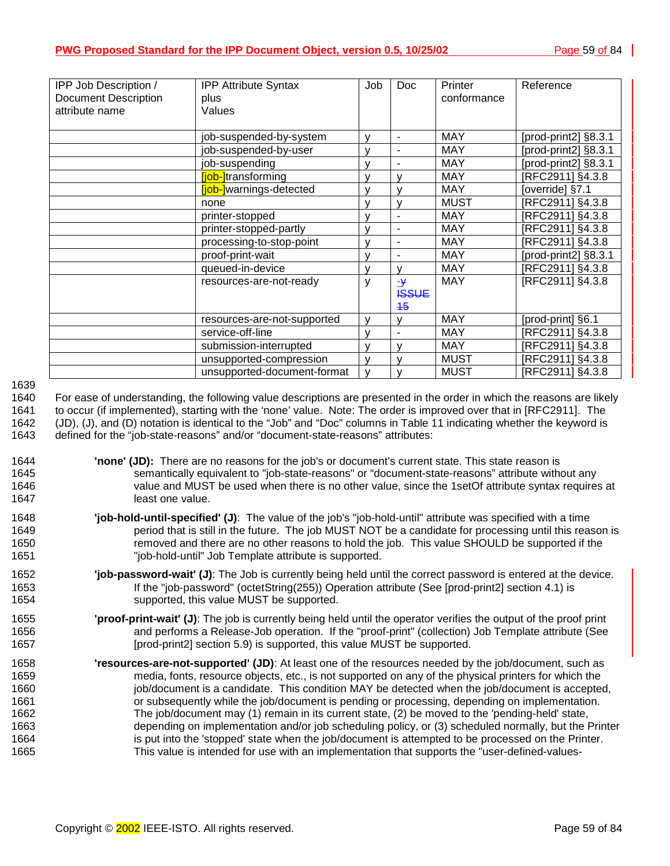| IPP Job Description /<br><b>Document Description</b> | <b>IPP Attribute Syntax</b><br>plus | Job          | Doc           | Printer<br>conformance | Reference            |
|------------------------------------------------------|-------------------------------------|--------------|---------------|------------------------|----------------------|
| attribute name                                       | Values                              |              |               |                        |                      |
|                                                      |                                     |              |               |                        |                      |
|                                                      | job-suspended-by-system             | $\mathsf{v}$ | ۰             | <b>MAY</b>             | [prod-print2] §8.3.1 |
|                                                      | job-suspended-by-user               | $\mathsf{v}$ | ٠             | <b>MAY</b>             | [prod-print2] §8.3.1 |
|                                                      | job-suspending                      | v            | ٠             | <b>MAY</b>             | [prod-print2] §8.3.1 |
|                                                      | <b>iob-i</b> transforming           | $\mathsf{v}$ | v             | <b>MAY</b>             | [RFC2911] §4.3.8     |
|                                                      | liob-lwarnings-detected             | $\mathsf{v}$ | v             | <b>MAY</b>             | [override] §7.1      |
|                                                      | none                                | v            | v             | <b>MUST</b>            | [RFC2911] §4.3.8     |
|                                                      | printer-stopped                     | $\mathsf{V}$ | ٠             | <b>MAY</b>             | [RFC2911] §4.3.8     |
|                                                      | printer-stopped-partly              | $\mathsf{V}$ | L,            | <b>MAY</b>             | [RFC2911] §4.3.8     |
|                                                      | processing-to-stop-point            | $\mathsf{v}$ |               | <b>MAY</b>             | [RFC2911] §4.3.8     |
|                                                      | proof-print-wait                    | v            | ٠             | <b>MAY</b>             | [prod-print2] §8.3.1 |
|                                                      | queued-in-device                    | v            | v             | <b>MAY</b>             | [RFC2911] §4.3.8     |
|                                                      | resources-are-not-ready             | y            | $\rightarrow$ | <b>MAY</b>             | [RFC2911] §4.3.8     |
|                                                      |                                     |              | <b>ISSUE</b>  |                        |                      |
|                                                      |                                     |              | 45            |                        |                      |
|                                                      | resources-are-not-supported         | v            | v             | <b>MAY</b>             | [prod-print] §6.1    |
|                                                      | service-off-line                    | v            |               | <b>MAY</b>             | [RFC2911] §4.3.8     |
|                                                      | submission-interrupted              | $\mathsf{v}$ | v             | <b>MAY</b>             | RFC2911] §4.3.8      |
|                                                      | unsupported-compression             | $\mathsf{v}$ | $\mathsf{v}$  | <b>MUST</b>            | RFC2911] §4.3.8      |
|                                                      | unsupported-document-format         | $\mathsf{v}$ |               | <b>MUST</b>            | [RFC2911] §4.3.8     |

#### 1639

1640 For ease of understanding, the following value descriptions are presented in the order in which the reasons are likely 1641 to occur (if implemented), starting with the 'none' value. Note: The order is improved over that in [RFC2911]. The 1642 (JD), (J), and (D) notation is identical to the "Job" and "Doc" columns in T[able 11 in](#page-57-0)dicating whether the keyword is 1643 defined for the "job-state-reasons" and/or "document-state-reasons" attributes:

- 1644 **'none' (JD):** There are no reasons for the job's or document's current state. This state reason is 1645 semantically equivalent to "job-state-reasons" or "document-state-reasons" attribute without any 1646 value and MUST be used when there is no other value, since the 1setOf attribute syntax requires at 1647 least one value.
- 1648 **'job-hold-until-specified' (J)**: The value of the job's "job-hold-until" attribute was specified with a time 1649 period that is still in the future. The job MUST NOT be a candidate for processing until this reason is 1650 removed and there are no other reasons to hold the job. This value SHOULD be supported if the 1651 "job-hold-until" Job Template attribute is supported.
- 1652 **'job-password-wait' (J)**: The Job is currently being held until the correct password is entered at the device. 1653 If the "job-password" (octetString(255)) Operation attribute (See [prod-print2] section 4.1) is 1654 supported, this value MUST be supported.
- 1655 **'proof-print-wait' (J)**: The job is currently being held until the operator verifies the output of the proof print 1656 and performs a Release-Job operation. If the "proof-print" (collection) Job Template attribute (See 1657 **[prod-print2] section 5.9) is supported, this value MUST be supported.**
- 1658 **'resources-are-not-supported' (JD)**: At least one of the resources needed by the job/document, such as 1659 media, fonts, resource objects, etc., is not supported on any of the physical printers for which the 1660 job/document is a candidate. This condition MAY be detected when the job/document is accepted, 1661 or subsequently while the job/document is pending or processing, depending on implementation. 1662 The job/document may (1) remain in its current state, (2) be moved to the 'pending-held' state, 1663 depending on implementation and/or job scheduling policy, or (3) scheduled normally, but the Printer 1664 is put into the 'stopped' state when the job/document is attempted to be processed on the Printer. 1665 This value is intended for use with an implementation that supports the "user-defined-values-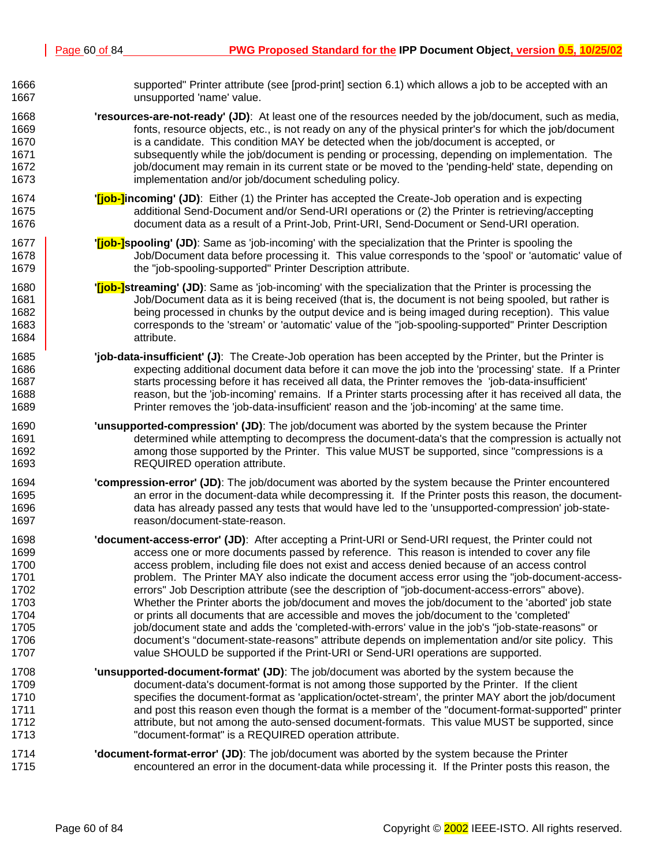| 1666 | supported" Printer attribute (see [prod-print] section 6.1) which allows a job to be accepted with an              |
|------|--------------------------------------------------------------------------------------------------------------------|
| 1667 | unsupported 'name' value.                                                                                          |
| 1668 | 'resources-are-not-ready' (JD): At least one of the resources needed by the job/document, such as media,           |
| 1669 | fonts, resource objects, etc., is not ready on any of the physical printer's for which the job/document            |
| 1670 | is a candidate. This condition MAY be detected when the job/document is accepted, or                               |
| 1671 | subsequently while the job/document is pending or processing, depending on implementation. The                     |
| 1672 | job/document may remain in its current state or be moved to the 'pending-held' state, depending on                 |
| 1673 | implementation and/or job/document scheduling policy.                                                              |
| 1674 | " <b>[job-]incoming' (JD)</b> : Either (1) the Printer has accepted the Create-Job operation and is expecting      |
| 1675 | additional Send-Document and/or Send-URI operations or (2) the Printer is retrieving/accepting                     |
| 1676 | document data as a result of a Print-Job, Print-URI, Send-Document or Send-URI operation.                          |
| 1677 | " <b>[job-]spooling' (JD)</b> : Same as 'job-incoming' with the specialization that the Printer is spooling the    |
| 1678 | Job/Document data before processing it. This value corresponds to the 'spool' or 'automatic' value of              |
| 1679 | the "job-spooling-supported" Printer Description attribute.                                                        |
| 1680 | " <b>[job-]streaming' (JD)</b> : Same as 'job-incoming' with the specialization that the Printer is processing the |
| 1681 | Job/Document data as it is being received (that is, the document is not being spooled, but rather is               |
| 1682 | being processed in chunks by the output device and is being imaged during reception). This value                   |
| 1683 | corresponds to the 'stream' or 'automatic' value of the "job-spooling-supported" Printer Description               |
| 1684 | attribute.                                                                                                         |
| 1685 | 'job-data-insufficient' (J): The Create-Job operation has been accepted by the Printer, but the Printer is         |
| 1686 | expecting additional document data before it can move the job into the 'processing' state. If a Printer            |
| 1687 | starts processing before it has received all data, the Printer removes the 'job-data-insufficient'                 |
| 1688 | reason, but the 'job-incoming' remains. If a Printer starts processing after it has received all data, the         |
| 1689 | Printer removes the 'job-data-insufficient' reason and the 'job-incoming' at the same time.                        |
| 1690 | 'unsupported-compression' (JD): The job/document was aborted by the system because the Printer                     |
| 1691 | determined while attempting to decompress the document-data's that the compression is actually not                 |
| 1692 | among those supported by the Printer. This value MUST be supported, since "compressions is a                       |
| 1693 | REQUIRED operation attribute.                                                                                      |
| 1694 | 'compression-error' (JD): The job/document was aborted by the system because the Printer encountered               |
| 1695 | an error in the document-data while decompressing it. If the Printer posts this reason, the document-              |
| 1696 | data has already passed any tests that would have led to the 'unsupported-compression' job-state-                  |
| 1697 | reason/document-state-reason.                                                                                      |
| 1698 | 'document-access-error' (JD): After accepting a Print-URI or Send-URI request, the Printer could not               |
| 1699 | access one or more documents passed by reference. This reason is intended to cover any file                        |
| 1700 | access problem, including file does not exist and access denied because of an access control                       |
| 1701 | problem. The Printer MAY also indicate the document access error using the "job-document-access-                   |
| 1702 | errors" Job Description attribute (see the description of "job-document-access-errors" above).                     |
| 1703 | Whether the Printer aborts the job/document and moves the job/document to the 'aborted' job state                  |
| 1704 | or prints all documents that are accessible and moves the job/document to the 'completed'                          |
| 1705 | job/document state and adds the 'completed-with-errors' value in the job's "job-state-reasons" or                  |
| 1706 | document's "document-state-reasons" attribute depends on implementation and/or site policy. This                   |
| 1707 | value SHOULD be supported if the Print-URI or Send-URI operations are supported.                                   |
| 1708 | 'unsupported-document-format' (JD): The job/document was aborted by the system because the                         |
| 1709 | document-data's document-format is not among those supported by the Printer. If the client                         |
| 1710 | specifies the document-format as 'application/octet-stream', the printer MAY abort the job/document                |
| 1711 | and post this reason even though the format is a member of the "document-format-supported" printer                 |
| 1712 | attribute, but not among the auto-sensed document-formats. This value MUST be supported, since                     |
| 1713 | "document-format" is a REQUIRED operation attribute.                                                               |
| 1714 | 'document-format-error' (JD): The job/document was aborted by the system because the Printer                       |
| 1715 | encountered an error in the document-data while processing it. If the Printer posts this reason, the               |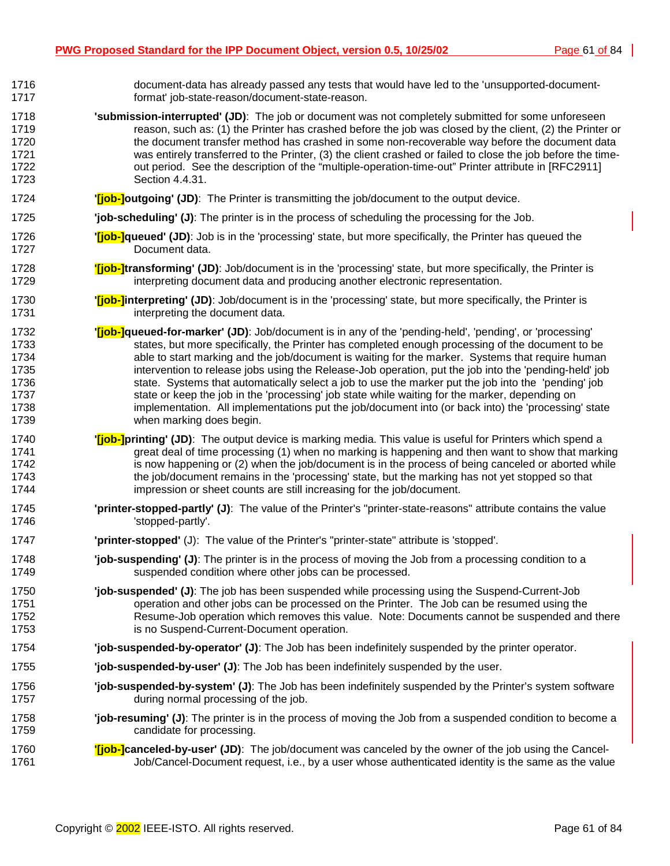| 1716 | document-data has already passed any tests that would have led to the 'unsupported-document-                         |
|------|----------------------------------------------------------------------------------------------------------------------|
| 1717 | format' job-state-reason/document-state-reason.                                                                      |
| 1718 | 'submission-interrupted' (JD): The job or document was not completely submitted for some unforeseen                  |
| 1719 | reason, such as: (1) the Printer has crashed before the job was closed by the client, (2) the Printer or             |
| 1720 | the document transfer method has crashed in some non-recoverable way before the document data                        |
| 1721 | was entirely transferred to the Printer, (3) the client crashed or failed to close the job before the time-          |
| 1722 | out period. See the description of the "multiple-operation-time-out" Printer attribute in [RFC2911]                  |
| 1723 | Section 4.4.31.                                                                                                      |
| 1724 | ' <i>[job-]outgoing' (JD)</i> : The Printer is transmitting the job/document to the output device.                   |
| 1725 | 'job-scheduling' (J): The printer is in the process of scheduling the processing for the Job.                        |
| 1726 | " <b>[job-]queued' (JD)</b> : Job is in the 'processing' state, but more specifically, the Printer has queued the    |
| 1727 | Document data.                                                                                                       |
| 1728 | "[job-]transforming' (JD): Job/document is in the 'processing' state, but more specifically, the Printer is          |
| 1729 | interpreting document data and producing another electronic representation.                                          |
| 1730 | " <b>[job-]interpreting' (JD)</b> : Job/document is in the 'processing' state, but more specifically, the Printer is |
| 1731 | interpreting the document data.                                                                                      |
| 1732 | " <b>[job-]queued-for-marker' (JD)</b> : Job/document is in any of the 'pending-held', 'pending', or 'processing'    |
| 1733 | states, but more specifically, the Printer has completed enough processing of the document to be                     |
| 1734 | able to start marking and the job/document is waiting for the marker. Systems that require human                     |
| 1735 | intervention to release jobs using the Release-Job operation, put the job into the 'pending-held' job                |
| 1736 | state. Systems that automatically select a job to use the marker put the job into the 'pending' job                  |
| 1737 | state or keep the job in the 'processing' job state while waiting for the marker, depending on                       |
| 1738 | implementation. All implementations put the job/document into (or back into) the 'processing' state                  |
| 1739 | when marking does begin.                                                                                             |
| 1740 | " <b>[job-]printing' (JD)</b> : The output device is marking media. This value is useful for Printers which spend a  |
| 1741 | great deal of time processing (1) when no marking is happening and then want to show that marking                    |
| 1742 | is now happening or (2) when the job/document is in the process of being canceled or aborted while                   |
| 1743 | the job/document remains in the 'processing' state, but the marking has not yet stopped so that                      |
| 1744 | impression or sheet counts are still increasing for the job/document.                                                |
| 1745 | 'printer-stopped-partly' (J): The value of the Printer's "printer-state-reasons" attribute contains the value        |
| 1746 | 'stopped-partly'.                                                                                                    |
| 1747 | 'printer-stopped' (J): The value of the Printer's "printer-state" attribute is 'stopped'.                            |
| 1748 | 'job-suspending' (J): The printer is in the process of moving the Job from a processing condition to a               |
| 1749 | suspended condition where other jobs can be processed.                                                               |
| 1750 | "job-suspended" (J): The job has been suspended while processing using the Suspend-Current-Job                       |
| 1751 | operation and other jobs can be processed on the Printer. The Job can be resumed using the                           |
| 1752 | Resume-Job operation which removes this value. Note: Documents cannot be suspended and there                         |
| 1753 | is no Suspend-Current-Document operation.                                                                            |
| 1754 | 'job-suspended-by-operator' (J): The Job has been indefinitely suspended by the printer operator.                    |
| 1755 | 'job-suspended-by-user' (J): The Job has been indefinitely suspended by the user.                                    |
| 1756 | "job-suspended-by-system" (J): The Job has been indefinitely suspended by the Printer's system software              |
| 1757 | during normal processing of the job.                                                                                 |
| 1758 | "job-resuming" (J): The printer is in the process of moving the Job from a suspended condition to become a           |
| 1759 | candidate for processing.                                                                                            |
| 1760 | "[job-]canceled-by-user' (JD): The job/document was canceled by the owner of the job using the Cancel-               |
| 1761 | Job/Cancel-Document request, i.e., by a user whose authenticated identity is the same as the value                   |
|      |                                                                                                                      |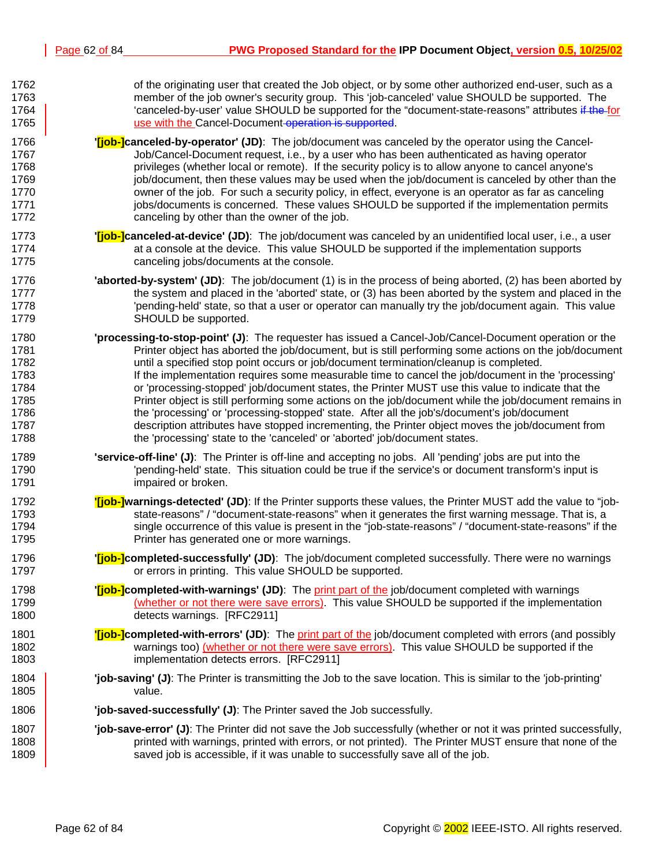| 1762 | of the originating user that created the Job object, or by some other authorized end-user, such as a                |
|------|---------------------------------------------------------------------------------------------------------------------|
| 1763 | member of the job owner's security group. This 'job-canceled' value SHOULD be supported. The                        |
| 1764 | 'canceled-by-user' value SHOULD be supported for the "document-state-reasons" attributes if the for                 |
| 1765 | use with the Cancel-Document operation is supported.                                                                |
| 1766 | " <b>[job-]canceled-by-operator' (JD)</b> : The job/document was canceled by the operator using the Cancel-         |
| 1767 | Job/Cancel-Document request, i.e., by a user who has been authenticated as having operator                          |
| 1768 | privileges (whether local or remote). If the security policy is to allow anyone to cancel anyone's                  |
| 1769 | job/document, then these values may be used when the job/document is canceled by other than the                     |
| 1770 | owner of the job. For such a security policy, in effect, everyone is an operator as far as canceling                |
| 1771 | jobs/documents is concerned. These values SHOULD be supported if the implementation permits                         |
| 1772 | canceling by other than the owner of the job.                                                                       |
| 1773 | " <b>[job-]canceled-at-device' (JD)</b> : The job/document was canceled by an unidentified local user, i.e., a user |
| 1774 | at a console at the device. This value SHOULD be supported if the implementation supports                           |
| 1775 | canceling jobs/documents at the console.                                                                            |
| 1776 | <b>'aborted-by-system' (JD)</b> : The job/document (1) is in the process of being aborted, (2) has been aborted by  |
| 1777 | the system and placed in the 'aborted' state, or (3) has been aborted by the system and placed in the               |
| 1778 | 'pending-held' state, so that a user or operator can manually try the job/document again. This value                |
| 1779 | SHOULD be supported.                                                                                                |
| 1780 | 'processing-to-stop-point' (J): The requester has issued a Cancel-Job/Cancel-Document operation or the              |
| 1781 | Printer object has aborted the job/document, but is still performing some actions on the job/document               |
| 1782 | until a specified stop point occurs or job/document termination/cleanup is completed.                               |
| 1783 | If the implementation requires some measurable time to cancel the job/document in the 'processing'                  |
| 1784 | or 'processing-stopped' job/document states, the Printer MUST use this value to indicate that the                   |
| 1785 | Printer object is still performing some actions on the job/document while the job/document remains in               |
| 1786 | the 'processing' or 'processing-stopped' state. After all the job's/document's job/document                         |
| 1787 | description attributes have stopped incrementing, the Printer object moves the job/document from                    |
| 1788 | the 'processing' state to the 'canceled' or 'aborted' job/document states.                                          |
| 1789 | 'service-off-line' (J): The Printer is off-line and accepting no jobs. All 'pending' jobs are put into the          |
| 1790 | pending-held' state. This situation could be true if the service's or document transform's input is"                |
| 1791 | impaired or broken.                                                                                                 |
| 1792 | "[job-]warnings-detected' (JD): If the Printer supports these values, the Printer MUST add the value to "job-       |
| 1793 | state-reasons" / "document-state-reasons" when it generates the first warning message. That is, a                   |
| 1794 | single occurrence of this value is present in the "job-state-reasons" / "document-state-reasons" if the             |
| 1795 | Printer has generated one or more warnings.                                                                         |
| 1796 | '[job-]completed-successfully' (JD): The job/document completed successfully. There were no warnings                |
| 1797 | or errors in printing. This value SHOULD be supported.                                                              |
| 1798 | " <b>[job-]completed-with-warnings' (JD)</b> : The print part of the job/document completed with warnings           |
| 1799 | (whether or not there were save errors). This value SHOULD be supported if the implementation                       |
| 1800 | detects warnings. [RFC2911]                                                                                         |
| 1801 | <b>[i]ob-]completed-with-errors' (JD)</b> : The print part of the job/document completed with errors (and possibly  |
| 1802 | warnings too) (whether or not there were save errors). This value SHOULD be supported if the                        |
| 1803 | implementation detects errors. [RFC2911]                                                                            |
| 1804 | 'job-saving' (J): The Printer is transmitting the Job to the save location. This is similar to the 'job-printing'   |
| 1805 | value.                                                                                                              |
| 1806 | 'job-saved-successfully' (J): The Printer saved the Job successfully.                                               |
| 1807 | "job-save-error" (J): The Printer did not save the Job successfully (whether or not it was printed successfully,    |
| 1808 | printed with warnings, printed with errors, or not printed). The Printer MUST ensure that none of the               |
| 1809 | saved job is accessible, if it was unable to successfully save all of the job.                                      |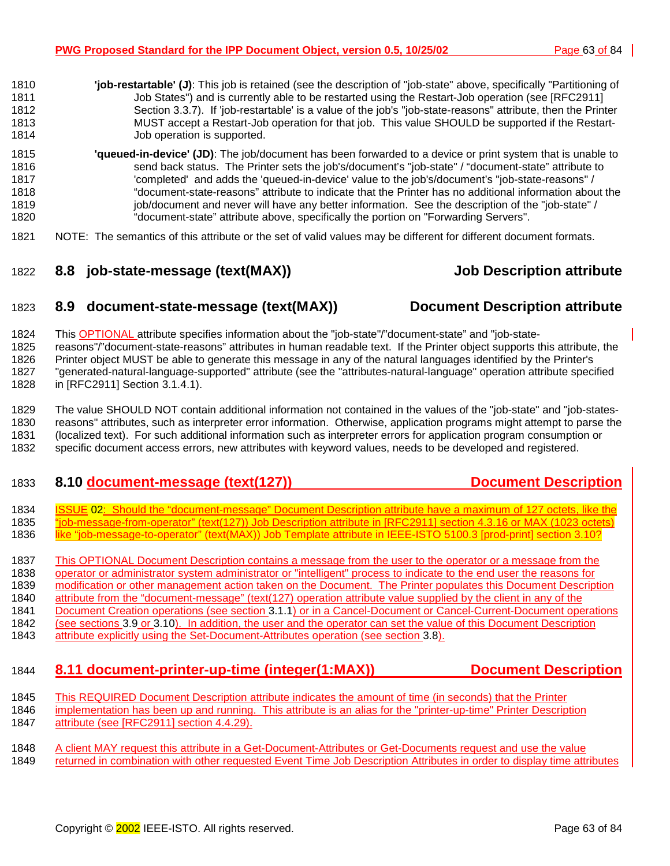- <span id="page-62-0"></span>1810 **'job-restartable' (J)**: This job is retained (see the description of "job-state" above, specifically "Partitioning of 1811 Job States") and is currently able to be restarted using the Restart-Job operation (see [RFC2911] 1812 Section 3.3.7). If 'job-restartable' is a value of the job's "job-state-reasons" attribute, then the Printer 1813 MUST accept a Restart-Job operation for that job. This value SHOULD be supported if the Restart-1814 Job operation is supported. 1815 **'queued-in-device' (JD)**: The job/document has been forwarded to a device or print system that is unable to 1816 send back status. The Printer sets the job's/document's "job-state" / "document-state" attribute to 1817 'completed' and adds the 'queued-in-device' value to the job's/document's "job-state-reasons" / 1818 "document-state-reasons" attribute to indicate that the Printer has no additional information about the 1819 job/document and never will have any better information. See the description of the "job-state" /
- 1820 "document-state" attribute above, specifically the portion on "Forwarding Servers". 1821 NOTE: The semantics of this attribute or the set of valid values may be different for different document formats.
- 1822 **8.8 job-state-message (text(MAX)) Job Description attribute**

#### 1823 **8.9 document-state-message (text(MAX)) Document Description attribute**

1824 This OPTIONAL attribute specifies information about the "job-state"/"document-state" and "job-state-1825 reasons"/"document-state-reasons" attributes in human readable text. If the Printer object supports this attribute, the 1826 Printer object MUST be able to generate this message in any of the natural languages identified by the Printer's 1827 "generated-natural-language-supported" attribute (see the "attributes-natural-language" operation attribute specified 1828 in [RFC2911] Section 3.1.4.1).

1829 The value SHOULD NOT contain additional information not contained in the values of the "job-state" and "job-states-1830 reasons" attributes, such as interpreter error information. Otherwise, application programs might attempt to parse the 1831 (localized text). For such additional information such as interpreter errors for application program consumption or 1832 specific document access errors, new attributes with keyword values, needs to be developed and registered.

### 1833 **8.10 document-message (text(127)) Document Description**

1834 ISSUE 02: Should the "document-message" Document Description attribute have a maximum of 127 octets, like the 1835 "job-message-from-operator" (text(127)) Job Description attribute in [RFC2911] section 4.3.16 or MAX (1023 octets) 1836 like "job-message-to-operator" (text(MAX)) Job Template attribute in IEEE-ISTO 5100.3 [prod-print] section 3.10?

1837 This OPTIONAL Document Description contains a message from the user to the operator or a message from the 1838 operator or administrator system administrator or "intelligent" process to indicate to the end user the reasons for 1839 modification or other management action taken on the Document. The Printer populates this Document Description 1840 attribute from the "document-message" (text(127) operation attribute value supplied by the client in any of the 1841 Document Creation operations (see section 3[.1.1\) o](#page-13-0)r in a Cancel-Document or Cancel-Current-Document operations 1842 (see sections [3.9 o](#page-28-0)r [3.10\).](#page-31-0) In addition, the user and the operator can set the value of this Document Description 1843 attribute explicitly using the Set-Document-Attributes operation (see section [3.8\).](#page-25-0)

- 1844 **8.11 document-printer-up-time (integer(1:MAX)) Document Description**
- 1845 This REQUIRED Document Description attribute indicates the amount of time (in seconds) that the Printer
- 1846 implementation has been up and running. This attribute is an alias for the "printer-up-time" Printer Description 1847 attribute (see [RFC2911] section 4.4.29).
- 1848 A client MAY request this attribute in a Get-Document-Attributes or Get-Documents request and use the value 1849 returned in combination with other requested Event Time Job Description Attributes in order to display time attributes
	- Copyright © 2002 IEEE-ISTO. All rights reserved. **Page 63** of 84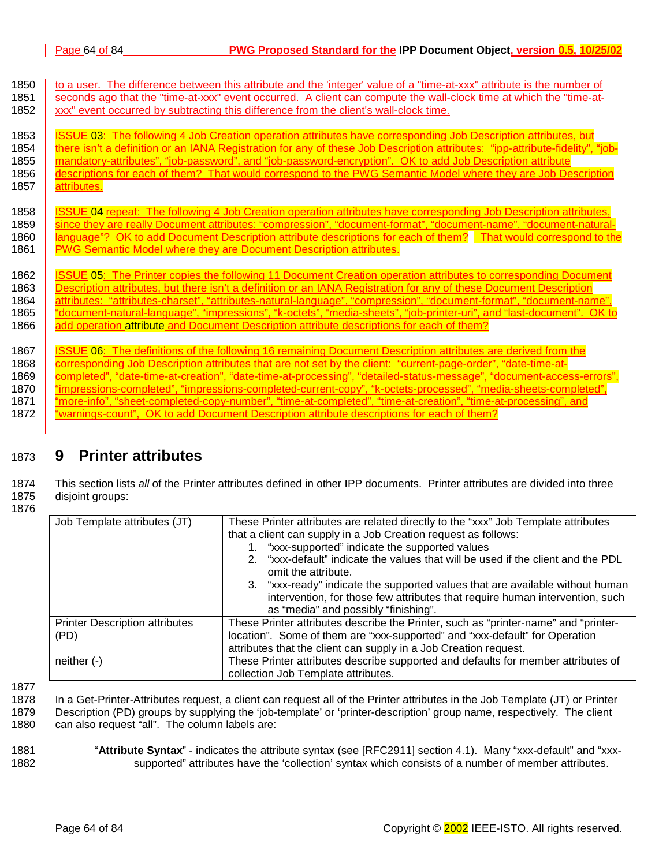| 1850 | to a user. The difference between this attribute and the 'integer' value of a "time-at-xxx" attribute is the number of        |
|------|-------------------------------------------------------------------------------------------------------------------------------|
| 1851 | seconds ago that the "time-at-xxx" event occurred. A client can compute the wall-clock time at which the "time-at-            |
| 1852 | xxx" event occurred by subtracting this difference from the client's wall-clock time.                                         |
| 1853 | ISSUE 03: The following 4 Job Creation operation attributes have corresponding Job Description attributes, but                |
| 1854 | there isn't a definition or an IANA Registration for any of these Job Description attributes: "ipp-attribute-fidelity", "job- |
| 1855 | mandatory-attributes", "job-password", and "job-password-encryption". OK to add Job Description attribute                     |
| 1856 | descriptions for each of them? That would correspond to the PWG Semantic Model where they are Job Description                 |
| 1857 | attributes.                                                                                                                   |
| 1858 | ISSUE 04 repeat: The following 4 Job Creation operation attributes have corresponding Job Description attributes,             |
| 1859 | since they are really Document attributes: "compression", "document-format", "document-name", "document-natural-              |
| 1860 | language"? OK to add Document Description attribute descriptions for each of them? That would correspond to the               |
| 1861 | <b>PWG Semantic Model where they are Document Description attributes.</b>                                                     |
| 1862 | <b>ISSUE 05: The Printer copies the following 11 Document Creation operation attributes to corresponding Document</b>         |
| 1863 | Description attributes, but there isn't a definition or an IANA Registration for any of these Document Description            |
| 1864 | attributes: "attributes-charset", "attributes-natural-language", "compression", "document-format", "document-name",           |
| 1865 | "document-natural-language", "impressions", "k-octets", "media-sheets", "job-printer-uri", and "last-document". OK to         |
| 1866 | add operation attribute and Document Description attribute descriptions for each of them?                                     |
| 1867 | <b>ISSUE 06: The definitions of the following 16 remaining Document Description attributes are derived from the</b>           |
| 1868 | corresponding Job Description attributes that are not set by the client: "current-page-order", "date-time-at-                 |
| 1869 | completed", "date-time-at-creation", "date-time-at-processing", "detailed-status-message", "document-access-errors",          |
| 1870 | "impressions-completed", "impressions-completed-current-copy", "k-octets-processed", "media-sheets-completed",                |
| 1871 | "more-info", "sheet-completed-copy-number", "time-at-completed", "time-at-creation", "time-at-processing", and                |
| 1872 | "warnings-count", OK to add Document Description attribute descriptions for each of them?                                     |

# 1873 **9 Printer attributes**

1874 This section lists *all* of the Printer attributes defined in other IPP documents. Printer attributes are divided into three 1875 disjoint groups:

1876

| Job Template attributes (JT)          | These Printer attributes are related directly to the "xxx" Job Template attributes                         |
|---------------------------------------|------------------------------------------------------------------------------------------------------------|
|                                       | that a client can supply in a Job Creation request as follows:                                             |
|                                       | 1. "xxx-supported" indicate the supported values                                                           |
|                                       | "xxx-default" indicate the values that will be used if the client and the PDL<br>2.<br>omit the attribute. |
|                                       | 3. "xxx-ready" indicate the supported values that are available without human                              |
|                                       | intervention, for those few attributes that require human intervention, such                               |
|                                       | as "media" and possibly "finishing".                                                                       |
| <b>Printer Description attributes</b> | These Printer attributes describe the Printer, such as "printer-name" and "printer-                        |
| (PD)                                  | location". Some of them are "xxx-supported" and "xxx-default" for Operation                                |
|                                       | attributes that the client can supply in a Job Creation request.                                           |
| neither $(-)$                         | These Printer attributes describe supported and defaults for member attributes of                          |
|                                       | collection Job Template attributes.                                                                        |

1877

1878 In a Get-Printer-Attributes request, a client can request all of the Printer attributes in the Job Template (JT) or Printer 1879 Description (PD) groups by supplying the 'job-template' or 'printer-description' group name, respectively. The client

1880 can also request "all". The column labels are:

1881 "**Attribute Syntax**" - indicates the attribute syntax (see [RFC2911] section 4.1). Many "xxx-default" and "xxx-1882 supported" attributes have the 'collection' syntax which consists of a number of member attributes.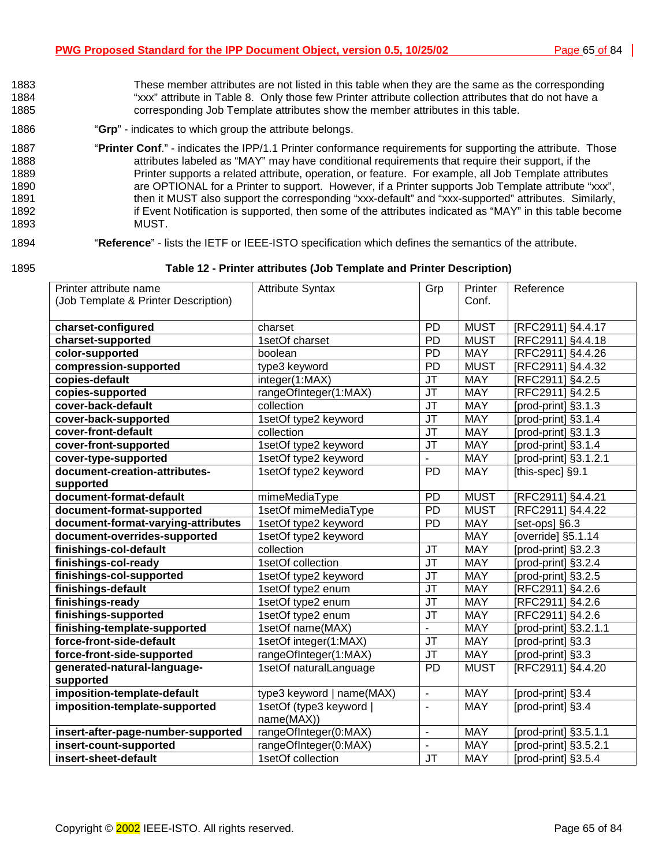- 1883 These member attributes are not listed in this table when they are the same as the corresponding 1884 "xxx" attribute in [Table 8.](#page-42-0) Only those few Printer attribute collection attributes that do not have a 1885 corresponding Job Template attributes show the member attributes in this table.
- 1886 "**Grp**" indicates to which group the attribute belongs.
- 1887 "**Printer Conf**." indicates the IPP/1.1 Printer conformance requirements for supporting the attribute. Those 1888 1888 attributes labeled as "MAY" may have conditional requirements that require their support, if the 1889 Printer supports a related attribute, operation, or feature. For example, all Job Template attributes 1890 **are OPTIONAL for a Printer to support.** However, if a Printer supports Job Template attribute "xxx", 1891 then it MUST also support the corresponding "xxx-default" and "xxx-supported" attributes. Similarly, 1892 **if Event Notification is supported, then some of the attributes indicated as "MAY" in this table become** 1893 MUST.

#### 1894 "**Reference**" - lists the IETF or IEEE-ISTO specification which defines the semantics of the attribute.

#### 1895 **Table 12 - Printer attributes (Job Template and Printer Description)**

| Printer attribute name               | <b>Attribute Syntax</b>   | Grp                               | Printer     | Reference             |
|--------------------------------------|---------------------------|-----------------------------------|-------------|-----------------------|
| (Job Template & Printer Description) |                           |                                   | Conf.       |                       |
| charset-configured                   | charset                   | <b>PD</b>                         | <b>MUST</b> | [RFC2911] §4.4.17     |
| charset-supported                    | 1setOf charset            | PD                                | <b>MUST</b> | [RFC2911] §4.4.18     |
| color-supported                      | boolean                   | PD                                | <b>MAY</b>  | [RFC2911] §4.4.26     |
| compression-supported                | type3 keyword             | PD                                | <b>MUST</b> | [RFC2911] §4.4.32     |
| copies-default                       | integer(1:MAX)            | <b>JT</b>                         | <b>MAY</b>  | [RFC2911] §4.2.5      |
| copies-supported                     | rangeOfInteger(1:MAX)     | $\overline{\mathsf{J}\mathsf{T}}$ | <b>MAY</b>  | [RFC2911] §4.2.5      |
| cover-back-default                   | collection                | $\overline{\mathsf{J}\mathsf{T}}$ | <b>MAY</b>  | [prod-print] §3.1.3   |
| cover-back-supported                 | 1setOf type2 keyword      | <b>JT</b>                         | <b>MAY</b>  | [prod-print] §3.1.4   |
| cover-front-default                  | collection                | JT                                | <b>MAY</b>  | [prod-print] §3.1.3   |
| cover-front-supported                | 1setOf type2 keyword      | <b>JT</b>                         | <b>MAY</b>  | [prod-print] §3.1.4   |
| cover-type-supported                 | 1setOf type2 keyword      |                                   | <b>MAY</b>  | [prod-print] §3.1.2.1 |
| document-creation-attributes-        | 1setOf type2 keyword      | <b>PD</b>                         | <b>MAY</b>  | [this-spec] §9.1      |
| supported                            |                           |                                   |             |                       |
| document-format-default              | mimeMediaType             | PD                                | <b>MUST</b> | [RFC2911] §4.4.21     |
| document-format-supported            | 1setOf mimeMediaType      | PD                                | <b>MUST</b> | [RFC2911] §4.4.22     |
| document-format-varying-attributes   | 1setOf type2 keyword      | PD                                | <b>MAY</b>  | [set-ops] §6.3        |
| document-overrides-supported         | 1setOf type2 keyword      |                                   | <b>MAY</b>  | [override] §5.1.14    |
| finishings-col-default               | collection                | JT                                | <b>MAY</b>  | [prod-print] §3.2.3   |
| finishings-col-ready                 | 1setOf collection         | JT                                | <b>MAY</b>  | [prod-print] §3.2.4   |
| finishings-col-supported             | 1setOf type2 keyword      | <b>JT</b>                         | <b>MAY</b>  | [prod-print] §3.2.5   |
| finishings-default                   | 1setOf type2 enum         | <b>JT</b>                         | <b>MAY</b>  | [RFC2911] §4.2.6      |
| finishings-ready                     | 1setOf type2 enum         | <b>JT</b>                         | <b>MAY</b>  | [RFC2911] §4.2.6      |
| finishings-supported                 | 1setOf type2 enum         | JT                                | <b>MAY</b>  | [RFC2911] §4.2.6      |
| finishing-template-supported         | 1setOf name(MAX)          | $\overline{\phantom{a}}$          | <b>MAY</b>  | [prod-print] §3.2.1.1 |
| force-front-side-default             | 1setOf integer(1:MAX)     | <b>JT</b>                         | <b>MAY</b>  | [prod-print] §3.3     |
| force-front-side-supported           | rangeOfInteger(1:MAX)     | <b>JT</b>                         | <b>MAY</b>  | [prod-print] §3.3     |
| generated-natural-language-          | 1setOf naturalLanguage    | <b>PD</b>                         | <b>MUST</b> | [RFC2911] §4.4.20     |
| supported                            |                           |                                   |             |                       |
| imposition-template-default          | type3 keyword   name(MAX) | $\blacksquare$                    | <b>MAY</b>  | [prod-print] §3.4     |
| imposition-template-supported        | 1setOf (type3 keyword     | $\blacksquare$                    | <b>MAY</b>  | [prod-print] §3.4     |
|                                      | name(MAX))                |                                   |             |                       |
| insert-after-page-number-supported   | rangeOfInteger(0:MAX)     | $\overline{\phantom{a}}$          | <b>MAY</b>  | [prod-print] §3.5.1.1 |
| insert-count-supported               | rangeOfInteger(0:MAX)     |                                   | <b>MAY</b>  | [prod-print] §3.5.2.1 |
| insert-sheet-default                 | 1setOf collection         | <b>JT</b>                         | <b>MAY</b>  | [prod-print] §3.5.4   |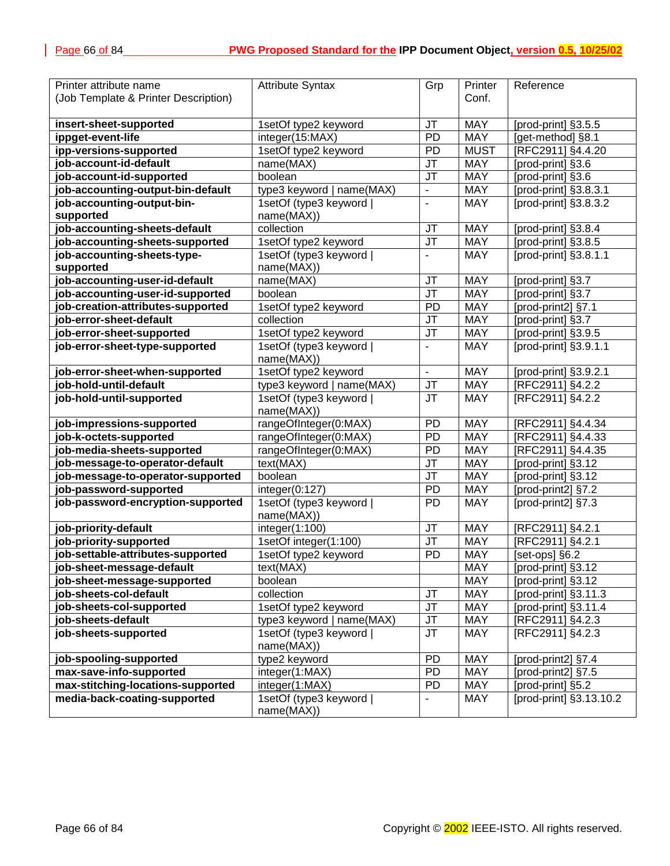| Printer attribute name               | <b>Attribute Syntax</b>              | Grp                      | Printer     | Reference               |
|--------------------------------------|--------------------------------------|--------------------------|-------------|-------------------------|
| (Job Template & Printer Description) |                                      |                          | Conf.       |                         |
|                                      |                                      |                          |             |                         |
| insert-sheet-supported               | 1setOf type2 keyword                 | <b>JT</b>                | <b>MAY</b>  | [prod-print] §3.5.5     |
| ippget-event-life                    | integer(15:MAX)                      | <b>PD</b>                | <b>MAY</b>  | [get-method] §8.1       |
| ipp-versions-supported               | 1setOf type2 keyword                 | PD                       | <b>MUST</b> | [RFC2911] §4.4.20       |
| job-account-id-default               | name(MAX)                            | JT                       | <b>MAY</b>  | [prod-print] §3.6       |
| job-account-id-supported             | boolean                              | JT                       | <b>MAY</b>  | [prod-print] §3.6       |
| job-accounting-output-bin-default    | type3 keyword   name(MAX)            | $\overline{\phantom{a}}$ | <b>MAY</b>  | [prod-print] §3.8.3.1   |
| job-accounting-output-bin-           | 1setOf (type3 keyword                | $\overline{\phantom{a}}$ | <b>MAY</b>  | [prod-print] §3.8.3.2   |
| supported                            | name(MAX))                           |                          |             |                         |
| job-accounting-sheets-default        | collection                           | <b>JT</b>                | <b>MAY</b>  | [prod-print] §3.8.4     |
| job-accounting-sheets-supported      | 1setOf type2 keyword                 | JT                       | <b>MAY</b>  | [prod-print] §3.8.5     |
| job-accounting-sheets-type-          | 1setOf (type3 keyword                | $\blacksquare$           | <b>MAY</b>  | [prod-print] §3.8.1.1   |
| supported                            | name(MAX))                           |                          |             |                         |
| job-accounting-user-id-default       | name(MAX)                            | <b>JT</b>                | <b>MAY</b>  | [prod-print] §3.7       |
| job-accounting-user-id-supported     | boolean                              | JT                       | <b>MAY</b>  | [prod-print] §3.7       |
| job-creation-attributes-supported    | 1setOf type2 keyword                 | PD                       | <b>MAY</b>  | [prod-print2] §7.1      |
| job-error-sheet-default              | collection                           | JT                       | <b>MAY</b>  | [prod-print] §3.7       |
| job-error-sheet-supported            | 1setOf type2 keyword                 | JT                       | <b>MAY</b>  | [prod-print] §3.9.5     |
| job-error-sheet-type-supported       | 1setOf (type3 keyword                |                          | <b>MAY</b>  | [prod-print] §3.9.1.1   |
|                                      | name(MAX))                           |                          |             |                         |
| job-error-sheet-when-supported       | 1setOf type2 keyword                 | $\overline{a}$           | <b>MAY</b>  | [prod-print] §3.9.2.1   |
| job-hold-until-default               | type3 keyword   name(MAX)            | JT                       | <b>MAY</b>  | [RFC2911] §4.2.2        |
| job-hold-until-supported             | 1setOf (type3 keyword                | <b>JT</b>                | <b>MAY</b>  | [RFC2911] §4.2.2        |
|                                      | name(MAX))                           |                          |             |                         |
| job-impressions-supported            | rangeOfInteger(0:MAX)                | PD                       | <b>MAY</b>  | [RFC2911] §4.4.34       |
| job-k-octets-supported               | rangeOfInteger(0:MAX)                | PD                       | <b>MAY</b>  | [RFC2911] §4.4.33       |
| job-media-sheets-supported           | rangeOfInteger(0:MAX)                | <b>PD</b>                | <b>MAY</b>  | [RFC2911] §4.4.35       |
| job-message-to-operator-default      | text(MAX)                            | JT                       | <b>MAY</b>  | [prod-print] §3.12      |
| job-message-to-operator-supported    | boolean                              | <b>JT</b>                | <b>MAY</b>  | [prod-print] §3.12      |
| job-password-supported               | integer(0:127)                       | PD                       | <b>MAY</b>  | [prod-print2] §7.2      |
| job-password-encryption-supported    | 1setOf (type3 keyword)<br>name(MAX)) | PD                       | <b>MAY</b>  | [prod-print2] §7.3      |
| job-priority-default                 | integer(1:100)                       | <b>JT</b>                | <b>MAY</b>  | [RFC2911] §4.2.1        |
| job-priority-supported               | 1setOf integer(1:100)                | JT                       | <b>MAY</b>  | [RFC2911] §4.2.1        |
| job-settable-attributes-supported    | 1setOf type2 keyword                 | PD                       | <b>MAY</b>  | [set-ops] §6.2          |
| job-sheet-message-default            | text(MAX)                            |                          | MAY         | [prod-print] §3.12      |
| job-sheet-message-supported          | boolean                              |                          | <b>MAY</b>  | [prod-print] §3.12      |
| job-sheets-col-default               | collection                           | JT                       | <b>MAY</b>  | [prod-print] §3.11.3    |
| job-sheets-col-supported             | 1setOf type2 keyword                 | JT                       | <b>MAY</b>  | [prod-print] §3.11.4    |
| job-sheets-default                   | type3 keyword   name(MAX)            | JT                       | MAY         | [RFC2911] §4.2.3        |
| job-sheets-supported                 | 1setOf (type3 keyword                | <b>JT</b>                | MAY         | [RFC2911] §4.2.3        |
|                                      | name(MAX))                           |                          |             |                         |
| job-spooling-supported               | type2 keyword                        | <b>PD</b>                | <b>MAY</b>  | [prod-print2] §7.4      |
| max-save-info-supported              | integer(1:MAX)                       | PD                       | <b>MAY</b>  | [prod-print2] §7.5      |
| max-stitching-locations-supported    | integer(1:MAX)                       | PD                       | <b>MAY</b>  | [prod-print] §5.2       |
| media-back-coating-supported         | 1setOf (type3 keyword)<br>name(MAX)) | $\overline{\phantom{a}}$ | <b>MAY</b>  | [prod-print] §3.13.10.2 |
|                                      |                                      |                          |             |                         |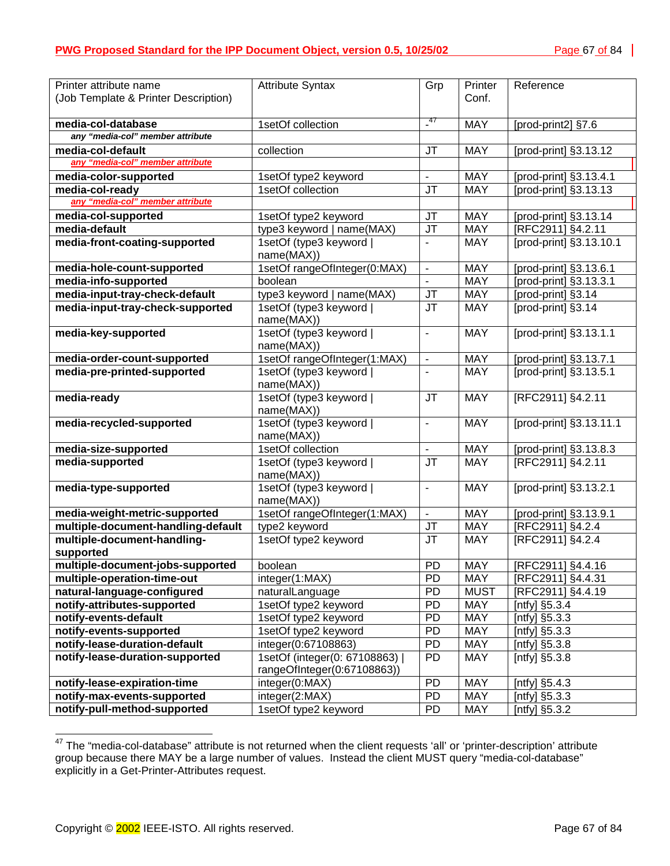| Printer attribute name               | <b>Attribute Syntax</b>             | Grp                      | Printer     | Reference               |
|--------------------------------------|-------------------------------------|--------------------------|-------------|-------------------------|
| (Job Template & Printer Description) |                                     |                          | Conf.       |                         |
|                                      |                                     |                          |             |                         |
| media-col-database                   | 1setOf collection                   | $^{47}$                  | <b>MAY</b>  | [prod-print2] §7.6      |
| any "media-col" member attribute     |                                     |                          |             |                         |
| media-col-default                    | collection                          | JT                       | <b>MAY</b>  | [prod-print] §3.13.12   |
| any "media-col" member attribute     |                                     |                          |             |                         |
| media-color-supported                | 1setOf type2 keyword                | $\blacksquare$           | <b>MAY</b>  | [prod-print] §3.13.4.1  |
| media-col-ready                      | 1setOf collection                   | <b>JT</b>                | <b>MAY</b>  | [prod-print] §3.13.13   |
| any "media-col" member attribute     |                                     |                          |             |                         |
| media-col-supported                  | 1setOf type2 keyword                | JT                       | <b>MAY</b>  | [prod-print] §3.13.14   |
| media-default                        | type3 keyword   name(MAX)           | JT                       | <b>MAY</b>  | [RFC2911] §4.2.11       |
| media-front-coating-supported        | 1setOf (type3 keyword               | $\blacksquare$           | <b>MAY</b>  | [prod-print] §3.13.10.1 |
|                                      | name(MAX))                          |                          |             |                         |
| media-hole-count-supported           | 1setOf rangeOfInteger(0:MAX)        | $\overline{\phantom{a}}$ | <b>MAY</b>  | [prod-print] §3.13.6.1  |
| media-info-supported                 | boolean                             | $\blacksquare$           | <b>MAY</b>  | [prod-print] §3.13.3.1  |
| media-input-tray-check-default       | type3 keyword   name(MAX)           | <b>JT</b>                | <b>MAY</b>  | [prod-print] §3.14      |
| media-input-tray-check-supported     | 1setOf (type3 keyword               | <b>JT</b>                | <b>MAY</b>  | [prod-print] §3.14      |
|                                      | name(MAX))                          |                          |             |                         |
| media-key-supported                  | 1setOf (type3 keyword               | $\overline{\phantom{a}}$ | <b>MAY</b>  | [prod-print] §3.13.1.1  |
|                                      | name(MAX))                          |                          |             |                         |
| media-order-count-supported          | 1setOf rangeOfInteger(1:MAX)        | $\blacksquare$           | <b>MAY</b>  | [prod-print] §3.13.7.1  |
| media-pre-printed-supported          | 1setOf (type3 keyword)              |                          | <b>MAY</b>  | [prod-print] §3.13.5.1  |
|                                      | name(MAX))                          |                          |             |                         |
| media-ready                          | 1setOf (type3 keyword)              | <b>JT</b>                | <b>MAY</b>  | [RFC2911] §4.2.11       |
| media-recycled-supported             | name(MAX))<br>1setOf (type3 keyword | $\overline{\phantom{a}}$ | <b>MAY</b>  | [prod-print] §3.13.11.1 |
|                                      | name(MAX))                          |                          |             |                         |
| media-size-supported                 | 1setOf collection                   | $\blacksquare$           | <b>MAY</b>  | [prod-print] §3.13.8.3  |
| media-supported                      | 1setOf (type3 keyword               | JT                       | <b>MAY</b>  | [RFC2911] §4.2.11       |
|                                      | name(MAX))                          |                          |             |                         |
| media-type-supported                 | 1setOf (type3 keyword               | $\blacksquare$           | <b>MAY</b>  | [prod-print] §3.13.2.1  |
|                                      | name(MAX))                          |                          |             |                         |
| media-weight-metric-supported        | 1setOf rangeOfInteger(1:MAX)        | $\blacksquare$           | <b>MAY</b>  | [prod-print] §3.13.9.1  |
| multiple-document-handling-default   | type2 keyword                       | JT                       | <b>MAY</b>  | [RFC2911] §4.2.4        |
| multiple-document-handling-          | 1setOf type2 keyword                | <b>JT</b>                | <b>MAY</b>  | [RFC2911] §4.2.4        |
| supported                            |                                     |                          |             |                         |
| multiple-document-jobs-supported     | boolean                             | <b>PD</b>                | MAY         | [RFC2911] §4.4.16       |
| multiple-operation-time-out          | integer(1:MAX)                      | <b>PD</b>                | <b>MAY</b>  | [RFC2911] §4.4.31       |
| natural-language-configured          | naturalLanguage                     | <b>PD</b>                | <b>MUST</b> | [RFC2911] §4.4.19       |
| notify-attributes-supported          | 1setOf type2 keyword                | <b>PD</b>                | <b>MAY</b>  | [ntfy] §5.3.4           |
| notify-events-default                | 1setOf type2 keyword                | <b>PD</b>                | <b>MAY</b>  | [ntfy] $§5.3.3$         |
| notify-events-supported              | 1setOf type2 keyword                | <b>PD</b>                | <b>MAY</b>  | [ntfy] $\S5.3.3$        |
| notify-lease-duration-default        | integer(0:67108863)                 | <b>PD</b>                | <b>MAY</b>  | [ntfy] $§5.3.8$         |
| notify-lease-duration-supported      | 1setOf (integer(0: 67108863)        | <b>PD</b>                | MAY         | [ntfy] $\S5.3.8$        |
|                                      | rangeOfInteger(0:67108863))         |                          |             |                         |
| notify-lease-expiration-time         | integer(0:MAX)                      | <b>PD</b>                | <b>MAY</b>  | [ntfy] §5.4.3           |
| notify-max-events-supported          | integer(2:MAX)                      | <b>PD</b>                | <b>MAY</b>  | [ntfy] $\S5.3.3$        |
| notify-pull-method-supported         | 1setOf type2 keyword                | <b>PD</b>                | MAY         | [ntfy] §5.3.2           |

 $47$  The "media-col-database" attribute is not returned when the client requests 'all' or 'printer-description' attribute group because there MAY be a large number of values. Instead the client MUST query "media-col-database" explicitly in a Get-Printer-Attributes request.

l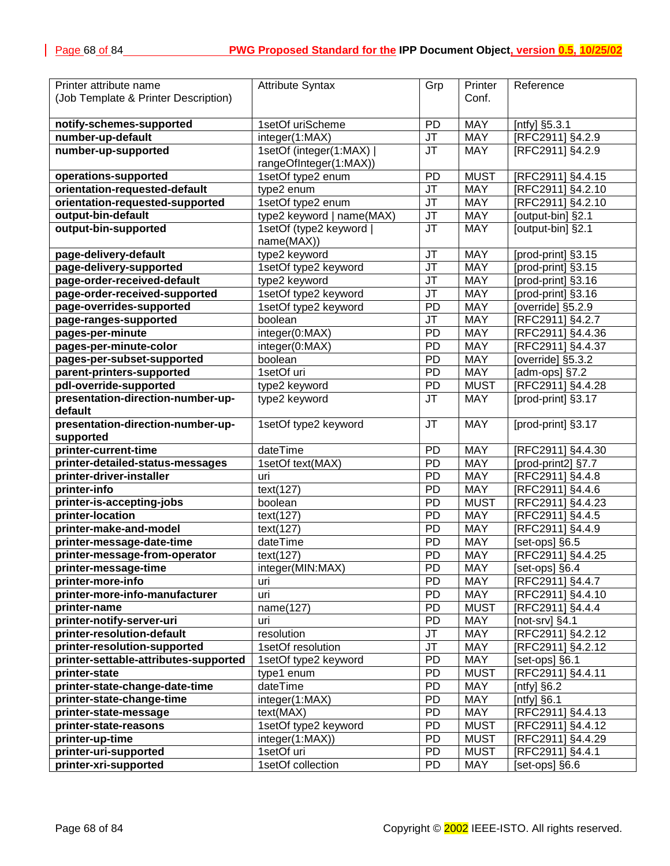| Printer attribute name                | <b>Attribute Syntax</b>   | Grp             | Printer     | Reference          |
|---------------------------------------|---------------------------|-----------------|-------------|--------------------|
|                                       |                           |                 | Conf.       |                    |
| (Job Template & Printer Description)  |                           |                 |             |                    |
| notify-schemes-supported              | 1setOf uriScheme          | <b>PD</b>       | <b>MAY</b>  | [ntfy] §5.3.1      |
| number-up-default                     |                           | <b>JT</b>       | <b>MAY</b>  |                    |
|                                       | integer(1:MAX)            |                 |             | [RFC2911] §4.2.9   |
| number-up-supported                   | 1setOf (integer(1:MAX)    | JT              | <b>MAY</b>  | [RFC2911] §4.2.9   |
|                                       | rangeOfInteger(1:MAX))    |                 |             |                    |
| operations-supported                  | 1setOf type2 enum         | PD              | <b>MUST</b> | [RFC2911] §4.4.15  |
| orientation-requested-default         | type2 enum                | <b>JT</b>       | <b>MAY</b>  | [RFC2911] §4.2.10  |
| orientation-requested-supported       | 1setOf type2 enum         | J <sub>T</sub>  | <b>MAY</b>  | [RFC2911] §4.2.10  |
| output-bin-default                    | type2 keyword   name(MAX) | J <sub>T</sub>  | MAY         | [output-bin] §2.1  |
| output-bin-supported                  | 1setOf (type2 keyword     | <b>JT</b>       | <b>MAY</b>  | [output-bin] §2.1  |
|                                       | name(MAX))                |                 |             |                    |
| page-delivery-default                 | type2 keyword             | JT              | MAY         | [prod-print] §3.15 |
| page-delivery-supported               | 1setOf type2 keyword      | JT              | <b>MAY</b>  | [prod-print] §3.15 |
| page-order-received-default           | type2 keyword             | JT              | MAY         | [prod-print] §3.16 |
| page-order-received-supported         | 1setOf type2 keyword      | JT              | MAY         | [prod-print] §3.16 |
| page-overrides-supported              | 1setOf type2 keyword      | PD              | <b>MAY</b>  | [override] §5.2.9  |
| page-ranges-supported                 | boolean                   | JT              | <b>MAY</b>  | [RFC2911] §4.2.7   |
| pages-per-minute                      | integer(0:MAX)            | <b>PD</b>       | <b>MAY</b>  | [RFC2911] §4.4.36  |
| pages-per-minute-color                | integer(0:MAX)            | PD              | <b>MAY</b>  | [RFC2911] §4.4.37  |
| pages-per-subset-supported            | boolean                   | <b>PD</b>       | <b>MAY</b>  | [override] §5.3.2  |
| parent-printers-supported             | 1setOf uri                | PD              | MAY         | [adm-ops] §7.2     |
| pdl-override-supported                | type2 keyword             | PD              | <b>MUST</b> | [RFC2911] §4.4.28  |
| presentation-direction-number-up-     | type2 keyword             | <b>JT</b>       | <b>MAY</b>  | [prod-print] §3.17 |
| default                               |                           |                 |             |                    |
| presentation-direction-number-up-     | 1setOf type2 keyword      | <b>JT</b>       | <b>MAY</b>  | [prod-print] §3.17 |
| supported                             |                           |                 |             |                    |
| printer-current-time                  | dateTime                  | <b>PD</b>       | <b>MAY</b>  | [RFC2911] §4.4.30  |
| printer-detailed-status-messages      | 1setOf text(MAX)          | PD              | <b>MAY</b>  | [prod-print2] §7.7 |
| printer-driver-installer              | uri                       | PD              | <b>MAY</b>  | [RFC2911] §4.4.8   |
| printer-info                          | text(127)                 | PD              | <b>MAY</b>  | [RFC2911] §4.4.6   |
| printer-is-accepting-jobs             | boolean                   | PD              | <b>MUST</b> | [RFC2911] §4.4.23  |
| printer-location                      | text(127)                 | $\overline{PD}$ | <b>MAY</b>  | [RFC2911] §4.4.5   |
| printer-make-and-model                | text(127)                 | PD              | <b>MAY</b>  | [RFC2911] §4.4.9   |
| printer-message-date-time             | dateTime                  | PD              | <b>MAY</b>  | [set-ops] §6.5     |
| printer-message-from-operator         | text(127)                 | PD              | <b>MAY</b>  | [RFC2911] §4.4.25  |
| printer-message-time                  | integer(MIN:MAX)          | $\overline{PD}$ | <b>MAY</b>  | [set-ops] §6.4     |
| printer-more-info                     | uri                       | <b>PD</b>       | <b>MAY</b>  | [RFC2911] §4.4.7   |
| printer-more-info-manufacturer        | uri                       | PD              | MAY         | [RFC2911] §4.4.10  |
| printer-name                          | name(127)                 | <b>PD</b>       | <b>MUST</b> | [RFC2911] §4.4.4   |
| printer-notify-server-uri             | uri                       | PD              | MAY         | [not-srv] $§4.1$   |
| printer-resolution-default            | resolution                | JT              | MAY         | [RFC2911] §4.2.12  |
| printer-resolution-supported          | 1setOf resolution         | JT              | MAY         | [RFC2911] §4.2.12  |
| printer-settable-attributes-supported | 1setOf type2 keyword      | PD              | <b>MAY</b>  | [set-ops] §6.1     |
| printer-state                         | type1 enum                | PD              | <b>MUST</b> | [RFC2911] §4.4.11  |
| printer-state-change-date-time        | dateTime                  | <b>PD</b>       | <b>MAY</b>  | [ntfy] $§6.2$      |
| printer-state-change-time             | integer(1:MAX)            | PD              | MAY         | [ntfy] $§6.1$      |
| printer-state-message                 | text(MAX)                 | PD              | MAY         | [RFC2911] §4.4.13  |
|                                       |                           | <b>PD</b>       | <b>MUST</b> | [RFC2911] §4.4.12  |
| printer-state-reasons                 | 1setOf type2 keyword      |                 |             |                    |
| printer-up-time                       | integer(1:MAX))           | PD              | <b>MUST</b> | [RFC2911] §4.4.29  |
| printer-uri-supported                 | 1setOf uri                | PD              | <b>MUST</b> | [RFC2911] §4.4.1   |
| printer-xri-supported                 | 1setOf collection         | PD              | <b>MAY</b>  | [set-ops] §6.6     |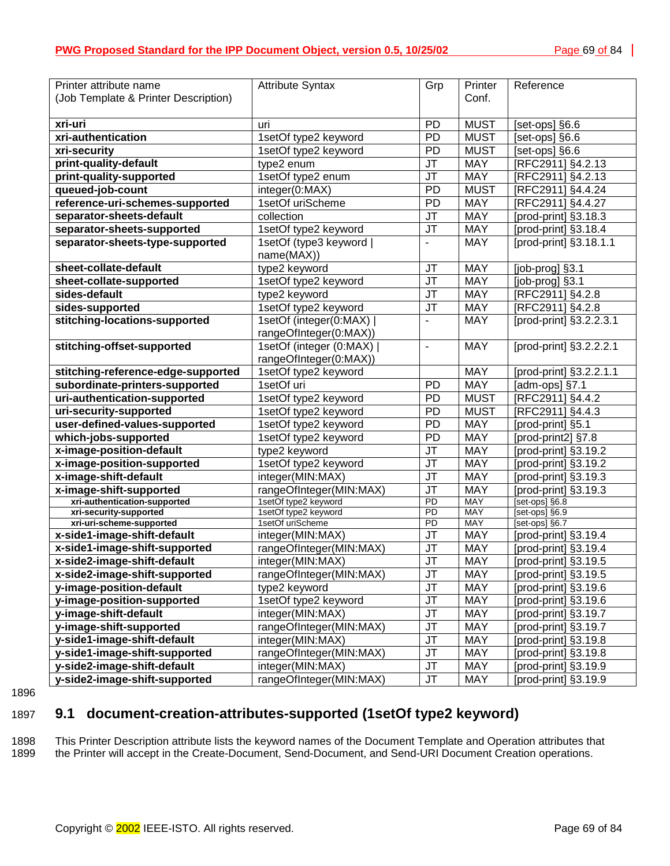<span id="page-68-0"></span>

| Printer attribute name                                    | <b>Attribute Syntax</b>                  | Grp                               | Printer                  | Reference                                    |
|-----------------------------------------------------------|------------------------------------------|-----------------------------------|--------------------------|----------------------------------------------|
| (Job Template & Printer Description)                      |                                          |                                   | Conf.                    |                                              |
|                                                           |                                          |                                   |                          |                                              |
| xri-uri                                                   | uri                                      | <b>PD</b>                         | <b>MUST</b>              | [set-ops] §6.6                               |
| xri-authentication                                        | 1setOf type2 keyword                     | PD                                | <b>MUST</b>              | [set-ops] §6.6                               |
| xri-security                                              | 1setOf type2 keyword                     | PD                                | <b>MUST</b>              | [set-ops] §6.6                               |
| print-quality-default                                     | type2 enum                               | JT                                | MAY                      | [RFC2911] §4.2.13                            |
| print-quality-supported                                   | 1setOf type2 enum                        | JT                                | <b>MAY</b>               | [RFC2911] §4.2.13                            |
| queued-job-count                                          | integer(0:MAX)                           | PD                                | <b>MUST</b>              | [RFC2911] §4.4.24                            |
| reference-uri-schemes-supported                           | 1setOf uriScheme                         | PD                                | MAY                      | [RFC2911] §4.4.27                            |
| separator-sheets-default                                  | collection                               | JT                                | <b>MAY</b>               | [prod-print] §3.18.3                         |
| separator-sheets-supported                                | 1setOf type2 keyword                     | JT                                | MAY                      | [prod-print] §3.18.4                         |
| separator-sheets-type-supported                           | 1setOf (type3 keyword                    | $\blacksquare$                    | <b>MAY</b>               | [prod-print] §3.18.1.1                       |
|                                                           | name(MAX))                               |                                   |                          |                                              |
| sheet-collate-default                                     | type2 keyword                            | <b>JT</b>                         | <b>MAY</b>               | [job-prog] §3.1                              |
| sheet-collate-supported                                   | 1setOf type2 keyword                     | $\overline{\mathsf{J}\mathsf{T}}$ | <b>MAY</b>               | [job-prog] §3.1                              |
| sides-default                                             | type2 keyword                            | JT                                | <b>MAY</b>               | [RFC2911] §4.2.8                             |
| sides-supported                                           | 1setOf type2 keyword                     | JT                                | MAY                      | [RFC2911] §4.2.8                             |
| stitching-locations-supported                             | 1setOf (integer(0:MAX)                   |                                   | <b>MAY</b>               | [prod-print] §3.2.2.3.1                      |
|                                                           | rangeOfInteger(0:MAX))                   |                                   |                          |                                              |
| stitching-offset-supported                                | 1setOf (integer (0:MAX)                  | ÷                                 | <b>MAY</b>               | [prod-print] §3.2.2.2.1                      |
|                                                           | rangeOfInteger(0:MAX))                   |                                   |                          |                                              |
| stitching-reference-edge-supported                        | 1setOf type2 keyword                     |                                   | <b>MAY</b>               | [prod-print] §3.2.2.1.1                      |
| subordinate-printers-supported                            | 1setOf uri                               | PD                                | <b>MAY</b>               | [adm-ops] §7.1                               |
| uri-authentication-supported                              | 1setOf type2 keyword                     | PD                                | <b>MUST</b>              | [RFC2911] §4.4.2                             |
| uri-security-supported                                    | 1setOf type2 keyword                     | PD                                | <b>MUST</b>              | [RFC2911] §4.4.3                             |
| user-defined-values-supported                             | 1setOf type2 keyword                     | PD                                | <b>MAY</b>               | [prod-print] §5.1                            |
| which-jobs-supported                                      | 1setOf type2 keyword                     | <b>PD</b>                         | <b>MAY</b>               | [prod-print2] §7.8                           |
| x-image-position-default                                  | type2 keyword                            | $\overline{\mathsf{J}\mathsf{T}}$ | <b>MAY</b>               | [prod-print] §3.19.2                         |
| x-image-position-supported                                | 1setOf type2 keyword                     | $\overline{\mathsf{J}\mathsf{T}}$ | <b>MAY</b>               | [prod-print] §3.19.2                         |
| x-image-shift-default                                     | integer(MIN:MAX)                         | $\overline{\mathsf{J}\mathsf{T}}$ | <b>MAY</b>               | [prod-print] §3.19.3                         |
| x-image-shift-supported                                   | rangeOfInteger(MIN:MAX)                  | $\overline{\mathsf{J}\mathsf{T}}$ | <b>MAY</b>               | [prod-print] §3.19.3                         |
| xri-authentication-supported                              | 1setOf type2 keyword                     | PD                                | <b>MAY</b>               | [set-ops] §6.8                               |
| xri-security-supported                                    | 1setOf type2 keyword                     | $\overline{PD}$                   | <b>MAY</b>               | [set-ops] §6.9                               |
| xri-uri-scheme-supported                                  | 1setOf uriScheme                         | $\overline{PD}$<br>JT             | <b>MAY</b><br><b>MAY</b> | [set-ops] §6.7                               |
| x-side1-image-shift-default                               | integer(MIN:MAX)                         | JT                                | <b>MAY</b>               | [prod-print] §3.19.4<br>[prod-print] §3.19.4 |
| x-side1-image-shift-supported                             | rangeOfInteger(MIN:MAX)                  | JT                                | <b>MAY</b>               | [prod-print] §3.19.5                         |
| x-side2-image-shift-default                               | integer(MIN:MAX)                         |                                   |                          |                                              |
| x-side2-image-shift-supported<br>y-image-position-default | rangeOfInteger(MIN:MAX)<br>type2 keyword | JT<br>JT                          | <b>MAY</b><br><b>MAY</b> | [prod-print] §3.19.5<br>[prod-print] §3.19.6 |
|                                                           |                                          |                                   |                          |                                              |
| y-image-position-supported                                | 1setOf type2 keyword                     | JT                                | MAY                      | [prod-print] §3.19.6                         |
| y-image-shift-default                                     | integer(MIN:MAX)                         | JT                                | <b>MAY</b>               | [prod-print] §3.19.7                         |
| y-image-shift-supported                                   | rangeOfInteger(MIN:MAX)                  | JT                                | <b>MAY</b>               | [prod-print] §3.19.7                         |
| y-side1-image-shift-default                               | integer(MIN:MAX)                         | JT                                | <b>MAY</b>               | [prod-print] §3.19.8                         |
| y-side1-image-shift-supported                             | rangeOfInteger(MIN:MAX)                  | JT                                | <b>MAY</b>               | [prod-print] §3.19.8                         |
| y-side2-image-shift-default                               | integer(MIN:MAX)                         | JT                                | <b>MAY</b>               | [prod-print] §3.19.9                         |
| y-side2-image-shift-supported                             | rangeOfInteger(MIN:MAX)                  | JT                                | MAY                      | [prod-print] §3.19.9                         |

1896

## 1897 **9.1 document-creation-attributes-supported (1setOf type2 keyword)**

1898 This Printer Description attribute lists the keyword names of the Document Template and Operation attributes that 1899 the Printer will accept in the Create-Document, Send-Document, and Send-URI Document Creation operations.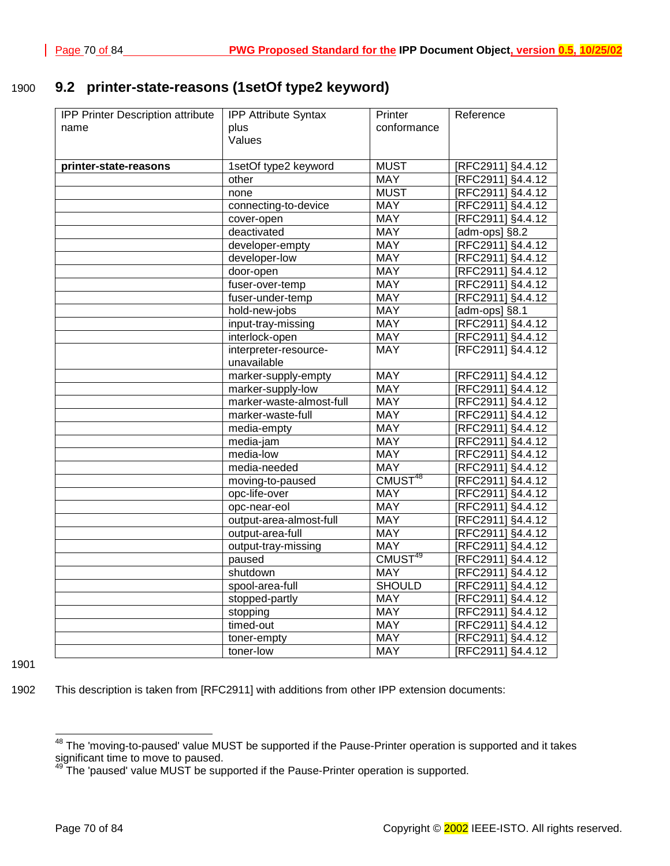# 1900 **9.2 printer-state-reasons (1setOf type2 keyword)**

| IPP Printer Description attribute | <b>IPP Attribute Syntax</b> | <b>Printer</b>      | Reference         |
|-----------------------------------|-----------------------------|---------------------|-------------------|
| name                              | plus                        | conformance         |                   |
|                                   | Values                      |                     |                   |
|                                   |                             |                     |                   |
| printer-state-reasons             | 1setOf type2 keyword        | <b>MUST</b>         | [RFC2911] §4.4.12 |
|                                   | other                       | <b>MAY</b>          | [RFC2911] §4.4.12 |
|                                   | none                        | <b>MUST</b>         | [RFC2911] §4.4.12 |
|                                   | connecting-to-device        | <b>MAY</b>          | [RFC2911] §4.4.12 |
|                                   | cover-open                  | <b>MAY</b>          | [RFC2911] §4.4.12 |
|                                   | deactivated                 | <b>MAY</b>          | [adm-ops] §8.2    |
|                                   | developer-empty             | <b>MAY</b>          | [RFC2911] §4.4.12 |
|                                   | developer-low               | <b>MAY</b>          | [RFC2911] §4.4.12 |
|                                   | door-open                   | <b>MAY</b>          | [RFC2911] §4.4.12 |
|                                   | fuser-over-temp             | <b>MAY</b>          | [RFC2911] §4.4.12 |
|                                   | fuser-under-temp            | <b>MAY</b>          | [RFC2911] §4.4.12 |
|                                   | hold-new-jobs               | <b>MAY</b>          | Tadm-ops] §8.1    |
|                                   | input-tray-missing          | <b>MAY</b>          | [RFC2911] §4.4.12 |
|                                   | interlock-open              | <b>MAY</b>          | [RFC2911] §4.4.12 |
|                                   | interpreter-resource-       | <b>MAY</b>          | [RFC2911] §4.4.12 |
|                                   | unavailable                 |                     |                   |
|                                   | marker-supply-empty         | <b>MAY</b>          | [RFC2911] §4.4.12 |
|                                   | marker-supply-low           | <b>MAY</b>          | [RFC2911] §4.4.12 |
|                                   | marker-waste-almost-full    | <b>MAY</b>          | [RFC2911] §4.4.12 |
|                                   | marker-waste-full           | <b>MAY</b>          | [RFC2911] §4.4.12 |
|                                   | media-empty                 | <b>MAY</b>          | [RFC2911] §4.4.12 |
|                                   | media-jam                   | <b>MAY</b>          | [RFC2911] §4.4.12 |
|                                   | media-low                   | <b>MAY</b>          | [RFC2911] §4.4.12 |
|                                   | media-needed                | <b>MAY</b>          | [RFC2911] §4.4.12 |
|                                   | moving-to-paused            | CMUST <sup>48</sup> | [RFC2911] §4.4.12 |
|                                   | opc-life-over               | <b>MAY</b>          | [RFC2911] §4.4.12 |
|                                   | opc-near-eol                | <b>MAY</b>          | [RFC2911] §4.4.12 |
|                                   | output-area-almost-full     | <b>MAY</b>          | [RFC2911] §4.4.12 |
|                                   | output-area-full            | <b>MAY</b>          | [RFC2911] §4.4.12 |
|                                   | output-tray-missing         | <b>MAY</b>          | [RFC2911] §4.4.12 |
|                                   | paused                      | CMUST <sup>49</sup> | [RFC2911] §4.4.12 |
|                                   | shutdown                    | <b>MAY</b>          | [RFC2911] §4.4.12 |
|                                   | spool-area-full             | <b>SHOULD</b>       | [RFC2911] §4.4.12 |
|                                   | stopped-partly              | <b>MAY</b>          | [RFC2911] §4.4.12 |
|                                   | stopping                    | <b>MAY</b>          | [RFC2911] §4.4.12 |
|                                   | timed-out                   | <b>MAY</b>          | [RFC2911] §4.4.12 |
|                                   | toner-empty                 | <b>MAY</b>          | [RFC2911] §4.4.12 |
|                                   | toner-low                   | <b>MAY</b>          | IRFC2911] §4.4.12 |

1901

l

1902 This description is taken from [RFC2911] with additions from other IPP extension documents:

 $^{48}$  The 'moving-to-paused' value MUST be supported if the Pause-Printer operation is supported and it takes significant time to move to paused.

 $^{49}$ The 'paused' value MUST be supported if the Pause-Printer operation is supported.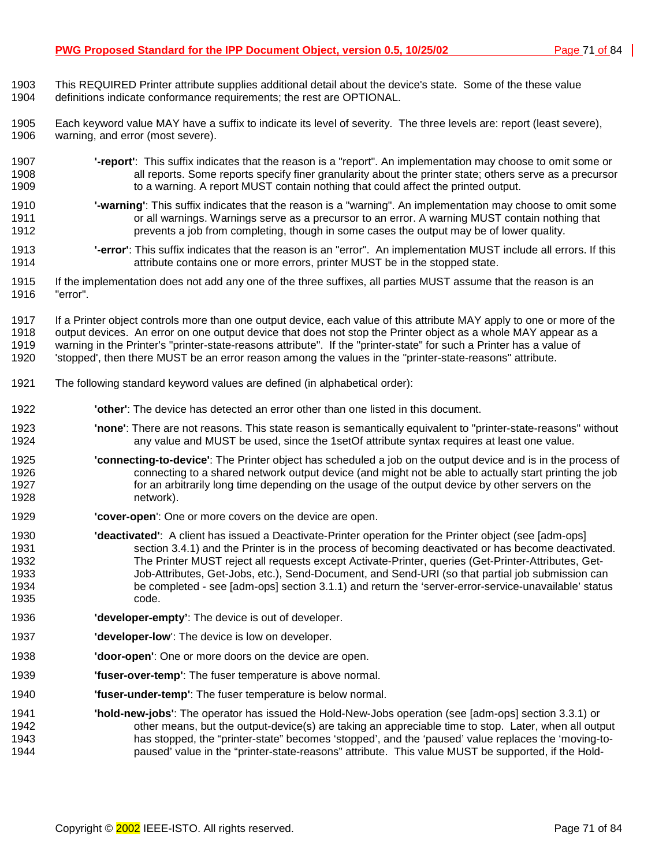- 1903 This REQUIRED Printer attribute supplies additional detail about the device's state. Some of the these value
- 1904 definitions indicate conformance requirements; the rest are OPTIONAL.
- 1905 Each keyword value MAY have a suffix to indicate its level of severity. The three levels are: report (least severe), 1906 warning, and error (most severe).
- 1907 **'-report'**: This suffix indicates that the reason is a "report". An implementation may choose to omit some or 1908 all reports. Some reports specify finer granularity about the printer state; others serve as a precursor 1909 to a warning. A report MUST contain nothing that could affect the printed output.
- 1910 **'-warning'**: This suffix indicates that the reason is a "warning". An implementation may choose to omit some or all warnings. Warnings serve as a precursor to an error. A warning MUST contain nothing that 1912 prevents a job from completing, though in some cases the output may be of lower quality.
- 1913 **'-error'**: This suffix indicates that the reason is an "error". An implementation MUST include all errors. If this 1914 attribute contains one or more errors, printer MUST be in the stopped state.
- 1915 If the implementation does not add any one of the three suffixes, all parties MUST assume that the reason is an 1916 "error".
- 1917 If a Printer object controls more than one output device, each value of this attribute MAY apply to one or more of the 1918 output devices. An error on one output device that does not stop the Printer object as a whole MAY appear as a 1919 warning in the Printer's "printer-state-reasons attribute". If the "printer-state" for such a Printer has a value of 1920 'stopped', then there MUST be an error reason among the values in the "printer-state-reasons" attribute.
- 1921 The following standard keyword values are defined (in alphabetical order):
- 1922 **'other'**: The device has detected an error other than one listed in this document.
- 1923 **'none'**: There are not reasons. This state reason is semantically equivalent to "printer-state-reasons" without 1924 any value and MUST be used, since the 1setOf attribute syntax requires at least one value.
- 1925 **'connecting-to-device'**: The Printer object has scheduled a job on the output device and is in the process of 1926 connecting to a shared network output device (and might not be able to actually start printing the job 1927 for an arbitrarily long time depending on the usage of the output device by other servers on the 1928 network).
- 1929 **'cover-open**': One or more covers on the device are open.
- 1930 **'deactivated'**: A client has issued a Deactivate-Printer operation for the Printer object (see [adm-ops] 1931 section 3.4.1) and the Printer is in the process of becoming deactivated or has become deactivated. 1932 The Printer MUST reject all requests except Activate-Printer, queries (Get-Printer-Attributes, Get-1933 Job-Attributes, Get-Jobs, etc.), Send-Document, and Send-URI (so that partial job submission can 1934 be completed - see [adm-ops] section 3.1.1) and return the 'server-error-service-unavailable' status 1935 code.
- 1936 **'developer-empty'**: The device is out of developer.
- 1937 **'developer-low**': The device is low on developer.
- 1938 **'door-open'**: One or more doors on the device are open.
- 1939 **'fuser-over-temp'**: The fuser temperature is above normal.
- 1940 **'fuser-under-temp'**: The fuser temperature is below normal.
- 1941 **'hold-new-jobs'**: The operator has issued the Hold-New-Jobs operation (see [adm-ops] section 3.3.1) or 1942 other means, but the output-device(s) are taking an appreciable time to stop. Later, when all output 1943 has stopped, the "printer-state" becomes 'stopped', and the 'paused' value replaces the 'moving-to-1944 paused' value in the "printer-state-reasons" attribute. This value MUST be supported, if the Hold-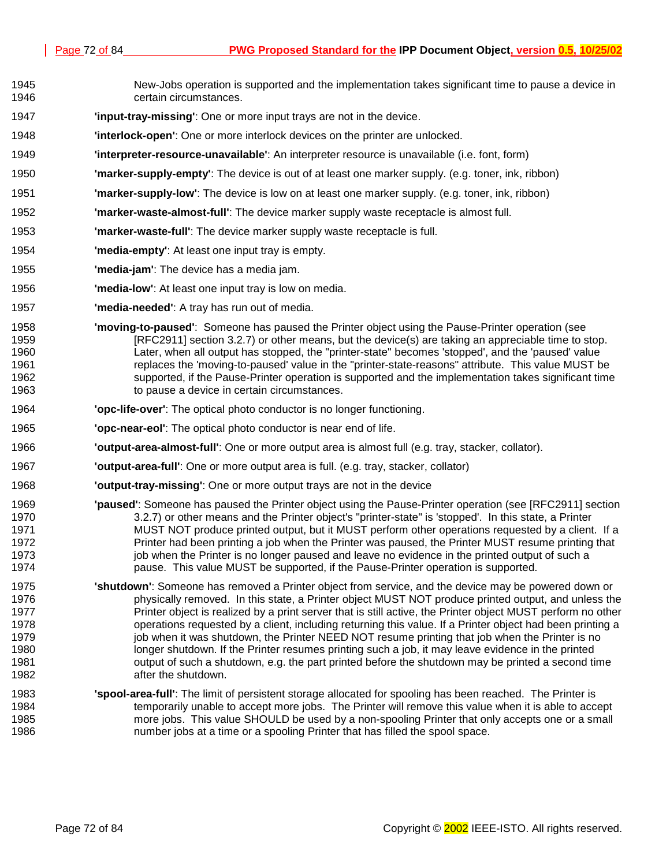- 1945 New-Jobs operation is supported and the implementation takes significant time to pause a device in 1946 certain circumstances.
- 1947 **'input-tray-missing'**: One or more input trays are not in the device.
- 1948 **'interlock-open'**: One or more interlock devices on the printer are unlocked.
- 1949 **'interpreter-resource-unavailable'**: An interpreter resource is unavailable (i.e. font, form)
- 1950 **'marker-supply-empty'**: The device is out of at least one marker supply. (e.g. toner, ink, ribbon)
- 1951 **'marker-supply-low'**: The device is low on at least one marker supply. (e.g. toner, ink, ribbon)
- 1952 **'marker-waste-almost-full'**: The device marker supply waste receptacle is almost full.
- 1953 **'marker-waste-full'**: The device marker supply waste receptacle is full.
- 1954 **'media-empty'**: At least one input tray is empty.
- 1955 **'media-jam'**: The device has a media jam.
- 1956 **'media-low'**: At least one input tray is low on media.
- 1957 **'media-needed'**: A tray has run out of media.
- 1958 **'moving-to-paused'**: Someone has paused the Printer object using the Pause-Printer operation (see 1959 [RFC2911] section 3.2.7) or other means, but the device(s) are taking an appreciable time to stop. 1960 Later, when all output has stopped, the "printer-state" becomes 'stopped', and the 'paused' value 1961 replaces the 'moving-to-paused' value in the "printer-state-reasons" attribute. This value MUST be 1962 supported, if the Pause-Printer operation is supported and the implementation takes significant time 1963 to pause a device in certain circumstances.
- 1964 **'opc-life-over'**: The optical photo conductor is no longer functioning.
- 1965 **'opc-near-eol'**: The optical photo conductor is near end of life.
- 1966 **'output-area-almost-full'**: One or more output area is almost full (e.g. tray, stacker, collator).
- 1967 **'output-area-full'**: One or more output area is full. (e.g. tray, stacker, collator)
- 1968 **'output-tray-missing'**: One or more output trays are not in the device
- 1969 **'paused'**: Someone has paused the Printer object using the Pause-Printer operation (see [RFC2911] section 1970 3.2.7) or other means and the Printer object's "printer-state" is 'stopped'. In this state, a Printer 1971 MUST NOT produce printed output, but it MUST perform other operations requested by a client. If a 1972 Printer had been printing a job when the Printer was paused, the Printer MUST resume printing that 1973 job when the Printer is no longer paused and leave no evidence in the printed output of such a 1974 pause. This value MUST be supported, if the Pause-Printer operation is supported.
- 1975 **'shutdown'**: Someone has removed a Printer object from service, and the device may be powered down or 1976 physically removed. In this state, a Printer object MUST NOT produce printed output, and unless the 1977 Printer object is realized by a print server that is still active, the Printer object MUST perform no other 1978 operations requested by a client, including returning this value. If a Printer object had been printing a 1979 job when it was shutdown, the Printer NEED NOT resume printing that job when the Printer is no 1980 longer shutdown. If the Printer resumes printing such a job, it may leave evidence in the printed 1981 output of such a shutdown, e.g. the part printed before the shutdown may be printed a second time 1982 **after the shutdown.**
- 1983 **'spool-area-full'**: The limit of persistent storage allocated for spooling has been reached. The Printer is 1984 temporarily unable to accept more jobs. The Printer will remove this value when it is able to accept 1985 more jobs. This value SHOULD be used by a non-spooling Printer that only accepts one or a small 1986 number jobs at a time or a spooling Printer that has filled the spool space.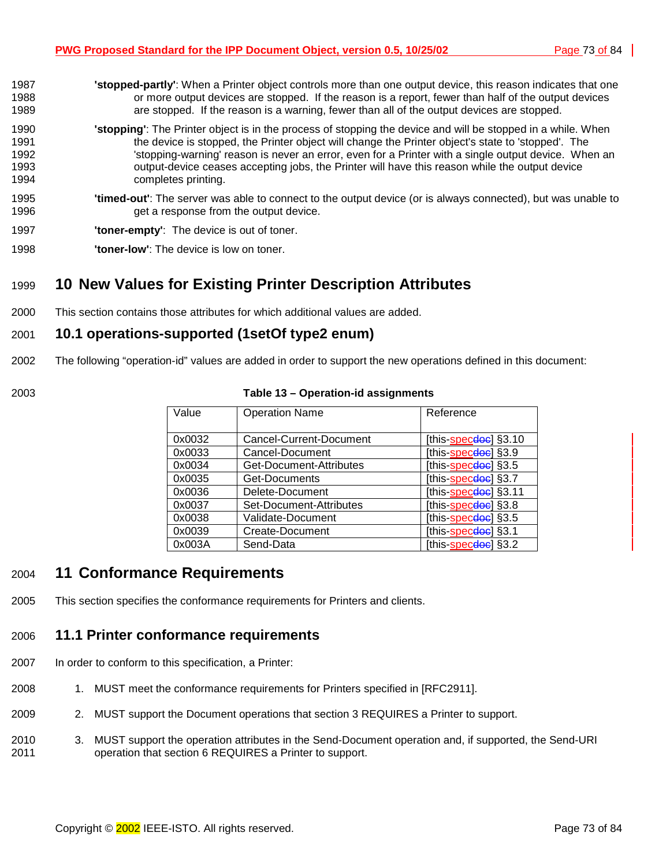- <span id="page-72-0"></span>1987 **'stopped-partly'**: When a Printer object controls more than one output device, this reason indicates that one 1988 or more output devices are stopped. If the reason is a report, fewer than half of the output devices 1989 are stopped. If the reason is a warning, fewer than all of the output devices are stopped. 1990 **'stopping'**: The Printer object is in the process of stopping the device and will be stopped in a while. When 1991 the device is stopped, the Printer object will change the Printer object's state to 'stopped'. The 1992 'stopping-warning' reason is never an error, even for a Printer with a single output device. When an 1993 output-device ceases accepting jobs, the Printer will have this reason while the output device 1994 completes printing. 1995 **'timed-out'**: The server was able to connect to the output device (or is always connected), but was unable to 1996 get a response from the output device.
- 1997 **'toner-empty'**: The device is out of toner.
- 1998 **'toner-low'**: The device is low on toner.

# 1999 **10 New Values for Existing Printer Description Attributes**

2000 This section contains those attributes for which additional values are added.

### 2001 **10.1 operations-supported (1setOf type2 enum)**

- 2002 The following "operation-id" values are added in order to support the new operations defined in this document:
- 

| 2003 | Table 13 - Operation-id assignments |
|------|-------------------------------------|
|      |                                     |

| Value  | <b>Operation Name</b>   | Reference                               |
|--------|-------------------------|-----------------------------------------|
| 0x0032 | Cancel-Current-Document | [this- <u>spec<del>doc</del>]</u> §3.10 |
| 0x0033 | Cancel-Document         | [this-specdoe] §3.9                     |
| 0x0034 | Get-Document-Attributes | [this-specdoe] §3.5                     |
| 0x0035 | Get-Documents           | [this- <u>specdoe</u> ] §3.7            |
| 0x0036 | Delete-Document         | [this- <u>spec<del>doc</del>]</u> §3.11 |
| 0x0037 | Set-Document-Attributes | [this-specdoe] §3.8                     |
| 0x0038 | Validate-Document       | [this- <u>spec<del>doc</del>]</u> §3.5  |
| 0x0039 | Create-Document         | [this- <u>spec<del>doc</del>]</u> §3.1  |
| 0x003A | Send-Data               | [this-specdoe] §3.2                     |

### 2004 **11 Conformance Requirements**

2005 This section specifies the conformance requirements for Printers and clients.

### 2006 **11.1 Printer conformance requirements**

- 2007 In order to conform to this specification, a Printer:
- 2008 1. MUST meet the conformance requirements for Printers specified in [RFC2911].
- 2009 2. MUST support the Document operations that section [3 R](#page-11-0)EQUIRES a Printer to support.
- 2010 3. MUST support the operation attributes in the Send-Document operation and, if supported, the Send-URI 2011 operation that section [6 R](#page-36-0)EQUIRES a Printer to support.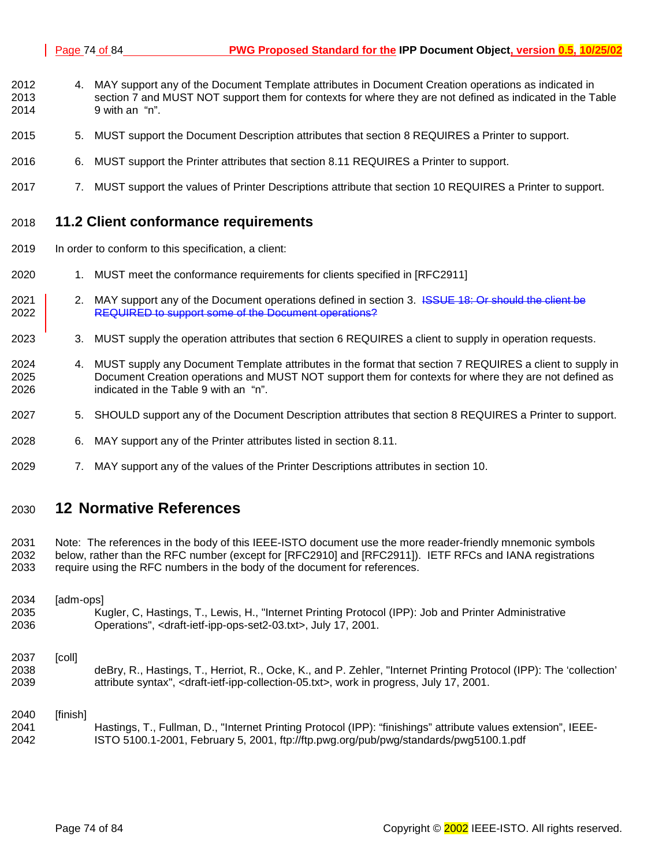- 2012 4. MAY support any of the Document Template attributes in Document Creation operations as indicated in 2013 section 7 [a](#page-40-0)nd MUST NOT support them for contexts for where they are not defined as indicated in the T[able](#page-48-0)  2014 [9](#page-48-0) with an "n".
- 2015 5. MUST support the Document Description attributes that section [8](#page-48-0) REQUIRES a Printer to support.
- 2016 6. MUST support the Printer attributes that section [8.11 R](#page-63-0)EQUIRES a Printer to support.
- 2017 7. MUST support the values of Printer Descriptions attribute that section 1[0 R](#page-72-0)EQUIRES a Printer to support.

#### 2018 **11.2 Client conformance requirements**

- 2019 In order to conform to this specification, a client:
- 2020 1. MUST meet the conformance requirements for clients specified in [RFC2911]
- 2021 2. MAY support any of the Document operations defined in section [3.](#page-11-0) <del>ISSUE 18: Or should the client be</del> 2022 **REQUIRED to support some of the Document operations?**
- 2023 3. MUST supply the operation attributes that section 6 [R](#page-36-0)EQUIRES a client to supply in operation requests.
- 2024 4. MUST supply any Document Template attributes in the format that section 7 [R](#page-40-0)EQUIRES a client to supply in 2025 Document Creation operations and MUST NOT support them for contexts for where they are not defined as 2026 indicated in the T[able 9 w](#page-48-0)ith an "n".
- 2027 5. SHOULD support any of the Document Description attributes that section [8](#page-48-0) REQUIRES a Printer to support.
- 2028 6. MAY support any of the Printer attributes listed in section [8.11.](#page-63-0)
- 2029 7. MAY support any of the values of the Printer Descriptions attributes in section 1[0.](#page-72-0)

### 2030 **12 Normative References**

2031 Note: The references in the body of this IEEE-ISTO document use the more reader-friendly mnemonic symbols 2032 below, rather than the RFC number (except for [RFC2910] and [RFC2911]). IETF RFCs and IANA registrations 2033 require using the RFC numbers in the body of the document for references.

2034 [adm-ops] 2035 Kugler, C, Hastings, T., Lewis, H., "Internet Printing Protocol (IPP): Job and Printer Administrative 2036 Operations", <draft-ietf-ipp-ops-set2-03.txt>, July 17, 2001. 2037 [coll] 2038 deBry, R., Hastings, T., Herriot, R., Ocke, K., and P. Zehler, "Internet Printing Protocol (IPP): The 'collection' 2039 attribute syntax", <draft-ietf-ipp-collection-05.txt>, work in progress, July 17, 2001. 2040 [finish] 2041 Hastings, T., Fullman, D., "Internet Printing Protocol (IPP): "finishings" attribute values extension", IEEE-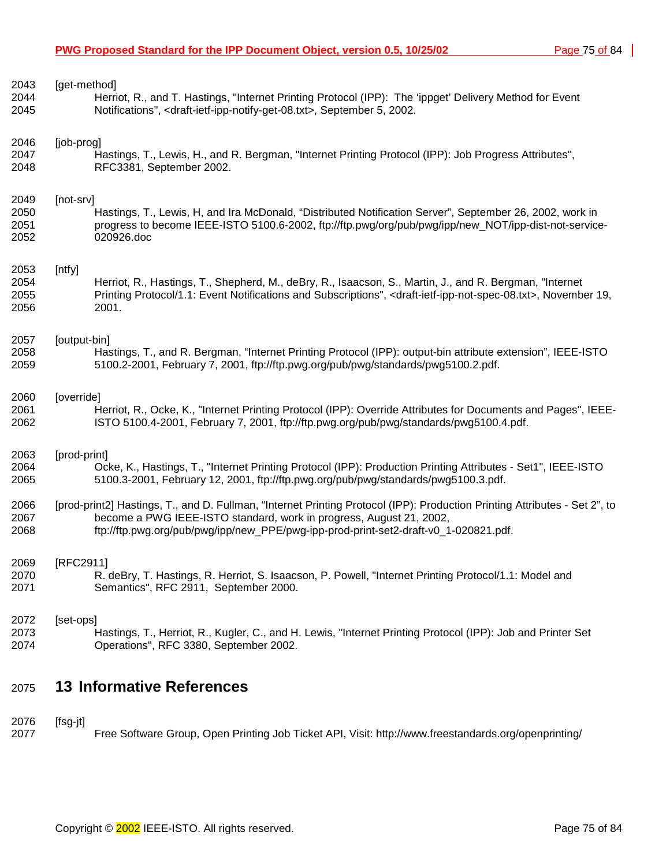| 2075 | <b>13 Informative References</b>                                                                                                               |
|------|------------------------------------------------------------------------------------------------------------------------------------------------|
| 2072 | [set-ops]                                                                                                                                      |
| 2073 | Hastings, T., Herriot, R., Kugler, C., and H. Lewis, "Internet Printing Protocol (IPP): Job and Printer Set                                    |
| 2074 | Operations", RFC 3380, September 2002.                                                                                                         |
| 2069 | [RFC2911]                                                                                                                                      |
| 2070 | R. deBry, T. Hastings, R. Herriot, S. Isaacson, P. Powell, "Internet Printing Protocol/1.1: Model and                                          |
| 2071 | Semantics", RFC 2911, September 2000.                                                                                                          |
| 2066 | [prod-print2] Hastings, T., and D. Fullman, "Internet Printing Protocol (IPP): Production Printing Attributes - Set 2", to                     |
| 2067 | become a PWG IEEE-ISTO standard, work in progress, August 21, 2002,                                                                            |
| 2068 | ftp://ftp.pwg.org/pub/pwg/ipp/new_PPE/pwg-ipp-prod-print-set2-draft-v0_1-020821.pdf.                                                           |
| 2063 | [prod-print]                                                                                                                                   |
| 2064 | Ocke, K., Hastings, T., "Internet Printing Protocol (IPP): Production Printing Attributes - Set1", IEEE-ISTO                                   |
| 2065 | 5100.3-2001, February 12, 2001, ftp://ftp.pwg.org/pub/pwg/standards/pwg5100.3.pdf.                                                             |
| 2060 | [override]                                                                                                                                     |
| 2061 | Herriot, R., Ocke, K., "Internet Printing Protocol (IPP): Override Attributes for Documents and Pages", IEEE-                                  |
| 2062 | ISTO 5100.4-2001, February 7, 2001, ftp://ftp.pwg.org/pub/pwg/standards/pwg5100.4.pdf.                                                         |
| 2057 | [output-bin]                                                                                                                                   |
| 2058 | Hastings, T., and R. Bergman, "Internet Printing Protocol (IPP): output-bin attribute extension", IEEE-ISTO                                    |
| 2059 | 5100.2-2001, February 7, 2001, ftp://ftp.pwg.org/pub/pwg/standards/pwg5100.2.pdf.                                                              |
| 2053 | [ntfy]                                                                                                                                         |
| 2054 | Herriot, R., Hastings, T., Shepherd, M., deBry, R., Isaacson, S., Martin, J., and R. Bergman, "Internet                                        |
| 2055 | Printing Protocol/1.1: Event Notifications and Subscriptions", <draft-ietf-ipp-not-spec-08.txt>, November 19,</draft-ietf-ipp-not-spec-08.txt> |
| 2056 | 2001.                                                                                                                                          |
| 2049 | [not-srv]                                                                                                                                      |
| 2050 | Hastings, T., Lewis, H, and Ira McDonald, "Distributed Notification Server", September 26, 2002, work in                                       |
| 2051 | progress to become IEEE-ISTO 5100.6-2002, ftp://ftp.pwg/org/pub/pwg/ipp/new NOT/ipp-dist-not-service-                                          |
| 2052 | 020926.doc                                                                                                                                     |
| 2046 | [job-prog]                                                                                                                                     |
| 2047 | Hastings, T., Lewis, H., and R. Bergman, "Internet Printing Protocol (IPP): Job Progress Attributes",                                          |
| 2048 | RFC3381, September 2002.                                                                                                                       |
| 2043 | [get-method]                                                                                                                                   |
| 2044 | Herriot, R., and T. Hastings, "Internet Printing Protocol (IPP): The 'ippget' Delivery Method for Event                                        |
| 2045 | Notifications", <draft-ietf-ipp-notify-get-08.txt>, September 5, 2002.</draft-ietf-ipp-notify-get-08.txt>                                      |

2076 [fsg-jt]

2077 Free Software Group, Open Printing Job Ticket API, Visit: http://www.freestandards.org/openprinting/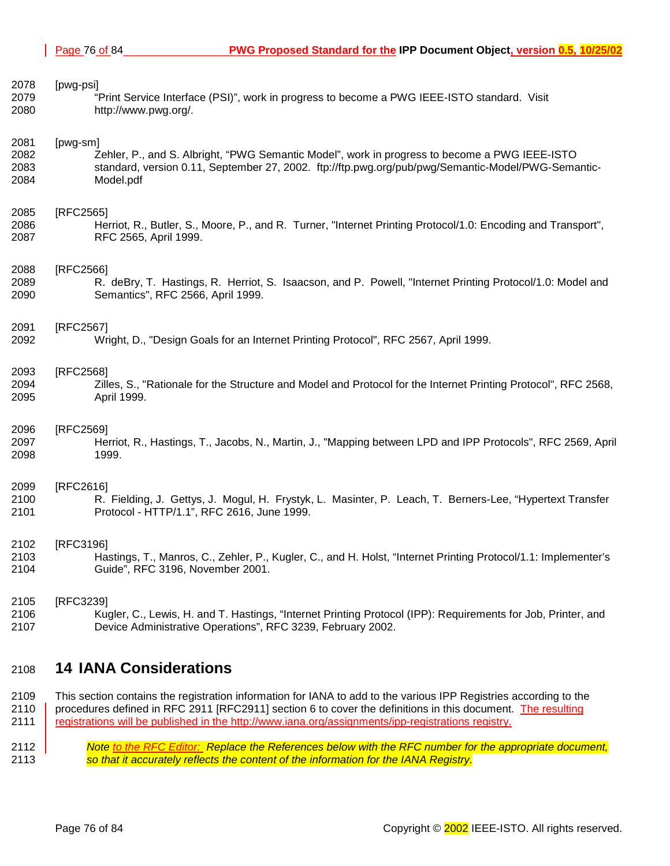<span id="page-75-0"></span>

| 2078 | [pwg-psi]                                                                                                      |
|------|----------------------------------------------------------------------------------------------------------------|
| 2079 | "Print Service Interface (PSI)", work in progress to become a PWG IEEE-ISTO standard. Visit                    |
| 2080 | http://www.pwg.org/.                                                                                           |
| 2081 | [pwg-sm]                                                                                                       |
| 2082 | Zehler, P., and S. Albright, "PWG Semantic Model", work in progress to become a PWG IEEE-ISTO                  |
| 2083 | standard, version 0.11, September 27, 2002. ftp://ftp.pwg.org/pub/pwg/Semantic-Model/PWG-Semantic-             |
| 2084 | Model.pdf                                                                                                      |
| 2085 | [RFC2565]                                                                                                      |
| 2086 | Herriot, R., Butler, S., Moore, P., and R. Turner, "Internet Printing Protocol/1.0: Encoding and Transport",   |
| 2087 | RFC 2565, April 1999.                                                                                          |
| 2088 | [RFC2566]                                                                                                      |
| 2089 | R. deBry, T. Hastings, R. Herriot, S. Isaacson, and P. Powell, "Internet Printing Protocol/1.0: Model and      |
| 2090 | Semantics", RFC 2566, April 1999.                                                                              |
| 2091 | [RFC2567]                                                                                                      |
| 2092 | Wright, D., "Design Goals for an Internet Printing Protocol", RFC 2567, April 1999.                            |
| 2093 | [RFC2568]                                                                                                      |
| 2094 | Zilles, S., "Rationale for the Structure and Model and Protocol for the Internet Printing Protocol", RFC 2568, |
| 2095 | April 1999.                                                                                                    |
| 2096 | [RFC2569]                                                                                                      |
| 2097 | Herriot, R., Hastings, T., Jacobs, N., Martin, J., "Mapping between LPD and IPP Protocols", RFC 2569, April    |
| 2098 | 1999.                                                                                                          |
| 2099 | [RFC2616]                                                                                                      |
| 2100 | R. Fielding, J. Gettys, J. Mogul, H. Frystyk, L. Masinter, P. Leach, T. Berners-Lee, "Hypertext Transfer       |
| 2101 | Protocol - HTTP/1.1", RFC 2616, June 1999.                                                                     |
| 2102 | [RFC3196]                                                                                                      |
| 2103 | Hastings, T., Manros, C., Zehler, P., Kugler, C., and H. Holst, "Internet Printing Protocol/1.1: Implementer's |
| 2104 | Guide", RFC 3196, November 2001.                                                                               |
| 2105 | [RFC3239]                                                                                                      |
| 2106 | Kugler, C., Lewis, H. and T. Hastings, "Internet Printing Protocol (IPP): Requirements for Job, Printer, and   |
| 2107 | Device Administrative Operations", RFC 3239, February 2002.                                                    |

### 2108 **14 IANA Considerations**

2109 This section contains the registration information for IANA to add to the various IPP Registries according to the 2110 | procedures defined in RFC 2911 [RFC2911] section 6 to cover the definitions in this document. The resulting 2111 registrations will be published in the http://www.iana.org/assignments/ipp-registrations registry.

2112 *Note to the RFC Editor: Replace the References below with the RFC number for the appropriate document,*  2113 *so that it accurately reflects the content of the information for the IANA Registry.*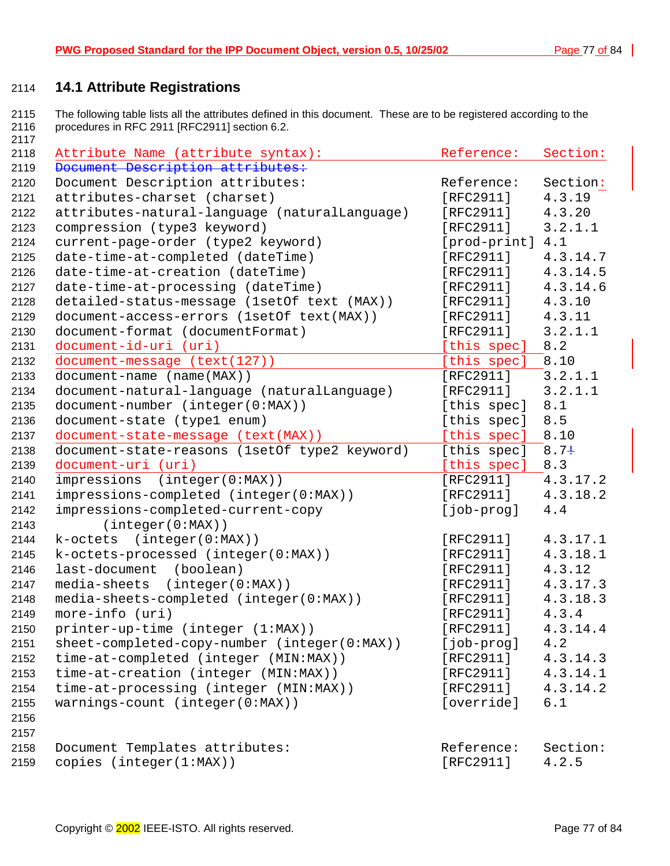## **14.1 Attribute Registrations**

2115 The following table lists all the attributes defined in this document. These are to be registered according to the 2116 procedures in RFC 2911 [RFC2911] section 6.2. 

| 2118 | Attribute Name (attribute syntax):            | Reference:       | Section: |
|------|-----------------------------------------------|------------------|----------|
| 2119 | Document Description attributes:              |                  |          |
| 2120 | Document Description attributes:              | Reference:       | Section: |
| 2121 | attributes-charset (charset)                  | [RFC2911]        | 4.3.19   |
| 2122 | attributes-natural-language (naturalLanguage) | [RFC2911]        | 4.3.20   |
| 2123 | compression (type3 keyword)                   | [RFC2911]        | 3.2.1.1  |
| 2124 | current-page-order (type2 keyword)            | [prod-print] 4.1 |          |
| 2125 | date-time-at-completed (dateTime)             | [RFC2911]        | 4.3.14.7 |
| 2126 | date-time-at-creation (dateTime)              | [RFC2911]        | 4.3.14.5 |
| 2127 | date-time-at-processing (dateTime)            | [RFC2911]        | 4.3.14.6 |
| 2128 | detailed-status-message (1setOf text (MAX))   | [RFC2911]        | 4.3.10   |
| 2129 | document-access-errors (lsetOf text(MAX))     | [RFC2911]        | 4.3.11   |
| 2130 | document-format (documentFormat)              | [RFC2911]        | 3.2.1.1  |
| 2131 | document-id-uri (uri)                         | [this spec]      | 8.2      |
| 2132 | document-message (text(127))                  | [this spec]      | 8.10     |
| 2133 | document-name (name(MAX))                     | [RFC2911]        | 3.2.1.1  |
| 2134 | document-natural-language (naturalLanguage)   | [RFC2911]        | 3.2.1.1  |
| 2135 | document-number (integer(0:MAX))              | [this spec]      | 8.1      |
| 2136 | document-state (type1 enum)                   | [this spec]      | 8.5      |
| 2137 | document-state-message (text(MAX))            | [this spec]      | 8.10     |
| 2138 | document-state-reasons (1setOf type2 keyword) | [this spec]      | $8.7+$   |
| 2139 | document-uri (uri)                            | [this spec]      | 8.3      |
| 2140 | impressions<br>(integer(0:MAX))               | [RFC2911]        | 4.3.17.2 |
| 2141 | impressions-completed (integer(0:MAX))        | [RFC2911]        | 4.3.18.2 |
| 2142 | impressions-completed-current-copy            | [job-prog]       | 4.4      |
| 2143 | (integer(0:MAX))                              |                  |          |
| 2144 | (integer(0:MAX))<br>k-octets                  | [RFC2911]        | 4.3.17.1 |
| 2145 | k-octets-processed (integer(0:MAX))           | [RFC2911]        | 4.3.18.1 |
| 2146 | last-document (boolean)                       | [RFC2911]        | 4.3.12   |
| 2147 | media-sheets (integer(0:MAX))                 | [RFC2911]        | 4.3.17.3 |
| 2148 | media-sheets-completed (integer(0:MAX))       | [RFC2911]        | 4.3.18.3 |
| 2149 | more-info (uri)                               | [RFC2911]        | 4.3.4    |
| 2150 | printer-up-time (integer (1:MAX))             | [ $RFC2911$ ]    | 4.3.14.4 |
| 2151 | sheet-completed-copy-number (integer(0:MAX))  | [job-prog]       | 4.2      |
| 2152 | time-at-completed (integer (MIN:MAX))         | [RFC2911]        | 4.3.14.3 |
| 2153 | time-at-creation (integer (MIN:MAX))          | [RFC2911]        | 4.3.14.1 |
| 2154 | time-at-processing (integer (MIN:MAX))        | [RFC2911]        | 4.3.14.2 |
| 2155 | warnings-count (integer(0:MAX))               | [override]       | 6.1      |
| 2156 |                                               |                  |          |
| 2157 |                                               |                  |          |
| 2158 | Document Templates attributes:                | Reference:       | Section: |
| 2159 | copies (integer(1:MAX))                       | [RFC2911]        | 4.2.5    |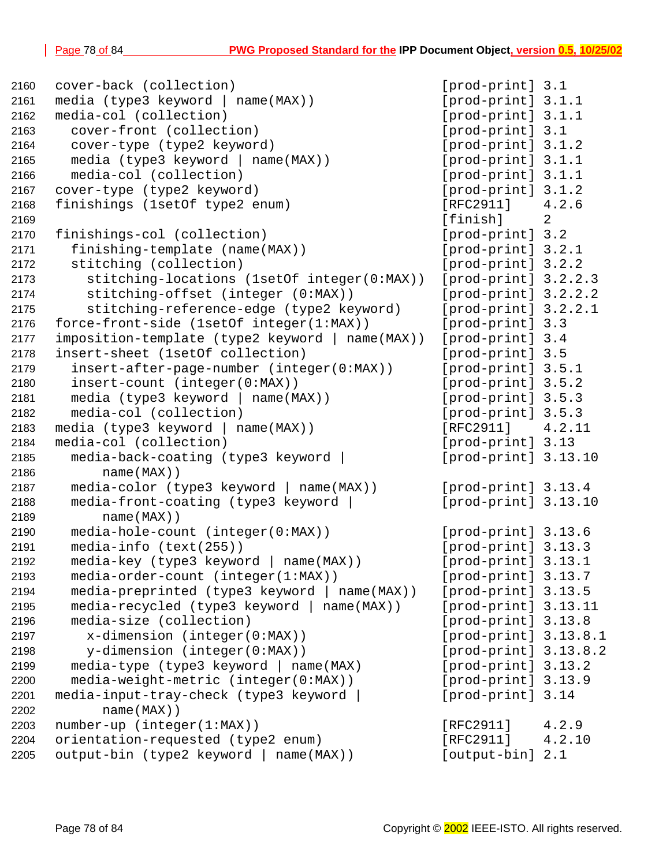```
2160 cover-back (collection) [prod-print] 3.1
2161 media (type3 keyword | name(MAX)) [prod-print] 3.1.1
2162 media-col (collection) [prod-print] 3.1.1
2163 cover-front (collection) [prod-print] 3.1
2164 cover-type (type2 keyword) [prod-print] 3.1.2
2165 media (type3 keyword | name(MAX)) [prod-print] 3.1.1
2166 media-col (collection) [prod-print] 3.1.1
2167 cover-type (type2 keyword) [prod-print] 3.1.2
2168 finishings (1setOf type2 enum) [RFC2911] 4.2.6
2169 [finish] 2
2170 finishings-col (collection) [prod-print] 3.2
2171 finishing-template (name(MAX)) [prod-print] 3.2.1
2172 stitching (collection) [prod-print] 3.2.2
2173 stitching-locations (1setOf integer(0:MAX)) [prod-print] 3.2.2.3
2174 stitching-offset (integer (0:MAX)) [prod-print] 3.2.2.2
2175 stitching-reference-edge (type2 keyword) [prod-print] 3.2.2.1
2176 force-front-side (1setOf integer(1:MAX)) [prod-print] 3.3
2177 imposition-template (type2 keyword | name(MAX)) [prod-print] 3.4
2178 insert-sheet (1setOf collection) [prod-print] 3.5
2179 insert-after-page-number (integer(0:MAX)) [prod-print] 3.5.1
2180 insert-count (integer(0:MAX)) [prod-print] 3.5.2
2181 media (type3 keyword | name(MAX)) [prod-print] 3.5.3
2182 media-col (collection) [prod-print] 3.5.3
2183 media (type3 keyword | name(MAX)) [RFC2911] 4.2.11
2184 media-col (collection) [prod-print] 3.13
2185 media-back-coating (type3 keyword | [prod-print] 3.13.10
2186 name(MAX))
2187 media-color (type3 keyword | name(MAX)) [prod-print] 3.13.4
2188 media-front-coating (type3 keyword | [prod-print] 3.13.10
2189 name(MAX))
2190 media-hole-count (integer(0:MAX)) [prod-print] 3.13.6
2191 media-info (text(255)) [prod-print] 3.13.3
2192 media-key (type3 keyword | name(MAX)) [prod-print] 3.13.1
2193 media-order-count (integer(1:MAX)) [prod-print] 3.13.7
2194 media-preprinted (type3 keyword | name(MAX)) [prod-print] 3.13.5
2195 media-recycled (type3 keyword | name(MAX)) [prod-print] 3.13.11
2196 media-size (collection) [prod-print] 3.13.8
2197 x-dimension (integer(0:MAX)) [prod-print] 3.13.8.1
2198 y-dimension (integer(0:MAX)) [prod-print] 3.13.8.2
2199 media-type (type3 keyword | name(MAX) [prod-print] 3.13.2
2200 media-weight-metric (integer(0:MAX)) [prod-print] 3.13.9
2201 media-input-tray-check (type3 keyword | [prod-print] 3.14
2202 name(MAX))
2203 number-up (integer(1:MAX)) [RFC2911] 4.2.9
2204 orientation-requested (type2 enum) [RFC2911] 4.2.10
2205 output-bin (type2 keyword | name(MAX)) [output-bin] 2.1
```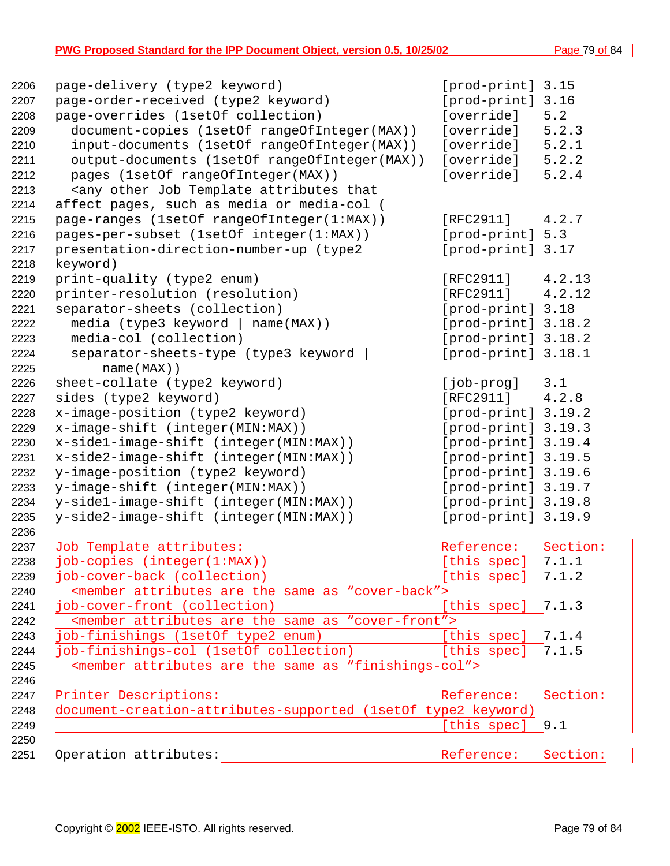#### **PWG Proposed Standard for the IPP Document Object, version 0.5, 10/25/02** Page 79 of 84 |

| page-delivery (type2 keyword)                                                          | [prod-print] 3.15   |          |
|----------------------------------------------------------------------------------------|---------------------|----------|
| page-order-received (type2 keyword)                                                    | [prod-print]        | 3.16     |
| page-overrides (1setOf collection)                                                     | [override]          | 5.2      |
| document-copies (1setOf rangeOfInteger(MAX))                                           | [override]          | 5.2.3    |
| input-documents (1setOf rangeOfInteger(MAX))                                           | [override]          | 5.2.1    |
| output-documents (1setOf rangeOfInteger(MAX))                                          | [override]          | 5.2.2    |
| pages (1setOf rangeOfInteger(MAX))                                                     | [override]          | 5.2.4    |
| <any attributes="" job="" other="" td="" template="" that<=""><td></td><td></td></any> |                     |          |
| affect pages, such as media or media-col (                                             |                     |          |
| page-ranges (1setOf rangeOfInteger(1:MAX))                                             | [RFC2911]           | 4.2.7    |
| pages-per-subset (1setOf integer(1:MAX))                                               | [prod-print] 5.3    |          |
| presentation-direction-number-up (type2                                                | [prod-print] 3.17   |          |
| keyword)                                                                               |                     |          |
| print-quality (type2 enum)                                                             | [RFC2911]           | 4.2.13   |
| printer-resolution (resolution)                                                        | [RFC2911]           | 4.2.12   |
| separator-sheets (collection)                                                          | [prod-print] 3.18   |          |
| media (type3 keyword   name(MAX))                                                      | [prod-print] 3.18.2 |          |
| media-col (collection)                                                                 | [prod-print] 3.18.2 |          |
| separator-sheets-type (type3 keyword                                                   | [prod-print] 3.18.1 |          |
| $name(MAX)$ )                                                                          |                     |          |
| sheet-collate (type2 keyword)                                                          | [job-prog]          | 3.1      |
| sides (type2 keyword)                                                                  | [RFC2911]           | 4.2.8    |
| x-image-position (type2 keyword)                                                       | [prod-print] 3.19.2 |          |
| x-image-shift (integer(MIN:MAX))                                                       | [prod-print] 3.19.3 |          |
| x-side1-image-shift (integer(MIN:MAX))                                                 | [prod-print] 3.19.4 |          |
| x-side2-image-shift (integer(MIN:MAX))                                                 | [prod-print] 3.19.5 |          |
| y-image-position (type2 keyword)                                                       | [prod-print] 3.19.6 |          |
| y-image-shift (integer(MIN:MAX))                                                       | [prod-print] 3.19.7 |          |
| y-sidel-image-shift (integer(MIN:MAX))                                                 | [prod-print] 3.19.8 |          |
| y-side2-image-shift (integer(MIN:MAX))                                                 | [prod-print] 3.19.9 |          |
|                                                                                        |                     |          |
| Job Template attributes:                                                               | Reference:          | Section: |
| job-copies (integer(1:MAX))                                                            | [this spec]         | 7.1.1    |
| job-cover-back (collection)                                                            | [this spec]         | 7.1.2    |
| <member "cover-back"="" are="" as="" attributes="" same="" the=""></member>            |                     |          |
| job-cover-front (collection)                                                           | [this spec]         | 7.1.3    |
| <member "cover-front"="" are="" as="" attributes="" same="" the=""></member>           |                     |          |
| job-finishings (1setOf type2 enum)                                                     | [this spec]         | 7.1.4    |
| job-finishings-col (1setOf collection)                                                 | [this spec]         | 7.1.5    |
| <member "finishings-col"="" are="" as="" attributes="" same="" the=""></member>        |                     |          |
| Printer Descriptions:                                                                  | Reference:          | Section: |
|                                                                                        |                     |          |
| document-creation-attributes-supported (1setOf type2 keyword)                          |                     |          |
|                                                                                        | [this spec]         | 9.1      |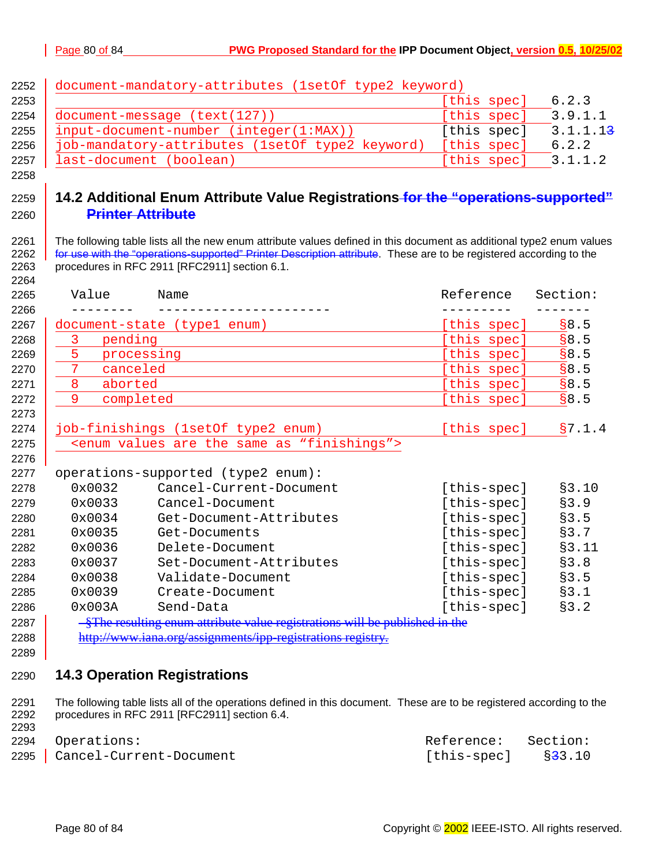| 2252 | document-mandatory-attributes (1setOf type2 keyword)                                                                  |             |          |
|------|-----------------------------------------------------------------------------------------------------------------------|-------------|----------|
| 2253 |                                                                                                                       | [this spec] | 6.2.3    |
| 2254 | document-message (text(127))                                                                                          | [this spec] | 3.9.1.1  |
| 2255 | input-document-number (integer(1:MAX))                                                                                | [this spec] | 3.1.1.13 |
| 2256 | job-mandatory-attributes (1setOf type2 keyword)                                                                       | [this spec] | 6.2.2    |
| 2257 | last-document (boolean)                                                                                               | [this spec] | 3.1.1.2  |
| 2258 |                                                                                                                       |             |          |
| 2259 | 14.2 Additional Enum Attribute Value Registrations for the "operations-supported"                                     |             |          |
| 2260 | <b>Printer Attribute</b>                                                                                              |             |          |
| 2261 | The following table lists all the new enum attribute values defined in this document as additional type2 enum values  |             |          |
| 2262 | for use with the "operations-supported" Printer Description attribute. These are to be registered according to the    |             |          |
| 2263 | procedures in RFC 2911 [RFC2911] section 6.1.                                                                         |             |          |
| 2264 |                                                                                                                       |             |          |
| 2265 | Value<br>Name                                                                                                         | Reference   | Section: |
| 2266 |                                                                                                                       | ------      |          |
| 2267 | document-state (type1 enum)                                                                                           | [this spec] | \$8.5    |
| 2268 | 3<br>pending                                                                                                          | [this spec] | 88.5     |
| 2269 | 5<br>processing                                                                                                       | [this spec] | 88.5     |
| 2270 | 7<br>canceled                                                                                                         | [this spec] | \$8.5    |
| 2271 | 8<br>aborted                                                                                                          | [this spec] | \$8.5    |
| 2272 | 9<br>completed                                                                                                        | [this spec] | \$8.5    |
| 2273 |                                                                                                                       |             |          |
| 2274 | job-finishings (1setOf type2 enum)                                                                                    | [this spec] | §7.1.4   |
| 2275 | <enum "finishings"="" are="" as="" same="" the="" values=""></enum>                                                   |             |          |
| 2276 |                                                                                                                       |             |          |
| 2277 | operations-supported (type2 enum):                                                                                    |             |          |
| 2278 | 0x0032<br>Cancel-Current-Document                                                                                     | [this-spec] | §3.10    |
| 2279 | 0x0033<br>Cancel-Document                                                                                             | [this-spec] | \$3.9    |
| 2280 | 0x0034<br>Get-Document-Attributes                                                                                     | [this-spec] | \$3.5    |
| 2281 | 0x0035<br>Get-Documents                                                                                               | [this-spec] | §3.7     |
| 2282 | 0x0036<br>Delete-Document                                                                                             | [this-spec] | §3.11    |
| 2283 | 0x0037<br>Set-Document-Attributes                                                                                     | [this-spec] | \$3.8    |
| 2284 | 0x0038<br>Validate-Document                                                                                           | [this-spec] | \$3.5    |
| 2285 | 0x0039<br>Create-Document                                                                                             | [this-spec] | \$3.1    |
| 2286 | 0x003A<br>Send-Data                                                                                                   | [this-spec] | \$3.2    |
| 2287 | -§The resulting enum attribute value registrations will be published in the                                           |             |          |
| 2288 | http://www.iana.org/assignments/ipp-registrations registry.                                                           |             |          |
| 2289 |                                                                                                                       |             |          |
| 2290 | <b>14.3 Operation Registrations</b>                                                                                   |             |          |
| 2291 | The following table lists all of the operations defined in this document. These are to be registered according to the |             |          |
| 2292 | procedures in RFC 2911 [RFC2911] section 6.4.                                                                         |             |          |
| 2293 |                                                                                                                       |             |          |
| 2294 | Operations:                                                                                                           | Reference:  | Section: |
| 2295 | Cancel-Current-Document                                                                                               | [this-spec] | \$33.10  |

|  | 2295   Cancel-Current-Document |
|--|--------------------------------|
|--|--------------------------------|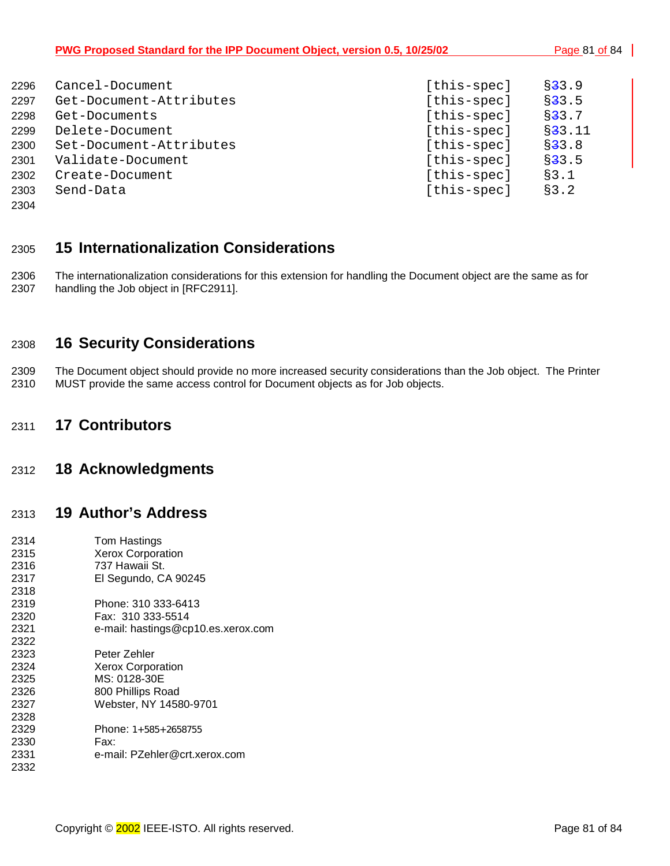| PWG Proposed Standard for the IPP Document Object, version 0.5, 10/25/02 | Page 81 of 84 |
|--------------------------------------------------------------------------|---------------|
|                                                                          |               |

| 2296 | Cancel-Document         | [this-spec] | $\S 33.9$      |
|------|-------------------------|-------------|----------------|
| 2297 | Get-Document-Attributes | [this-spec] | $\S$ 3 3 . 5   |
| 2298 | Get-Documents           | [this-spec] | $\S$ 3 3 . 7   |
| 2299 | Delete-Document         | [this-spec] | $\S$ 3 3 . 1 1 |
| 2300 | Set-Document-Attributes | [this-spec] | $\S$ 3 3 . 8   |
| 2301 | Validate-Document       | [this-spec] | $\S$ 33.5      |
| 2302 | Create-Document         | [this-spec] | §3.1           |
| 2303 | Send-Data               | [this-spec] | §3.2           |
|      |                         |             |                |

2304

## 2305 **15 Internationalization Considerations**

2306 The internationalization considerations for this extension for handling the Document object are the same as for<br>2307 handling the Job object in [RFC2911]. handling the Job object in [RFC2911].

### 2308 **16 Security Considerations**

2309 The Document object should provide no more increased security considerations than the Job object. The Printer 2310 MUST provide the same access control for Document objects as for Job objects.

### 2311 **17 Contributors**

### 2312 **18 Acknowledgments**

## 2313 **19 Author's Address**

| 2314 | Tom Hastings                       |
|------|------------------------------------|
| 2315 | <b>Xerox Corporation</b>           |
| 2316 | 737 Hawaii St.                     |
| 2317 | El Segundo, CA 90245               |
| 2318 |                                    |
| 2319 | Phone: 310 333-6413                |
| 2320 | Fax: 310 333-5514                  |
| 2321 | e-mail: hastings@cp10.es.xerox.com |
| 2322 |                                    |
| 2323 | Peter Zehler                       |
| 2324 | <b>Xerox Corporation</b>           |
| 2325 | MS: 0128-30E                       |
| 2326 | 800 Phillips Road                  |
| 2327 | Webster, NY 14580-9701             |
| 2328 |                                    |
| 2329 | Phone: $1+585+2658755$             |
| 2330 | Fax:                               |
| 2331 | e-mail: PZehler@crt.xerox.com      |
| 2332 |                                    |
|      |                                    |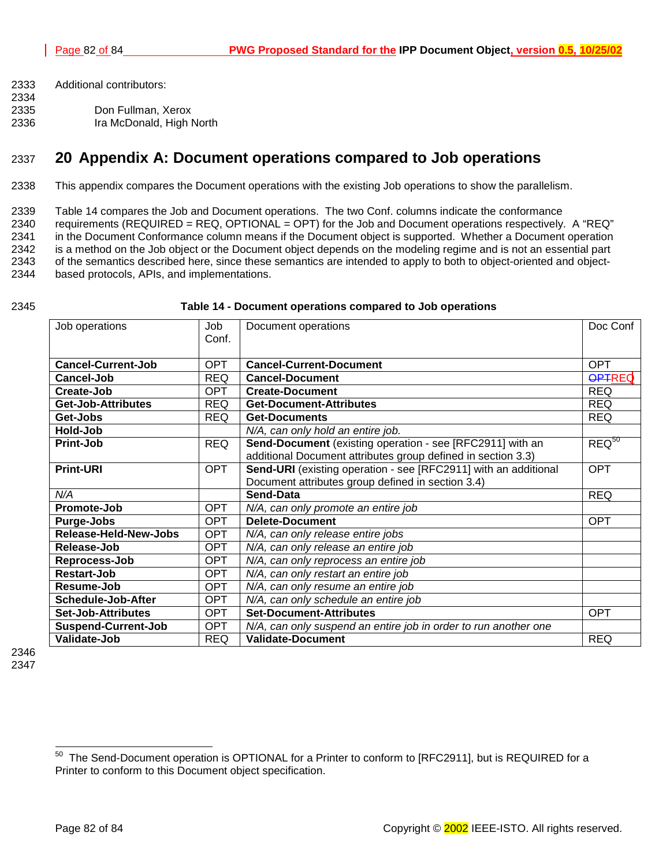- 2333 Additional contributors:
- 2334 2335 Don Fullman, Xerox
- 2336 Ira McDonald, High North

## 2337 **20 Appendix A: Document operations compared to Job operations**

2338 This appendix compares the Document operations with the existing Job operations to show the parallelism.

2339 Table 14 compares the Job and Document operations. The two Conf. columns indicate the conformance

2340 requirements (REQUIRED = REQ, OPTIONAL = OPT) for the Job and Document operations respectively. A "REQ" 2341 in the Document Conformance column means if the Document object is supported. Whether a Document operation 2342 is a method on the Job object or the Document object depends on the modeling regime and is not an essential part 2343 of the semantics described here, since these semantics are intended to apply to both to object-oriented and object-2344 based protocols, APIs, and implementations.

#### 2345 **Table 14 - Document operations compared to Job operations**

| Job operations             | Job        | Document operations                                             |               |
|----------------------------|------------|-----------------------------------------------------------------|---------------|
|                            | Conf.      |                                                                 |               |
| <b>Cancel-Current-Job</b>  | <b>OPT</b> | <b>Cancel-Current-Document</b>                                  | <b>OPT</b>    |
| Cancel-Job                 | <b>REQ</b> | <b>Cancel-Document</b>                                          | <b>OPTREQ</b> |
| Create-Job                 | <b>OPT</b> | <b>Create-Document</b>                                          | <b>REQ</b>    |
| <b>Get-Job-Attributes</b>  | <b>REQ</b> | <b>Get-Document-Attributes</b>                                  | <b>REQ</b>    |
| Get-Jobs                   | <b>REQ</b> | <b>Get-Documents</b>                                            | <b>REQ</b>    |
| Hold-Job                   |            | N/A, can only hold an entire job.                               |               |
| Print-Job                  | <b>REQ</b> | Send-Document (existing operation - see [RFC2911] with an       | $REQ^{50}$    |
|                            |            | additional Document attributes group defined in section 3.3)    |               |
| <b>Print-URI</b>           | <b>OPT</b> | Send-URI (existing operation - see [RFC2911] with an additional | <b>OPT</b>    |
|                            |            | Document attributes group defined in section 3.4)               |               |
| N/A                        |            | Send-Data                                                       | <b>REQ</b>    |
| Promote-Job                | <b>OPT</b> | N/A, can only promote an entire job                             |               |
| Purge-Jobs                 | <b>OPT</b> | Delete-Document                                                 | <b>OPT</b>    |
| Release-Held-New-Jobs      | <b>OPT</b> | N/A, can only release entire jobs                               |               |
| Release-Job                | <b>OPT</b> | N/A, can only release an entire job                             |               |
| Reprocess-Job              | <b>OPT</b> | N/A, can only reprocess an entire job                           |               |
| Restart-Job                | <b>OPT</b> | N/A, can only restart an entire job                             |               |
| Resume-Job                 | <b>OPT</b> | N/A, can only resume an entire job                              |               |
| <b>Schedule-Job-After</b>  | <b>OPT</b> | N/A, can only schedule an entire job                            |               |
| <b>Set-Job-Attributes</b>  | <b>OPT</b> | <b>Set-Document-Attributes</b>                                  | <b>OPT</b>    |
| <b>Suspend-Current-Job</b> | <b>OPT</b> | N/A, can only suspend an entire job in order to run another one |               |
| Validate-Job               | <b>REQ</b> | <b>Validate-Document</b>                                        | <b>REQ</b>    |

2346 2347

 $50\,$ The Send-Document operation is OPTIONAL for a Printer to conform to [RFC2911], but is REQUIRED for a Printer to conform to this Document object specification.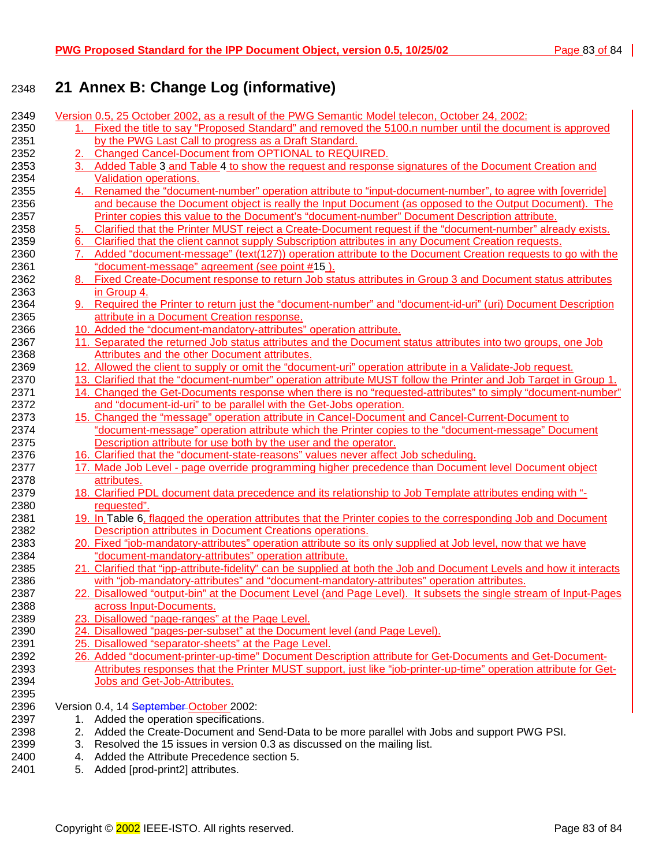# 2348 **21 Annex B: Change Log (informative)**

| 2349 |    | Version 0.5, 25 October 2002, as a result of the PWG Semantic Model telecon, October 24, 2002:                       |
|------|----|----------------------------------------------------------------------------------------------------------------------|
| 2350 |    | 1. Fixed the title to say "Proposed Standard" and removed the 5100.n number until the document is approved           |
| 2351 |    | by the PWG Last Call to progress as a Draft Standard.                                                                |
| 2352 |    | Changed Cancel-Document from OPTIONAL to REQUIRED.                                                                   |
| 2353 |    | 3. Added Table 3 and Table 4 to show the request and response signatures of the Document Creation and                |
| 2354 |    | Validation operations.                                                                                               |
| 2355 |    | 4. Renamed the "document-number" operation attribute to "input-document-number", to agree with [override]            |
| 2356 |    | and because the Document object is really the Input Document (as opposed to the Output Document). The                |
| 2357 |    | Printer copies this value to the Document's "document-number" Document Description attribute.                        |
| 2358 | 5. | Clarified that the Printer MUST reject a Create-Document request if the "document-number" already exists.            |
| 2359 | 6. | Clarified that the client cannot supply Subscription attributes in any Document Creation requests.                   |
| 2360 |    | Added "document-message" (text(127)) operation attribute to the Document Creation requests to go with the            |
| 2361 |    | "document-message" agreement (see point #15).                                                                        |
| 2362 |    | 8. Fixed Create-Document response to return Job status attributes in Group 3 and Document status attributes          |
| 2363 |    | in Group 4.                                                                                                          |
| 2364 | 9. | Required the Printer to return just the "document-number" and "document-id-uri" (uri) Document Description           |
| 2365 |    | attribute in a Document Creation response.                                                                           |
| 2366 |    | 10. Added the "document-mandatory-attributes" operation attribute.                                                   |
| 2367 |    | 11. Separated the returned Job status attributes and the Document status attributes into two groups, one Job         |
| 2368 |    | Attributes and the other Document attributes.                                                                        |
| 2369 |    | 12. Allowed the client to supply or omit the "document-uri" operation attribute in a Validate-Job request.           |
| 2370 |    | 13. Clarified that the "document-number" operation attribute MUST follow the Printer and Job Target in Group 1.      |
| 2371 |    | 14. Changed the Get-Documents response when there is no "requested-attributes" to simply "document-number"           |
| 2372 |    | and "document-id-uri" to be parallel with the Get-Jobs operation.                                                    |
| 2373 |    | 15. Changed the "message" operation attribute in Cancel-Document and Cancel-Current-Document to                      |
| 2374 |    | "document-message" operation attribute which the Printer copies to the "document-message" Document                   |
| 2375 |    | Description attribute for use both by the user and the operator.                                                     |
| 2376 |    | 16. Clarified that the "document-state-reasons" values never affect Job scheduling.                                  |
| 2377 |    | 17. Made Job Level - page override programming higher precedence than Document level Document object                 |
| 2378 |    | attributes.                                                                                                          |
| 2379 |    | 18. Clarified PDL document data precedence and its relationship to Job Template attributes ending with "-            |
| 2380 |    | requested".                                                                                                          |
| 2381 |    | 19. In Table 6, flagged the operation attributes that the Printer copies to the corresponding Job and Document       |
| 2382 |    | <b>Description attributes in Document Creations operations.</b>                                                      |
| 2383 |    | 20. Fixed "job-mandatory-attributes" operation attribute so its only supplied at Job level, now that we have         |
| 2384 |    | "document-mandatory-attributes" operation attribute.                                                                 |
| 2385 |    | 21. Clarified that "ipp-attribute-fidelity" can be supplied at both the Job and Document Levels and how it interacts |
| 2386 |    | with "job-mandatory-attributes" and "document-mandatory-attributes" operation attributes.                            |
| 2387 |    | 22. Disallowed "output-bin" at the Document Level (and Page Level). It subsets the single stream of Input-Pages      |
| 2388 |    | across Input-Documents.                                                                                              |
| 2389 |    | 23. Disallowed "page-ranges" at the Page Level.                                                                      |
| 2390 |    | 24. Disallowed "pages-per-subset" at the Document level (and Page Level).                                            |
| 2391 |    | 25. Disallowed "separator-sheets" at the Page Level.                                                                 |
| 2392 |    | 26. Added "document-printer-up-time" Document Description attribute for Get-Documents and Get-Document-              |
| 2393 |    | Attributes responses that the Printer MUST support, just like "job-printer-up-time" operation attribute for Get-     |
| 2394 |    | Jobs and Get-Job-Attributes.                                                                                         |
| 2395 |    |                                                                                                                      |
| 2396 |    | Version 0.4, 14 September-October 2002:                                                                              |
| 2397 |    | 1. Added the operation specifications.                                                                               |
| 2398 |    | 2. Added the Create-Document and Send-Data to be more parallel with Jobs and support PWG PSI.                        |
| 2399 | 3. | Resolved the 15 issues in version 0.3 as discussed on the mailing list.                                              |
| 2400 | 4. | Added the Attribute Precedence section 5.                                                                            |
| 2401 | 5. | Added [prod-print2] attributes.                                                                                      |